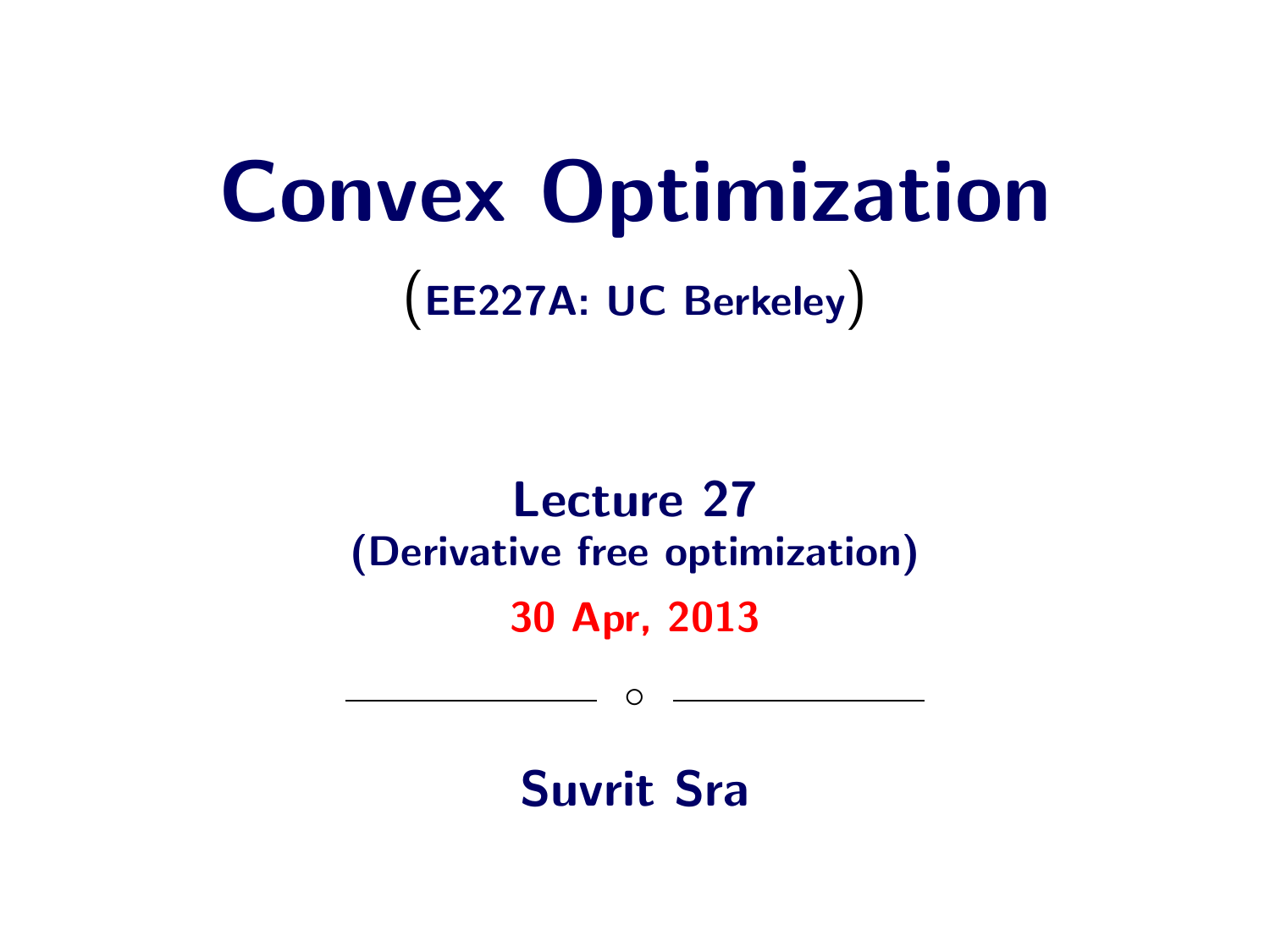# Convex Optimization

(EE227A: UC Berkeley)

## Lecture 27 (Derivative free optimization)

#### 30 Apr, 2013

 $\circ$ 

Suvrit Sra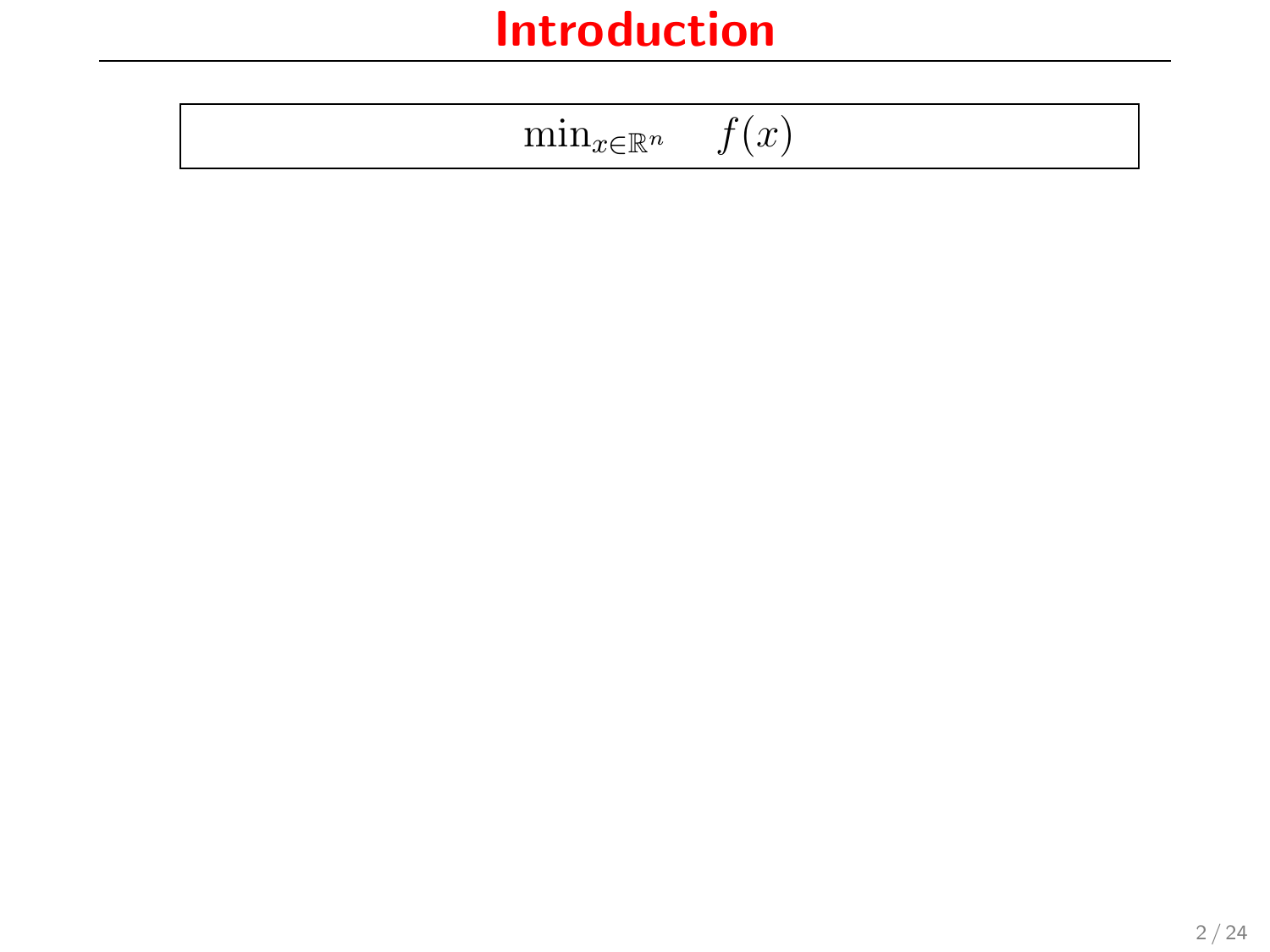| $\sim$ |  |
|--------|--|
|--------|--|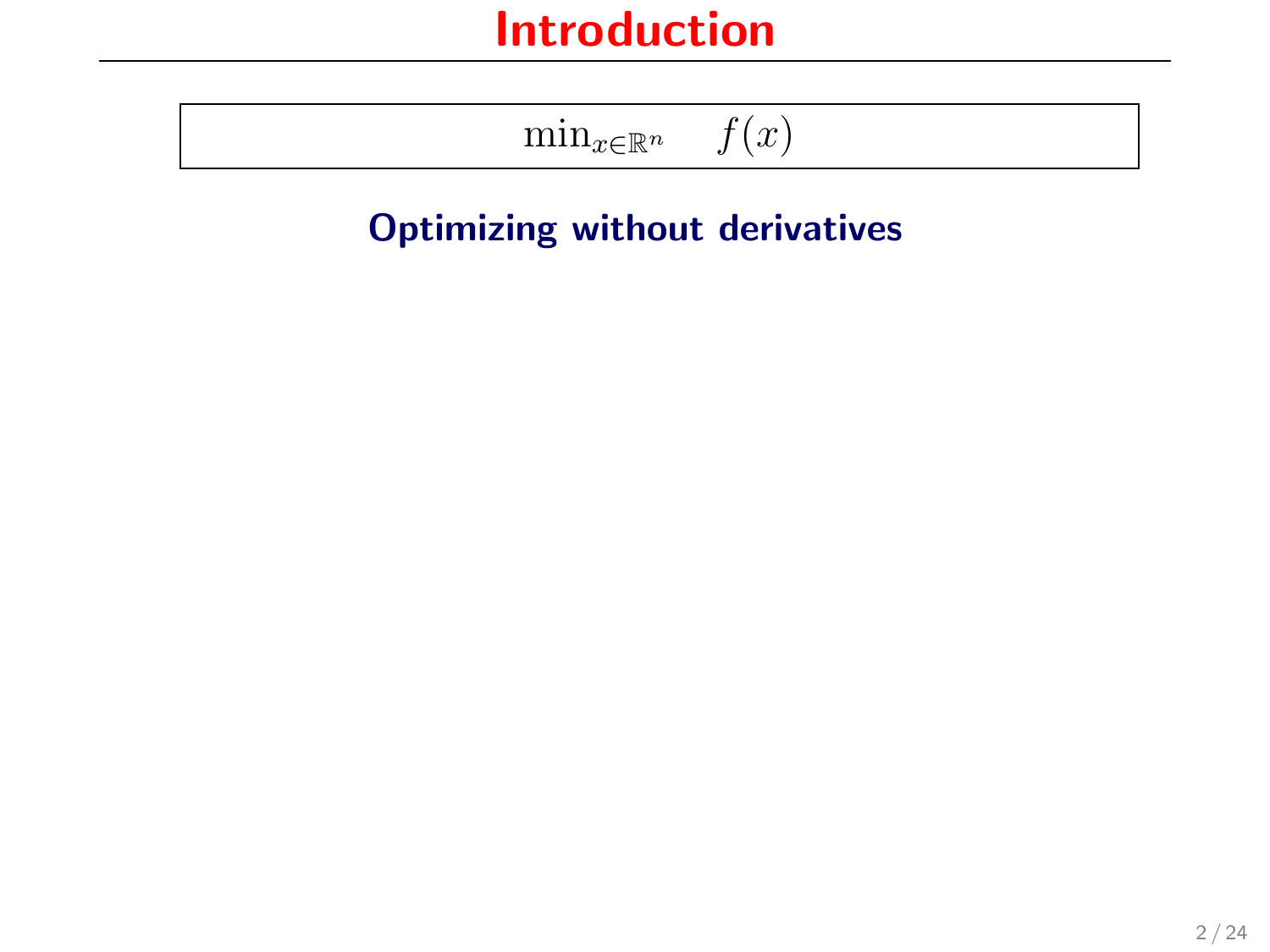$$
\min\nolimits_{x \in \mathbb{R}^n} \quad f(x)
$$

#### Optimizing without derivatives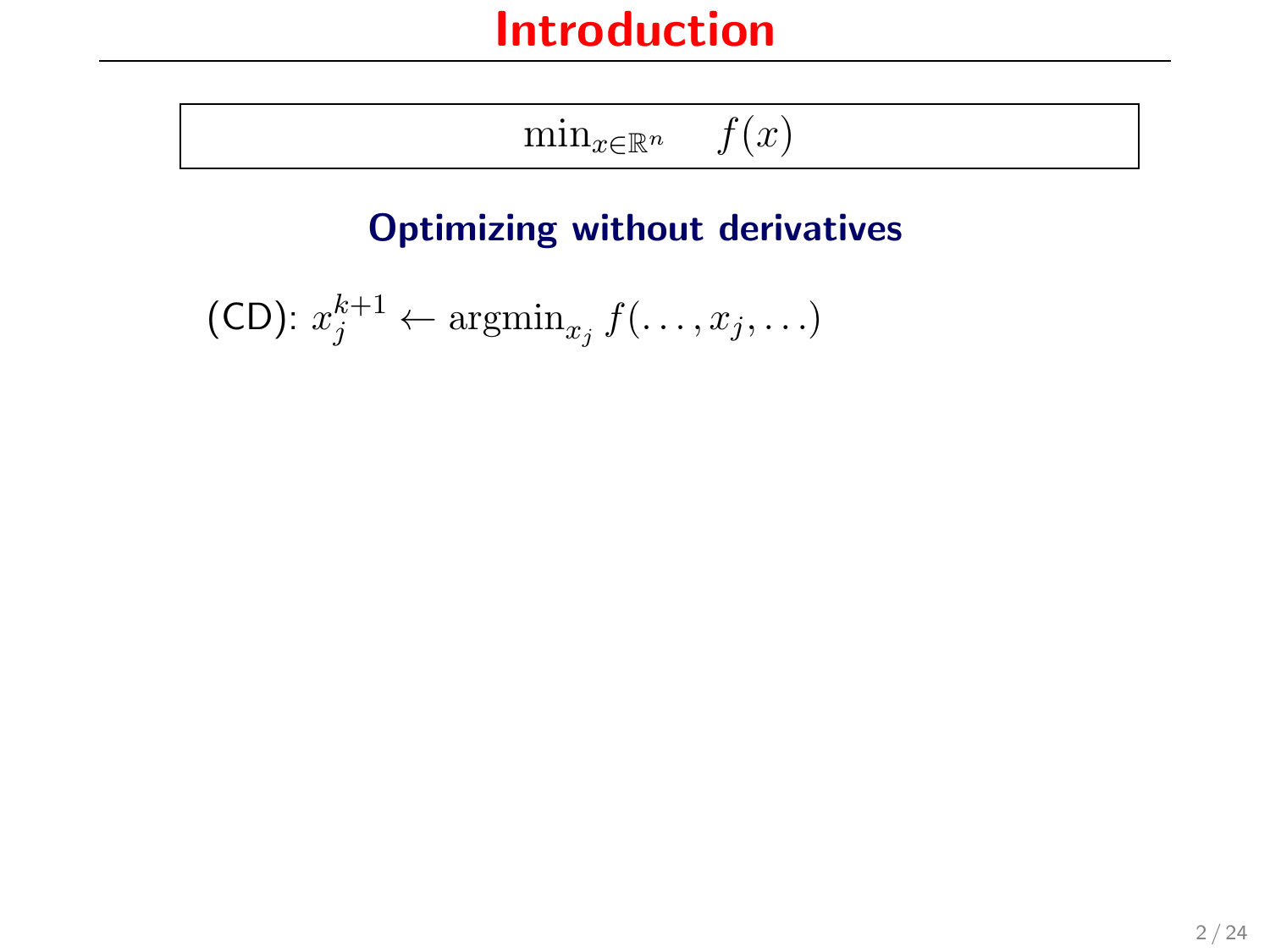$$
\min_{x \in \mathbb{R}^n} \quad f(x)
$$

#### Optimizing without derivatives

(CD):  $x_j^{k+1} \leftarrow \operatorname{argmin}_{x_j} f(\ldots, x_j, \ldots)$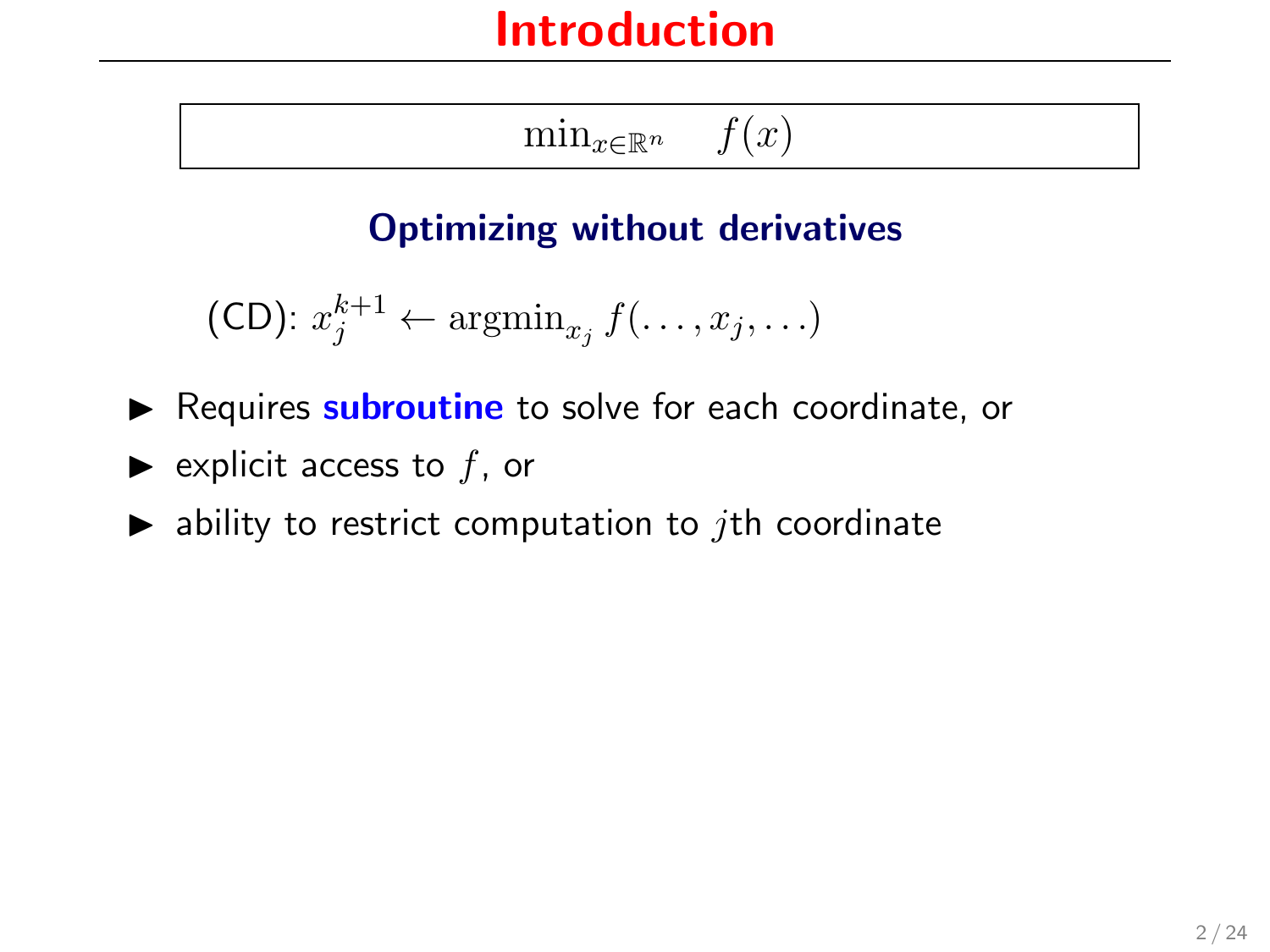$\min_{x \in \mathbb{R}^n}$   $f(x)$ 

#### Optimizing without derivatives

(CD):  $x_j^{k+1} \leftarrow \operatorname{argmin}_{x_j} f(\ldots, x_j, \ldots)$ 

- Requires **subroutine** to solve for each coordinate, or
- $\blacktriangleright$  explicit access to f, or
- $\blacktriangleright$  ability to restrict computation to *j*th coordinate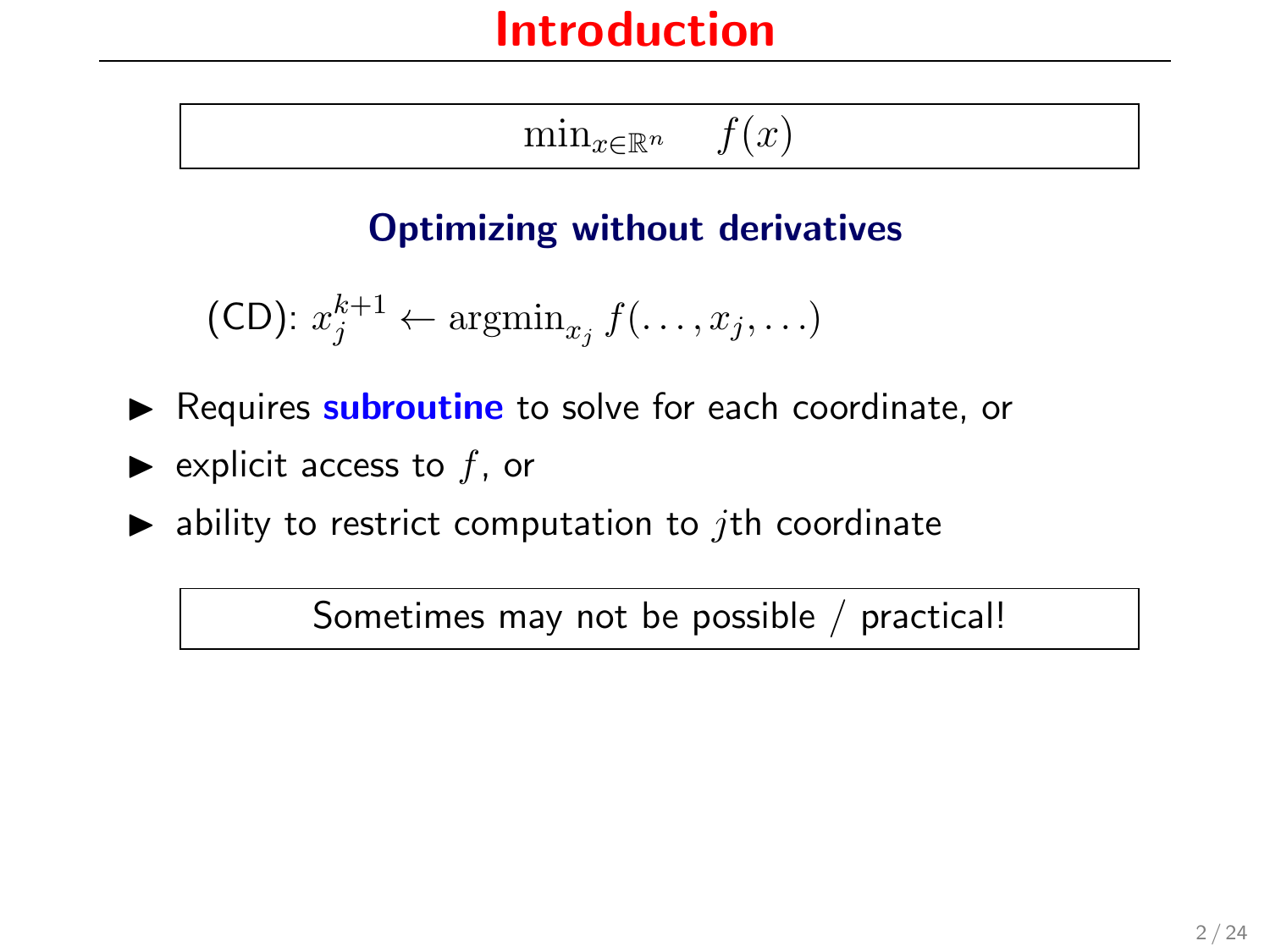$\min_{x \in \mathbb{R}^n}$   $f(x)$ 

#### Optimizing without derivatives

(CD):  $x_j^{k+1} \leftarrow \operatorname{argmin}_{x_j} f(\ldots, x_j, \ldots)$ 

- Requires **subroutine** to solve for each coordinate, or
- $\blacktriangleright$  explicit access to f, or
- $\blacktriangleright$  ability to restrict computation to *j*th coordinate

Sometimes may not be possible / practical!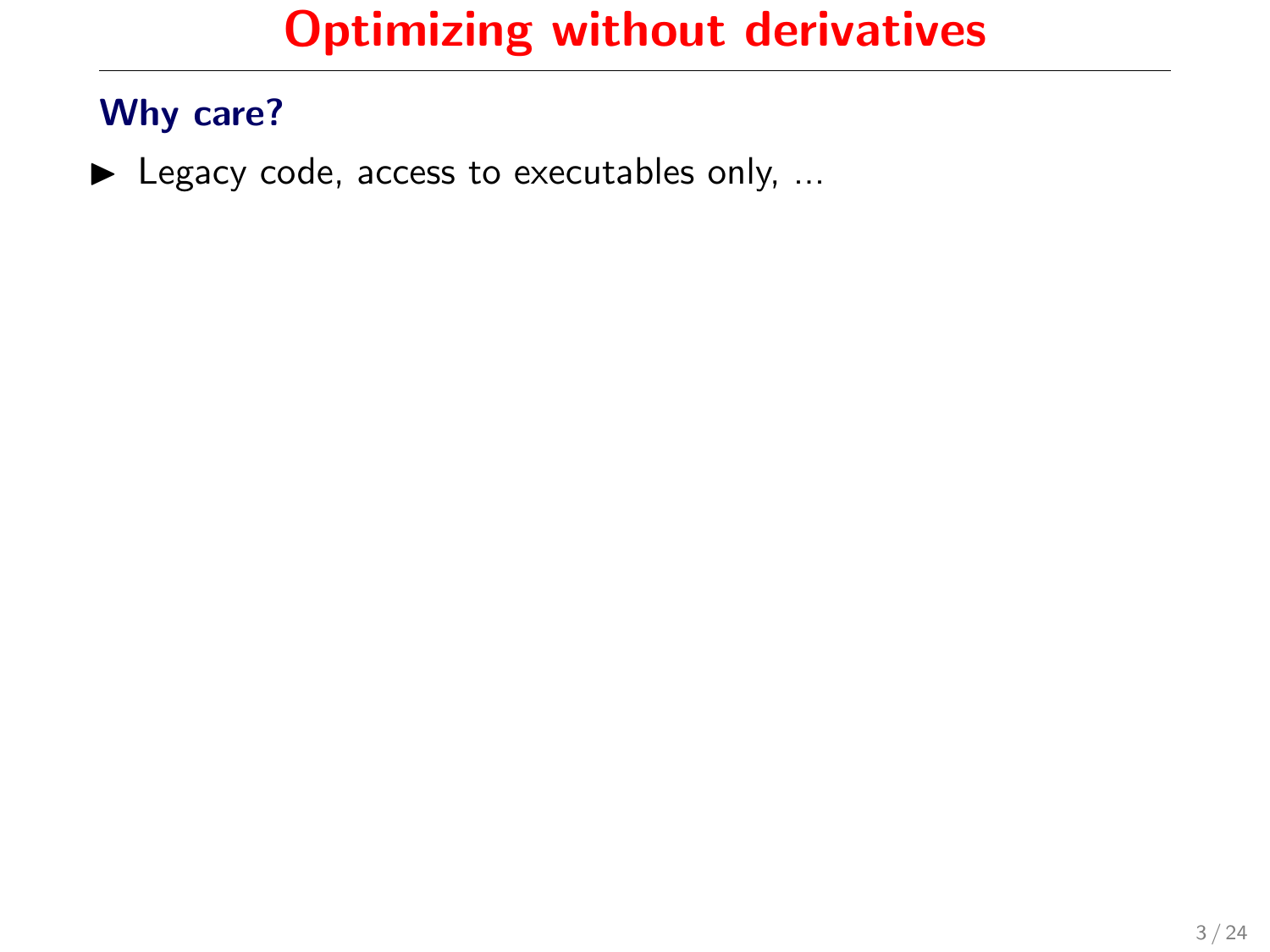#### Why care?

 $\blacktriangleright$  Legacy code, access to executables only, ...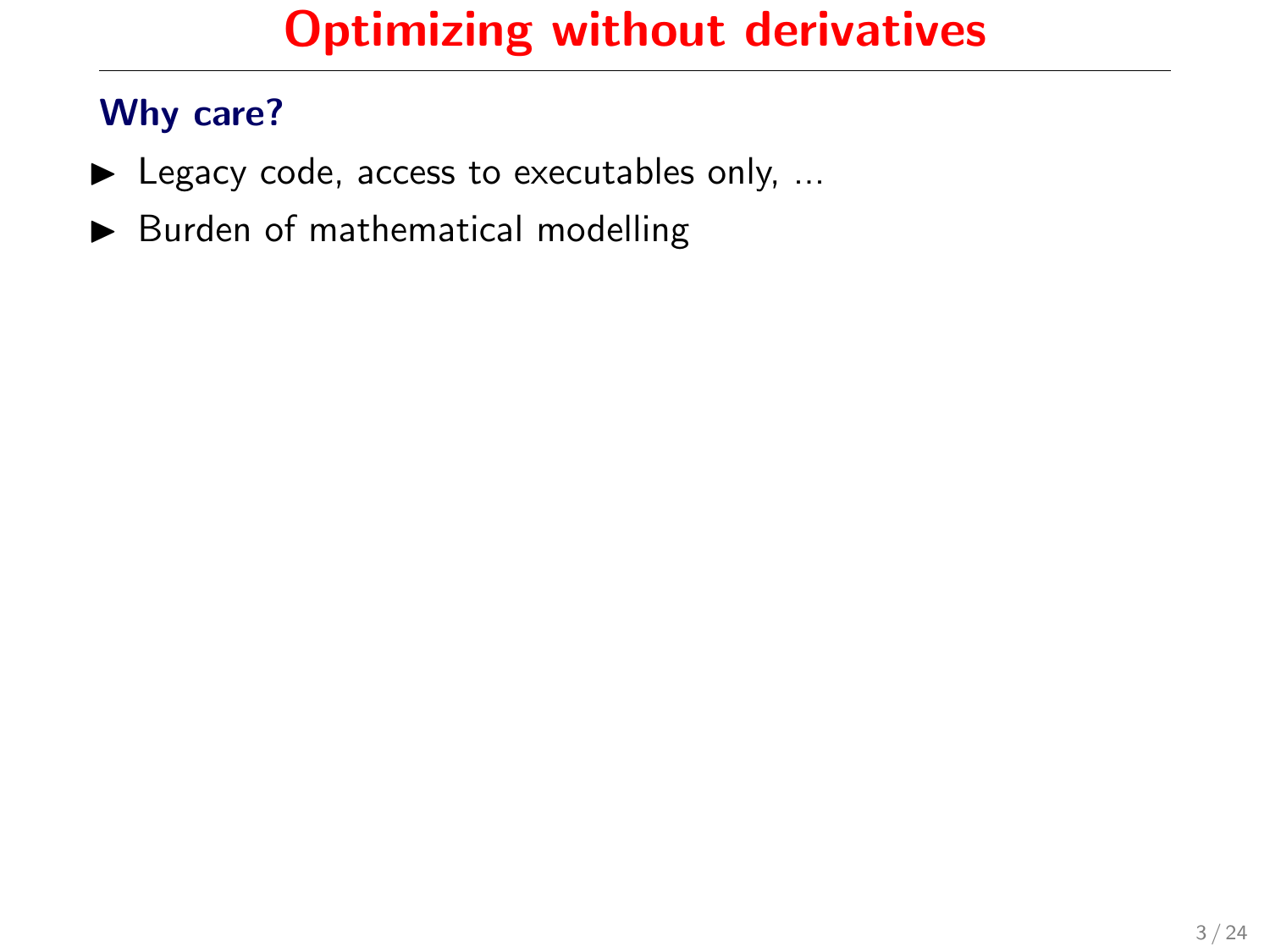- $\blacktriangleright$  Legacy code, access to executables only, ...
- $\blacktriangleright$  Burden of mathematical modelling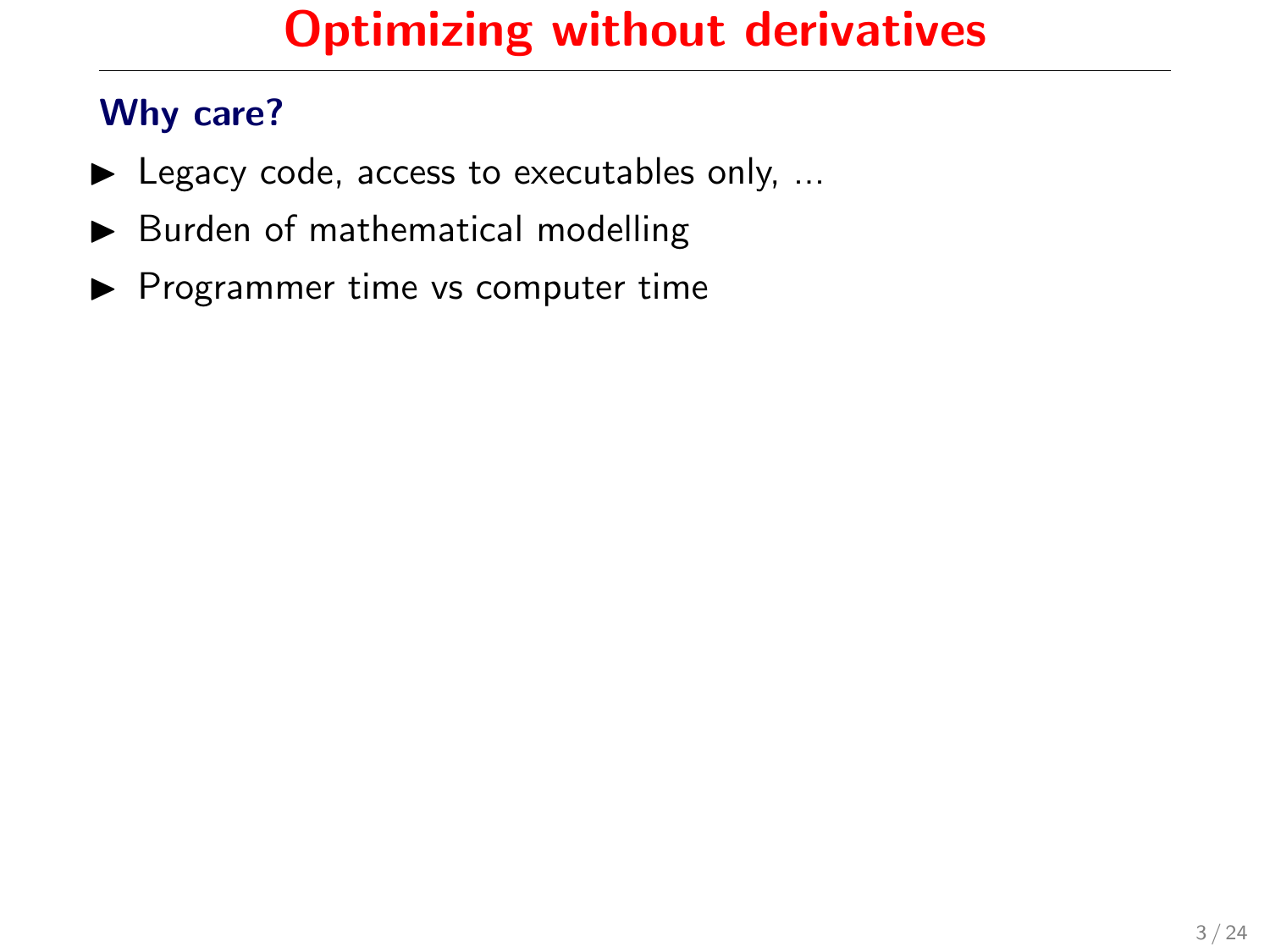- $\blacktriangleright$  Legacy code, access to executables only, ...
- $\blacktriangleright$  Burden of mathematical modelling
- $\blacktriangleright$  Programmer time vs computer time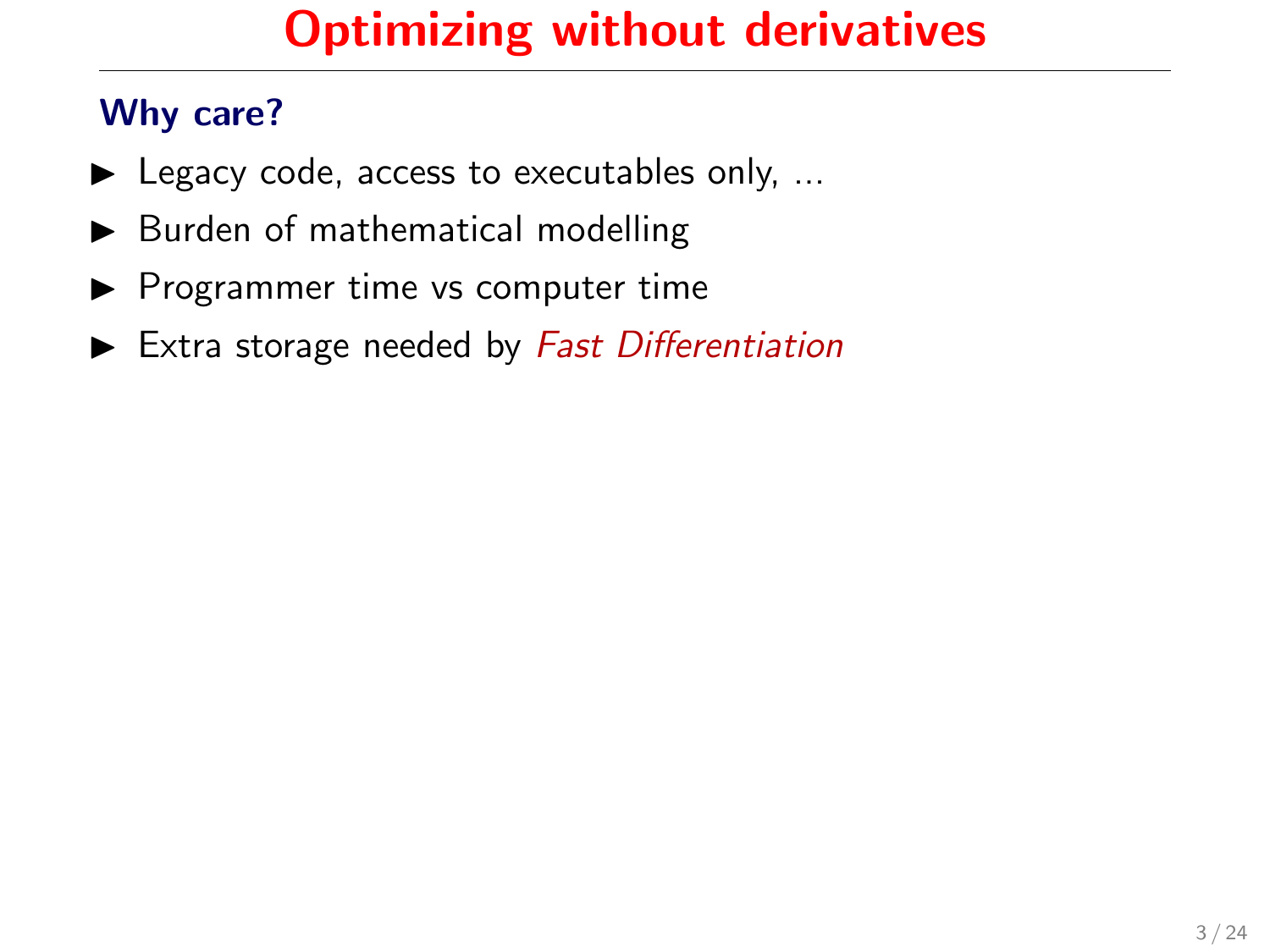- $\blacktriangleright$  Legacy code, access to executables only, ...
- $\blacktriangleright$  Burden of mathematical modelling
- $\blacktriangleright$  Programmer time vs computer time
- $\blacktriangleright$  Extra storage needed by Fast Differentiation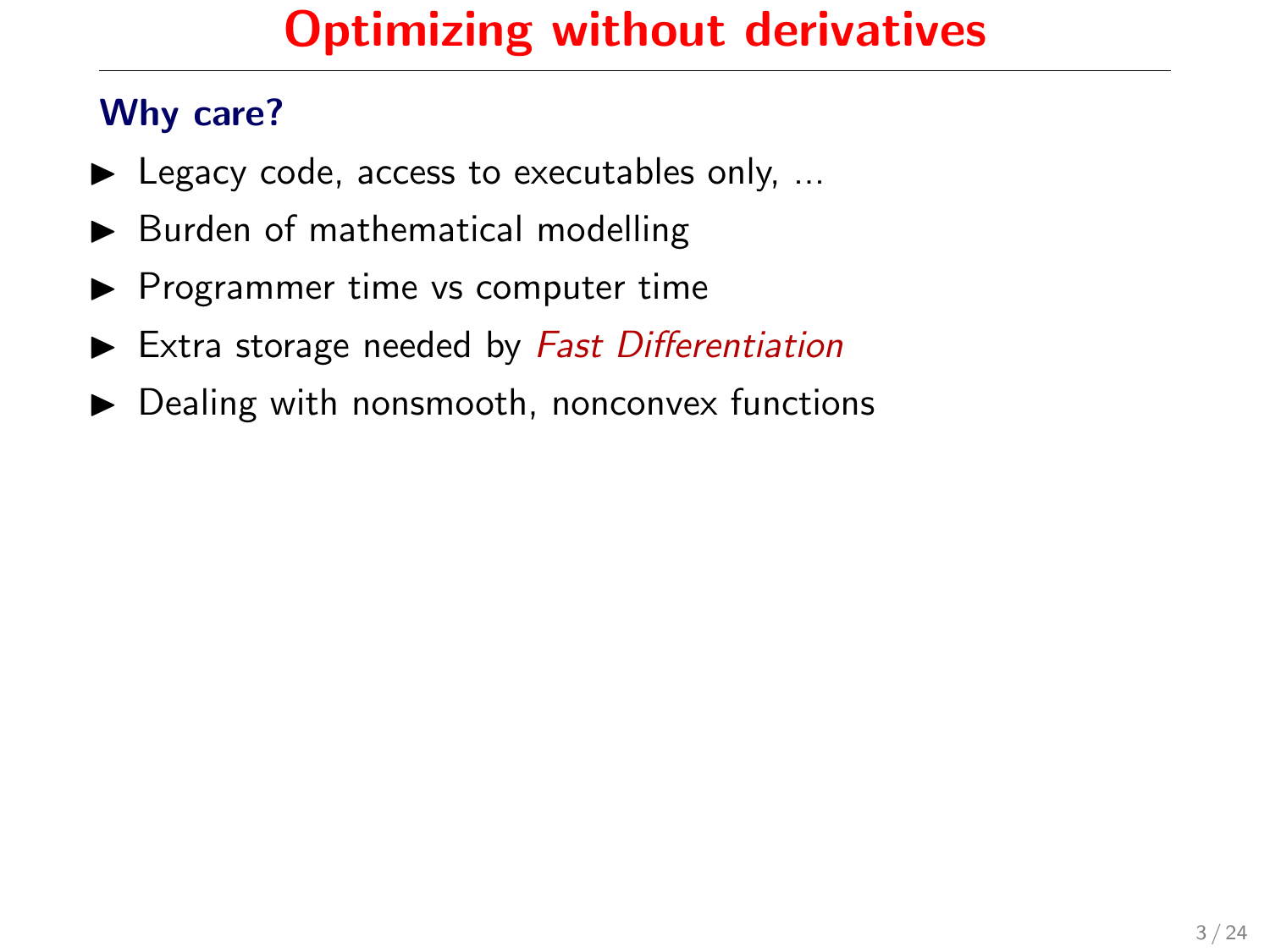- $\blacktriangleright$  Legacy code, access to executables only, ...
- $\blacktriangleright$  Burden of mathematical modelling
- $\blacktriangleright$  Programmer time vs computer time
- $\blacktriangleright$  Extra storage needed by Fast Differentiation
- $\triangleright$  Dealing with nonsmooth, nonconvex functions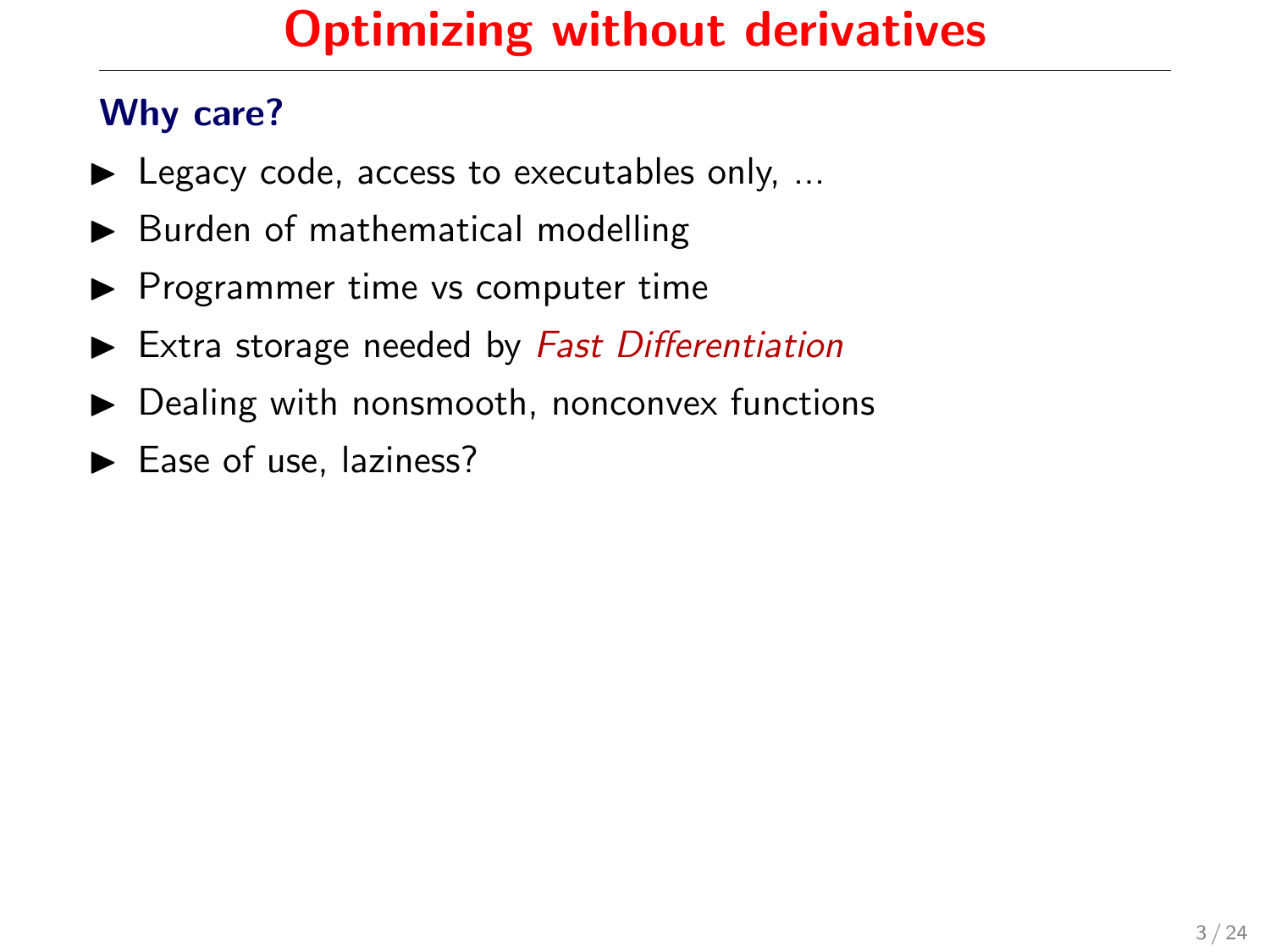- $\blacktriangleright$  Legacy code, access to executables only, ...
- $\blacktriangleright$  Burden of mathematical modelling
- $\blacktriangleright$  Programmer time vs computer time
- $\blacktriangleright$  Extra storage needed by Fast Differentiation
- $\triangleright$  Dealing with nonsmooth, nonconvex functions
- $\blacktriangleright$  Ease of use, laziness?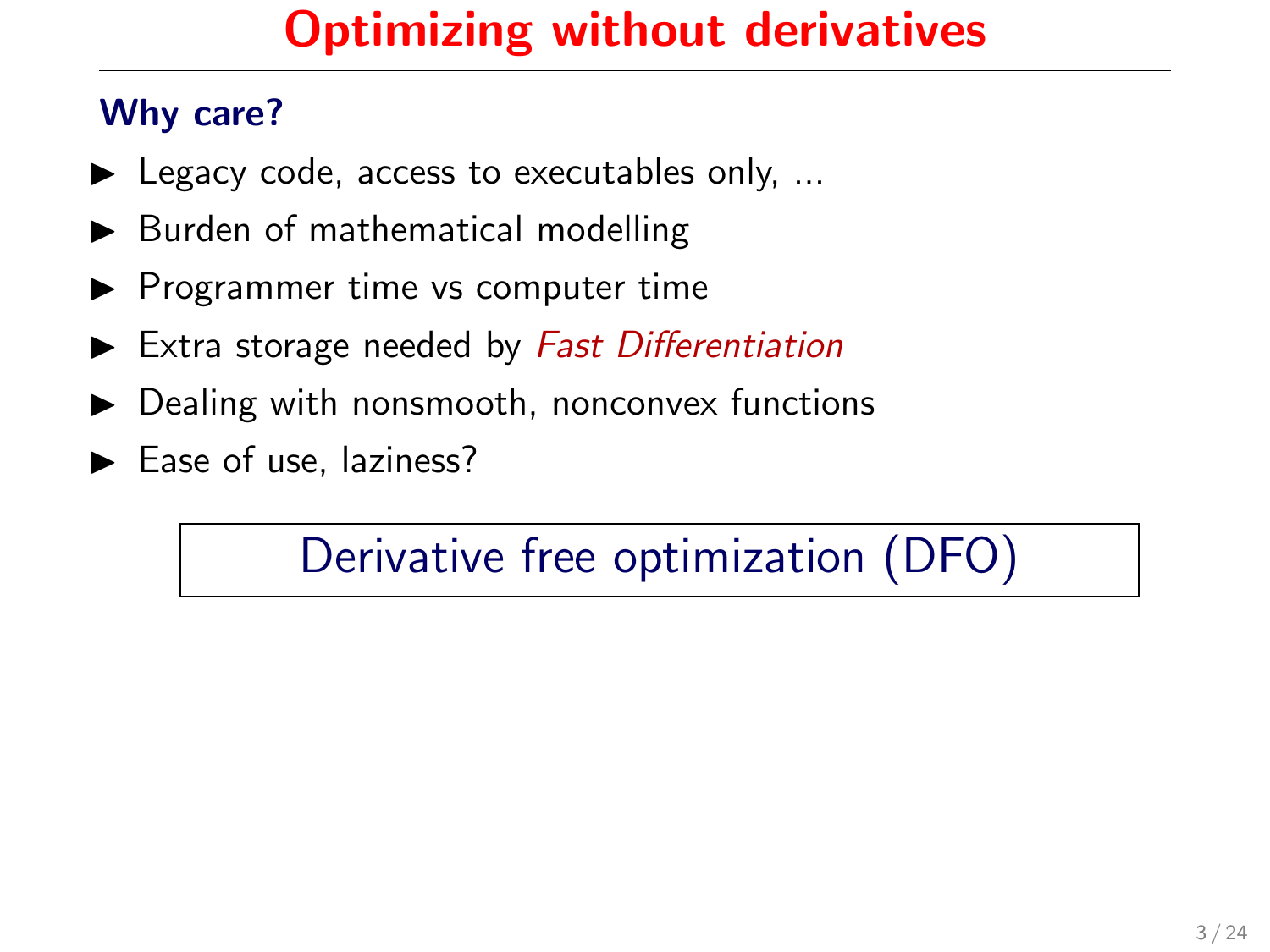#### Why care?

- $\blacktriangleright$  Legacy code, access to executables only, ...
- $\blacktriangleright$  Burden of mathematical modelling
- $\blacktriangleright$  Programmer time vs computer time
- $\blacktriangleright$  Extra storage needed by Fast Differentiation
- $\triangleright$  Dealing with nonsmooth, nonconvex functions
- $\blacktriangleright$  Ease of use, laziness?

Derivative free optimization (DFO)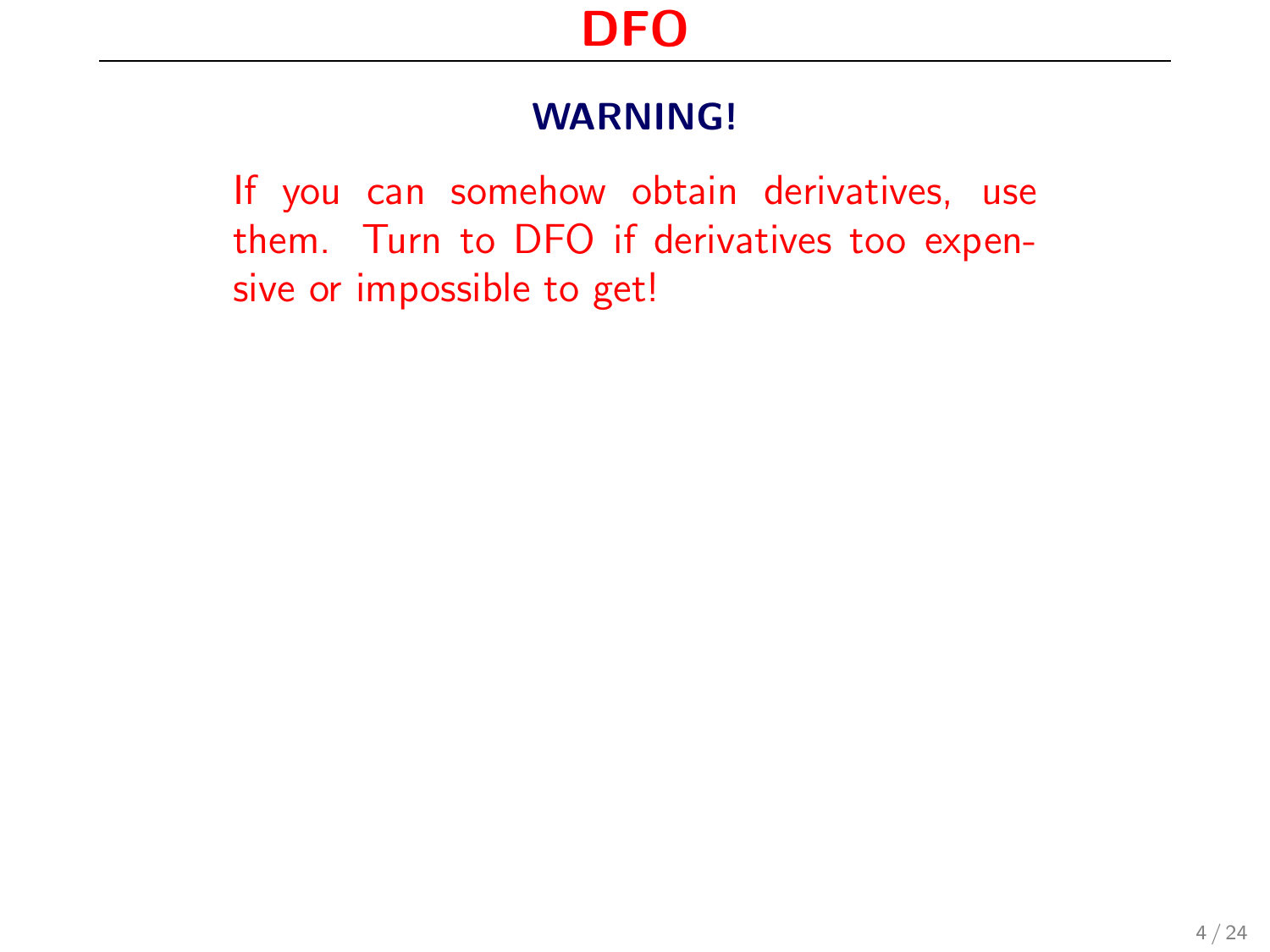If you can somehow obtain derivatives, use them. Turn to DFO if derivatives too expensive or impossible to get!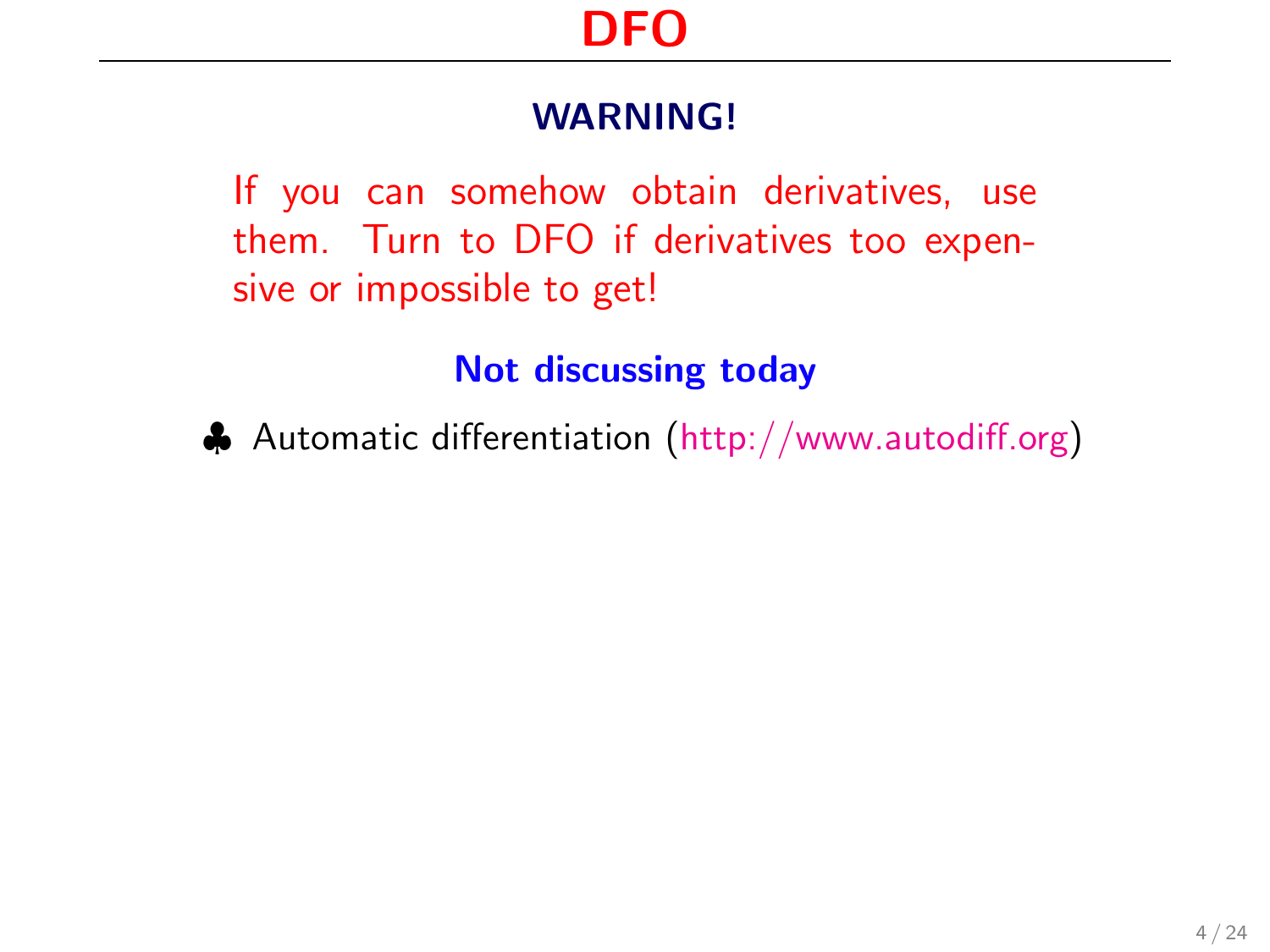If you can somehow obtain derivatives, use them. Turn to DFO if derivatives too expensive or impossible to get!

#### Not discussing today

♣ Automatic differentiation [\(http://www.autodiff.org\)](http://www.autodiff.org)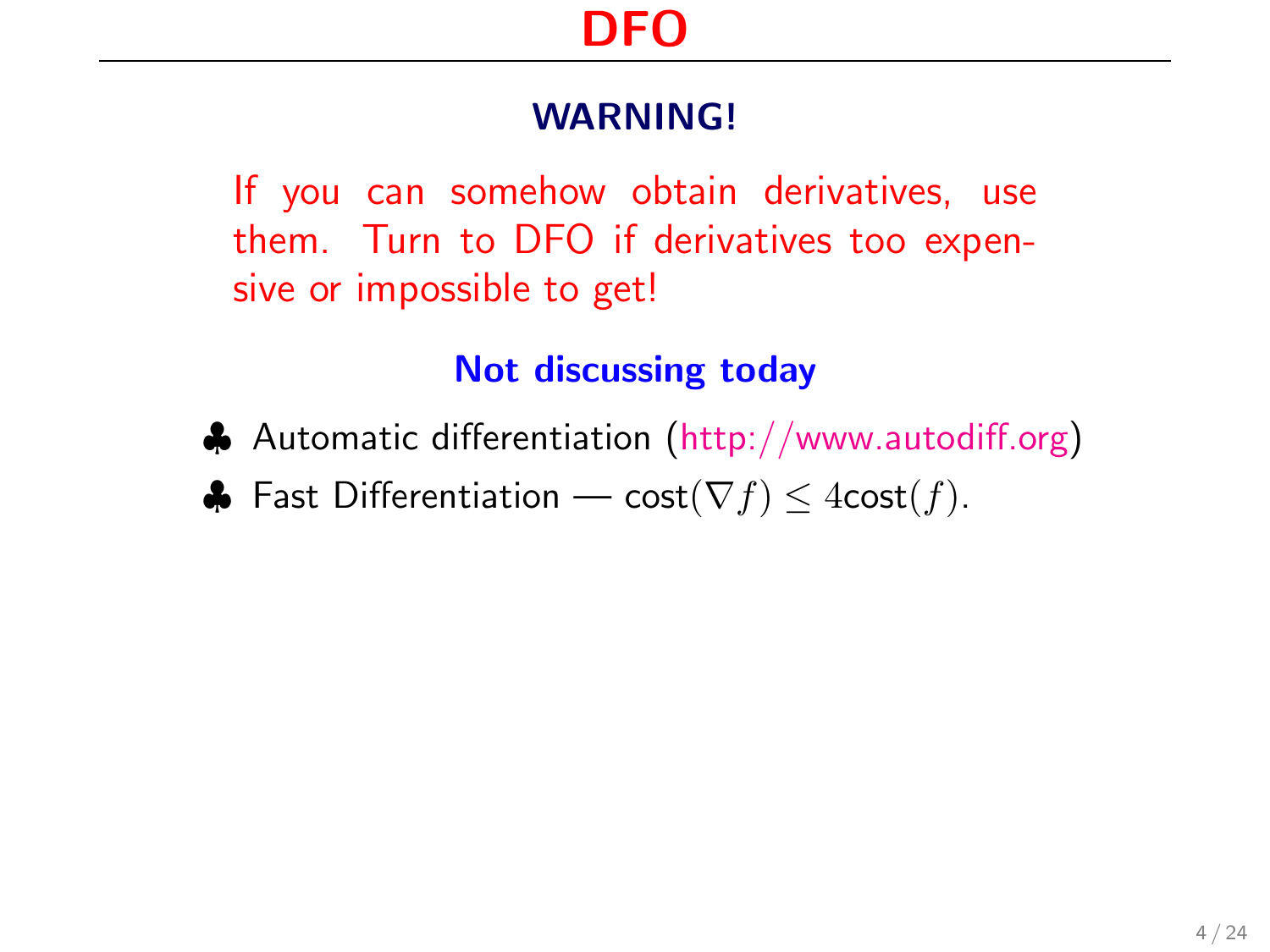If you can somehow obtain derivatives, use them. Turn to DFO if derivatives too expensive or impossible to get!

#### Not discussing today

- ♣ Automatic differentiation [\(http://www.autodiff.org\)](http://www.autodiff.org)
- $\clubsuit$  Fast Differentiation cost( $\nabla f$ ) ≤ 4cost( $f$ ).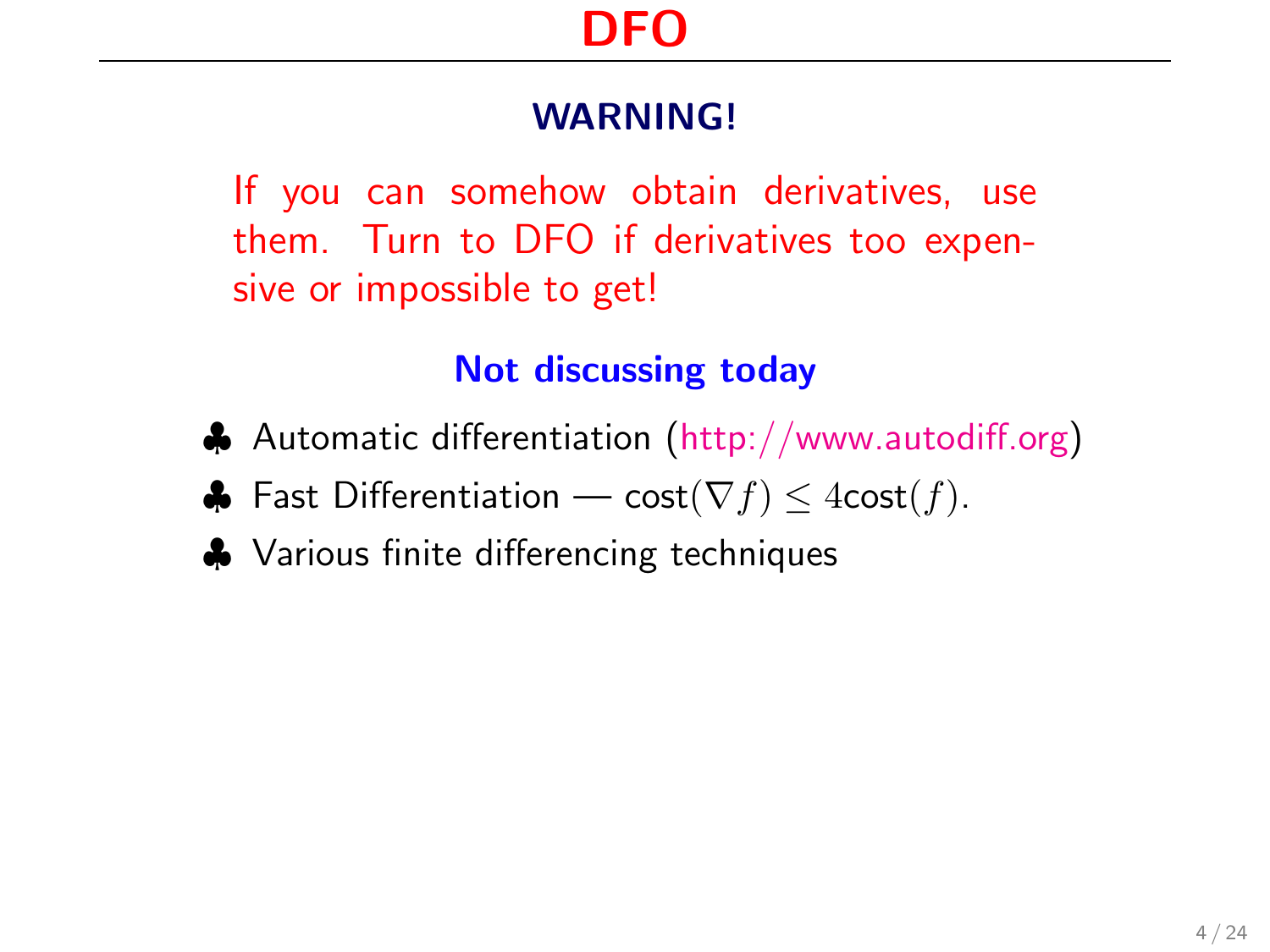If you can somehow obtain derivatives, use them. Turn to DFO if derivatives too expensive or impossible to get!

#### Not discussing today

- ♣ Automatic differentiation [\(http://www.autodiff.org\)](http://www.autodiff.org)
- $\clubsuit$  Fast Differentiation cost( $\nabla f$ ) ≤ 4cost(f).
- ♣ Various finite differencing techniques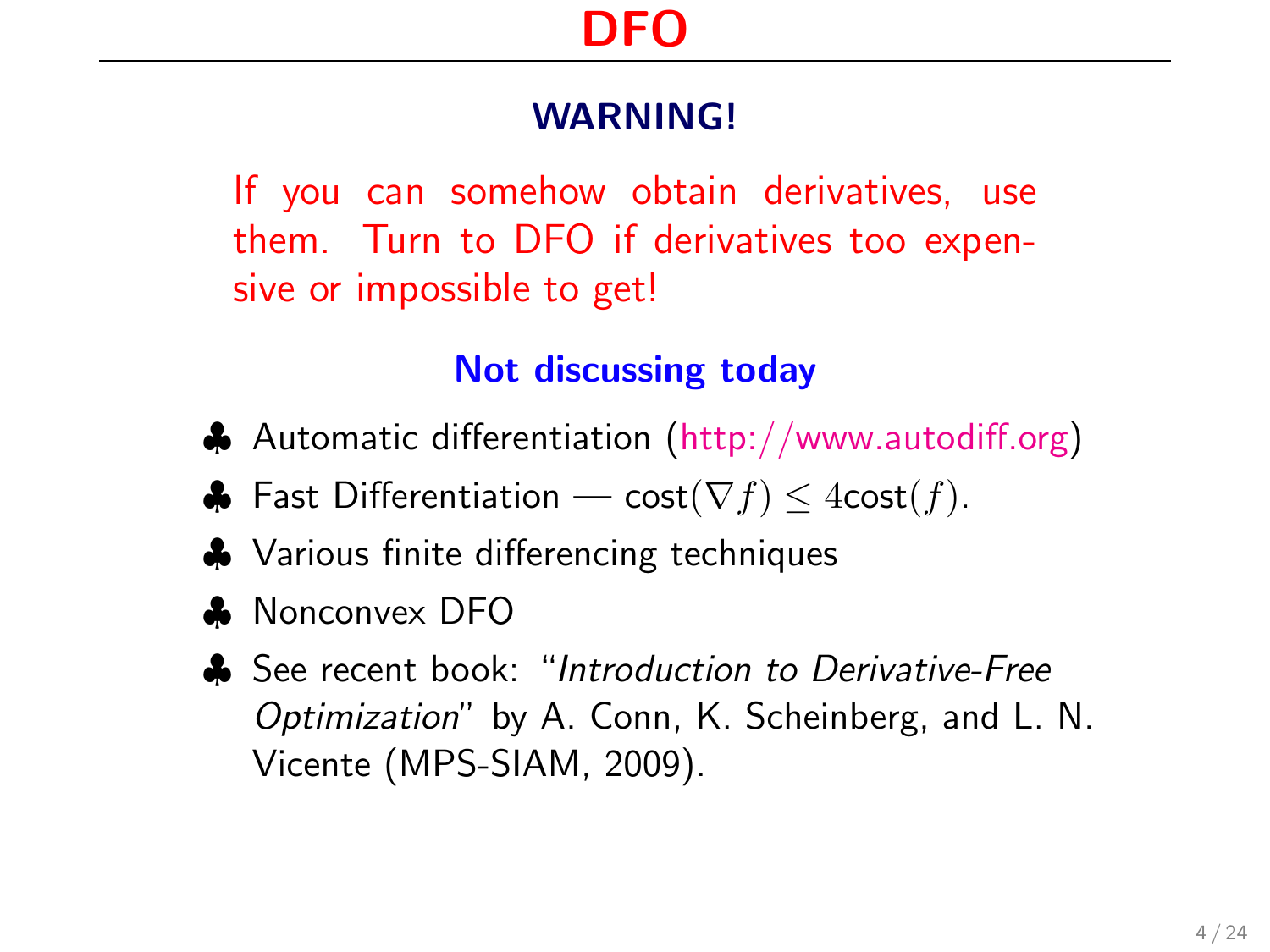If you can somehow obtain derivatives, use them. Turn to DFO if derivatives too expensive or impossible to get!

#### Not discussing today

- ♣ Automatic differentiation [\(http://www.autodiff.org\)](http://www.autodiff.org)
- $\clubsuit$  Fast Differentiation cost( $\nabla f$ ) ≤ 4cost( $f$ ).
- ♣ Various finite differencing techniques
- ♣ Nonconvex DFO
- ♣ See recent book: "Introduction to Derivative-Free Optimization" by A. Conn, K. Scheinberg, and L. N. Vicente (MPS-SIAM, 2009).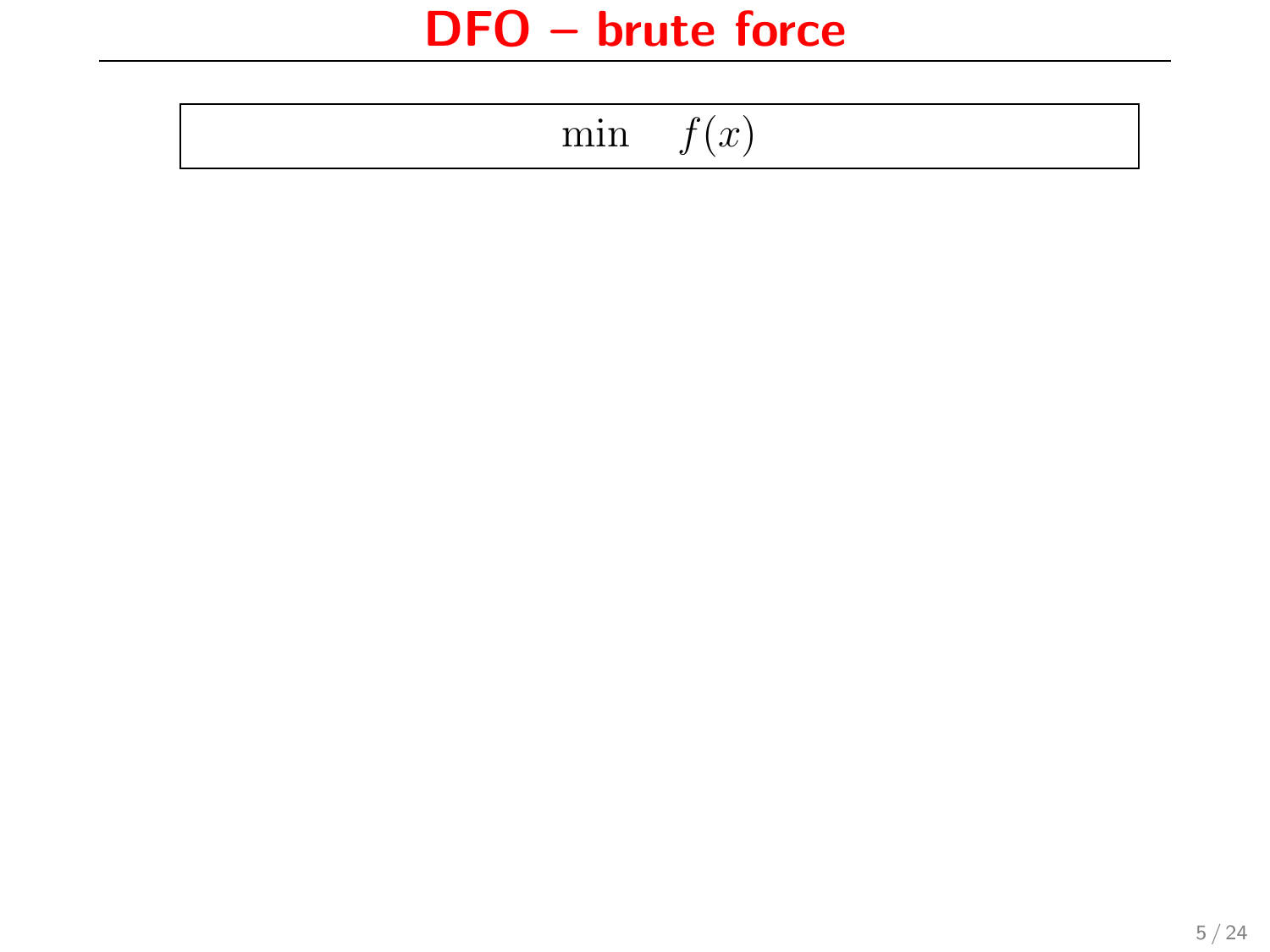$$
\min \quad f(x)
$$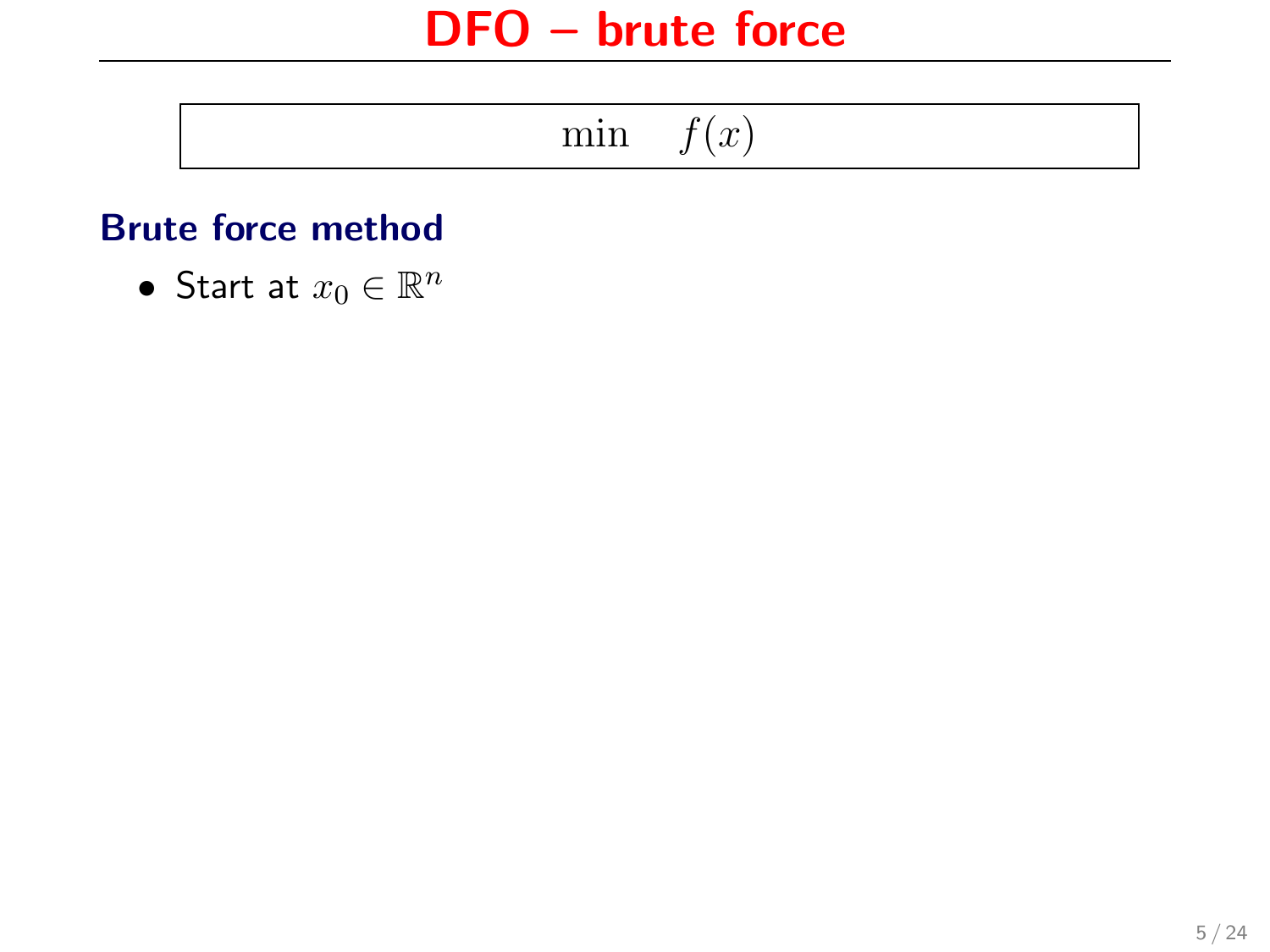|--|--|

#### Brute force method

• Start at  $x_0 \in \mathbb{R}^n$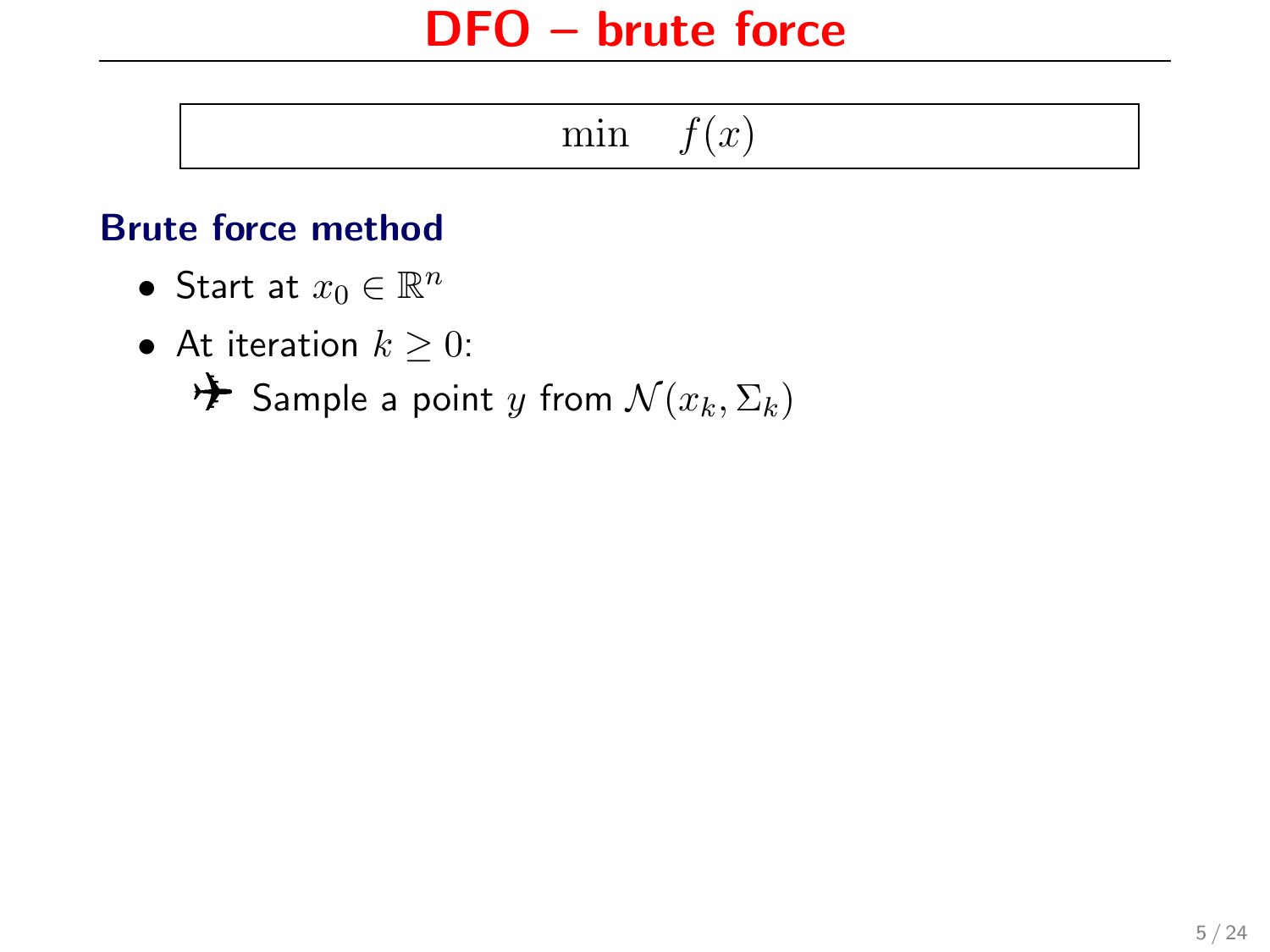$$
\min \quad f(x)
$$

#### Brute force method

- Start at  $x_0 \in \mathbb{R}^n$
- At iteration  $k \geq 0$ :

 $\mathcal{F}$  Sample a point y from  $\mathcal{N}(x_k, \Sigma_k)$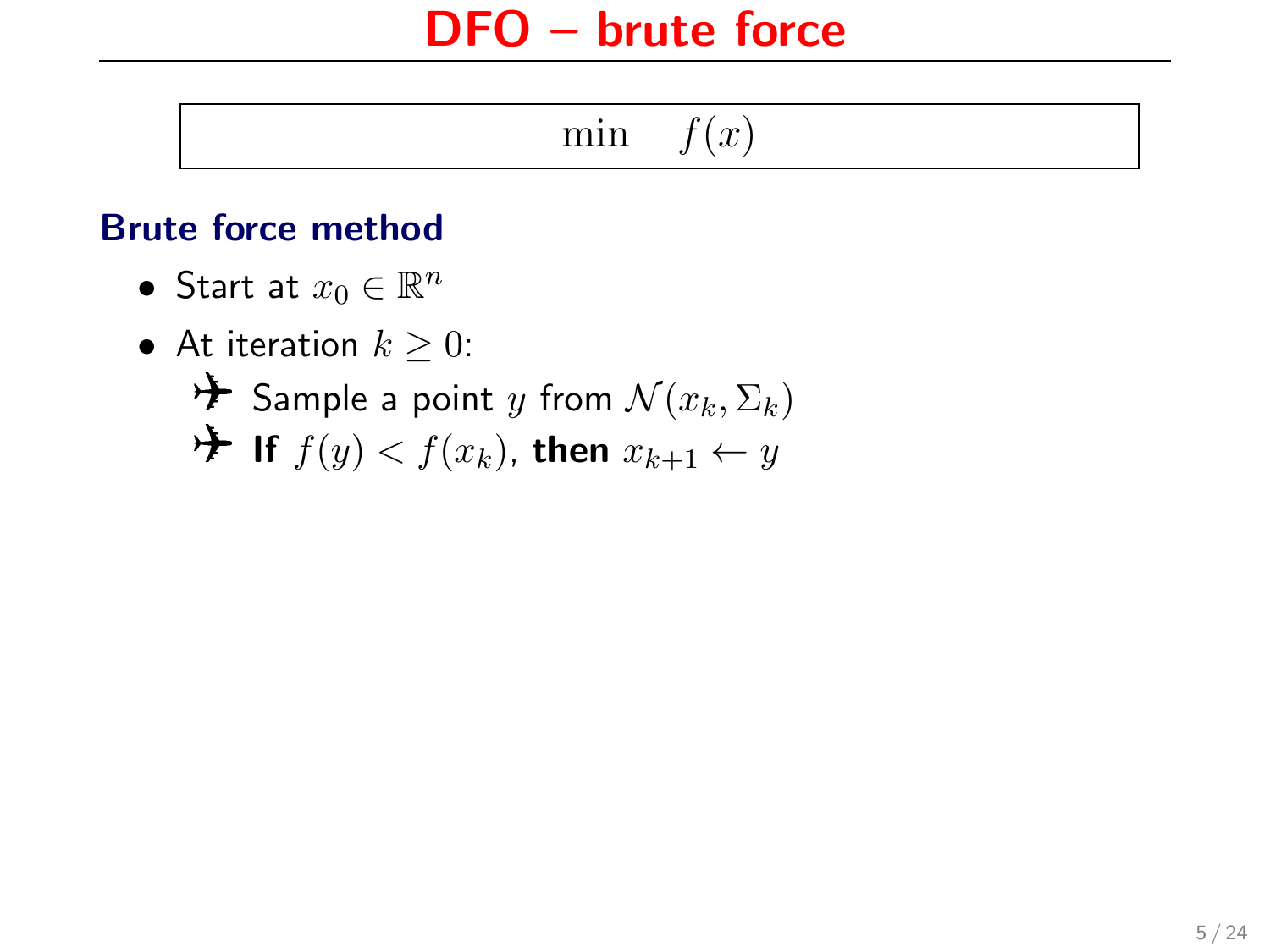$$
\min \quad f(x)
$$

#### Brute force method

- Start at  $x_0 \in \mathbb{R}^n$
- At iteration  $k > 0$ :  $\star$  Sample a point y from  $\mathcal{N}(x_k, \Sigma_k)$ **If**  $f(y) < f(x_k)$ , then  $x_{k+1} \leftarrow y$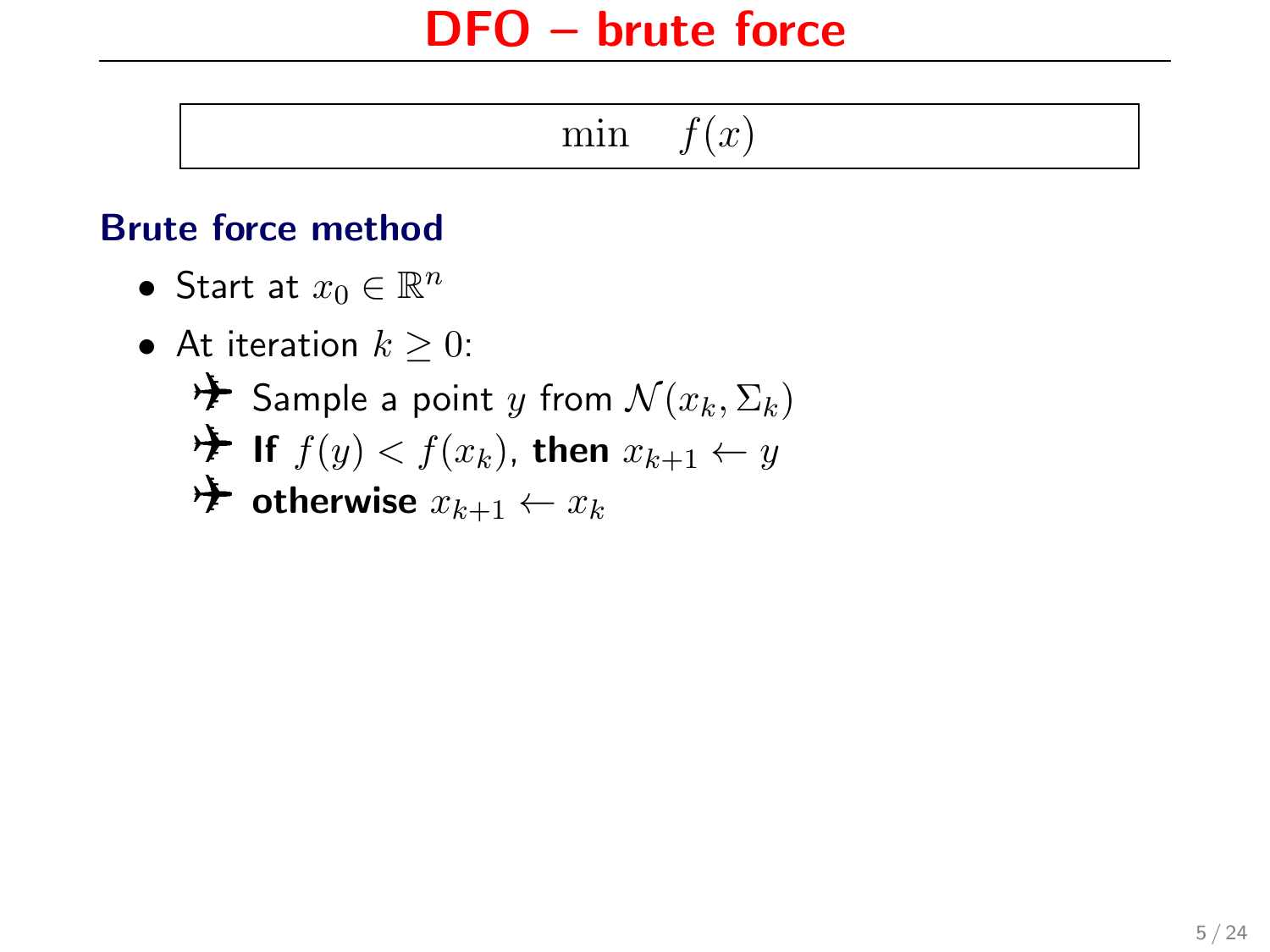$$
\min \quad f(x)
$$

#### Brute force method

- Start at  $x_0 \in \mathbb{R}^n$
- At iteration  $k > 0$ :  $\mathcal{F}$  Sample a point y from  $\mathcal{N}(x_k, \Sigma_k)$  $\star$  If  $f(y) < f(x_k)$ , then  $x_{k+1} \leftarrow y$  $\rightarrow \bullet$  otherwise  $x_{k+1} \leftarrow x_k$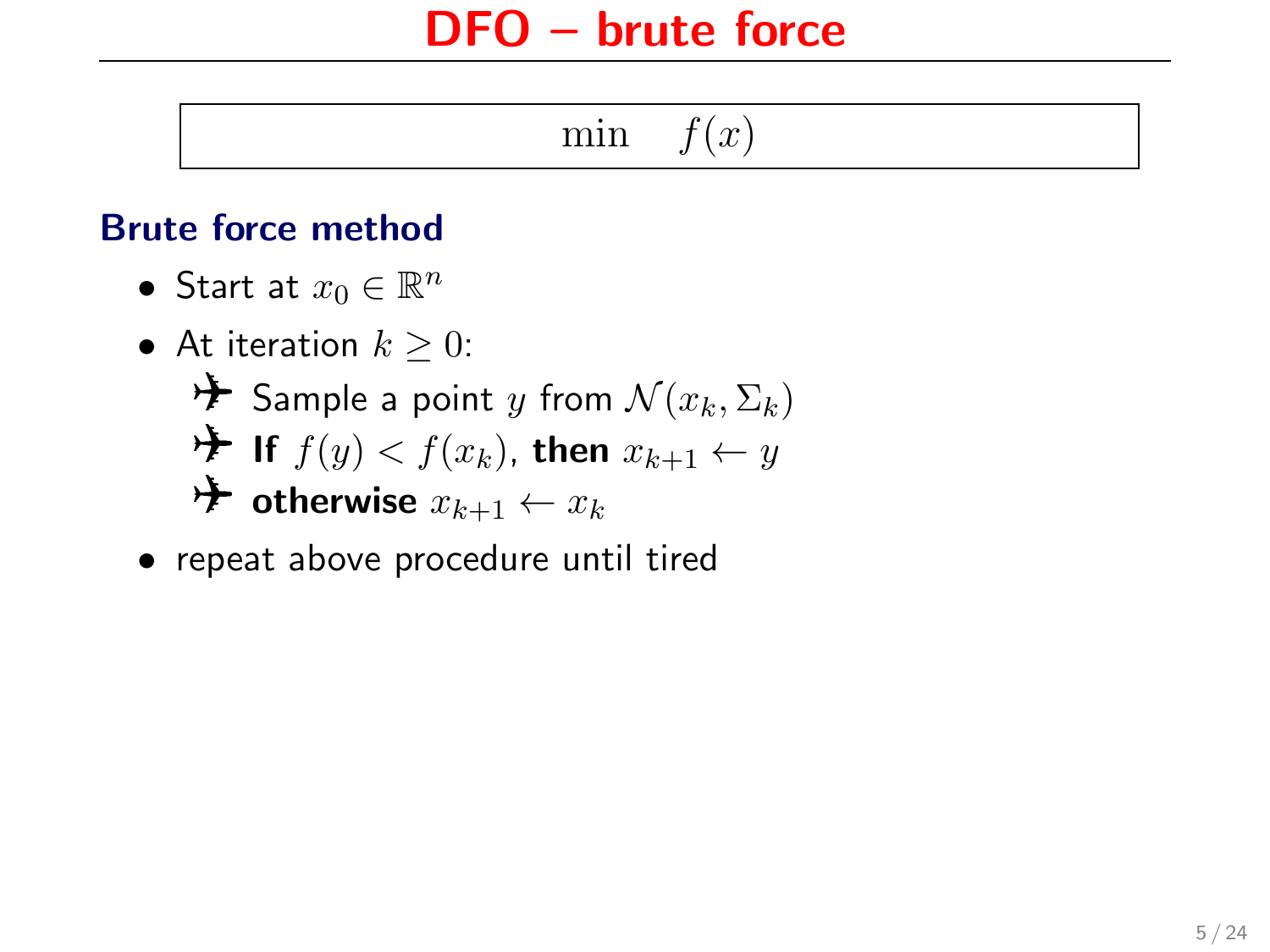min  $f(x)$ 

#### Brute force method

- Start at  $x_0 \in \mathbb{R}^n$
- At iteration  $k > 0$ :  $\mathcal{F}$  Sample a point y from  $\mathcal{N}(x_k, \Sigma_k)$ **If**  $f(y) < f(x_k)$ , then  $x_{k+1} \leftarrow y$  $\rightarrow$  otherwise  $x_{k+1} \leftarrow x_k$
- repeat above procedure until tired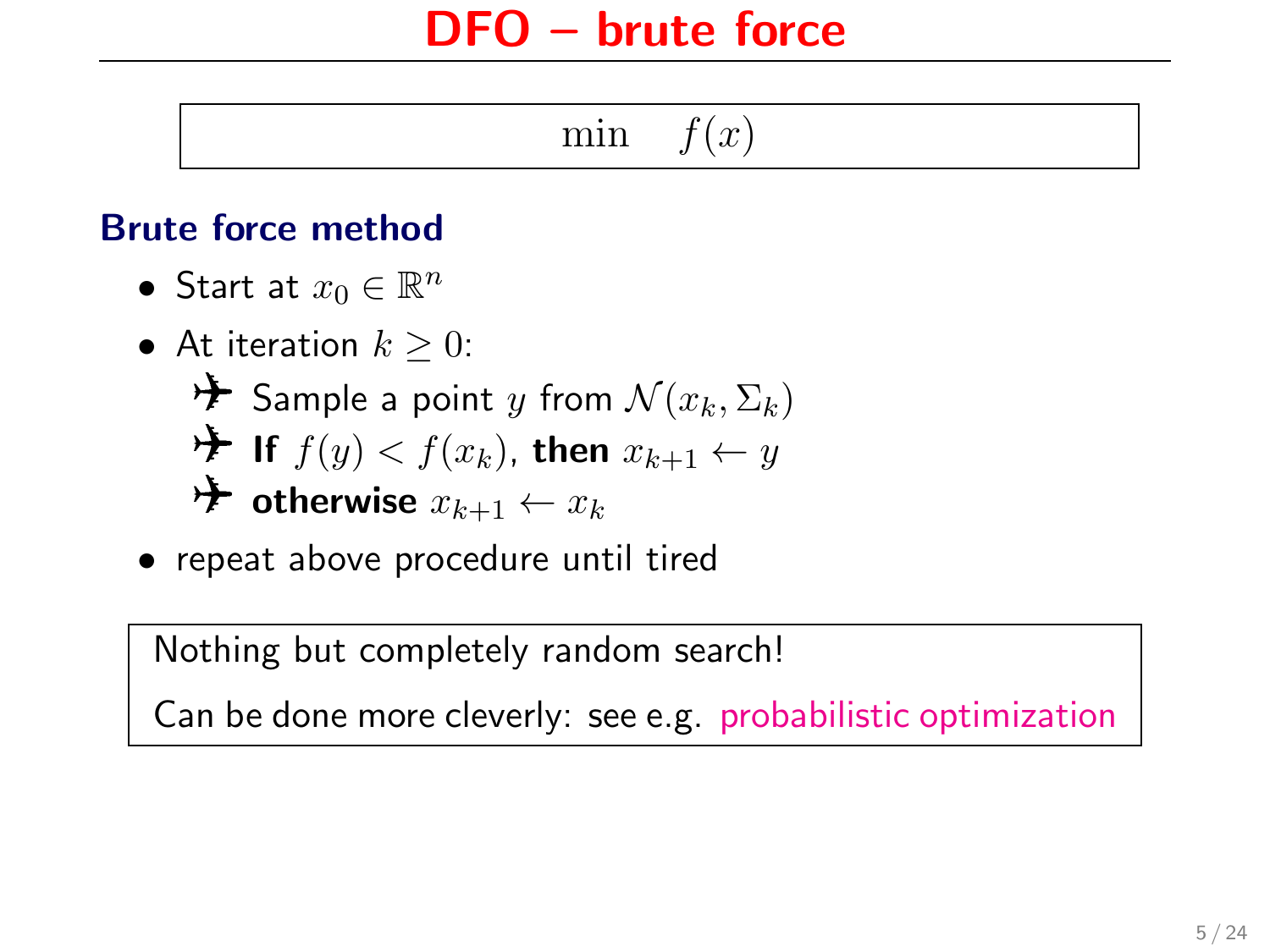min  $f(x)$ 

#### Brute force method

- Start at  $x_0 \in \mathbb{R}^n$
- At iteration  $k \geq 0$ :  $\mathcal{F}$  Sample a point y from  $\mathcal{N}(x_k, \Sigma_k)$ **If**  $f(y) < f(x_k)$ , then  $x_{k+1} \leftarrow y$ **Example 1** otherwise  $x_{k+1} \leftarrow x_k$
- repeat above procedure until tired

Nothing but completely random search!

Can be done more cleverly: see e.g. [probabilistic optimization](http://probabilistic-optimization.org/)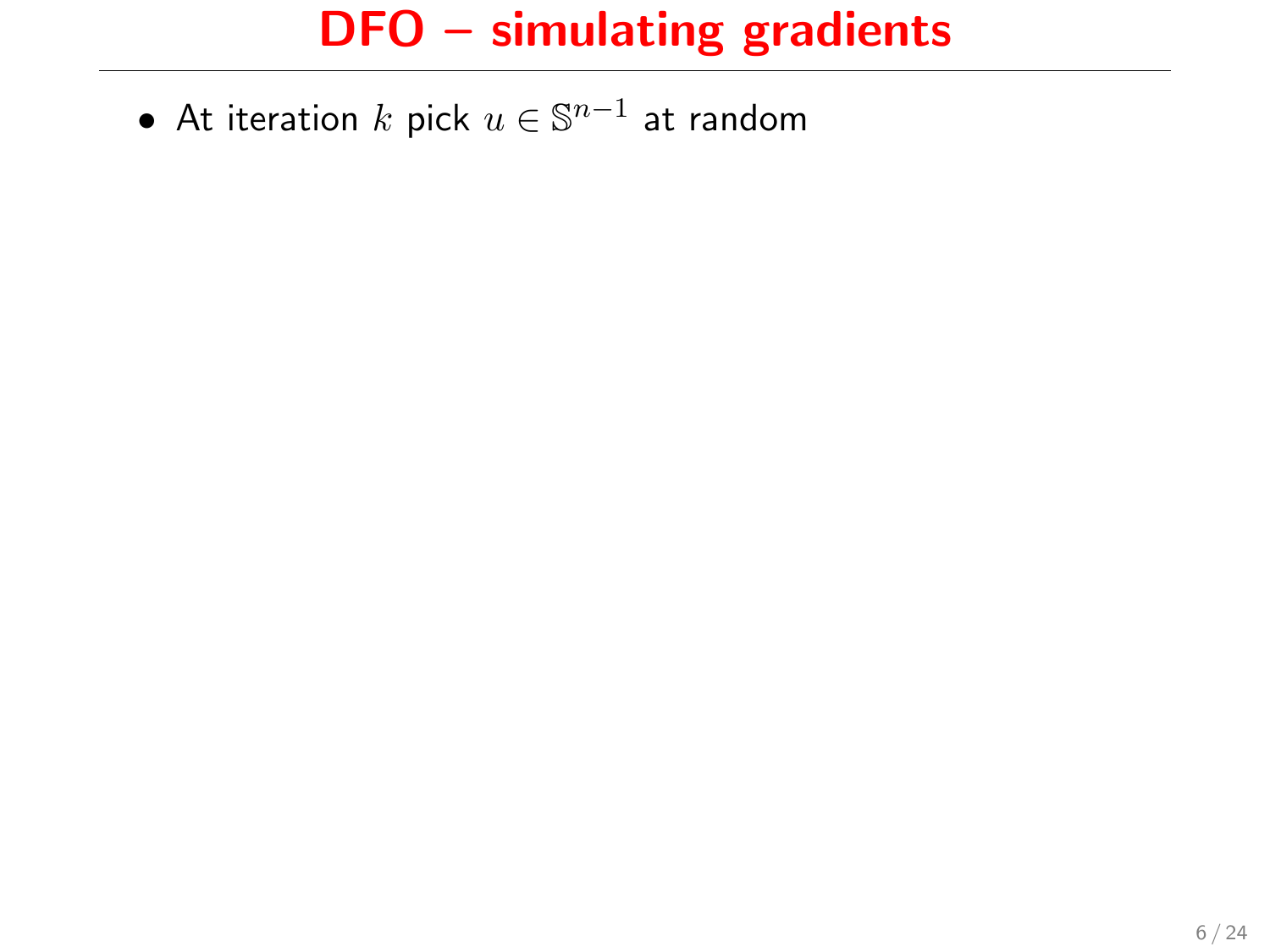$\bullet\,$  At iteration  $k$  pick  $u\in\mathbb{S}^{n-1}$  at random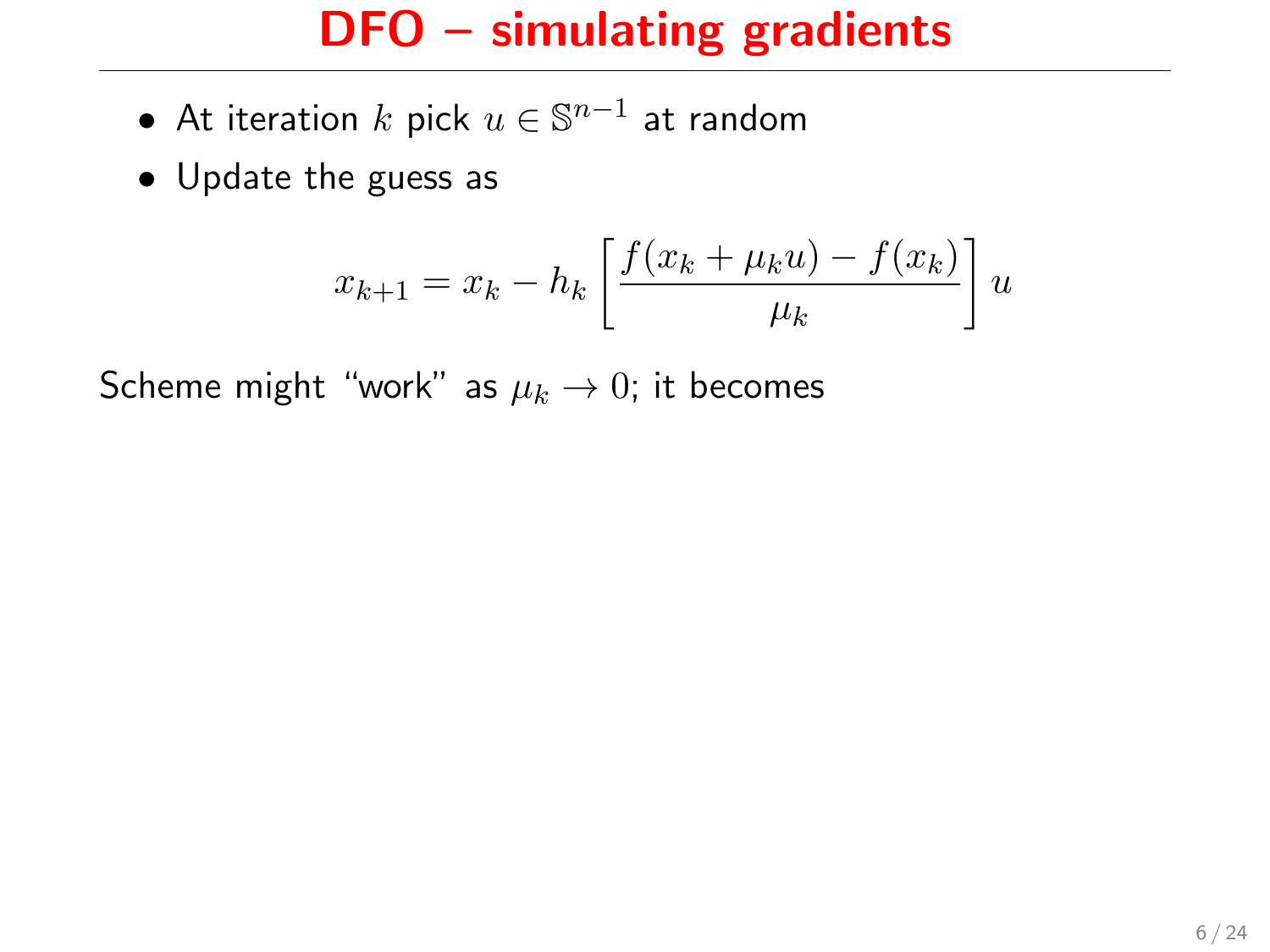- $\bullet\,$  At iteration  $k$  pick  $u\in\mathbb{S}^{n-1}$  at random
- Update the guess as

$$
x_{k+1} = x_k - h_k \left[ \frac{f(x_k + \mu_k u) - f(x_k)}{\mu_k} \right] u
$$

Scheme might "work" as  $\mu_k \to 0$ ; it becomes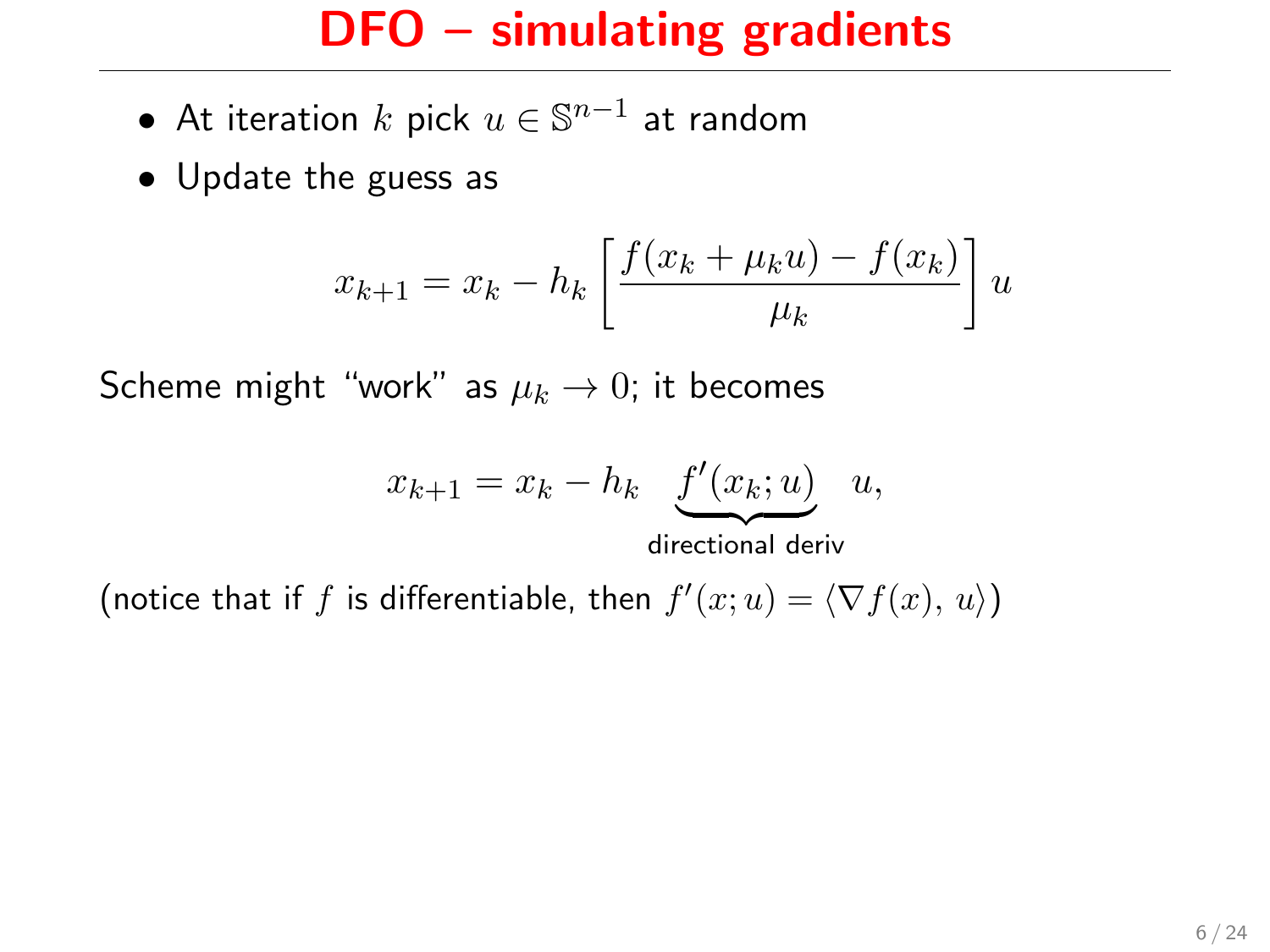- $\bullet\,$  At iteration  $k$  pick  $u\in\mathbb{S}^{n-1}$  at random
- Update the guess as

$$
x_{k+1} = x_k - h_k \left[ \frac{f(x_k + \mu_k u) - f(x_k)}{\mu_k} \right] u
$$

Scheme might "work" as  $\mu_k \to 0$ ; it becomes

$$
x_{k+1} = x_k - h_k \underbrace{f'(x_k; u)}_{\dots \dots \dots \dots}
$$
 u,

directional deriv

(notice that if f is differentiable, then  $f'(x; u) = \langle \nabla f(x), u \rangle$ )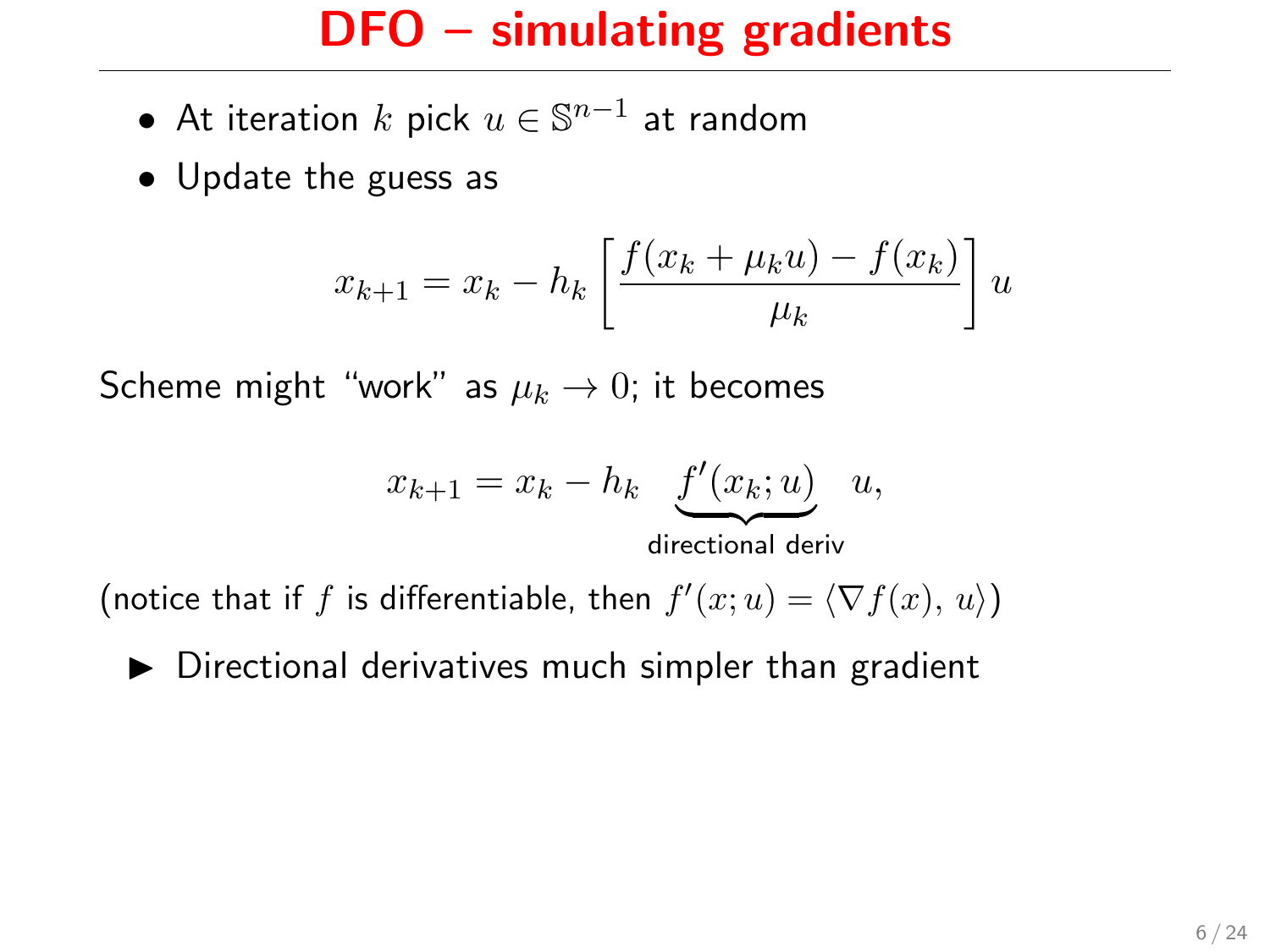- $\bullet\,$  At iteration  $k$  pick  $u\in\mathbb{S}^{n-1}$  at random
- Update the guess as

$$
x_{k+1} = x_k - h_k \left[ \frac{f(x_k + \mu_k u) - f(x_k)}{\mu_k} \right] u
$$

Scheme might "work" as  $\mu_k \to 0$ ; it becomes

$$
x_{k+1} = x_k - h_k \underbrace{f'(x_k; u)}_{\text{directional deriv}} u,
$$

(notice that if f is differentiable, then  $f'(x; u) = \langle \nabla f(x), u \rangle$ )

 $\triangleright$  Directional derivatives much simpler than gradient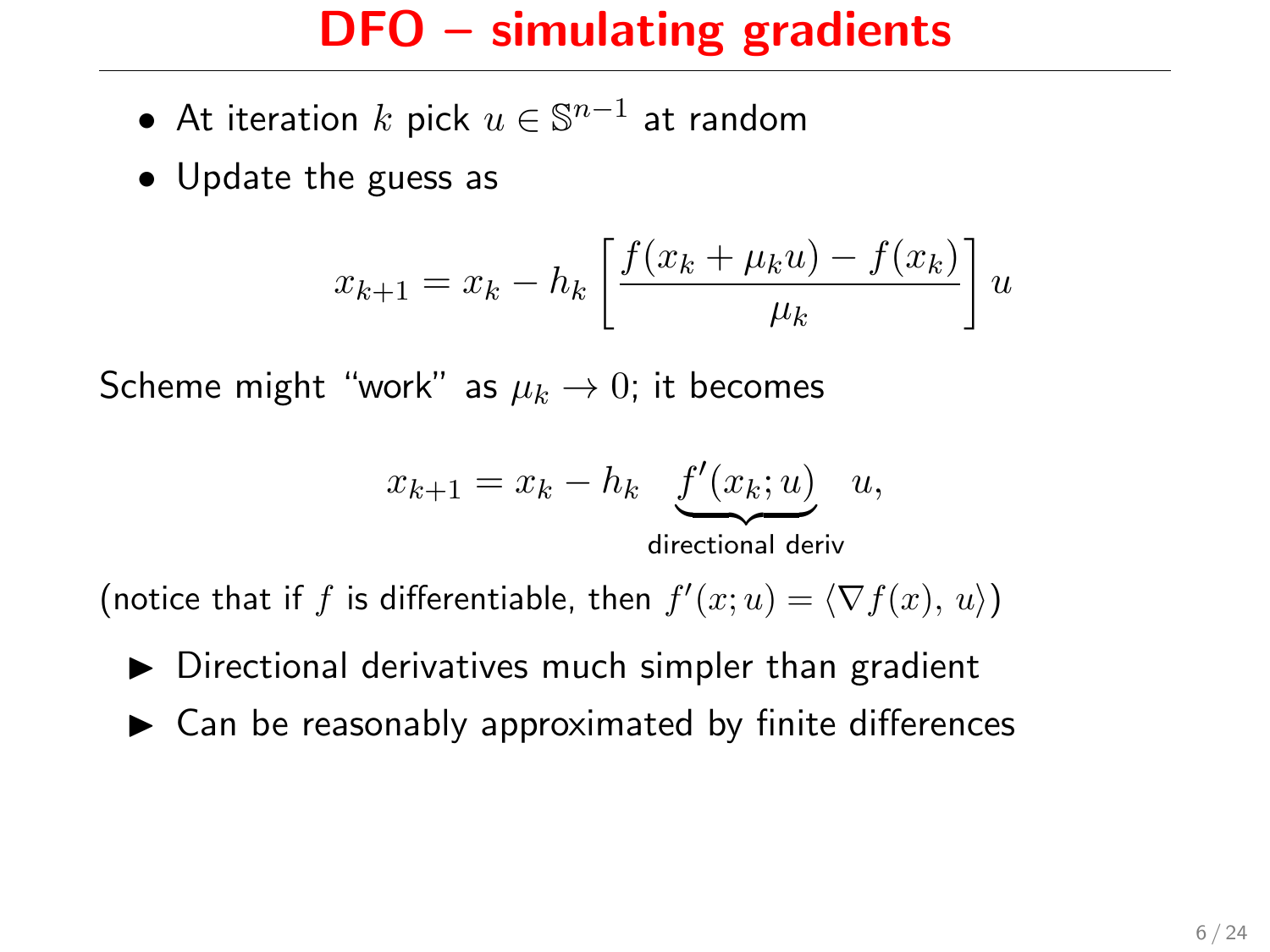- $\bullet\,$  At iteration  $k$  pick  $u\in\mathbb{S}^{n-1}$  at random
- Update the guess as

$$
x_{k+1} = x_k - h_k \left[ \frac{f(x_k + \mu_k u) - f(x_k)}{\mu_k} \right] u
$$

Scheme might "work" as  $\mu_k \to 0$ ; it becomes

$$
x_{k+1} = x_k - h_k \underbrace{f'(x_k; u)}_{\text{directional deriv}} u,
$$

(notice that if f is differentiable, then  $f'(x; u) = \langle \nabla f(x), u \rangle$ )

- $\triangleright$  Directional derivatives much simpler than gradient
- $\blacktriangleright$  Can be reasonably approximated by finite differences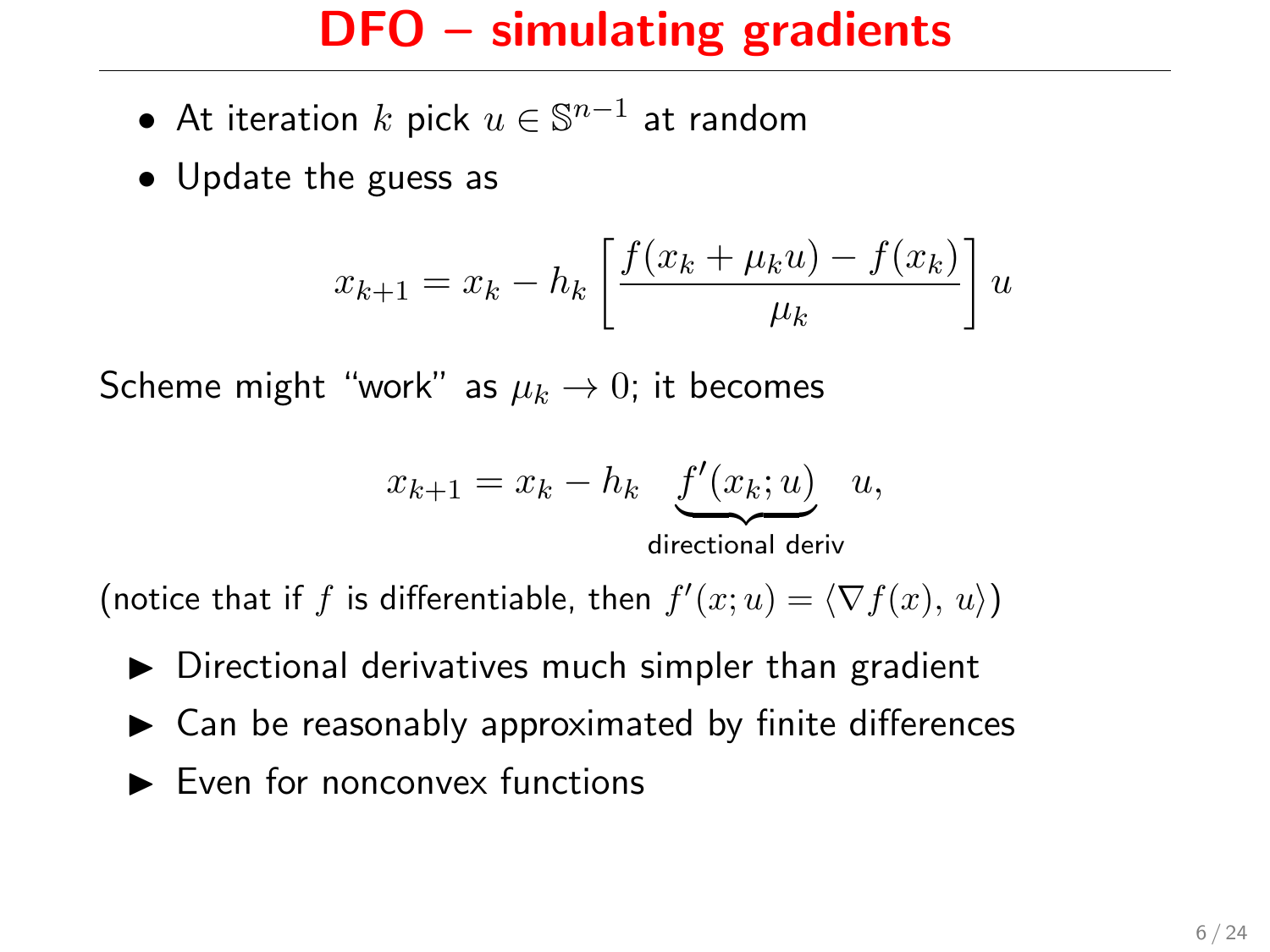- $\bullet\,$  At iteration  $k$  pick  $u\in\mathbb{S}^{n-1}$  at random
- Update the guess as

$$
x_{k+1} = x_k - h_k \left[ \frac{f(x_k + \mu_k u) - f(x_k)}{\mu_k} \right] u
$$

Scheme might "work" as  $\mu_k \to 0$ ; it becomes

$$
x_{k+1} = x_k - h_k \underbrace{f'(x_k; u)}_{\text{directional deriv}} u,
$$

(notice that if f is differentiable, then  $f'(x; u) = \langle \nabla f(x), u \rangle$ )

- $\triangleright$  Directional derivatives much simpler than gradient
- $\blacktriangleright$  Can be reasonably approximated by finite differences
- $\blacktriangleright$  Even for nonconvex functions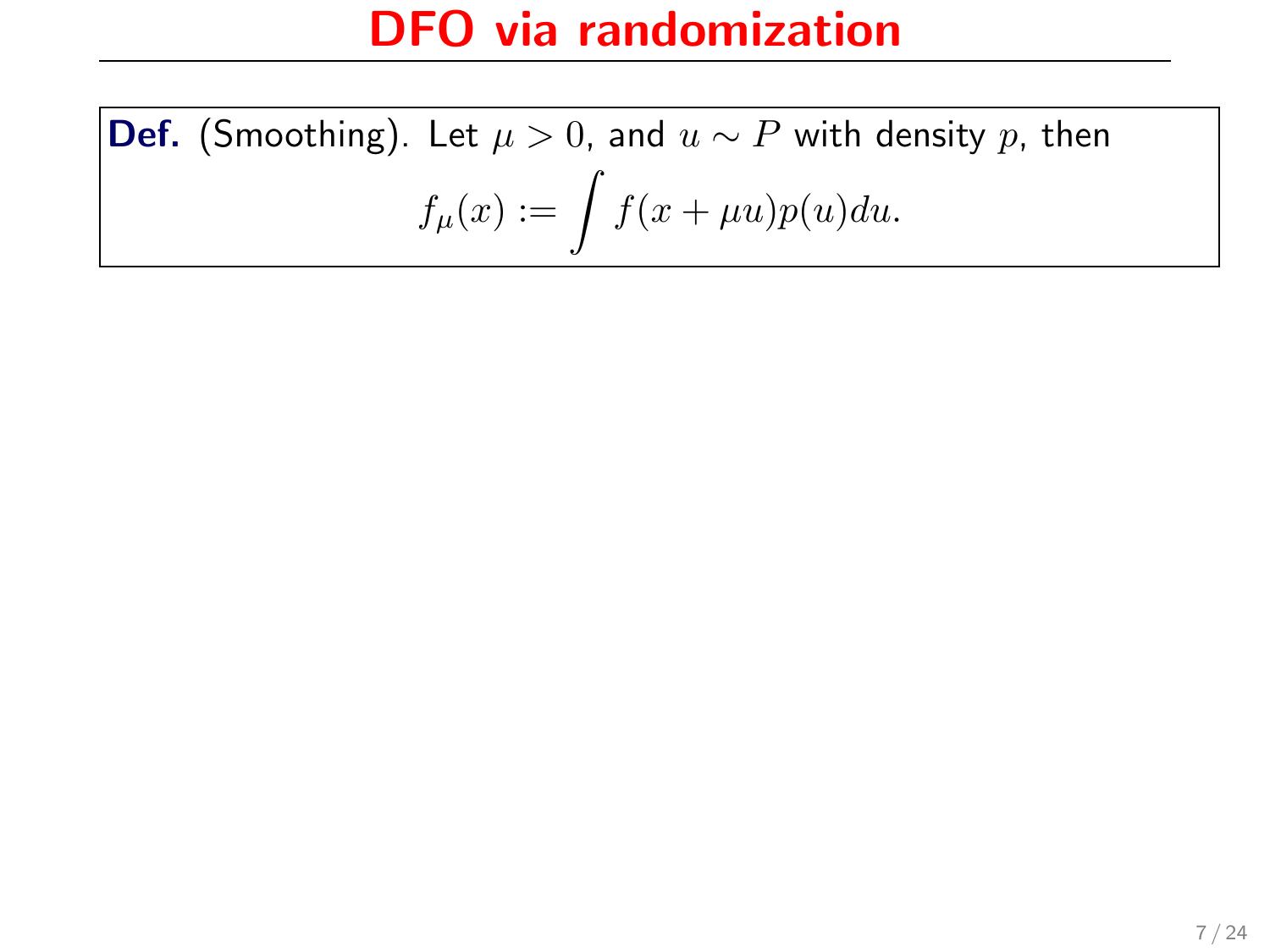**Def.** (Smoothing). Let  $\mu > 0$ , and  $u \sim P$  with density p, then  $f_\mu(x):=\int f(x+\mu u)p(u)du.$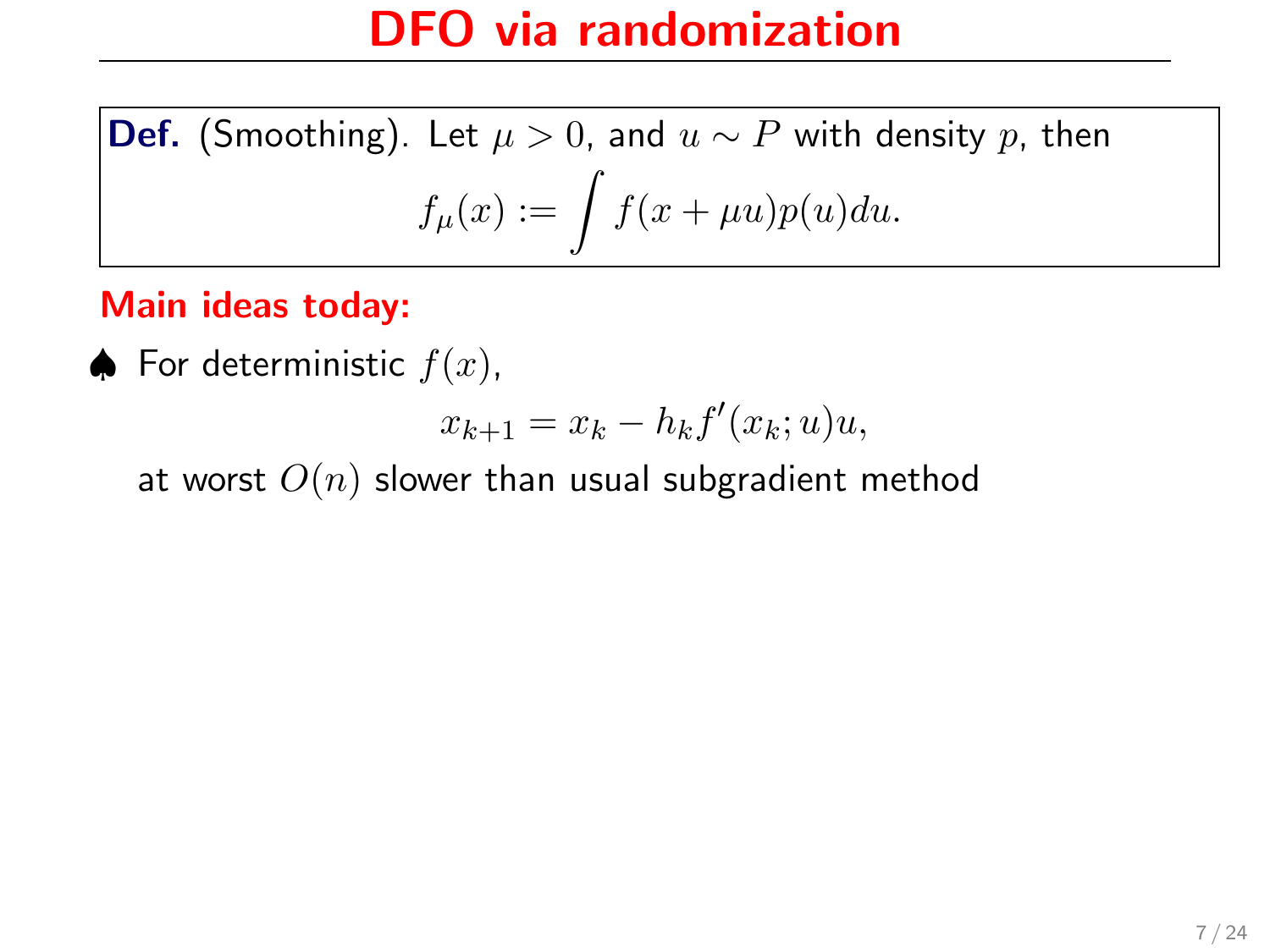**Def.** (Smoothing). Let  $\mu > 0$ , and  $u \sim P$  with density p, then  $f_\mu(x):=\int f(x+\mu u)p(u)du.$ 

#### Main ideas today:

♦ For deterministic  $f(x)$ ,

$$
x_{k+1} = x_k - h_k f'(x_k; u)u,
$$

at worst  $O(n)$  slower than usual subgradient method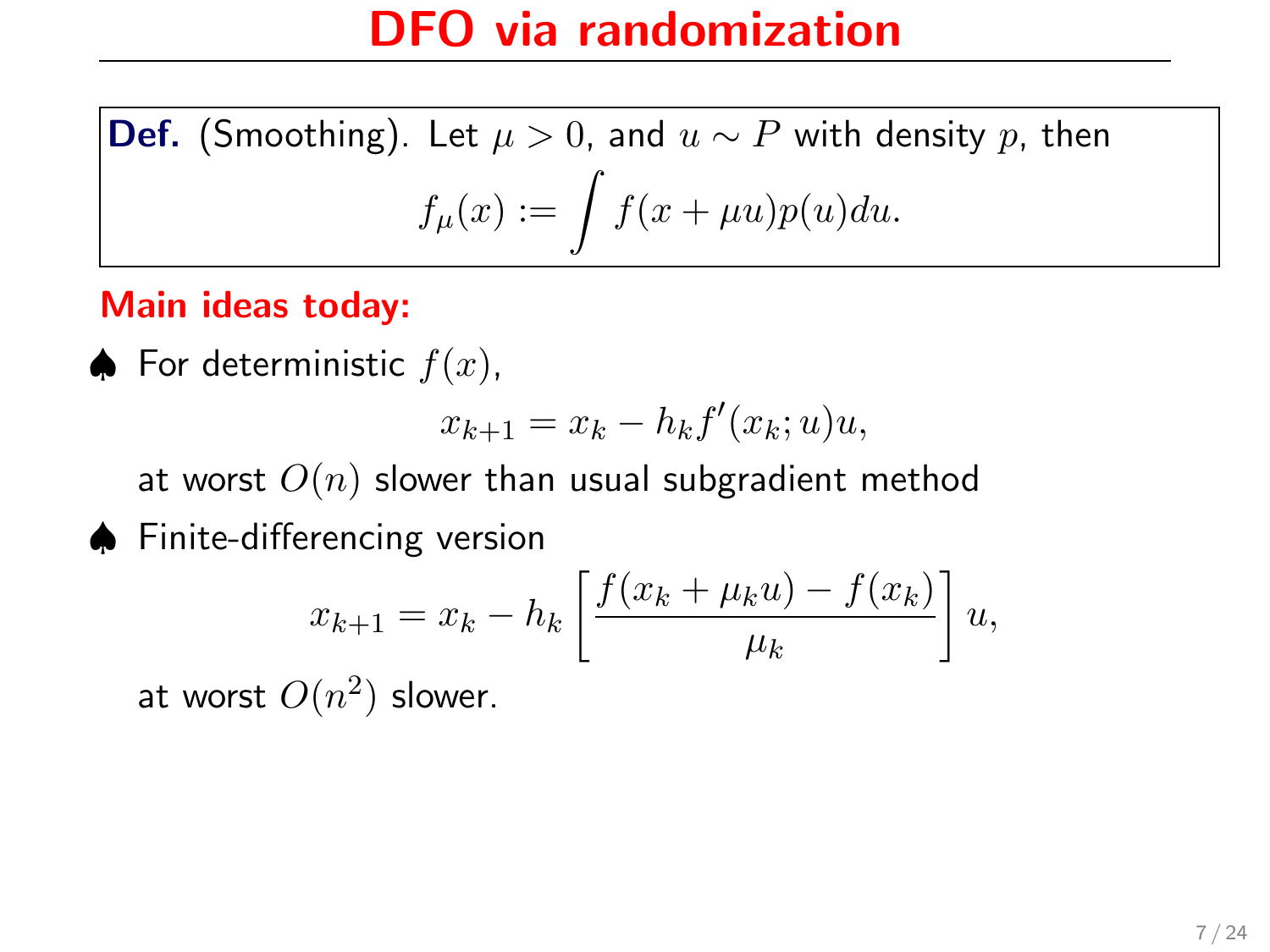**Def.** (Smoothing). Let  $\mu > 0$ , and  $u \sim P$  with density p, then  $f_\mu(x):=\int f(x+\mu u)p(u)du.$ 

#### Main ideas today:

♦ For deterministic  $f(x)$ ,

$$
x_{k+1} = x_k - h_k f'(x_k; u)u,
$$

at worst  $O(n)$  slower than usual subgradient method

♠ Finite-differencing version

$$
x_{k+1} = x_k - h_k \left[ \frac{f(x_k + \mu_k u) - f(x_k)}{\mu_k} \right] u,
$$

at worst  $O(n^2)$  slower.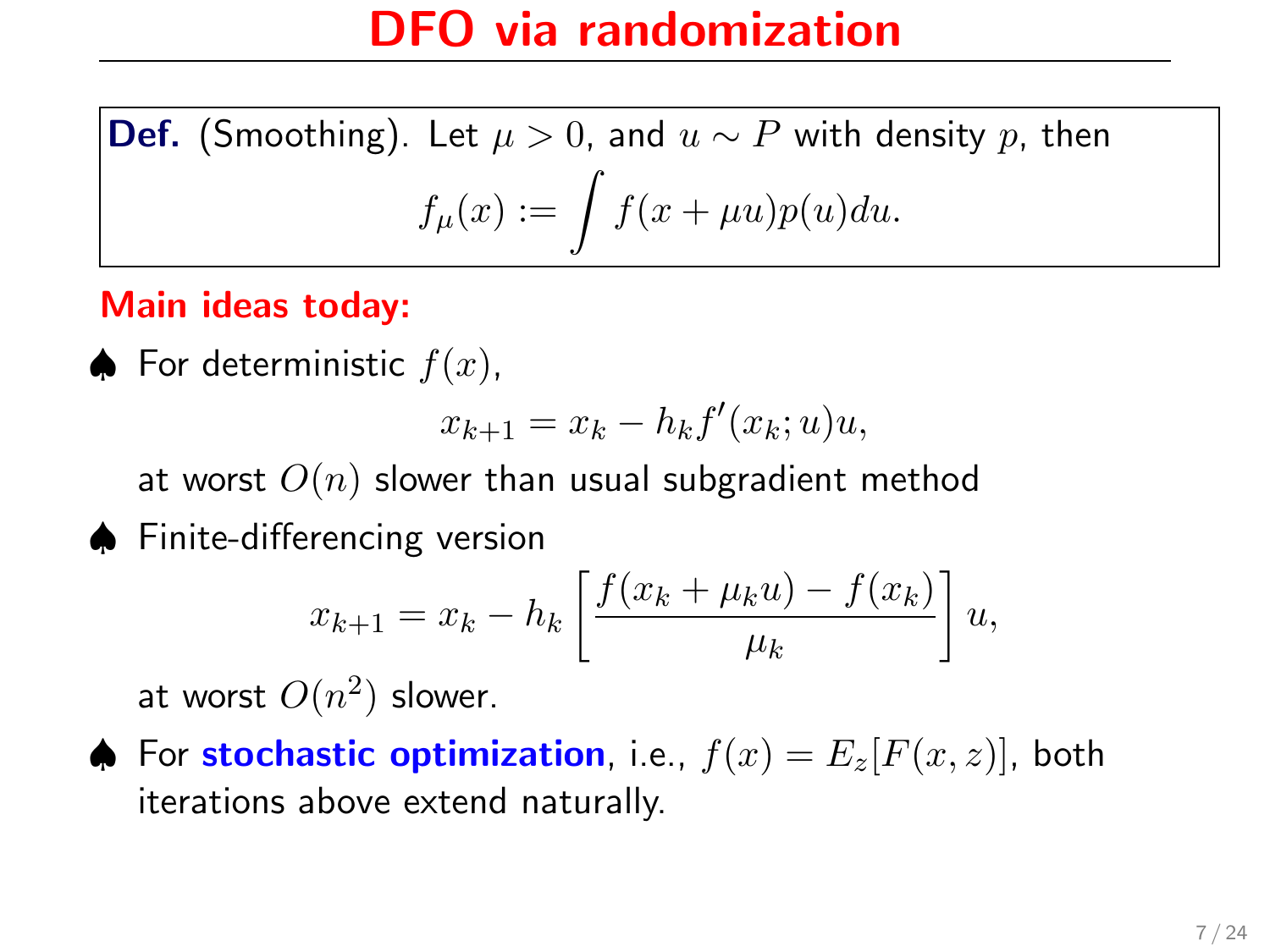**Def.** (Smoothing). Let  $\mu > 0$ , and  $u \sim P$  with density p, then  $f_\mu(x):=\int f(x+\mu u)p(u)du.$ 

#### Main ideas today:

♦ For deterministic  $f(x)$ ,

$$
x_{k+1} = x_k - h_k f'(x_k; u)u,
$$

at worst  $O(n)$  slower than usual subgradient method

♠ Finite-differencing version

$$
x_{k+1} = x_k - h_k \left[ \frac{f(x_k + \mu_k u) - f(x_k)}{\mu_k} \right] u,
$$

at worst  $O(n^2)$  slower.

♦ For stochastic optimization, i.e.,  $f(x) = E_z[F(x, z)]$ , both iterations above extend naturally.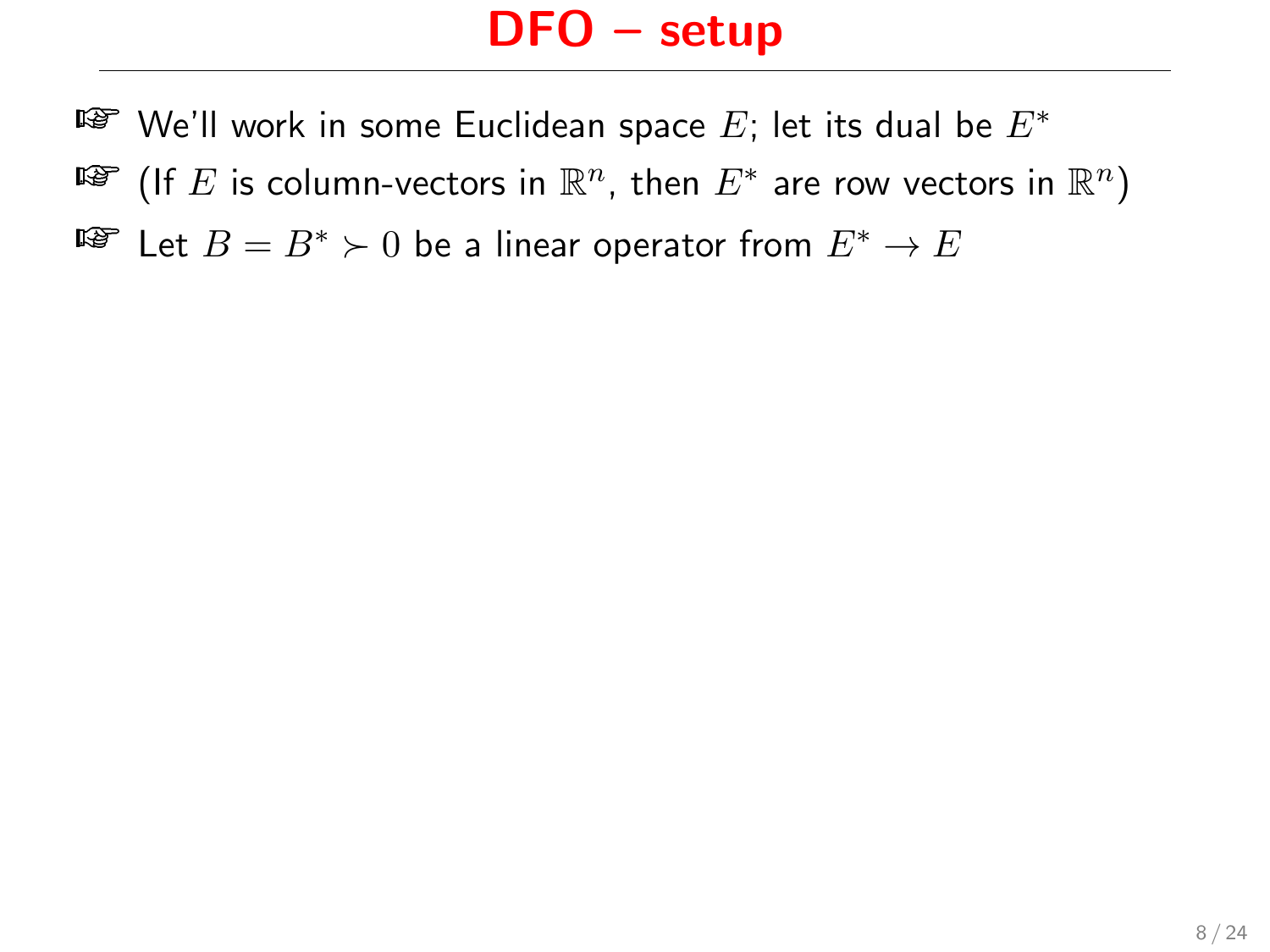- ¤ $\bullet$  We'll work in some Euclidean space  $E$ ; let its dual be  $E^*$
- ष्ङि (If  $E$  is column-vectors in  $\mathbb{R}^n$ , then  $E^*$  are row vectors in  $\mathbb{R}^n)$
- $E^*$  Let  $B = B^*$  ≻ 0 be a linear operator from  $E^* \to E$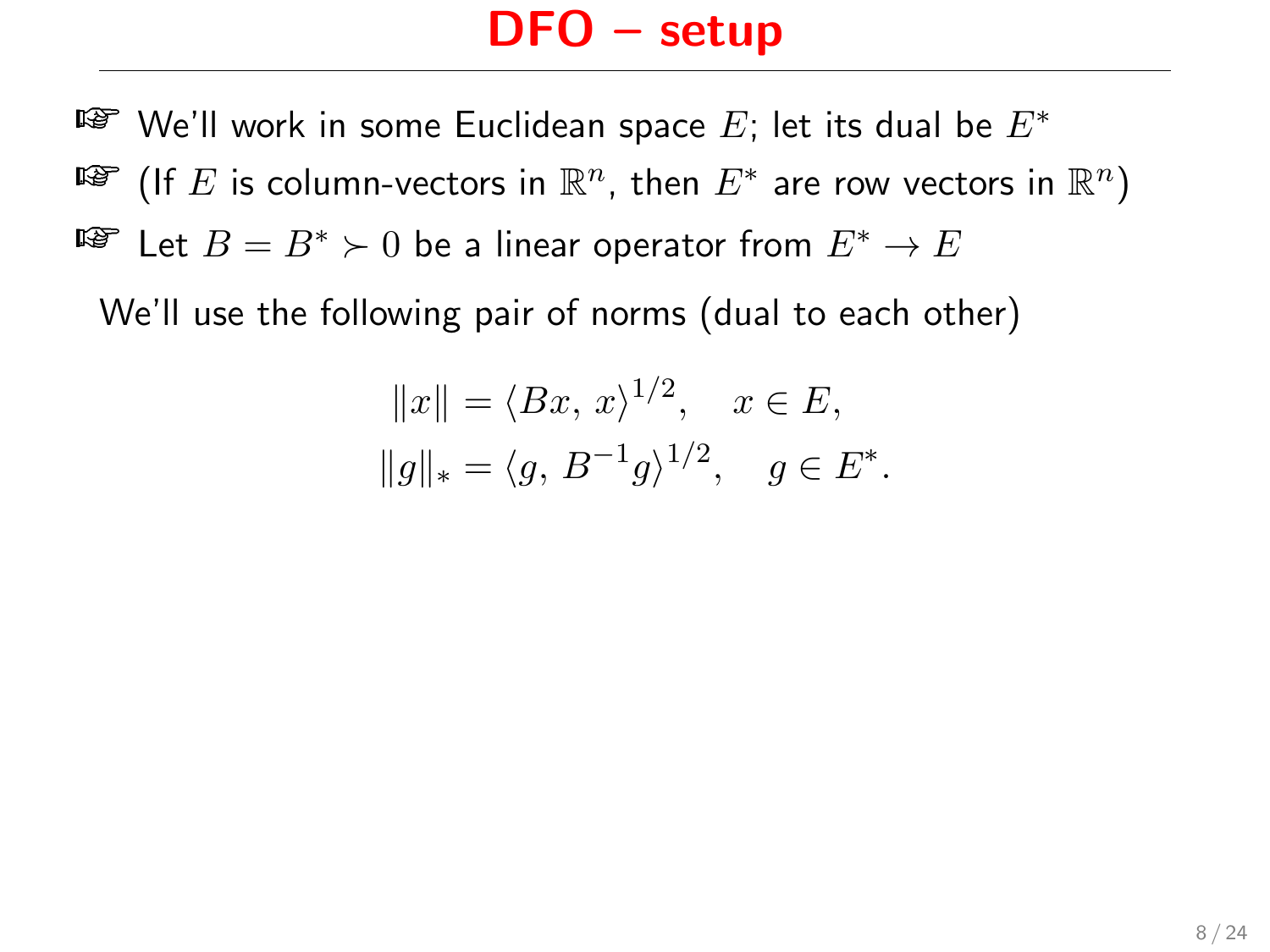¤ $\bullet$  We'll work in some Euclidean space  $E$ ; let its dual be  $E^*$ ष्ङि (If  $E$  is column-vectors in  $\mathbb{R}^n$ , then  $E^*$  are row vectors in  $\mathbb{R}^n)$ ™ Let  $B=B^*\succ 0$  be a linear operator from  $E^*\to E$ 

We'll use the following pair of norms (dual to each other)

$$
||x|| = \langle Bx, x \rangle^{1/2}, \quad x \in E,
$$
  
 $||g||_* = \langle g, B^{-1}g \rangle^{1/2}, \quad g \in E^*.$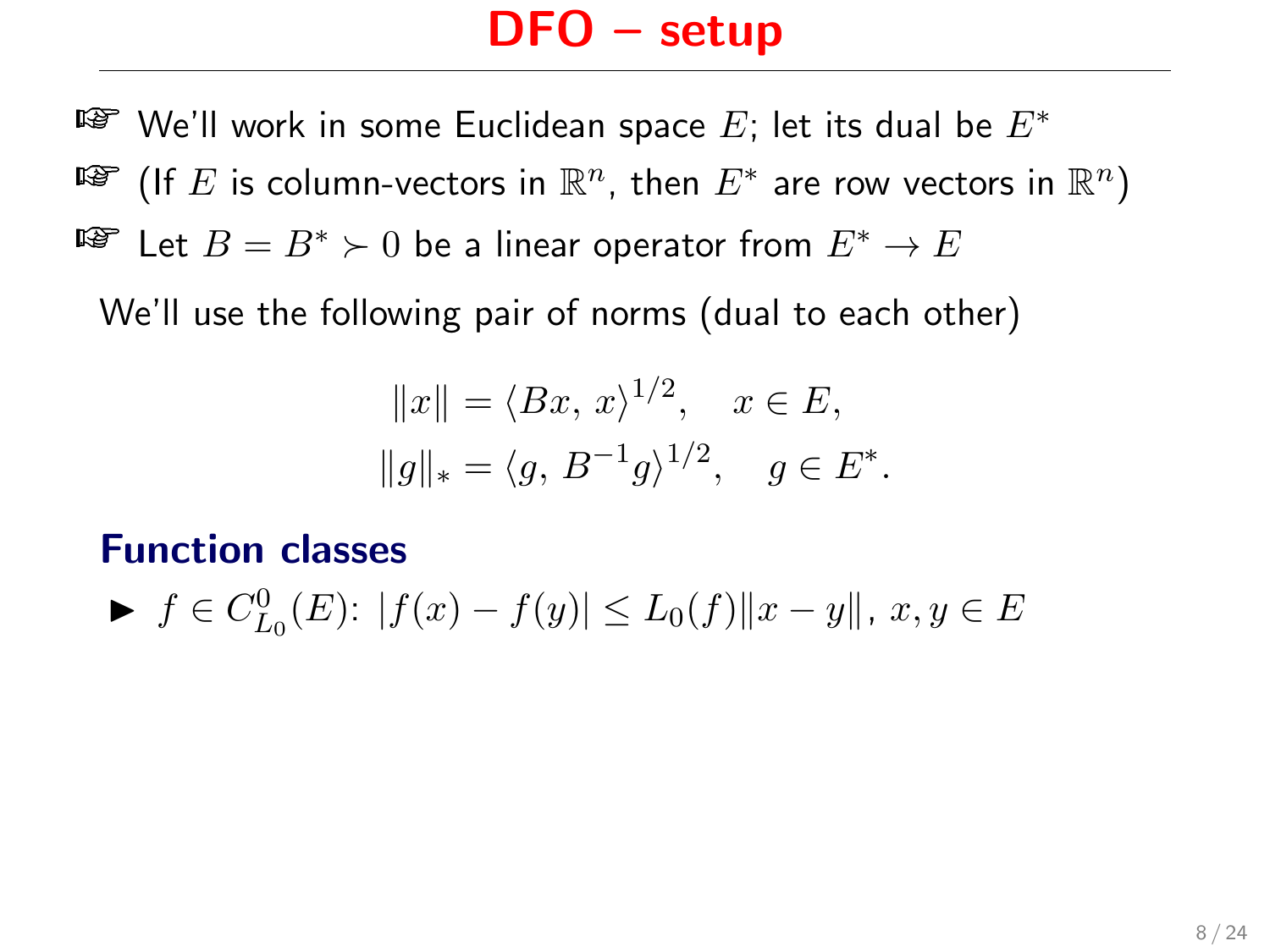¤ $\bullet$  We'll work in some Euclidean space  $E$ ; let its dual be  $E^*$ ष्ङि (If  $E$  is column-vectors in  $\mathbb{R}^n$ , then  $E^*$  are row vectors in  $\mathbb{R}^n)$ ™ Let  $B=B^*\succ 0$  be a linear operator from  $E^*\to E$ 

We'll use the following pair of norms (dual to each other)

$$
||x|| = \langle Bx, x \rangle^{1/2}, \quad x \in E,
$$
  
 $||g||_* = \langle g, B^{-1}g \rangle^{1/2}, \quad g \in E^*.$ 

#### Function classes

$$
\blacktriangleright \ f \in C_{L_0}^0(E): \ |f(x) - f(y)| \le L_0(f) \|x - y\|, \ x, y \in E
$$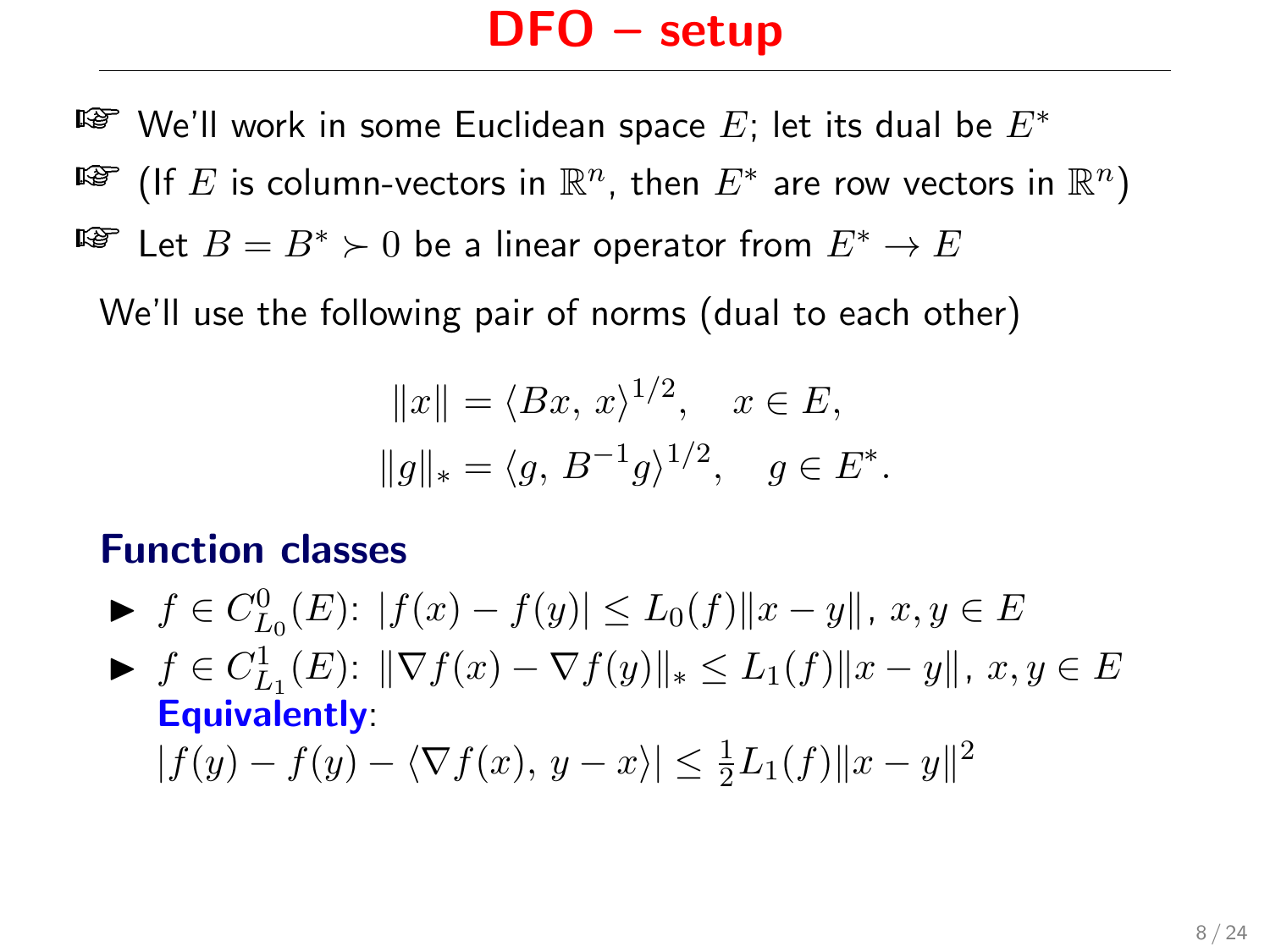¤ $\bullet$  We'll work in some Euclidean space  $E$ ; let its dual be  $E^*$ ष्ङि (If  $E$  is column-vectors in  $\mathbb{R}^n$ , then  $E^*$  are row vectors in  $\mathbb{R}^n)$  $E^*$  Let  $B = B^*$  ≻ 0 be a linear operator from  $E^* \to E$ 

We'll use the following pair of norms (dual to each other)

$$
||x|| = \langle Bx, x \rangle^{1/2}, \quad x \in E,
$$
  
 $||g||_* = \langle g, B^{-1}g \rangle^{1/2}, \quad g \in E^*.$ 

#### Function classes

- ►  $f \in C_{L_0}^0(E)$ :  $|f(x) f(y)| \le L_0(f) ||x y||$ ,  $x, y \in E$
- $\blacktriangleright$   $f \in C_{L_1}^1(E)$ :  $\|\nabla f(x) \nabla f(y)\|_* \leq L_1(f) \|x y\|, x, y \in E$ Equivalently:

 $|f(y) - f(y) - \langle \nabla f(x), y - x \rangle| \leq \frac{1}{2}L_1(f) \|x - y\|^2$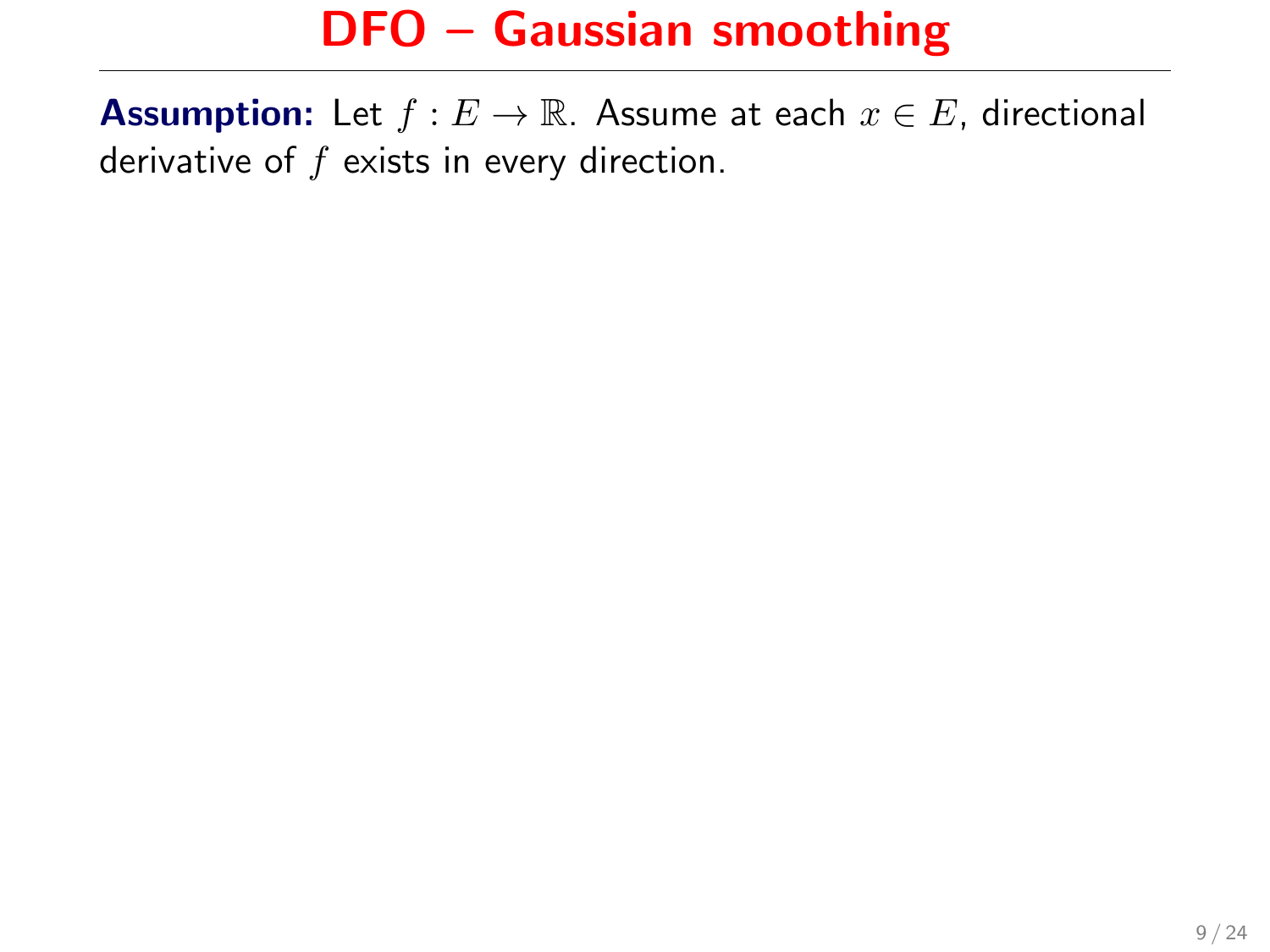**Assumption:** Let  $f : E \to \mathbb{R}$ . Assume at each  $x \in E$ , directional derivative of  $f$  exists in every direction.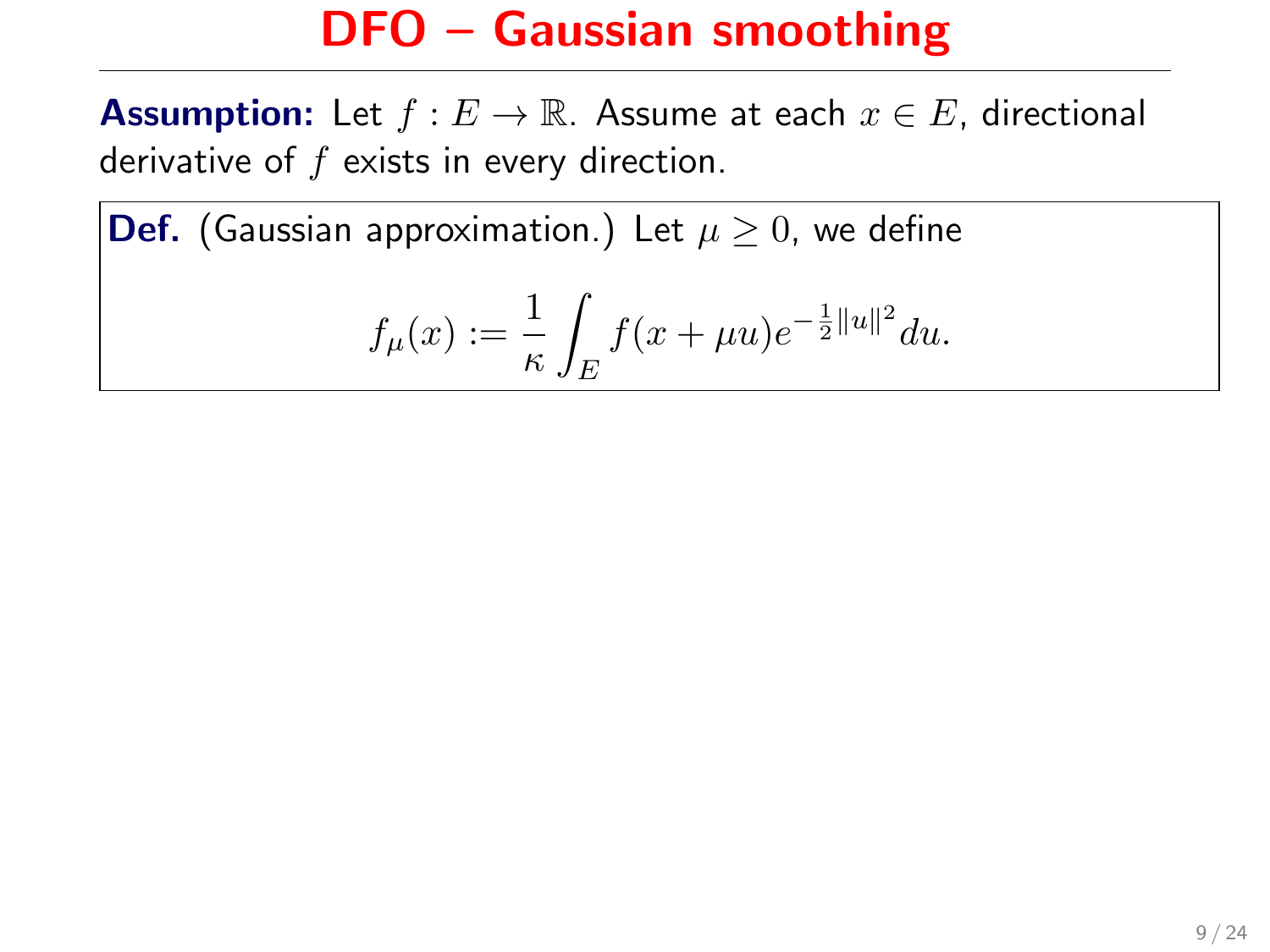**Assumption:** Let  $f : E \to \mathbb{R}$ . Assume at each  $x \in E$ , directional derivative of  $f$  exists in every direction.

**Def.** (Gaussian approximation.) Let  $\mu \geq 0$ , we define

$$
f_{\mu}(x) := \frac{1}{\kappa} \int_{E} f(x + \mu u) e^{-\frac{1}{2}||u||^2} du.
$$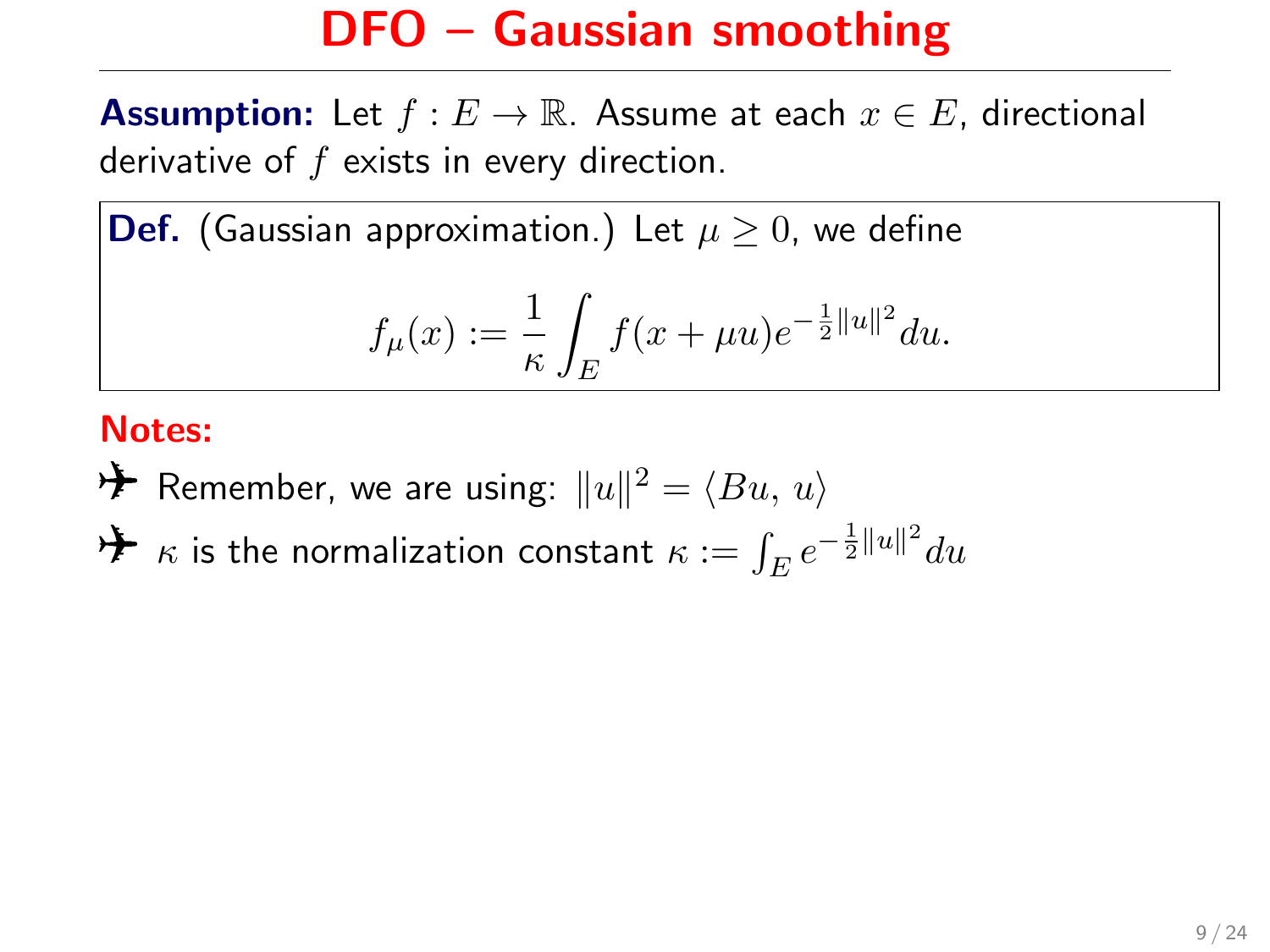**Assumption:** Let  $f : E \to \mathbb{R}$ . Assume at each  $x \in E$ , directional derivative of  $f$  exists in every direction.

**Def.** (Gaussian approximation.) Let  $\mu \geq 0$ , we define

$$
f_{\mu}(x) := \frac{1}{\kappa} \int_{E} f(x + \mu u) e^{-\frac{1}{2} ||u||^2} du.
$$

#### Notes:

- $\bigtriangledown \blacklozenge$  Remember, we are using:  $\|u\|^2 = \langle Bu,\, u\rangle$
- $\bigstar$   $\kappa$  is the normalization constant  $\kappa:=\int_E e^{-\frac{1}{2}\|u\|^2}du$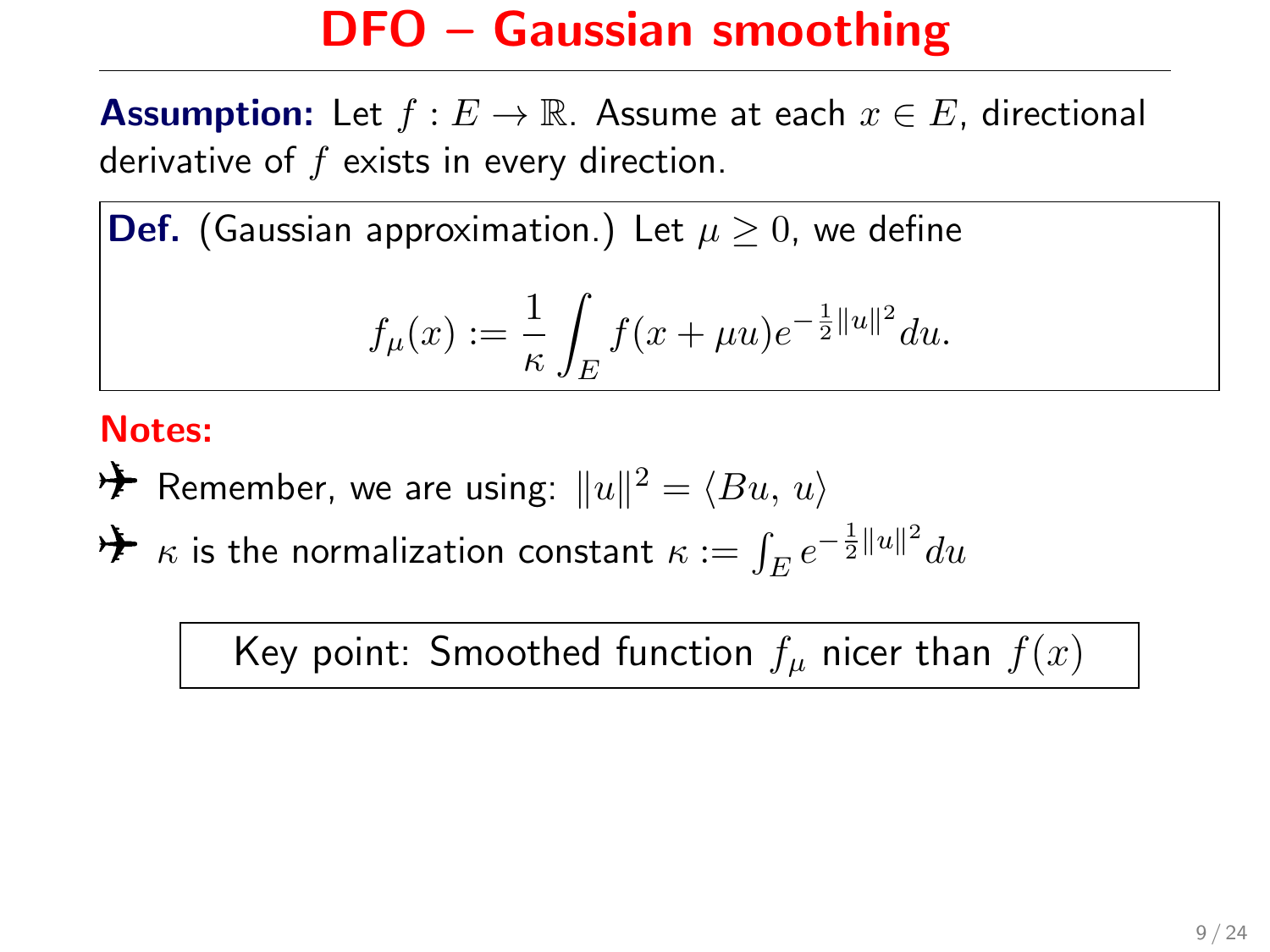**Assumption:** Let  $f : E \to \mathbb{R}$ . Assume at each  $x \in E$ , directional derivative of  $f$  exists in every direction.

**Def.** (Gaussian approximation.) Let  $\mu \geq 0$ , we define

$$
f_{\mu}(x) := \frac{1}{\kappa} \int_{E} f(x + \mu u) e^{-\frac{1}{2} ||u||^2} du.
$$

#### Notes:

 $\bigtriangledown \blacklozenge$  Remember, we are using:  $\|u\|^2 = \langle Bu,\, u\rangle$ 

 $\bigstar$   $\kappa$  is the normalization constant  $\kappa:=\int_E e^{-\frac{1}{2}\|u\|^2}du$ 

Key point: Smoothed function  $f_\mu$  nicer than  $f(x)$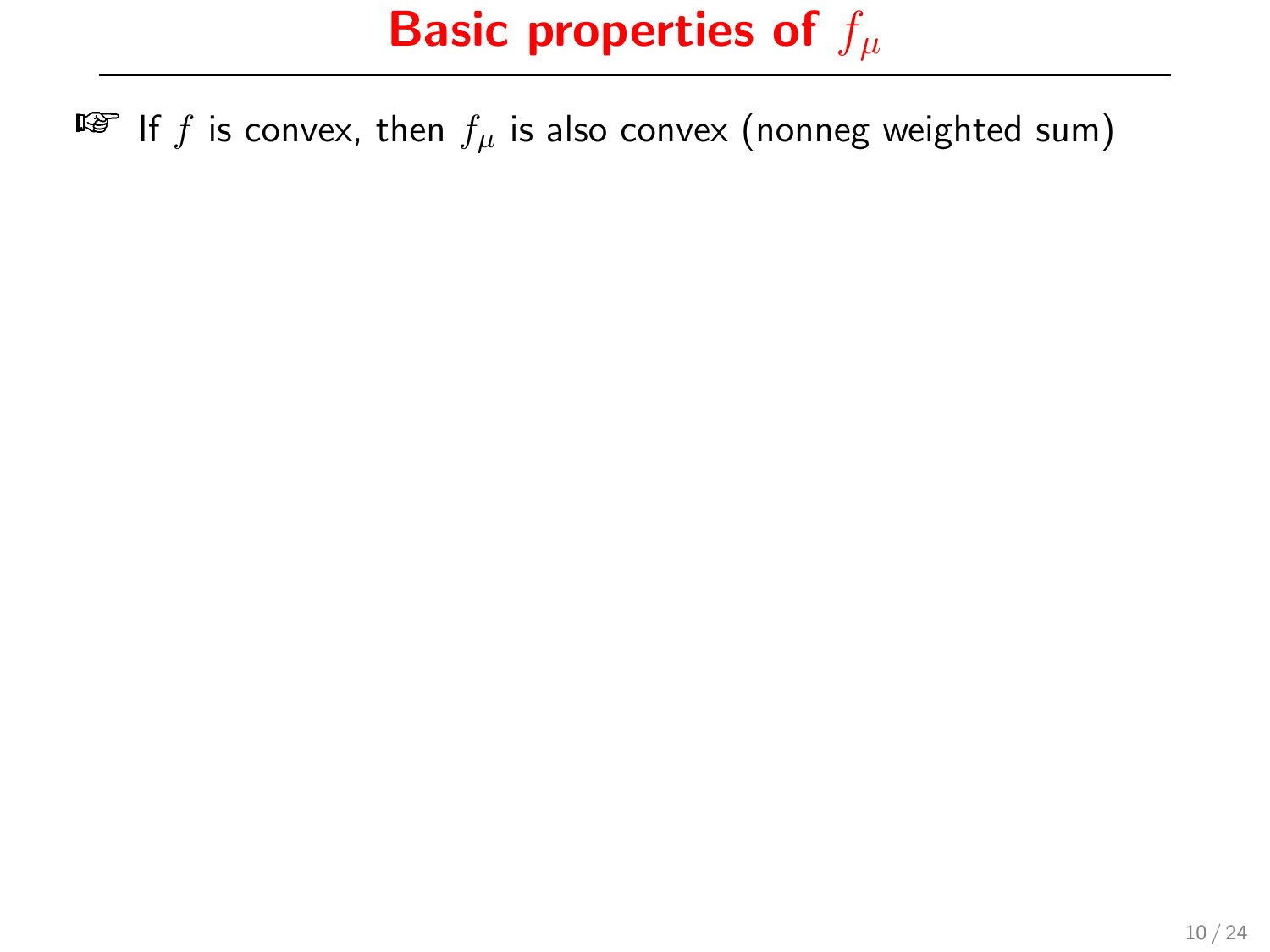IF If f is convex, then  $f_\mu$  is also convex (nonneg weighted sum)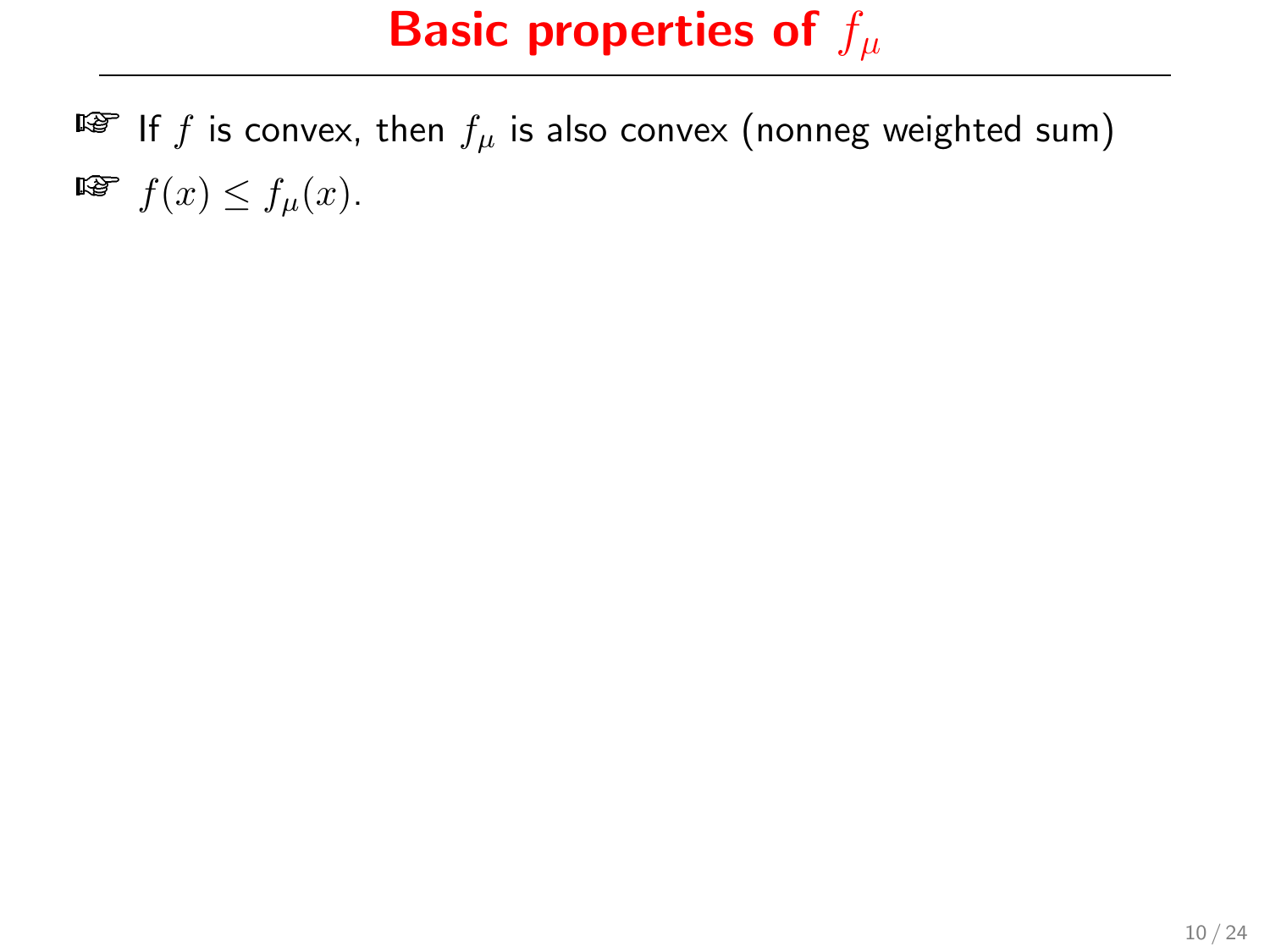IF If f is convex, then  $f_\mu$  is also convex (nonneg weighted sum)  $\mathbb{F}$   $f(x) \leq f_u(x)$ .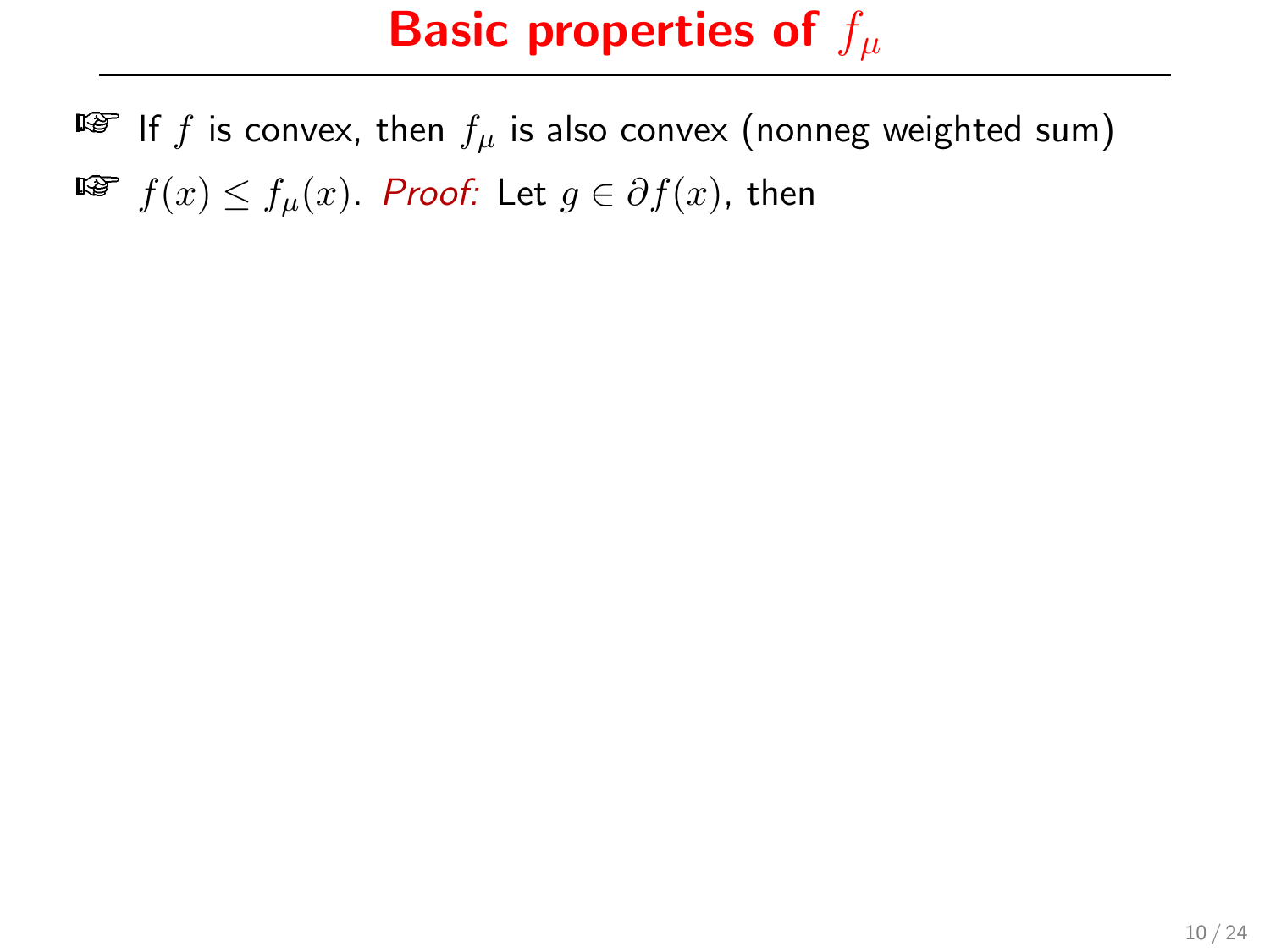IF If f is convex, then  $f_\mu$  is also convex (nonneg weighted sum) **Fi**  $f(x) \le f_u(x)$ . Proof: Let  $g \in \partial f(x)$ , then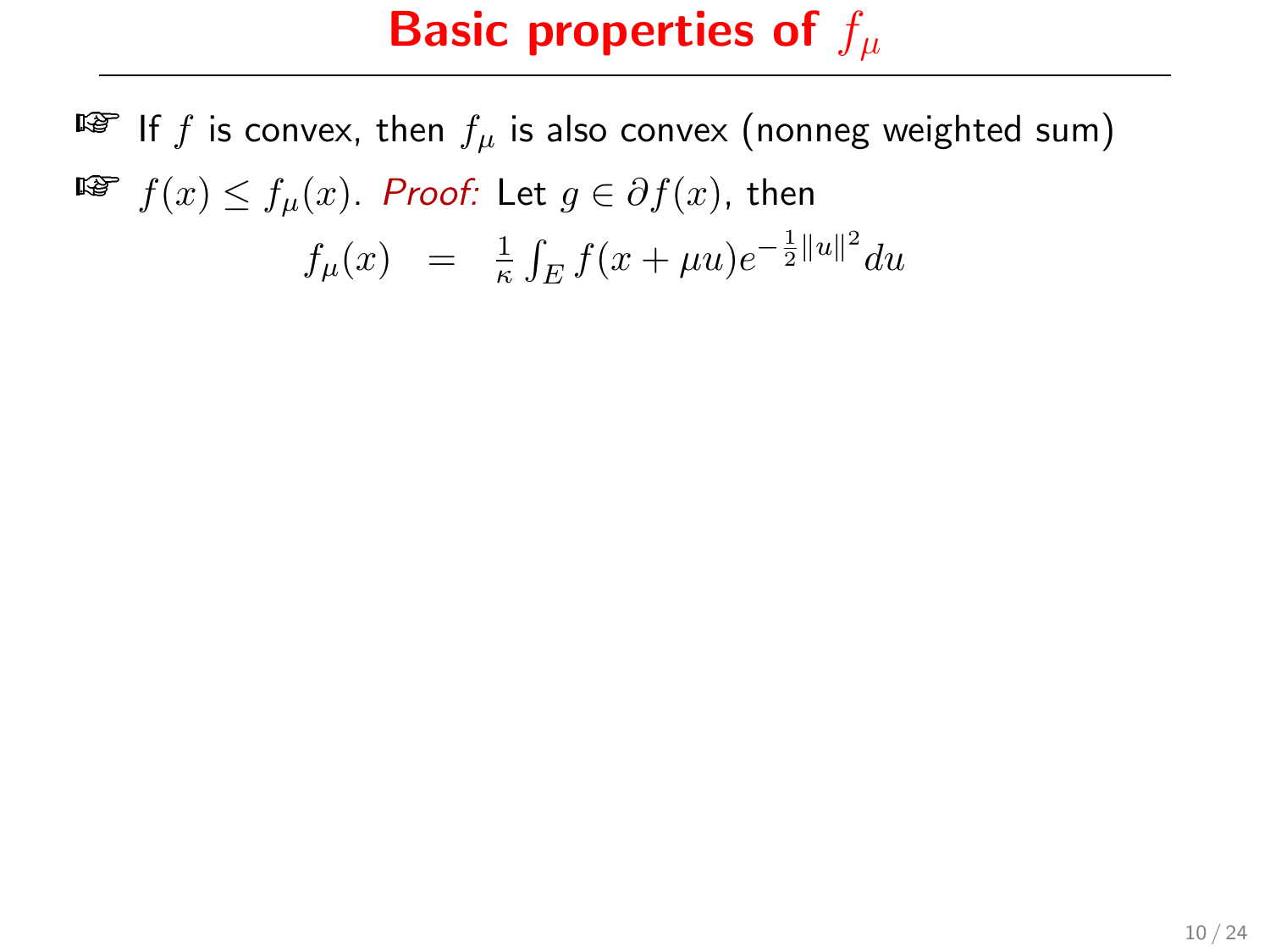IF If f is convex, then  $f_\mu$  is also convex (nonneg weighted sum) **Fi**  $f(x) \le f_u(x)$ . Proof: Let  $g \in \partial f(x)$ , then 22.23.24

$$
f_{\mu}(x) = \frac{1}{\kappa} \int_{E} f(x + \mu u) e^{-\frac{1}{2}||u||^{2}} du
$$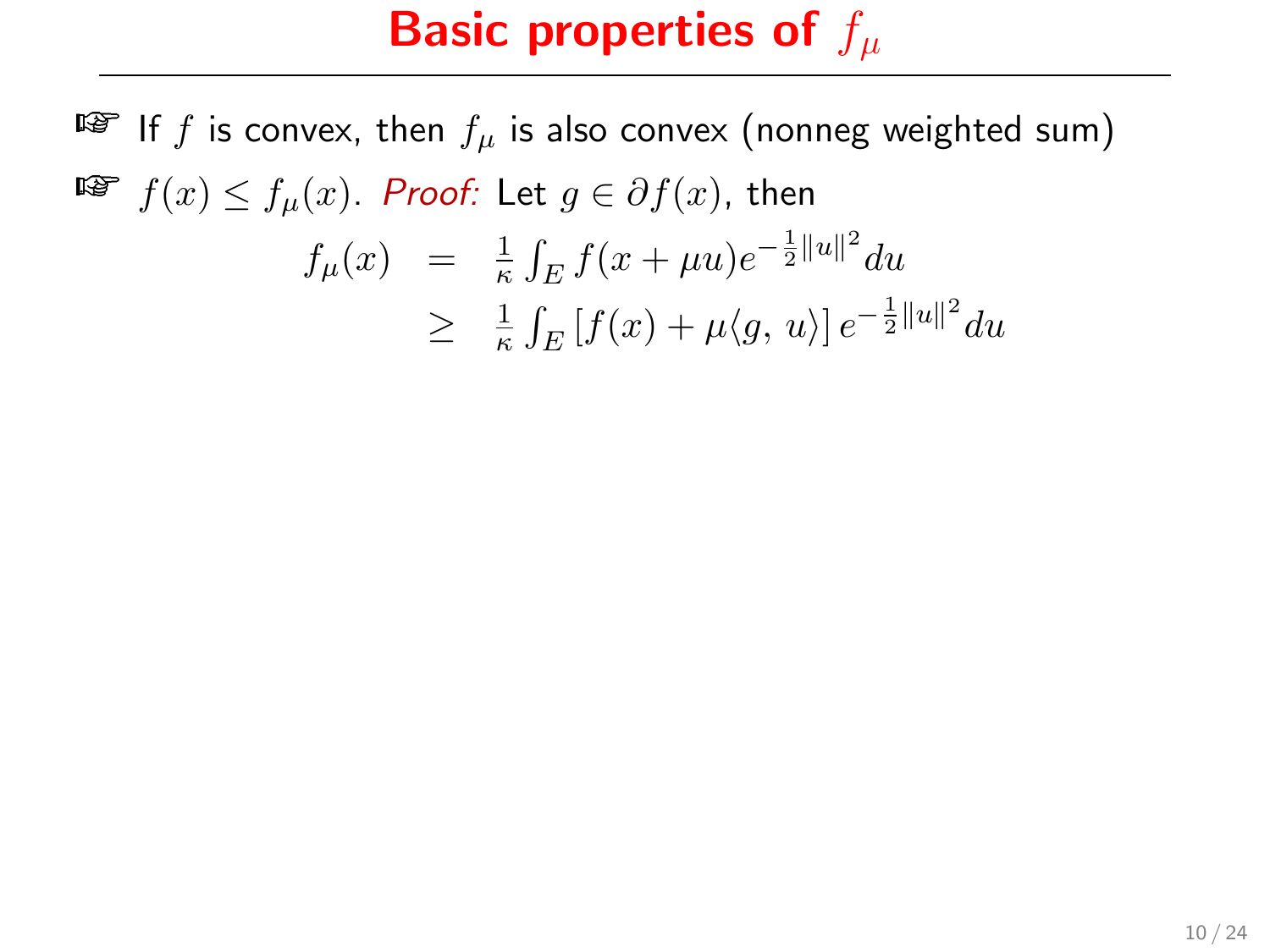$\mathbb{F}$  If f is convex, then  $f_u$  is also convex (nonneg weighted sum) **F** $f(x) \le f_u(x)$ . Proof: Let  $g \in \partial f(x)$ , then  $f_{\mu}(x) = \frac{1}{\kappa} \int_{E} f(x + \mu u) e^{-\frac{1}{2} ||u||^2} du$  $\geq \frac{1}{\kappa}$  $\frac{1}{\kappa} \int_E \left[ f(x) + \mu \langle g, u \rangle \right] e^{-\frac{1}{2} ||u||^2} du$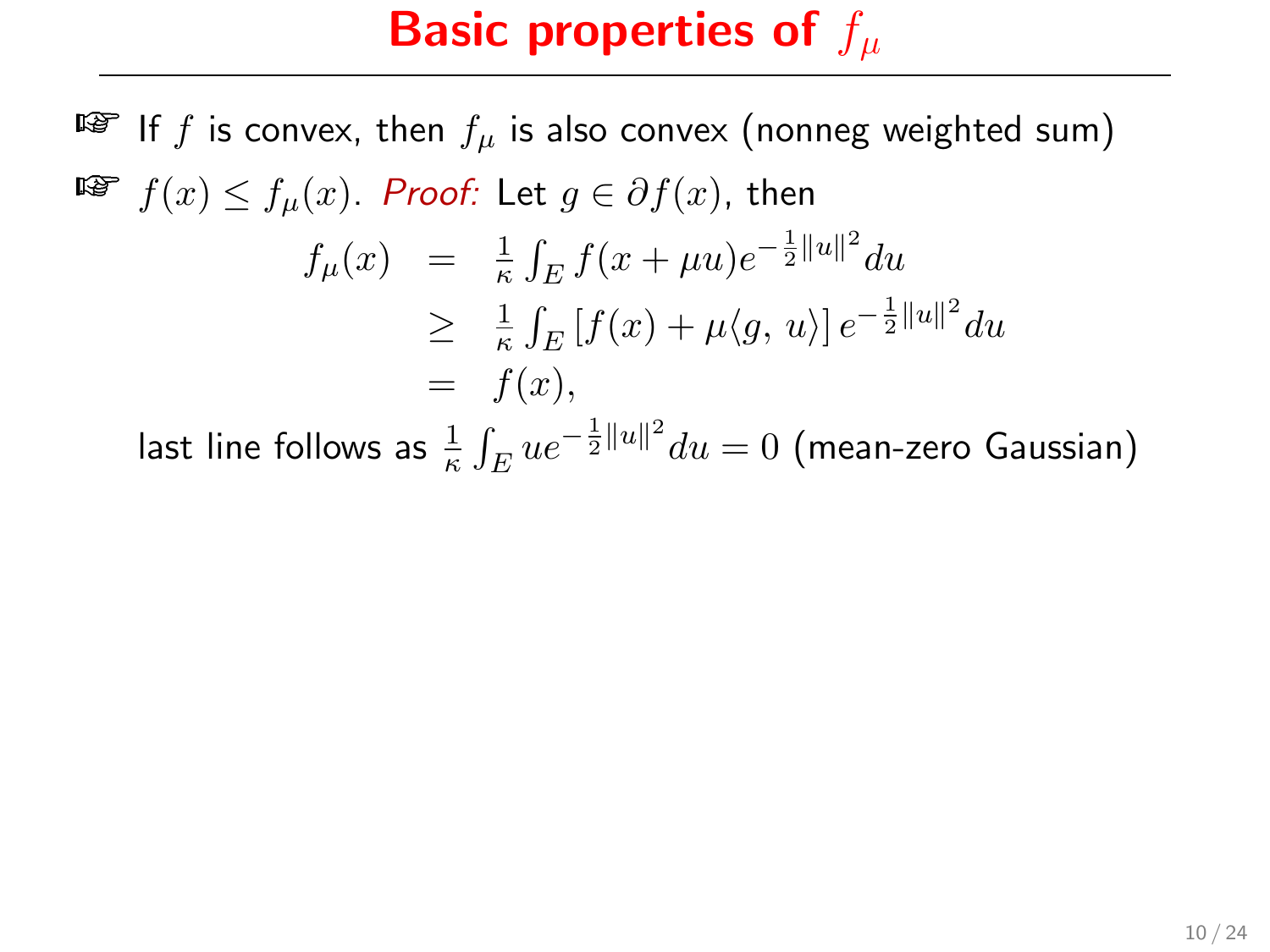$\mathbb{F}$  If f is convex, then  $f_u$  is also convex (nonneg weighted sum) **Fi**  $f(x) \le f_u(x)$ . Proof: Let  $g \in \partial f(x)$ , then  $f_{\mu}(x) = \frac{1}{\kappa} \int_{E} f(x + \mu u) e^{-\frac{1}{2} ||u||^2} du$  $\geq \frac{1}{\kappa}$  $\frac{1}{\kappa} \int_E \left[ f(x) + \mu \langle g, u \rangle \right] e^{-\frac{1}{2} ||u||^2} du$ 

 $= f(x),$ 

last line follows as  $\frac{1}{\kappa} \int_E ue^{-\frac{1}{2}\|u\|^2} du = 0$  (mean-zero Gaussian)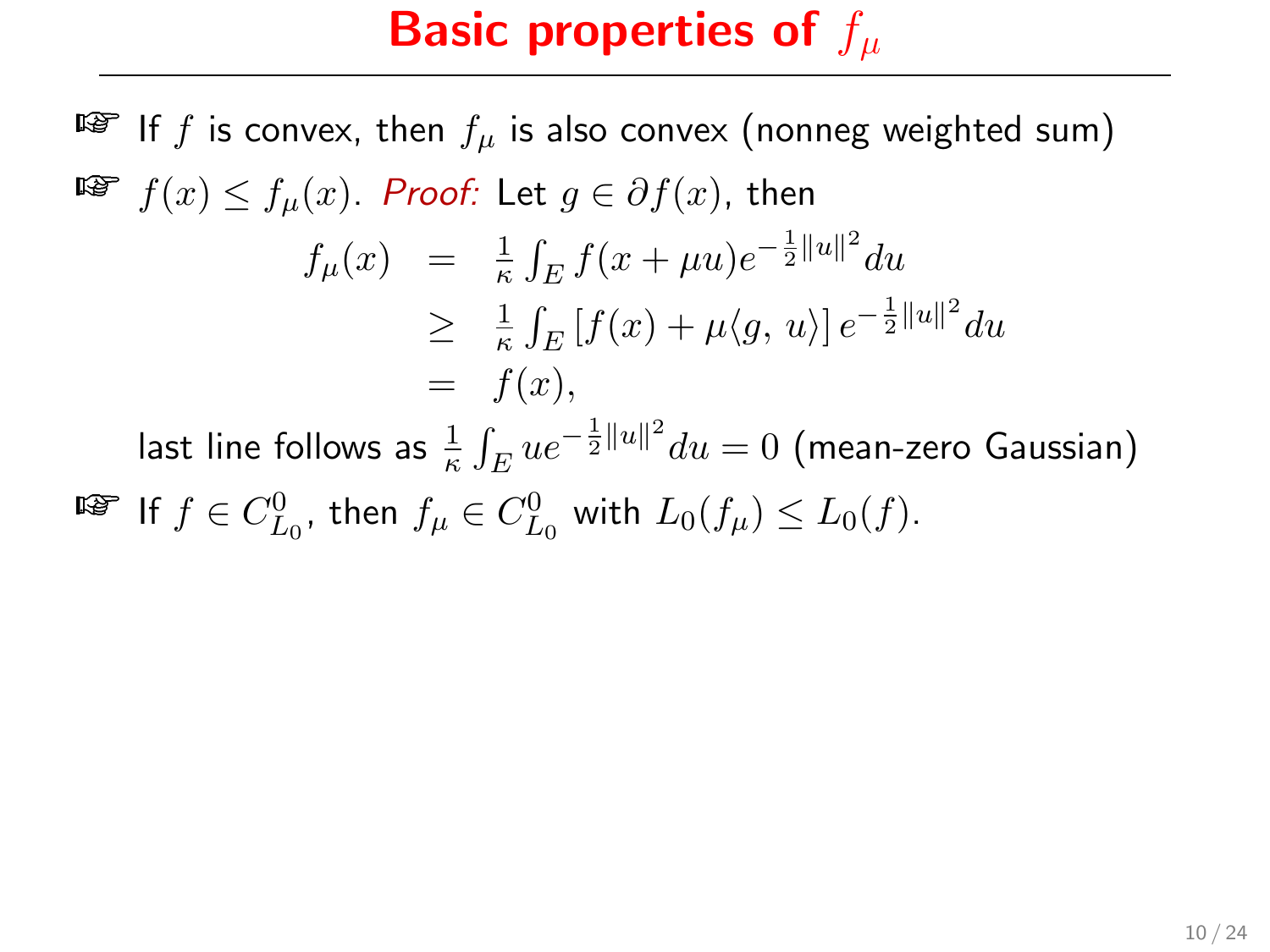$\mathbb{F}$  If f is convex, then  $f_u$  is also convex (nonneg weighted sum) **Fi**  $f(x) \le f_u(x)$ . Proof: Let  $g \in \partial f(x)$ , then  $f_{\mu}(x) = \frac{1}{\kappa} \int_{E} f(x + \mu u) e^{-\frac{1}{2} ||u||^2} du$  $\geq \frac{1}{\kappa}$  $\frac{1}{\kappa} \int_E \left[ f(x) + \mu \langle g, u \rangle \right] e^{-\frac{1}{2} ||u||^2} du$  $= f(x),$ last line follows as  $\frac{1}{\kappa} \int_E ue^{-\frac{1}{2}\|u\|^2} du = 0$  (mean-zero Gaussian)

**■** If  $f \in C_{L_0}^0$ , then  $f_\mu \in C_{L_0}^0$  with  $L_0(f_\mu) \le L_0(f)$ .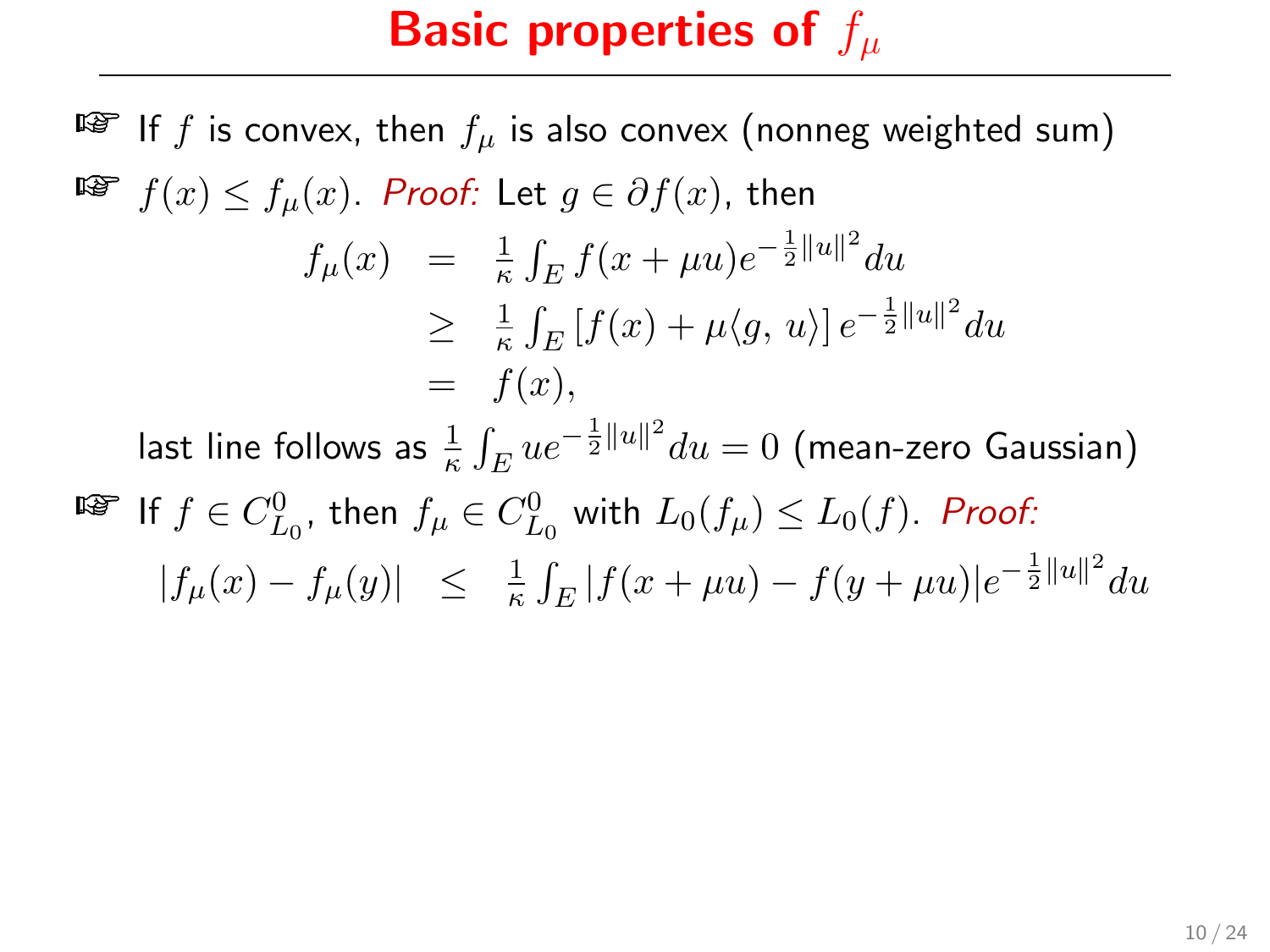$\mathbb{F}$  If f is convex, then  $f_u$  is also convex (nonneg weighted sum) **F** $f(x) \le f_u(x)$ . Proof: Let  $g \in \partial f(x)$ , then  $f_{\mu}(x) = \frac{1}{\kappa} \int_{E} f(x + \mu u) e^{-\frac{1}{2} ||u||^2} du$  $\geq \frac{1}{\kappa}$  $\frac{1}{\kappa} \int_E \left[ f(x) + \mu \langle g, u \rangle \right] e^{-\frac{1}{2} ||u||^2} du$  $= f(x)$ . last line follows as  $\frac{1}{\kappa} \int_E ue^{-\frac{1}{2}\|u\|^2} du = 0$  (mean-zero Gaussian)  $\mathbb{E}$  If  $f \in C_{L_0}^0$ , then  $f_{\mu} \in C_{L_0}^0$  with  $L_0(f_{\mu}) \leq L_0(f)$ . Proof:  $|f_\mu(x) - f_\mu(y)| \leq \frac{1}{\kappa} \int_E |f(x + \mu u) - f(y + \mu u)|e^{-\frac{1}{2}||u||^2} du$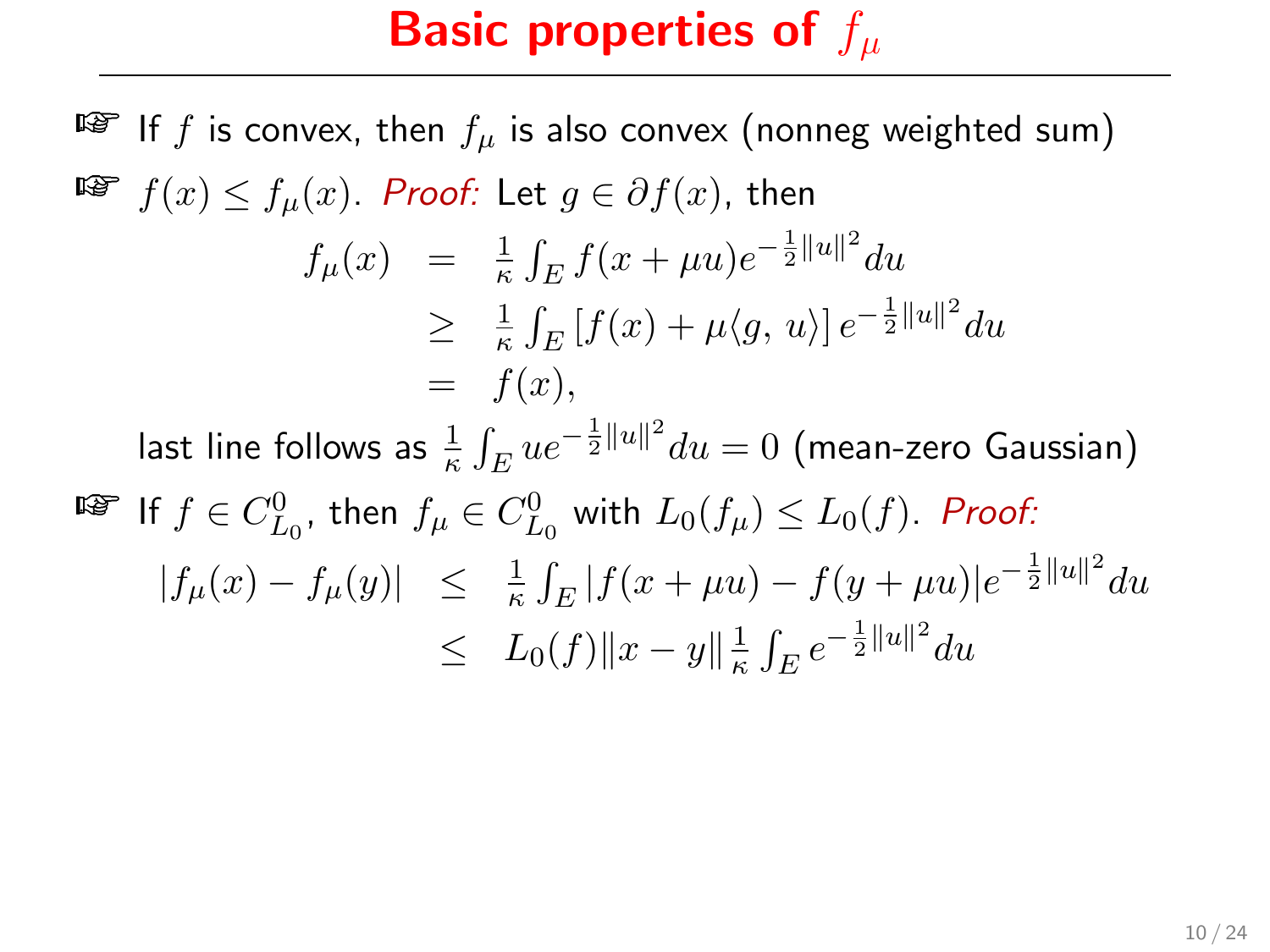$\mathbb{F}$  If f is convex, then  $f_u$  is also convex (nonneg weighted sum) **Fi**  $f(x) \le f_u(x)$ . Proof: Let  $g \in \partial f(x)$ , then  $f_{\mu}(x) = \frac{1}{\kappa} \int_{E} f(x + \mu u) e^{-\frac{1}{2} ||u||^2} du$  $\geq \frac{1}{\kappa}$  $\frac{1}{\kappa} \int_E \left[ f(x) + \mu \langle g, u \rangle \right] e^{-\frac{1}{2} ||u||^2} du$  $= f(x)$ . last line follows as  $\frac{1}{\kappa} \int_E ue^{-\frac{1}{2}\|u\|^2} du = 0$  (mean-zero Gaussian)  $\mathbb{E}$  If  $f \in C_{L_0}^0$ , then  $f_{\mu} \in C_{L_0}^0$  with  $L_0(f_{\mu}) \leq L_0(f)$ . Proof:  $|f_\mu(x) - f_\mu(y)| \leq \frac{1}{\kappa} \int_E |f(x + \mu u) - f(y + \mu u)|e^{-\frac{1}{2}||u||^2} du$  $\leq L_0(f) \|x - y\|_{\kappa}^{\frac{1}{k}}$  $\frac{1}{\kappa} \int_E e^{-\frac{1}{2}||u||^2} du$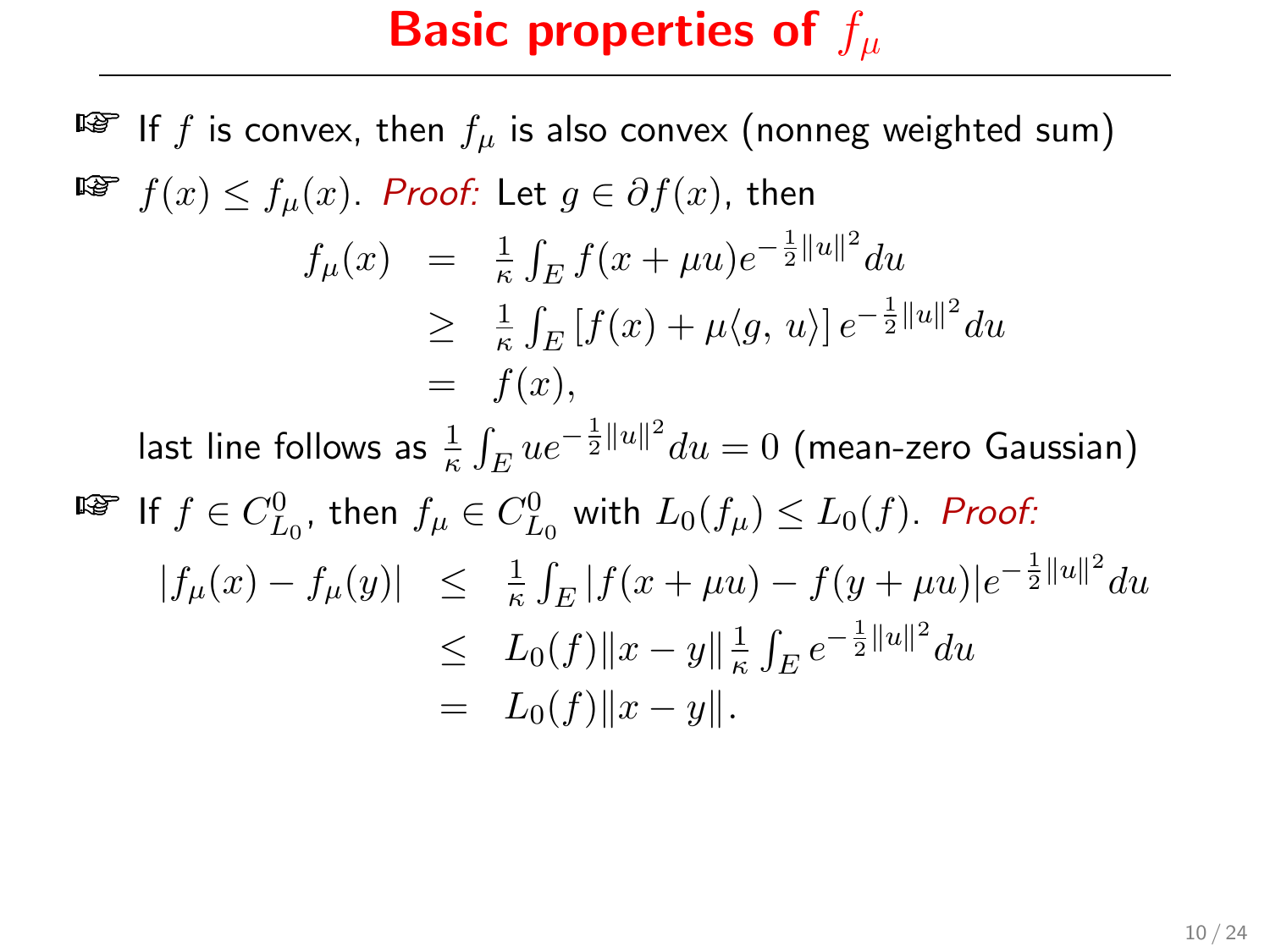$\mathbb{F}$  If f is convex, then  $f_u$  is also convex (nonneg weighted sum) **Fi**  $f(x) \le f_u(x)$ . Proof: Let  $g \in \partial f(x)$ , then  $f_{\mu}(x) = \frac{1}{\kappa} \int_{E} f(x + \mu u) e^{-\frac{1}{2} ||u||^2} du$  $\geq \frac{1}{\kappa}$  $\frac{1}{\kappa} \int_E \left[ f(x) + \mu \langle g, u \rangle \right] e^{-\frac{1}{2} ||u||^2} du$  $= f(x)$ . last line follows as  $\frac{1}{\kappa} \int_E ue^{-\frac{1}{2}\|u\|^2} du = 0$  (mean-zero Gaussian)  $\mathbb{E}$  If  $f \in C_{L_0}^0$ , then  $f_{\mu} \in C_{L_0}^0$  with  $L_0(f_{\mu}) \leq L_0(f)$ . Proof:  $|f_\mu(x) - f_\mu(y)| \leq \frac{1}{\kappa} \int_E |f(x + \mu u) - f(y + \mu u)|e^{-\frac{1}{2}||u||^2} du$  $\leq L_0(f) \|x - y\|_{\kappa}^{\frac{1}{k}}$  $\frac{1}{\kappa} \int_E e^{-\frac{1}{2}||u||^2} du$  $= L_0(f) ||x - y||.$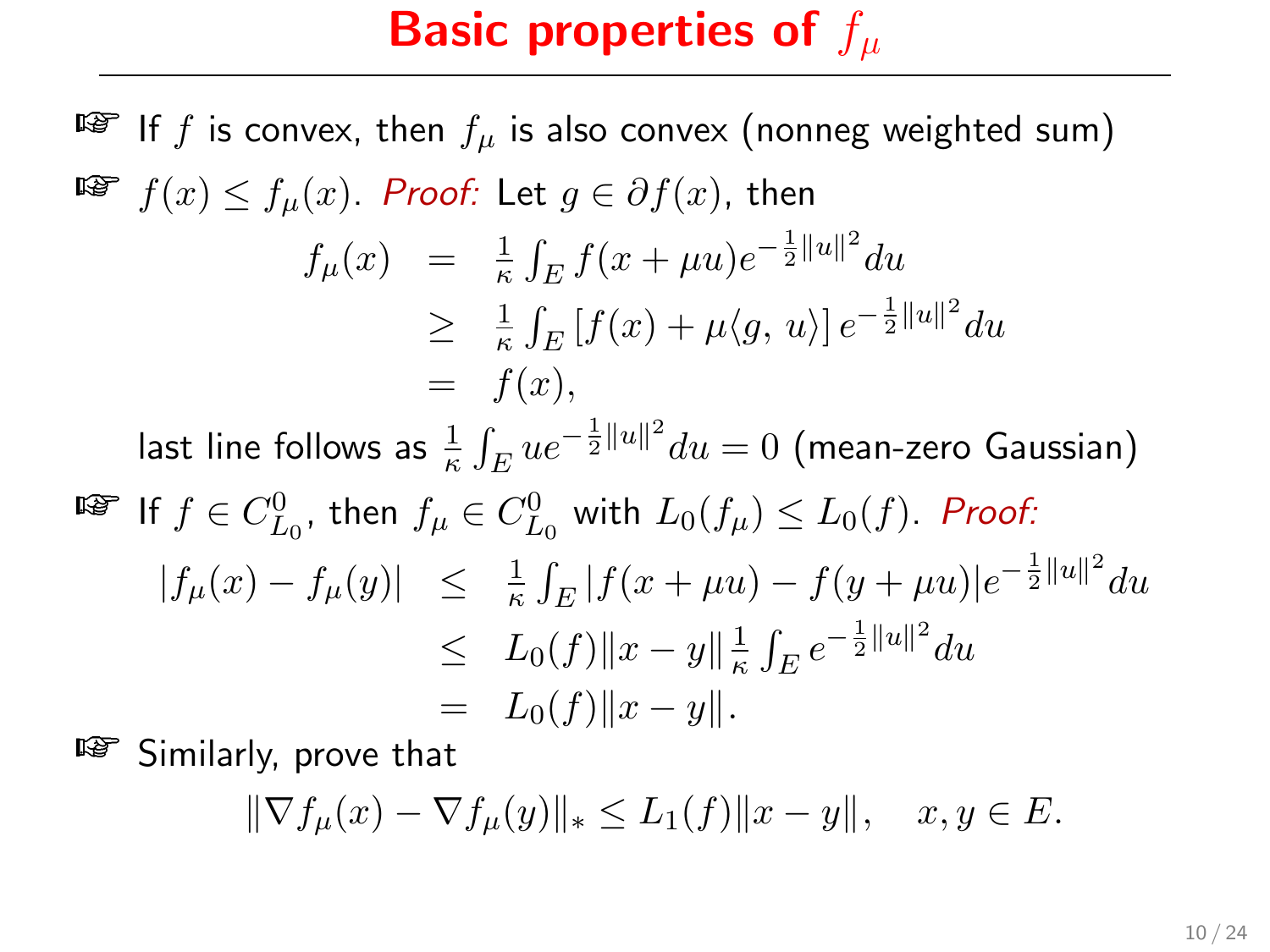$\mathbb{F}$  If f is convex, then  $f_u$  is also convex (nonneg weighted sum) **Fi**  $f(x) \le f_u(x)$ . Proof: Let  $g \in \partial f(x)$ , then  $f_{\mu}(x) = \frac{1}{\kappa} \int_{E} f(x + \mu u) e^{-\frac{1}{2} ||u||^2} du$  $\geq \frac{1}{\kappa}$  $\frac{1}{\kappa} \int_E \left[ f(x) + \mu \langle g, u \rangle \right] e^{-\frac{1}{2} ||u||^2} du$  $= f(x)$ . last line follows as  $\frac{1}{\kappa} \int_E ue^{-\frac{1}{2}\|u\|^2} du = 0$  (mean-zero Gaussian)  $\mathbb{E}$  If  $f \in C_{L_0}^0$ , then  $f_{\mu} \in C_{L_0}^0$  with  $L_0(f_{\mu}) \leq L_0(f)$ . Proof:  $|f_\mu(x) - f_\mu(y)| \leq \frac{1}{\kappa} \int_E |f(x + \mu u) - f(y + \mu u)|e^{-\frac{1}{2}||u||^2} du$  $\leq L_0(f) \|x - y\|_{\kappa}^{\frac{1}{k}}$  $\frac{1}{\kappa} \int_E e^{-\frac{1}{2}||u||^2} du$  $= L_0(f) \|x - y\|.$ 

**EXECUTE:** Similarly, prove that

$$
\|\nabla f_{\mu}(x) - \nabla f_{\mu}(y)\|_{*} \le L_{1}(f) \|x - y\|, \quad x, y \in E.
$$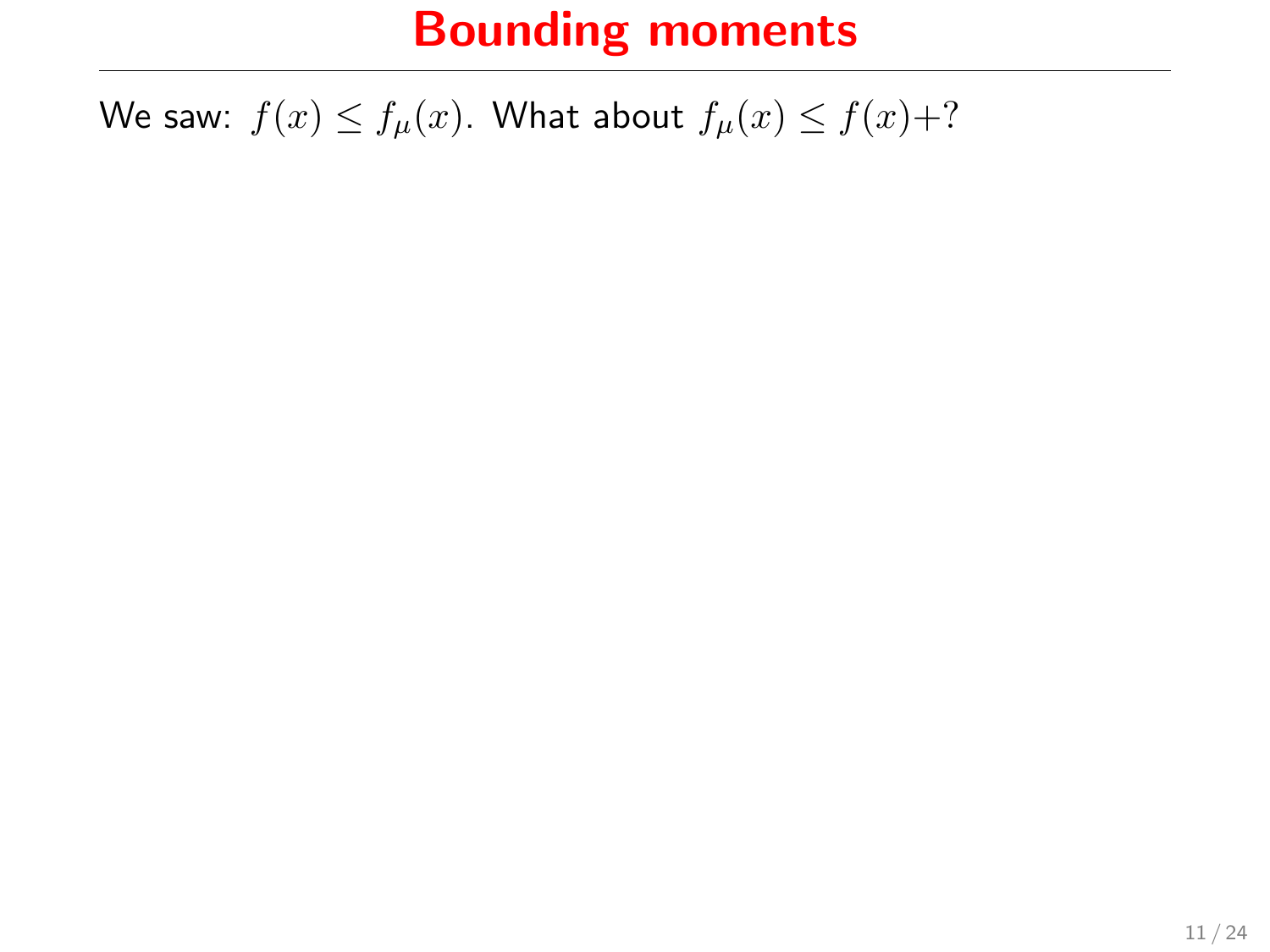We saw:  $f(x) \le f_{\mu}(x)$ . What about  $f_{\mu}(x) \le f(x)+?$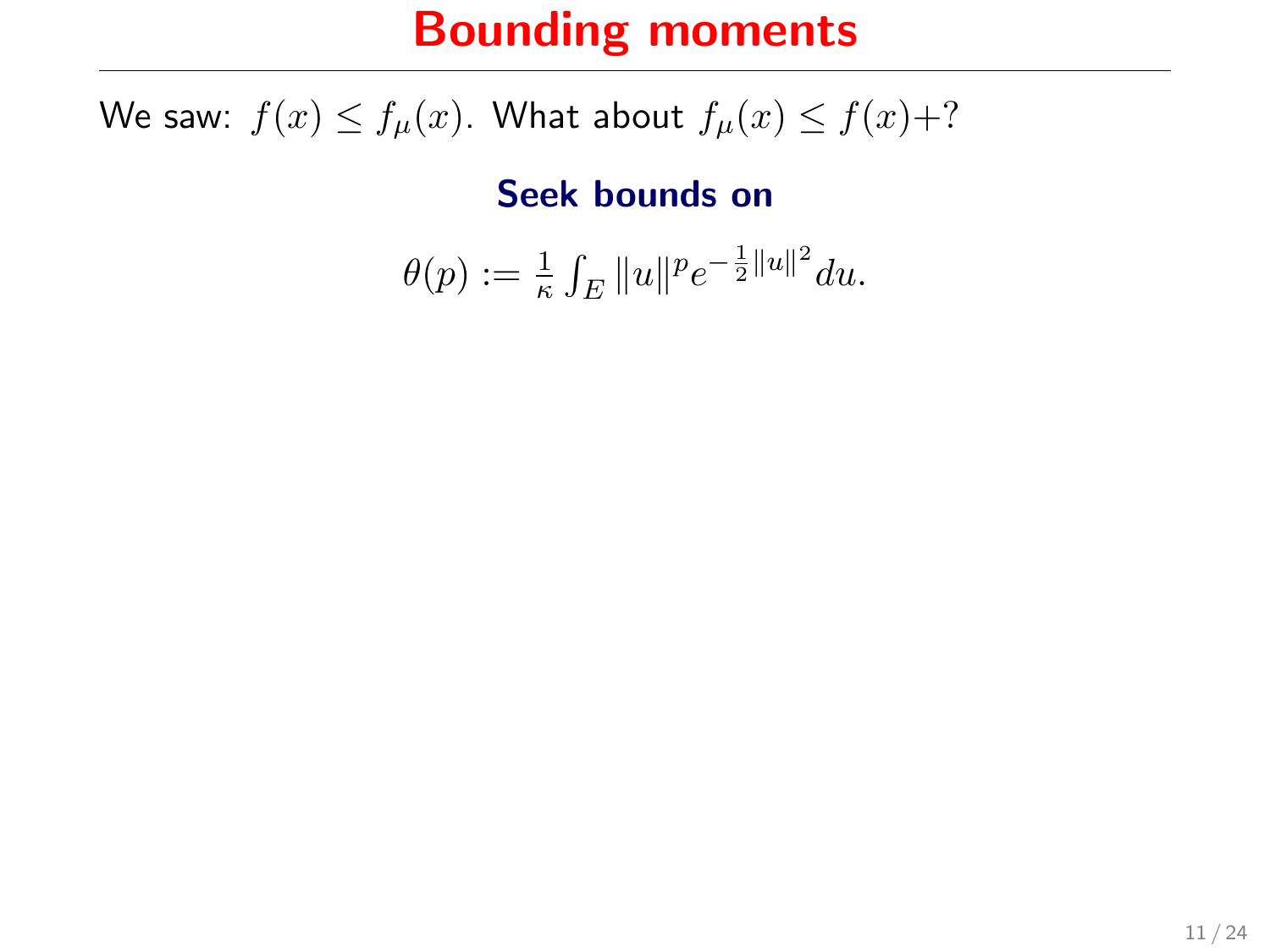We saw:  $f(x) \le f_{\mu}(x)$ . What about  $f_{\mu}(x) \le f(x)+?$ 

Seek bounds on

$$
\theta(p) := \frac{1}{\kappa} \int_E \|u\|^p e^{-\frac{1}{2} \|u\|^2} du.
$$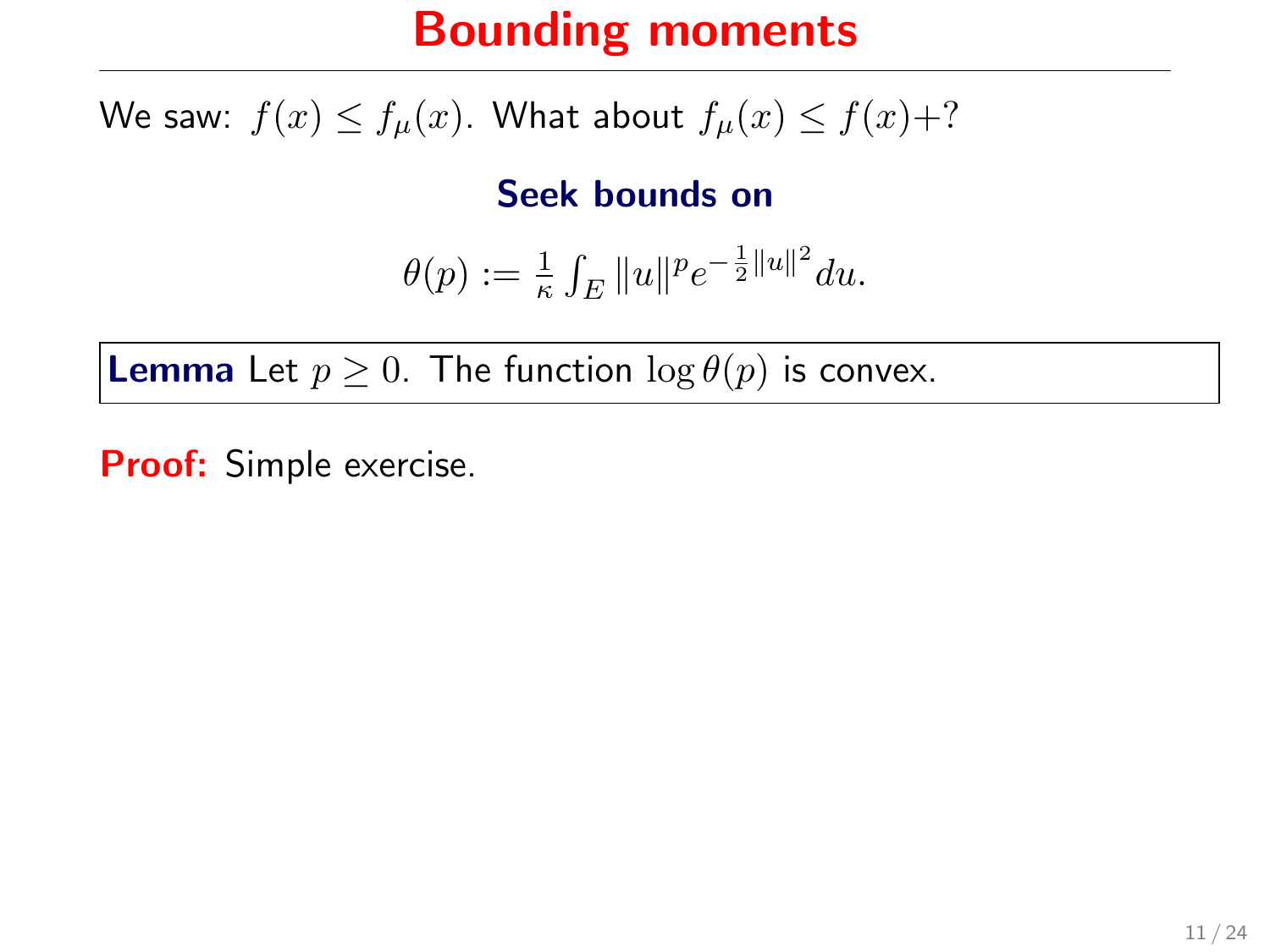We saw:  $f(x) \le f_{\mu}(x)$ . What about  $f_{\mu}(x) \le f(x)+?$ 

Seek bounds on

$$
\theta(p):=\tfrac{1}{\kappa} \int_E \|u\|^p e^{-\frac{1}{2}\|u\|^2} du.
$$

**Lemma** Let  $p \geq 0$ . The function  $\log \theta(p)$  is convex.

Proof: Simple exercise.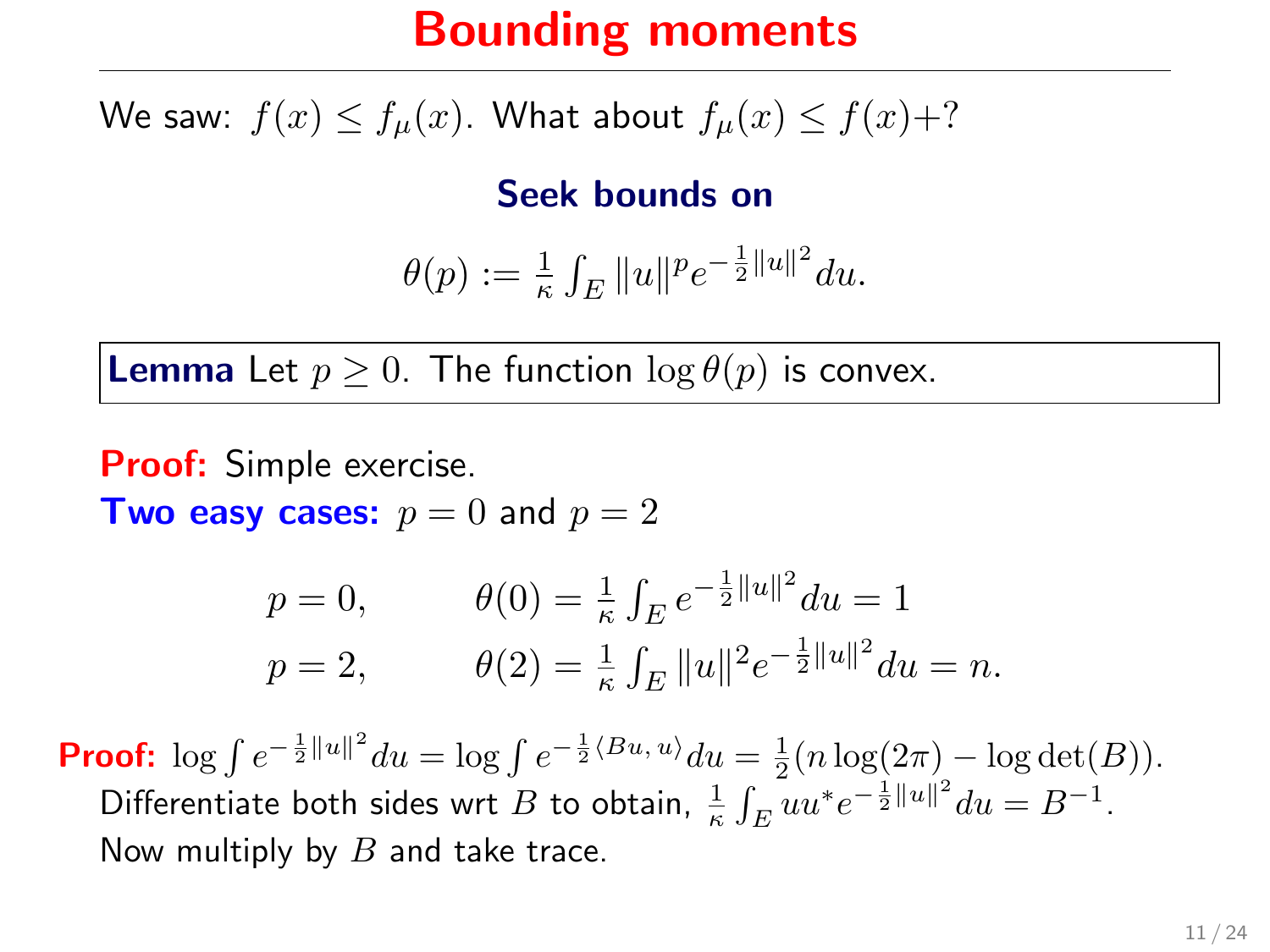We saw:  $f(x) \le f_u(x)$ . What about  $f_u(x) \le f(x)+?$ 

Seek bounds on

$$
\theta(p) := \frac{1}{\kappa} \int_E \|u\|^p e^{-\frac{1}{2} \|u\|^2} du.
$$

**Lemma** Let  $p > 0$ . The function  $\log \theta(p)$  is convex.

**Proof:** Simple exercise. **Two easy cases:**  $p = 0$  and  $p = 2$ 

$$
p = 0, \qquad \theta(0) = \frac{1}{\kappa} \int_E e^{-\frac{1}{2}||u||^2} du = 1
$$
  

$$
p = 2, \qquad \theta(2) = \frac{1}{\kappa} \int_E ||u||^2 e^{-\frac{1}{2}||u||^2} du = n.
$$

**Proof:**  $\log \int e^{-\frac{1}{2}||u||^2} du = \log \int e^{-\frac{1}{2}\langle Bu, u \rangle} du = \frac{1}{2} (n \log(2\pi) - \log \det(B)).$ Differentiate both sides wrt  $B$  to obtain,  $\frac{1}{\kappa} \int_E uu^* e^{-\frac{1}{2}||u||^2} du = B^{-1}$ . Now multiply by  $B$  and take trace.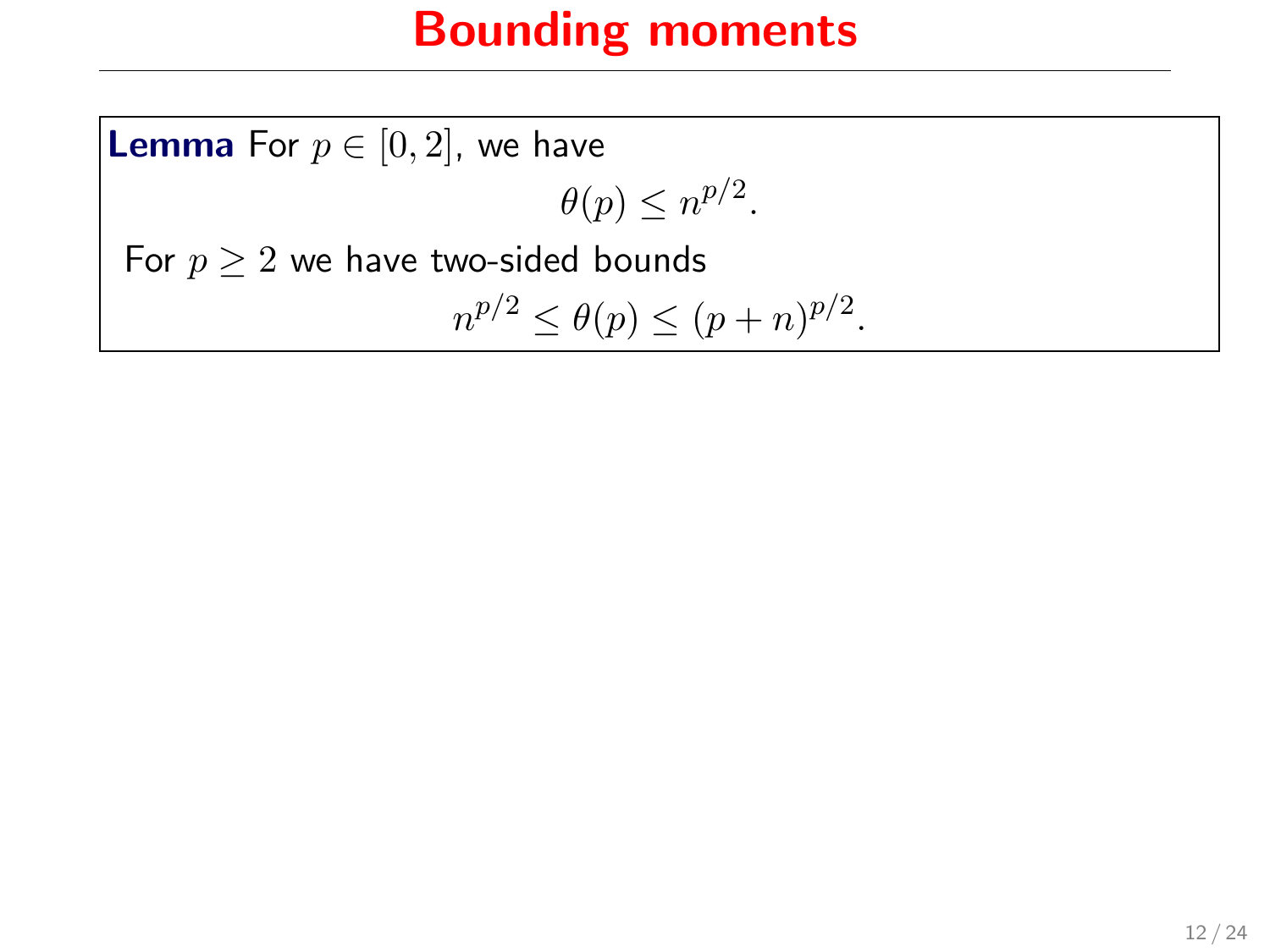**Lemma** For  $p \in [0, 2]$ , we have  $\theta(p) \leq n^{p/2}$ . For  $p \geq 2$  we have two-sided bounds  $n^{p/2} \le \theta(p) \le (p+n)^{p/2}.$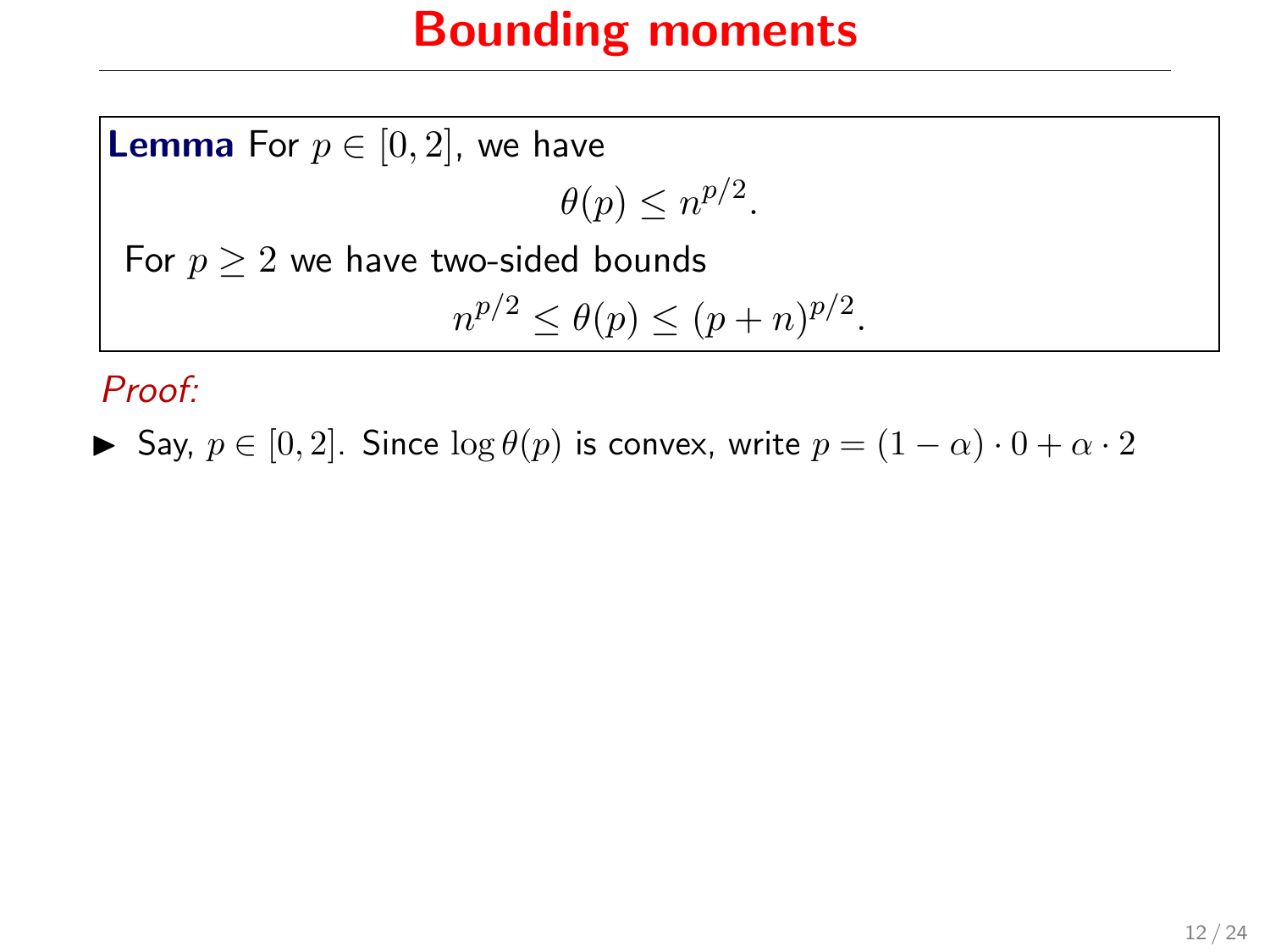**Lemma** For  $p \in [0, 2]$ , we have  $\theta(p) \leq n^{p/2}$ . For  $p \geq 2$  we have two-sided bounds  $n^{p/2} \le \theta(p) \le (p+n)^{p/2}.$ 

Proof:

 $\triangleright$  Say,  $p \in [0, 2]$ . Since  $\log \theta(p)$  is convex, write  $p = (1 - \alpha) \cdot 0 + \alpha \cdot 2$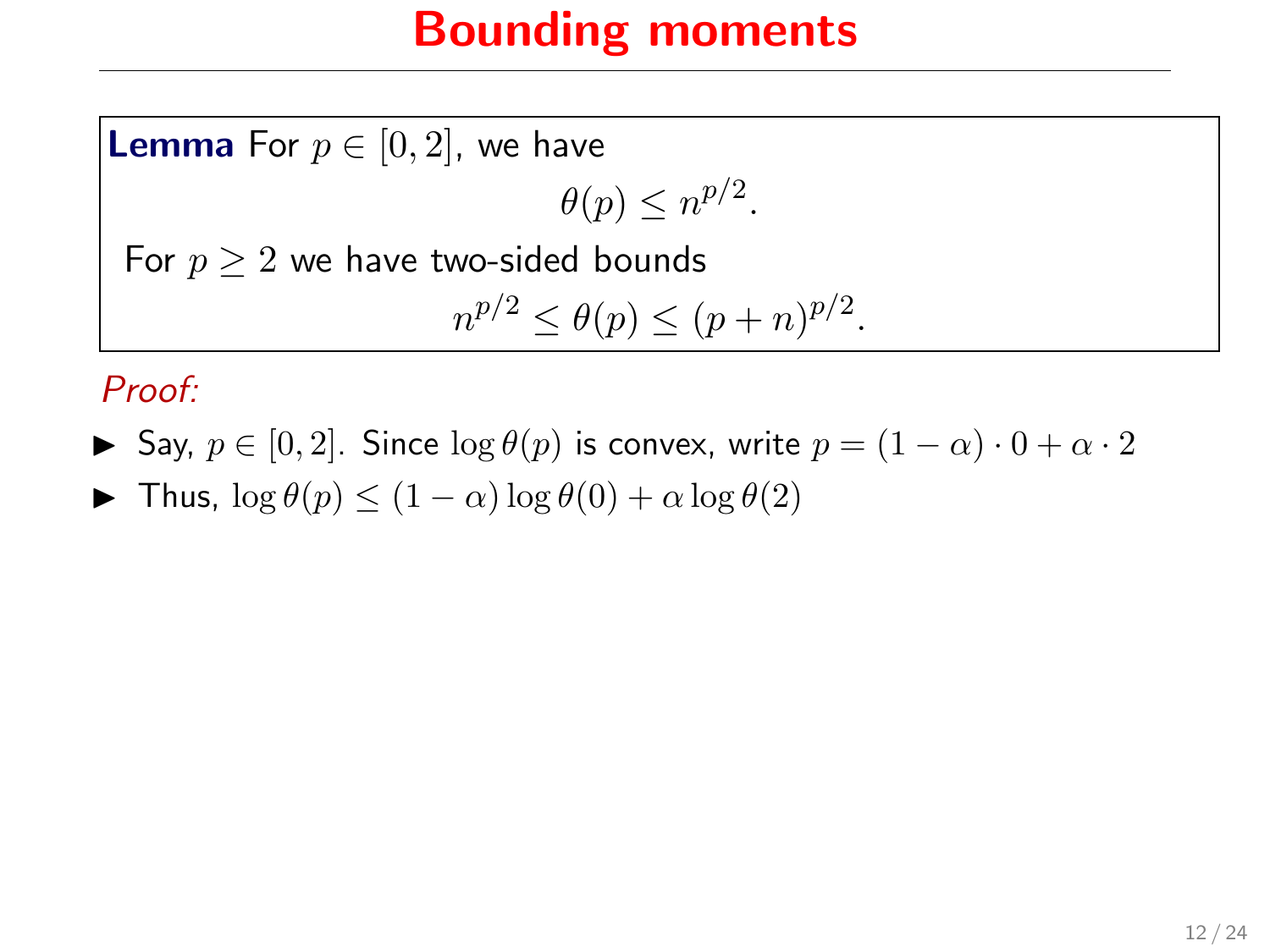**Lemma** For  $p \in [0, 2]$ , we have  $\theta(p) \leq n^{p/2}$ .

For  $p \geq 2$  we have two-sided bounds

$$
n^{p/2} \le \theta(p) \le (p+n)^{p/2}.
$$

Proof:

- $\triangleright$  Say,  $p \in [0, 2]$ . Since  $\log \theta(p)$  is convex, write  $p = (1 \alpha) \cdot 0 + \alpha \cdot 2$
- $\blacktriangleright$  Thus,  $\log \theta(p) \leq (1 \alpha) \log \theta(0) + \alpha \log \theta(2)$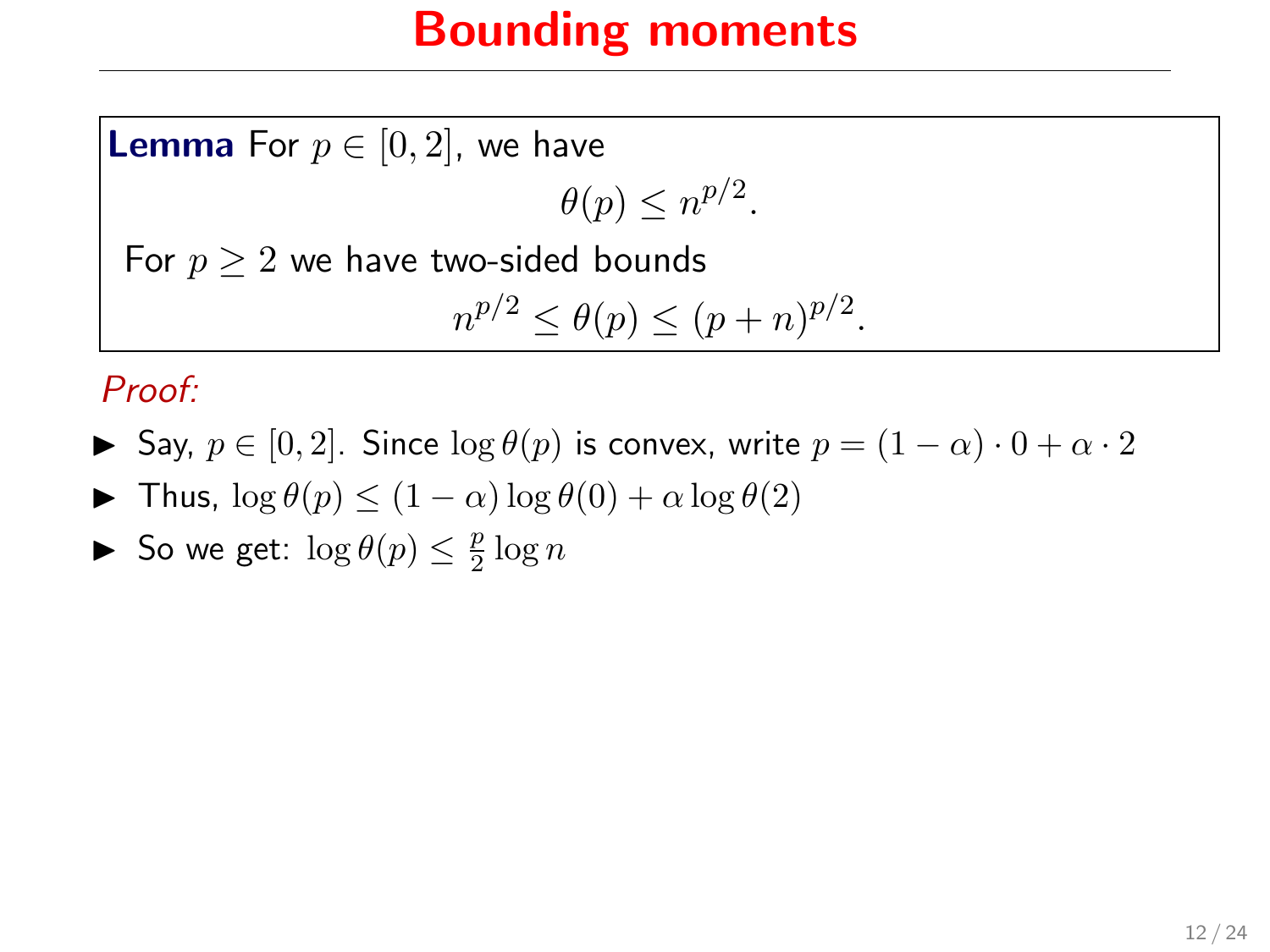**Lemma** For  $p \in [0, 2]$ , we have

 $\theta(p) \leq n^{p/2}$ .

For  $p \geq 2$  we have two-sided bounds

$$
n^{p/2} \le \theta(p) \le (p+n)^{p/2}.
$$

#### Proof:

- $\triangleright$  Say,  $p \in [0, 2]$ . Since  $\log \theta(p)$  is convex, write  $p = (1 \alpha) \cdot 0 + \alpha \cdot 2$
- $\blacktriangleright$  Thus,  $\log \theta(p) \leq (1 \alpha) \log \theta(0) + \alpha \log \theta(2)$
- So we get:  $\log \theta(p) \leq \frac{p}{2} \log n$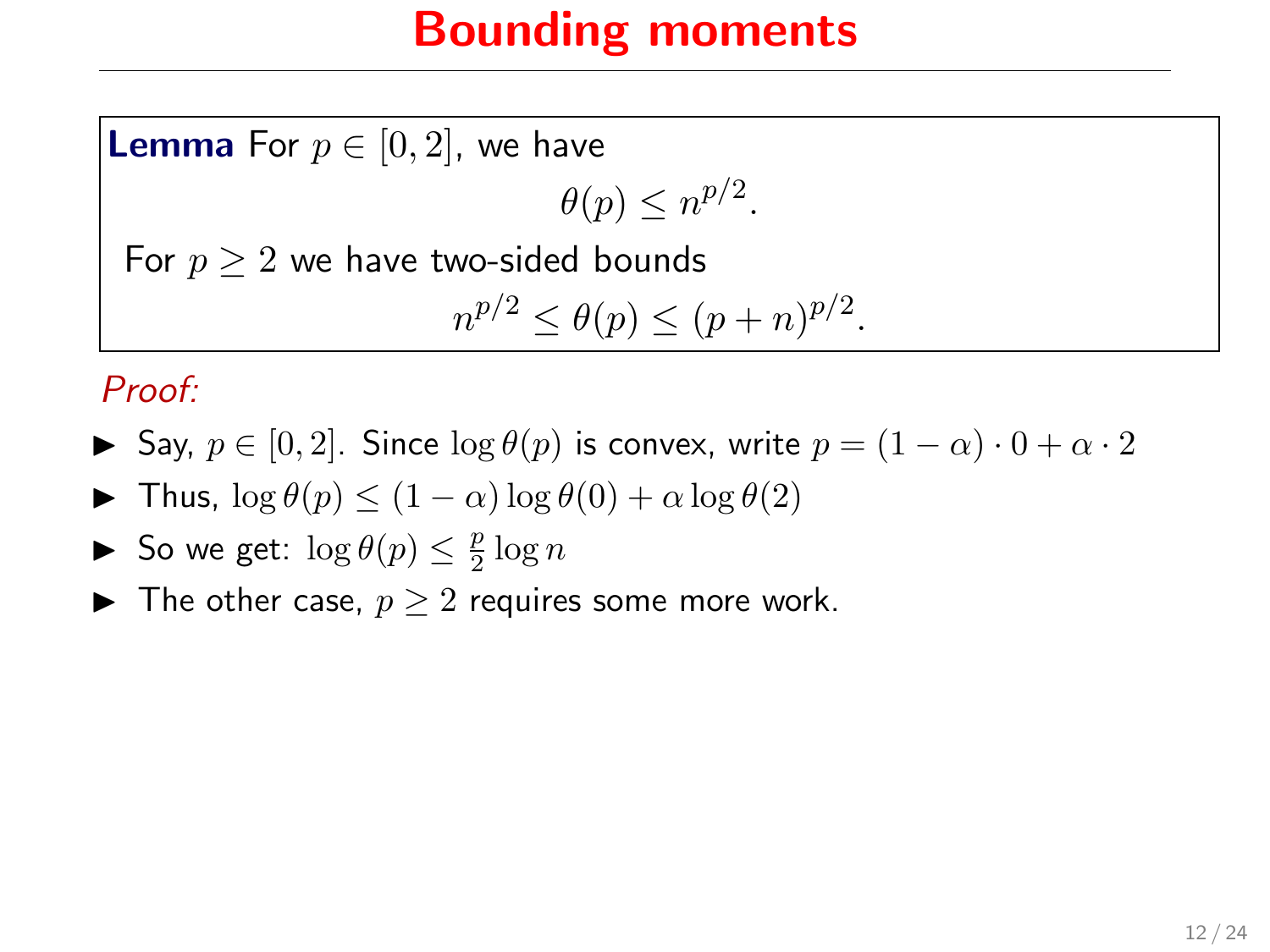**Lemma** For  $p \in [0, 2]$ , we have

 $\theta(p) \leq n^{p/2}$ .

For  $p \geq 2$  we have two-sided bounds

$$
n^{p/2} \le \theta(p) \le (p+n)^{p/2}.
$$

#### Proof:

- $\triangleright$  Say,  $p \in [0, 2]$ . Since  $\log \theta(p)$  is convex, write  $p = (1 \alpha) \cdot 0 + \alpha \cdot 2$
- $\blacktriangleright$  Thus,  $\log \theta(p) < (1-\alpha) \log \theta(0) + \alpha \log \theta(2)$
- So we get:  $\log \theta(p) \leq \frac{p}{2} \log n$
- ▶ The other case,  $p \geq 2$  requires some more work.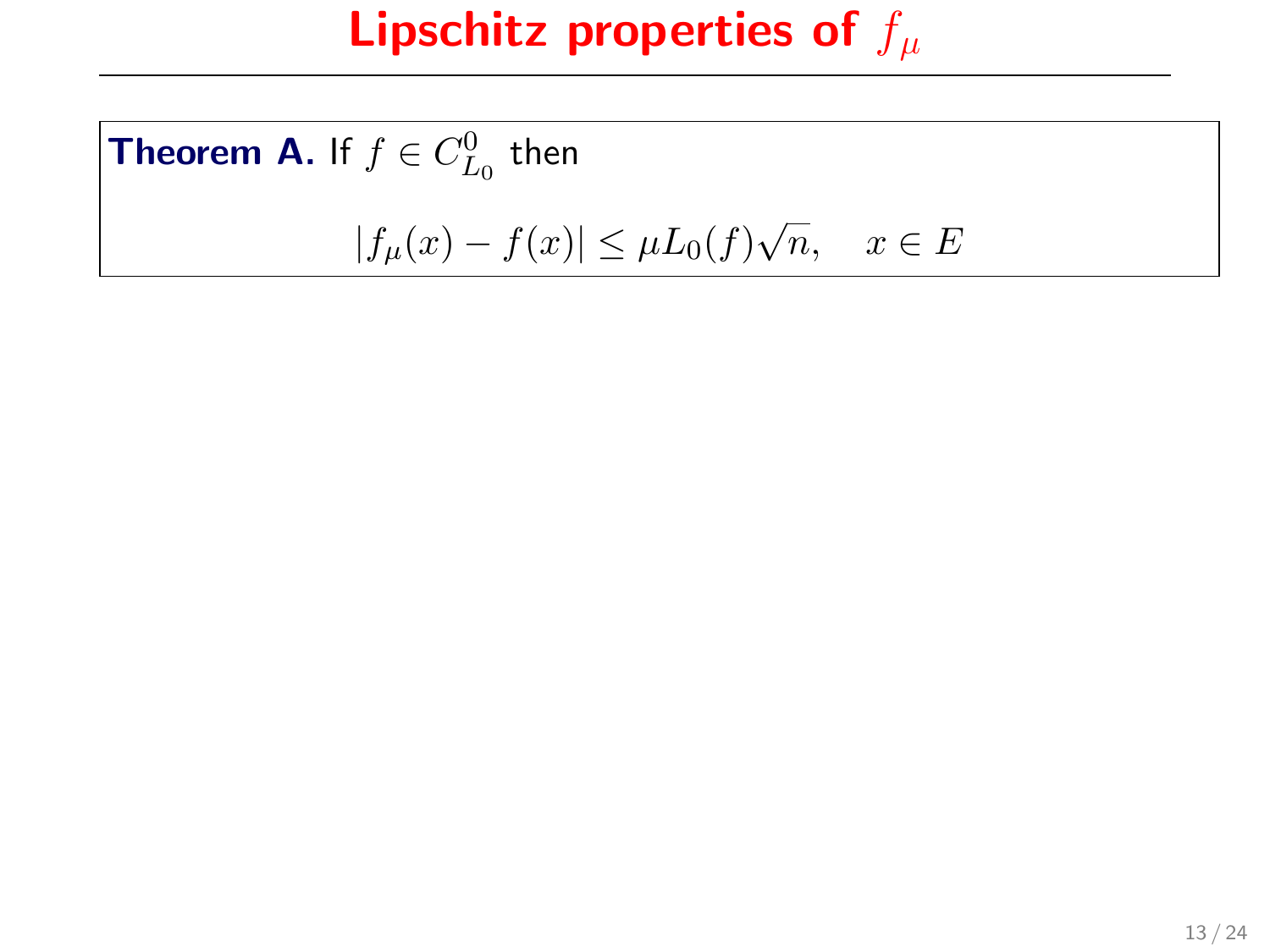**Theorem A.** If  $f \in C_{L_0}^0$  then  $|f_{\mu}(x) - f(x)| \leq \mu L_0(f)$ √  $n, \quad x \in E$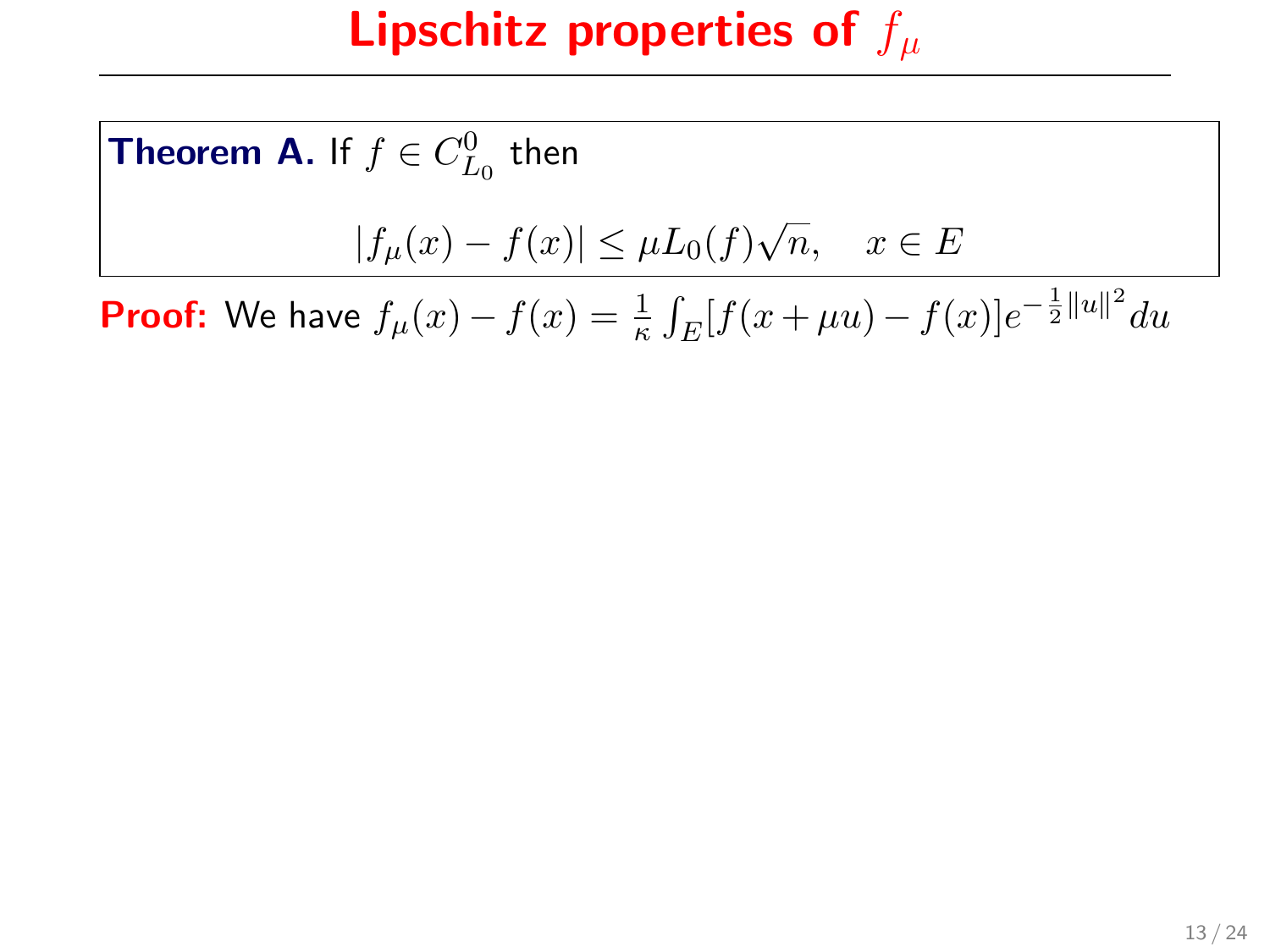**Theorem A.** If  $f \in C_{L_0}^0$  then  $|f_{\mu}(x) - f(x)| \leq \mu L_0(f)$ √  $n, \quad x \in E$ **Proof:** We have  $f_{\mu}(x) - f(x) = \frac{1}{\kappa} \int_E [f(x + \mu u) - f(x)] e^{-\frac{1}{2} ||u||^2} du$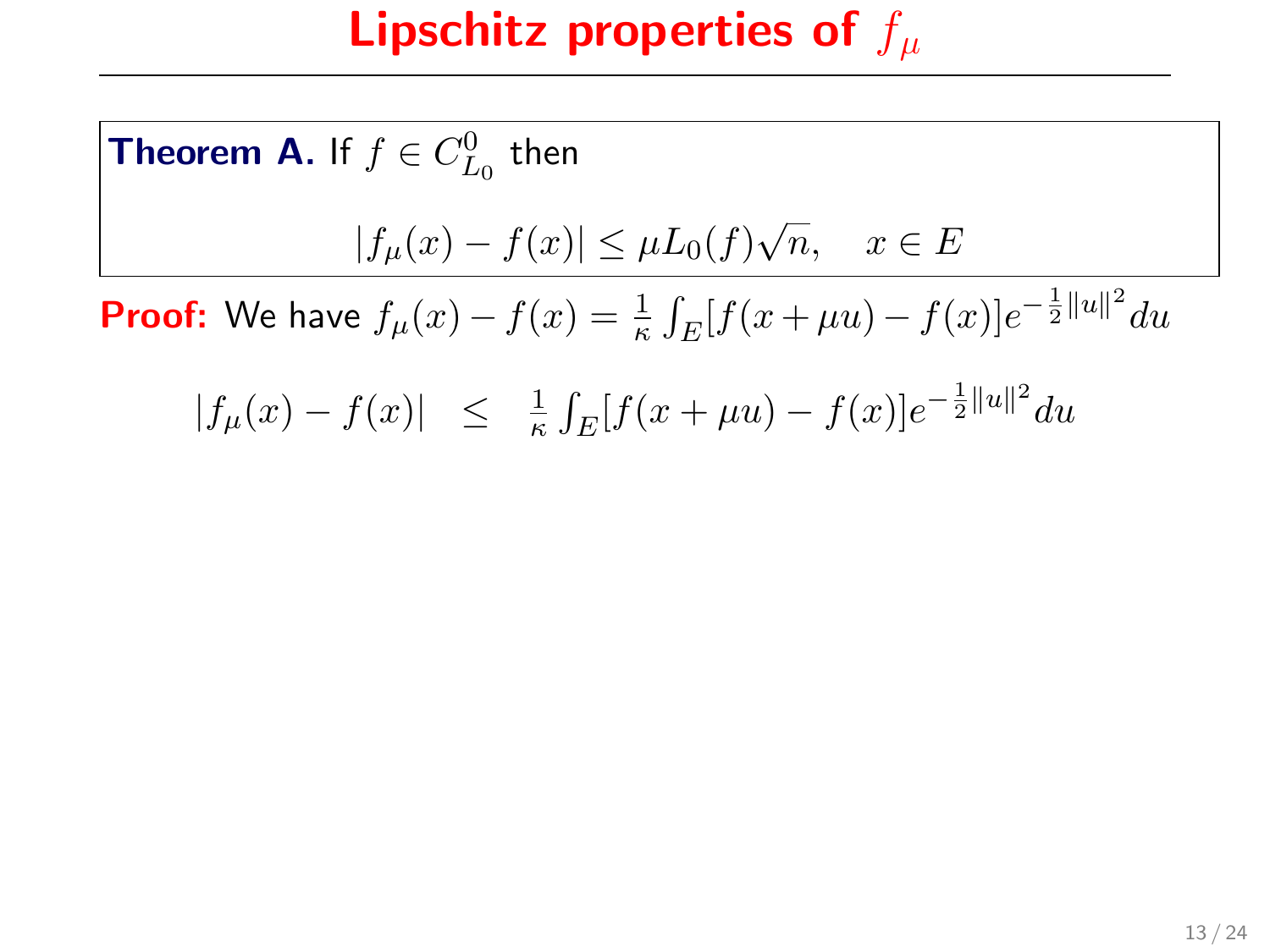**Theorem A.** If  $f \in C_{L_0}^0$  then  $|f_{\mu}(x) - f(x)| \leq \mu L_0(f)$ √  $n, \quad x \in E$ **Proof:** We have  $f_{\mu}(x) - f(x) = \frac{1}{\kappa} \int_E [f(x + \mu u) - f(x)] e^{-\frac{1}{2} ||u||^2} du$  $|f_{\mu}(x) - f(x)| \leq \frac{1}{\kappa} \int_E [f(x + \mu u) - f(x)] e^{-\frac{1}{2}||u||^2} du$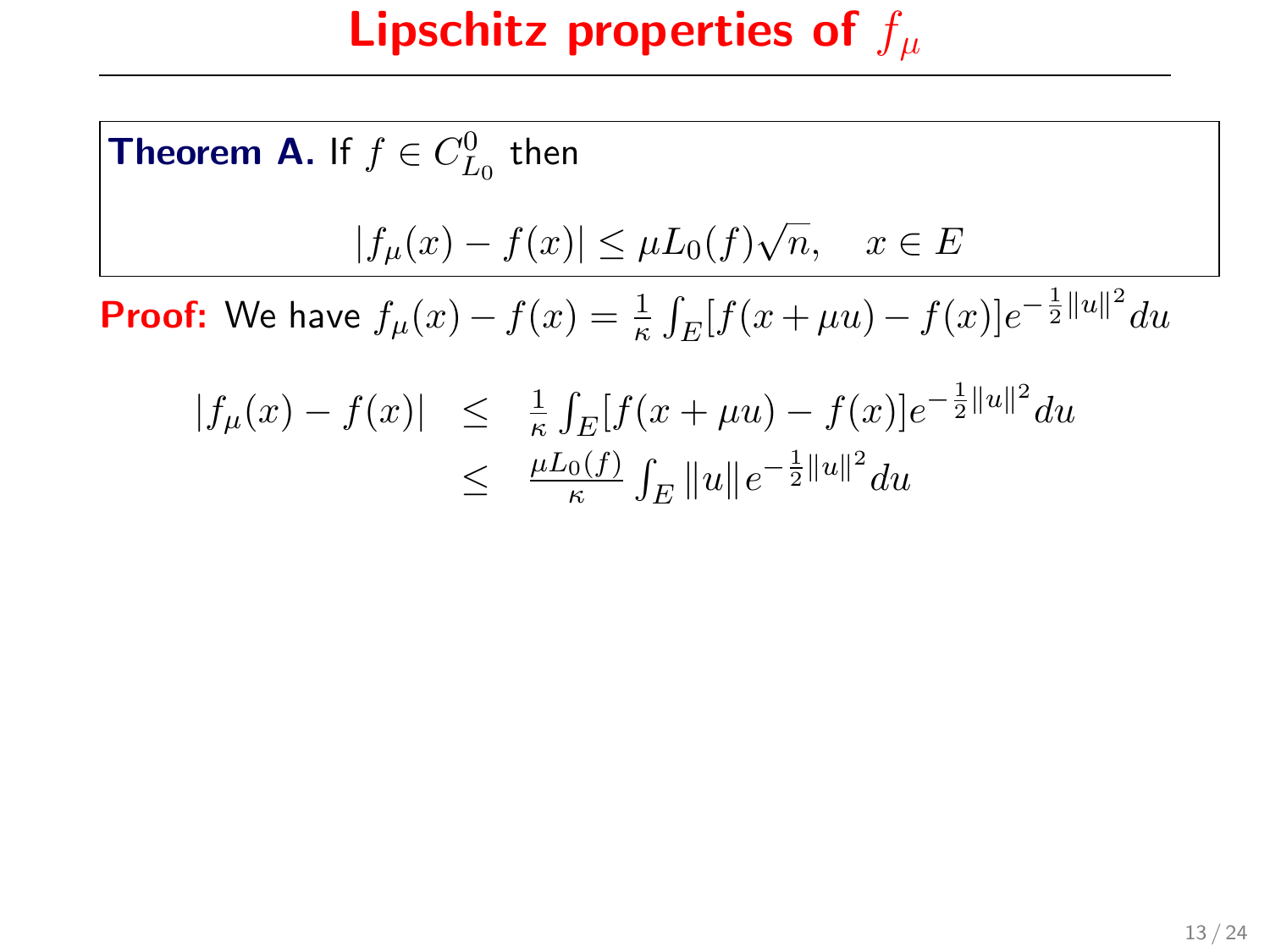**Theorem A.** If 
$$
f \in C_{L_0}^0
$$
 then  
\n
$$
|f_{\mu}(x) - f(x)| \leq \mu L_0(f)\sqrt{n}, \quad x \in E
$$
\n**Proof:** We have  $f_{\mu}(x) - f(x) = \frac{1}{\kappa} \int_E [f(x + \mu u) - f(x)]e^{-\frac{1}{2}||u||^2} du$   
\n $|f_{\mu}(x) - f(x)| < \frac{1}{\kappa} \int_E [f(x + \mu u) - f(x)]e^{-\frac{1}{2}||u||^2} du$ 

$$
|f_{\mu}(x) - f(x)| \leq \frac{1}{\kappa} \int_{E} [f(x + \mu u) - f(x)] e^{-\frac{1}{2}||u||^{2}} du
$$
  

$$
\leq \frac{\mu L_{0}(f)}{\kappa} \int_{E} ||u|| e^{-\frac{1}{2}||u||^{2}} du
$$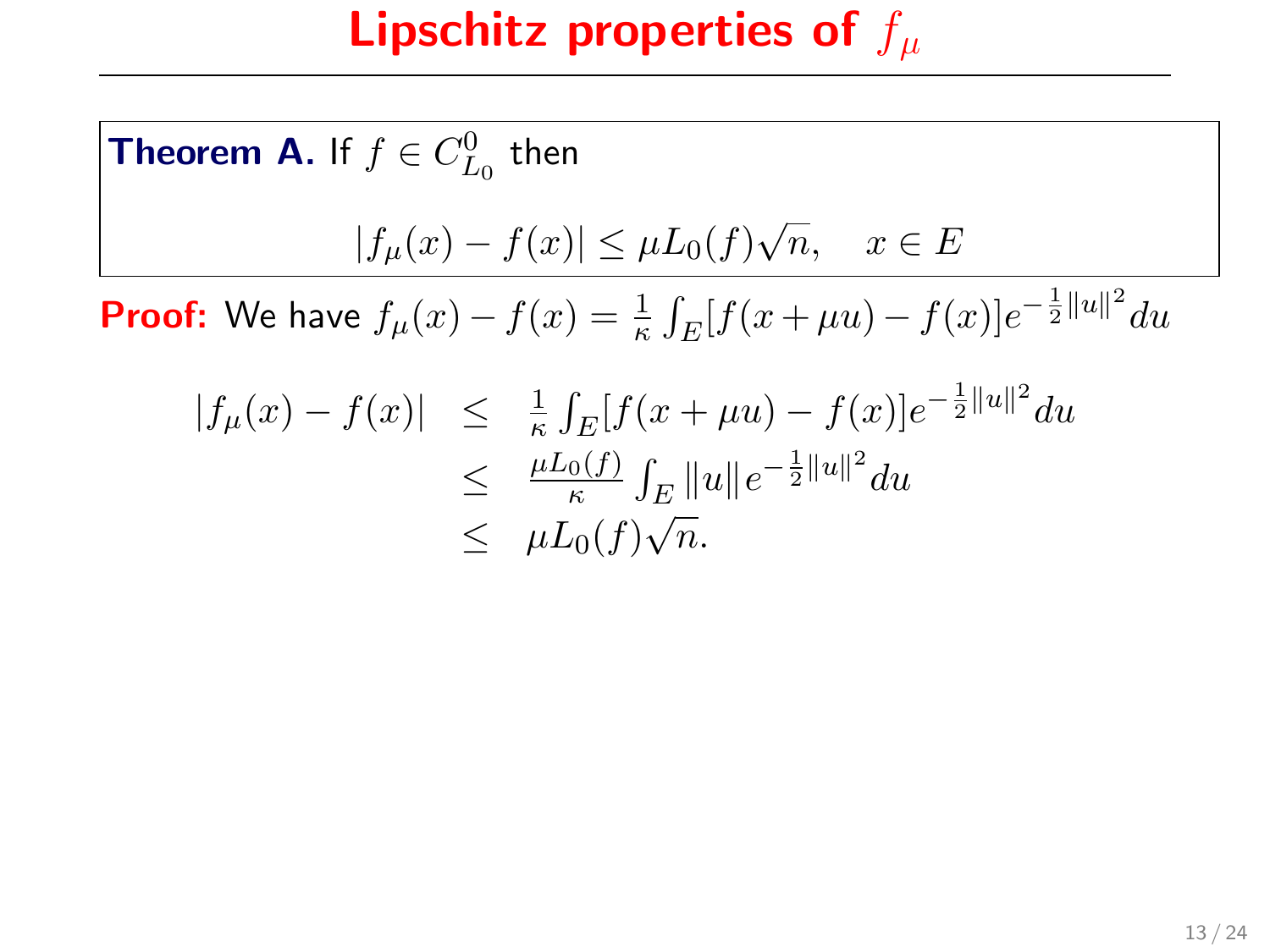**Theorem A.** If 
$$
f \in C_{L_0}^0
$$
 then  
\n
$$
|f_{\mu}(x) - f(x)| \leq \mu L_0(f)\sqrt{n}, \quad x \in E
$$
\n**Proof:** We have  $f_{\mu}(x) - f(x) = \frac{1}{\kappa} \int_E [f(x + \mu u) - f(x)]e^{-\frac{1}{2}||u||^2} du$   
\n
$$
|f_{\mu}(x) - f(x)| \leq \frac{1}{\kappa} \int_E [f(x + \mu u) - f(x)]e^{-\frac{1}{2}||u||^2} du
$$
\n
$$
\leq \frac{\mu L_0(f)}{\kappa} \int_E ||u||e^{-\frac{1}{2}||u||^2} du
$$

n.

 $\leq$   $\mu L_0(f)$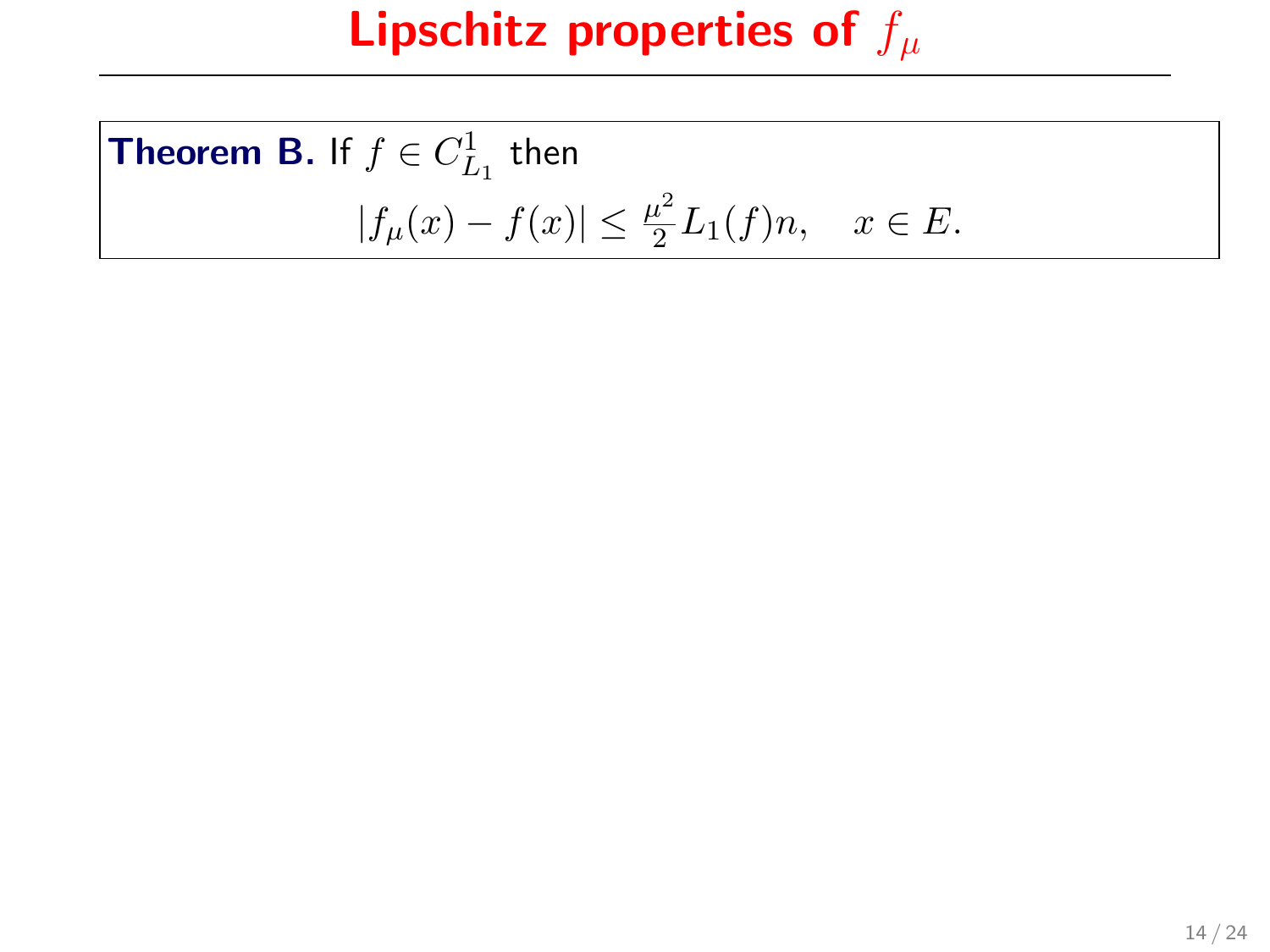**Theorem B.** If 
$$
f \in C_{L_1}^1
$$
 then  
\n
$$
|f_{\mu}(x) - f(x)| \le \frac{\mu^2}{2} L_1(f) n, \quad x \in E.
$$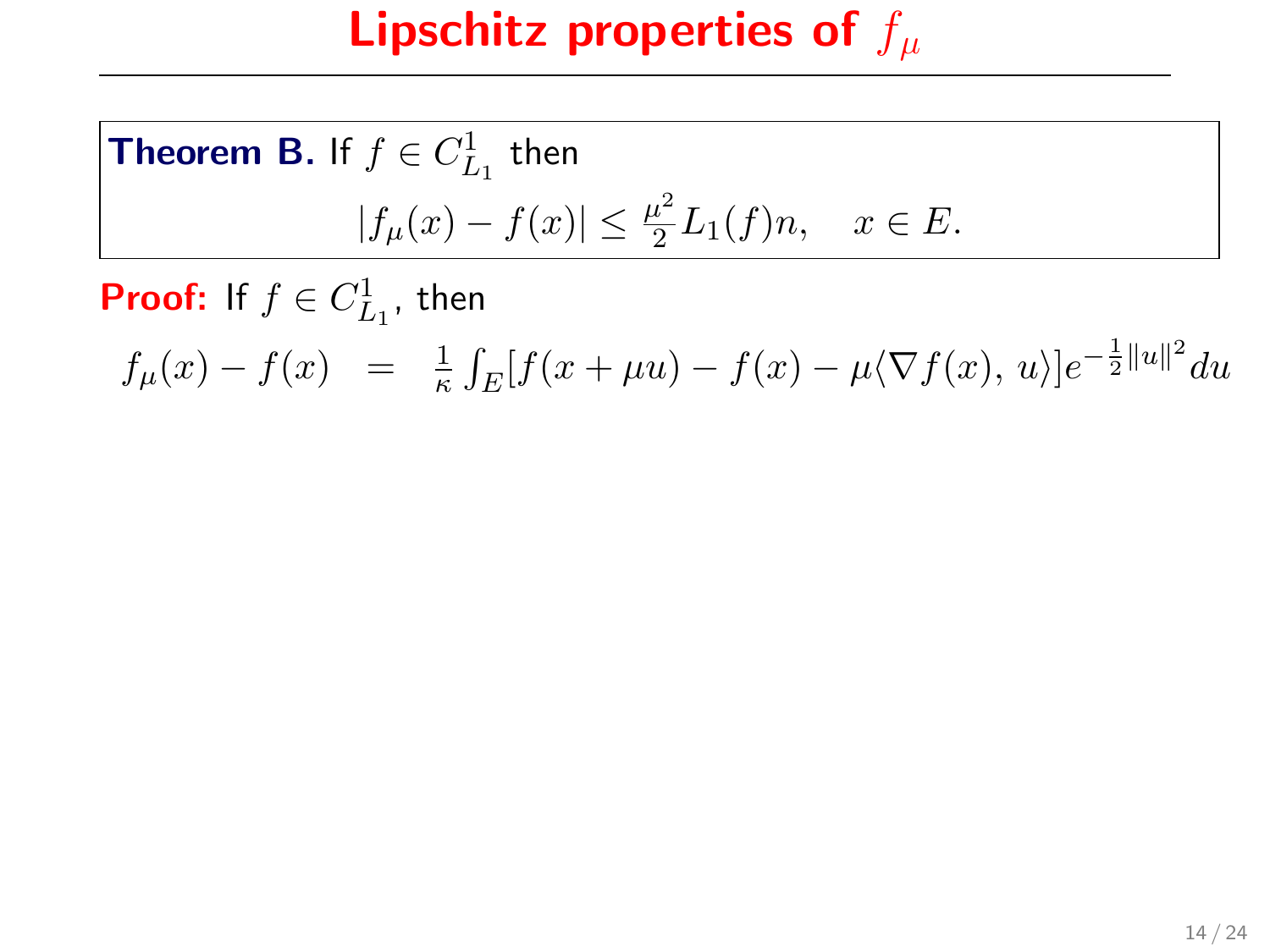**Theorem B.** If 
$$
f \in C_{L_1}^1
$$
 then  
\n
$$
|f_{\mu}(x) - f(x)| \le \frac{\mu^2}{2} L_1(f) n, \quad x \in E.
$$

**Proof:** If  $f \in C_{L_1}^1$ , then

 $f_{\mu}(x) - f(x) = \frac{1}{\kappa} \int_E [f(x + \mu u) - f(x) - \mu \langle \nabla f(x), u \rangle] e^{-\frac{1}{2}||u||^2} du$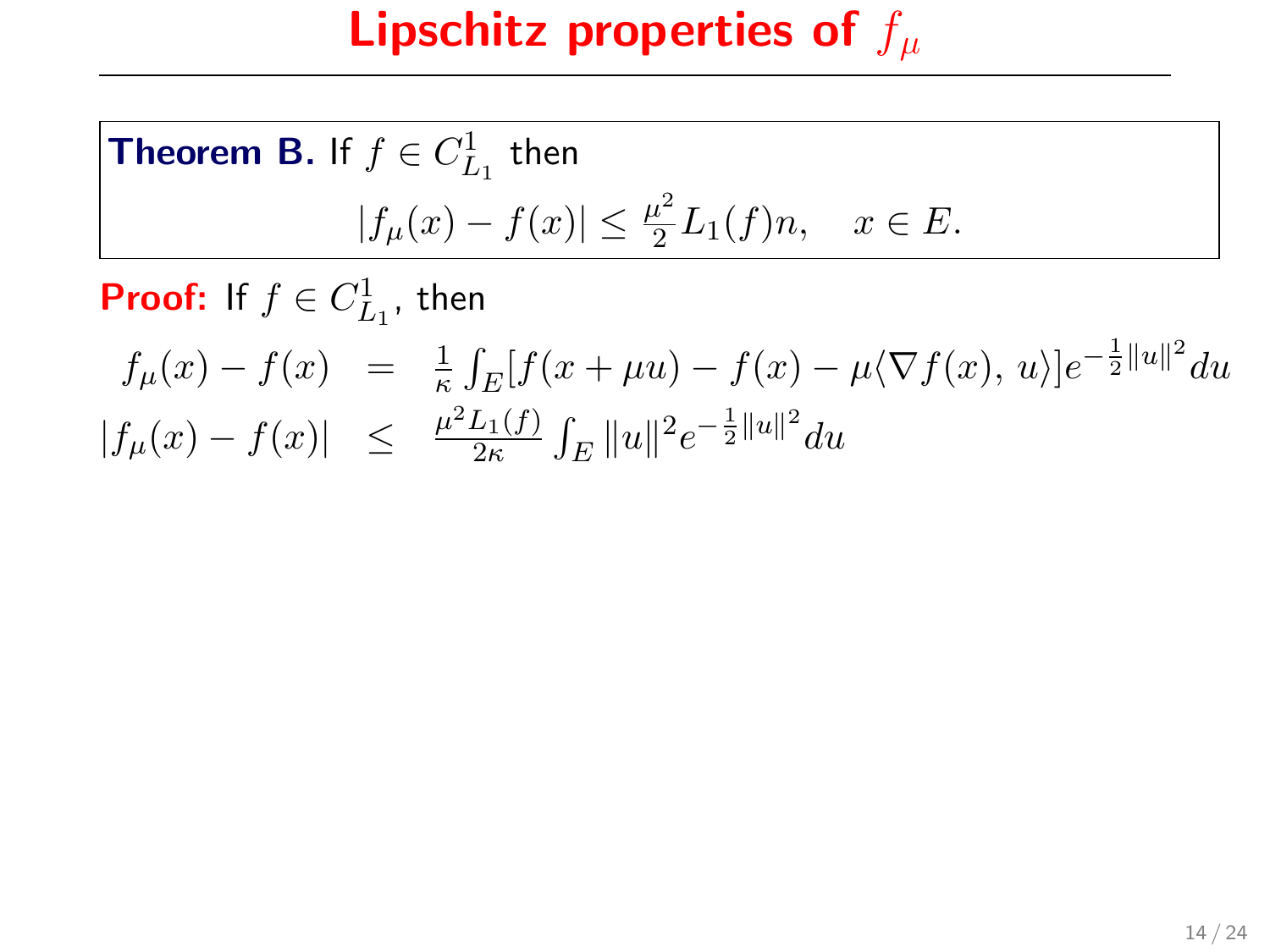**Theorem B.** If 
$$
f \in C_{L_1}^1
$$
 then  
\n
$$
|f_{\mu}(x) - f(x)| \le \frac{\mu^2}{2} L_1(f) n, \quad x \in E.
$$

**Proof:** If  $f \in C_{L_1}^1$ , then

$$
f_{\mu}(x) - f(x) = \frac{1}{\kappa} \int_{E} [f(x + \mu u) - f(x) - \mu \langle \nabla f(x), u \rangle] e^{-\frac{1}{2}||u||^{2}} du
$$
  
\n
$$
|f_{\mu}(x) - f(x)| \leq \frac{\mu^{2} L_{1}(f)}{2\kappa} \int_{E} ||u||^{2} e^{-\frac{1}{2}||u||^{2}} du
$$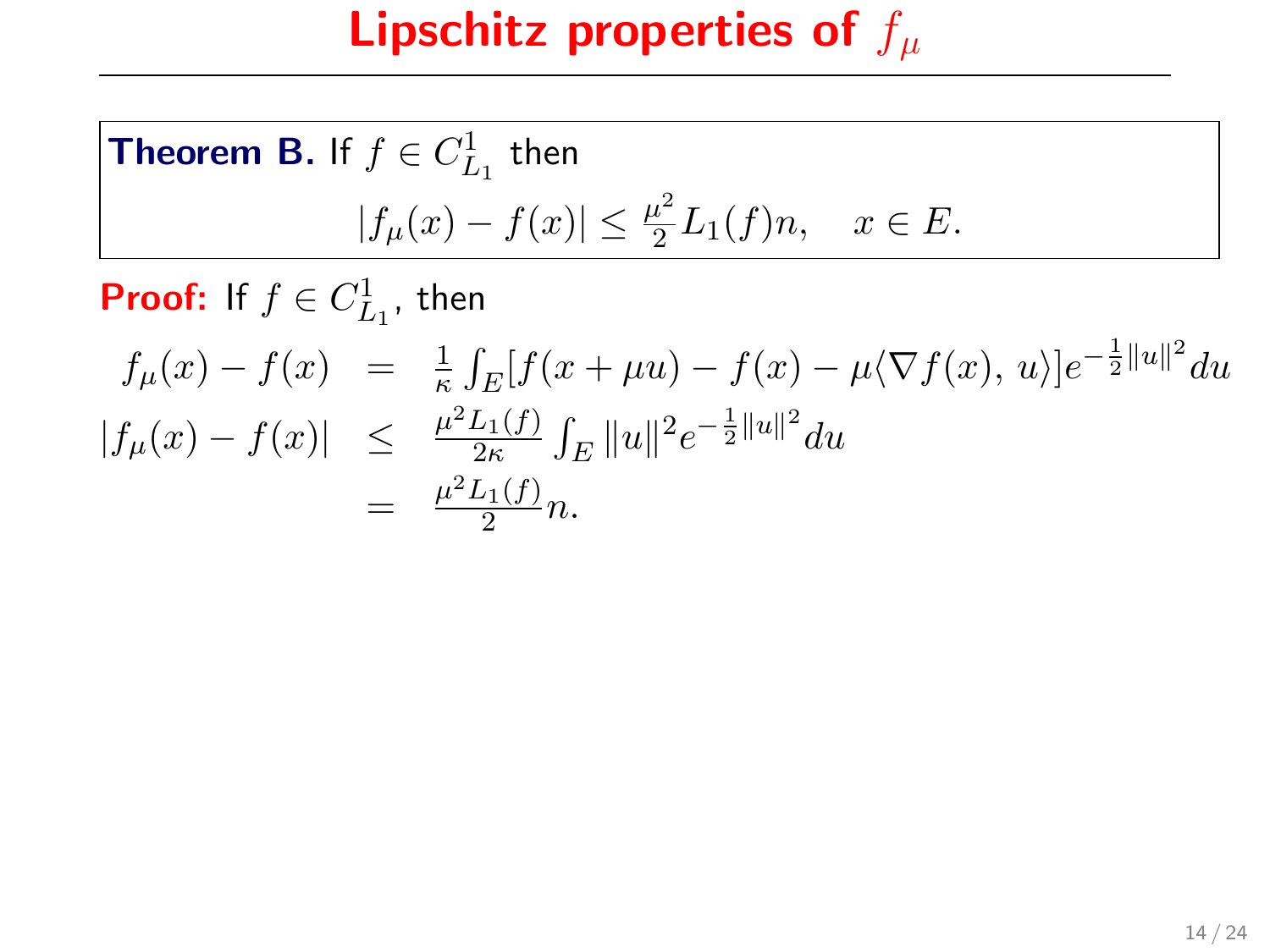# Lipschitz properties of  $f_\mu$

**Theorem B.** If 
$$
f \in C_{L_1}^1
$$
 then  
\n
$$
|f_{\mu}(x) - f(x)| \le \frac{\mu^2}{2} L_1(f) n, \quad x \in E.
$$

**Proof:** If  $f \in C_{L_1}^1$ , then

$$
f_{\mu}(x) - f(x) = \frac{1}{\kappa} \int_{E} [f(x + \mu u) - f(x) - \mu \langle \nabla f(x), u \rangle] e^{-\frac{1}{2} ||u||^{2}} du
$$
  
\n
$$
|f_{\mu}(x) - f(x)| \leq \frac{\mu^{2} L_{1}(f)}{2\kappa} \int_{E} ||u||^{2} e^{-\frac{1}{2} ||u||^{2}} du
$$
  
\n
$$
= \frac{\mu^{2} L_{1}(f)}{2} n.
$$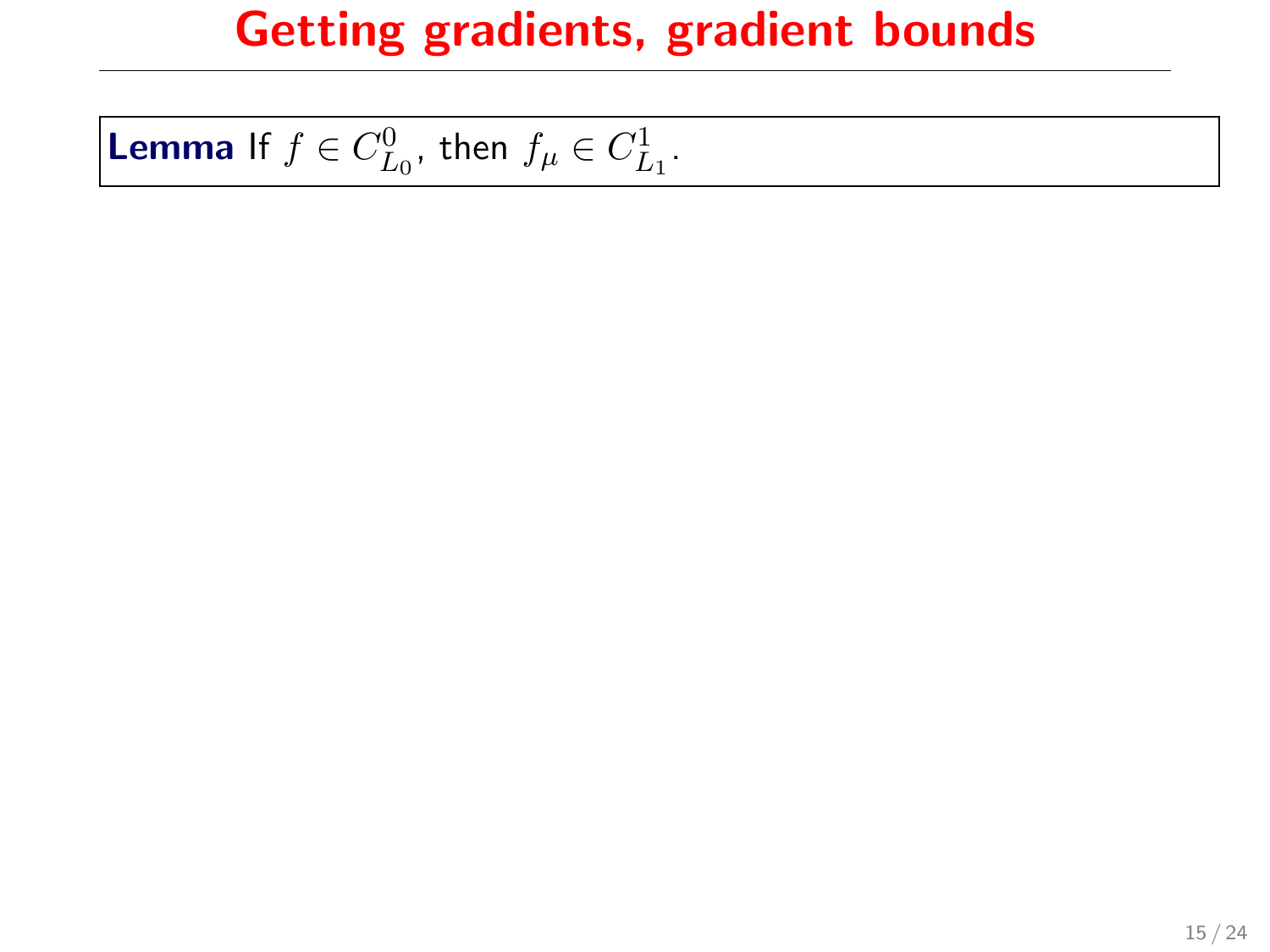**Lemma** If  $f \in C_{L_0}^0$ , then  $f_\mu \in C_{L_1}^1$ .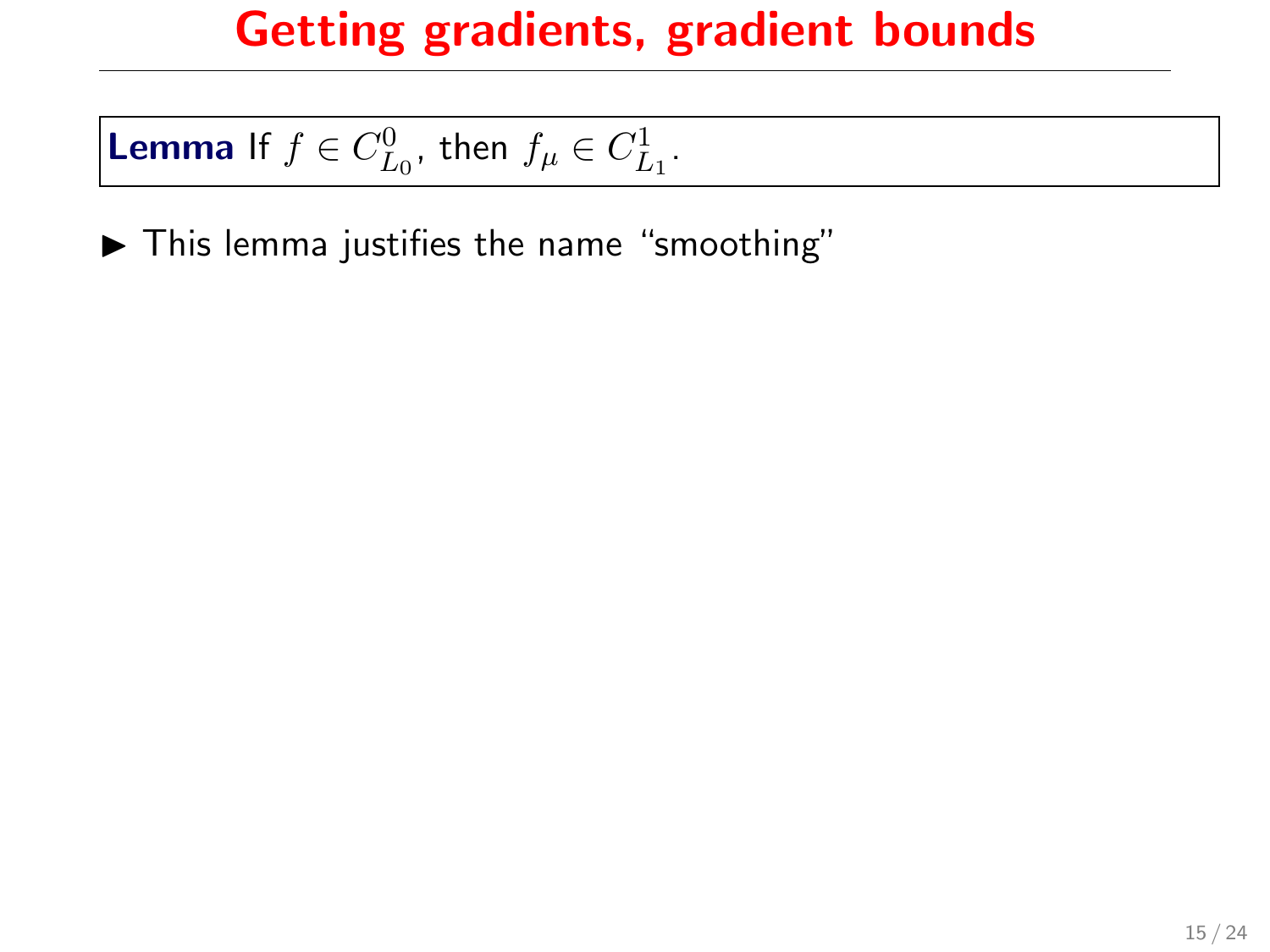# **Lemma** If  $f \in C_{L_0}^0$ , then  $f_\mu \in C_{L_1}^1$ .

 $\blacktriangleright$  This lemma justifies the name "smoothing"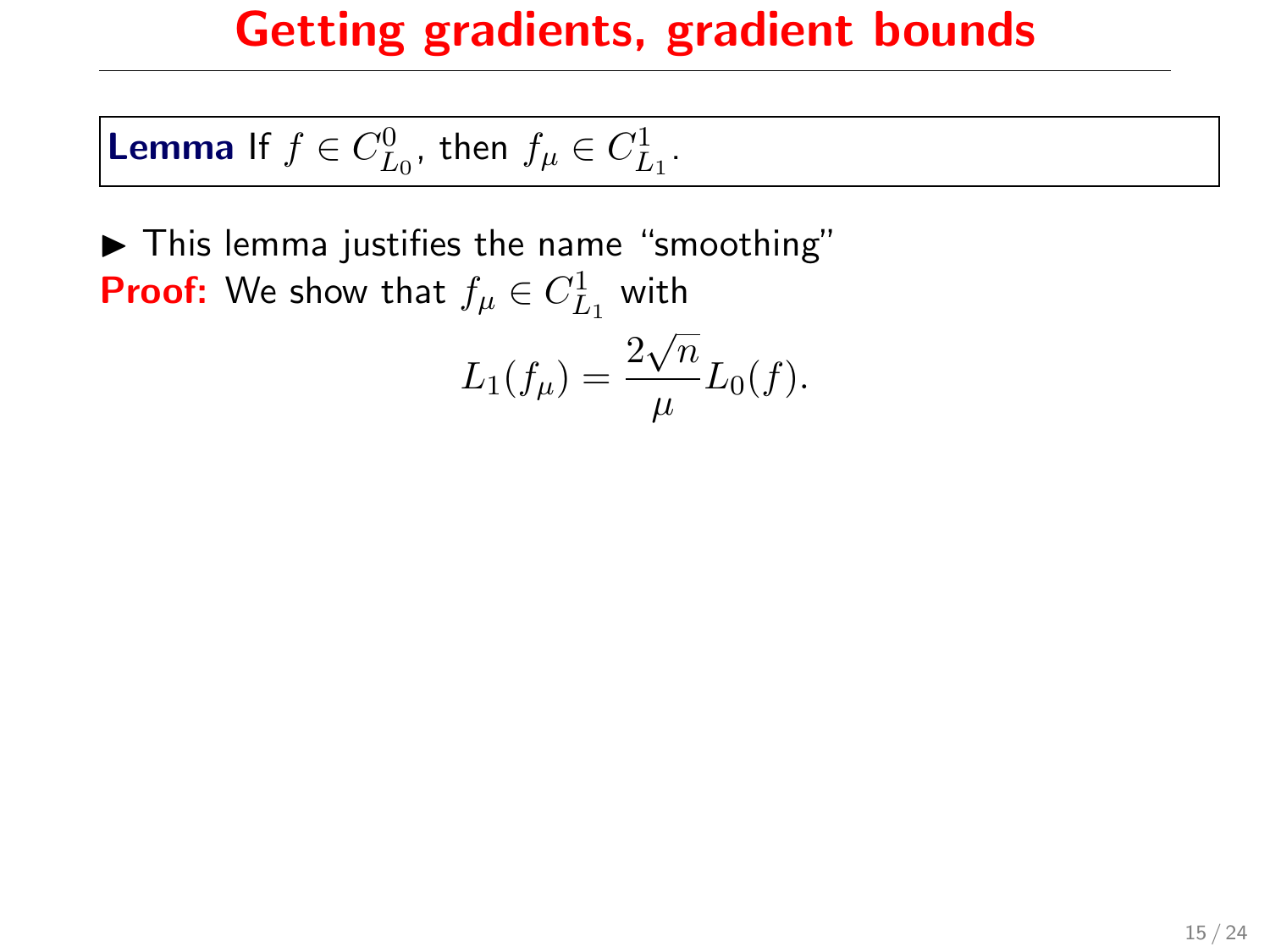**Lemma** If  $f \in C_{L_0}^0$ , then  $f_\mu \in C_{L_1}^1$ .

 $\blacktriangleright$  This lemma justifies the name "smoothing" **Proof:** We show that  $f_{\mu} \in C_{L_1}^1$  with √

$$
L_1(f_\mu) = \frac{2\sqrt{n}}{\mu}L_0(f).
$$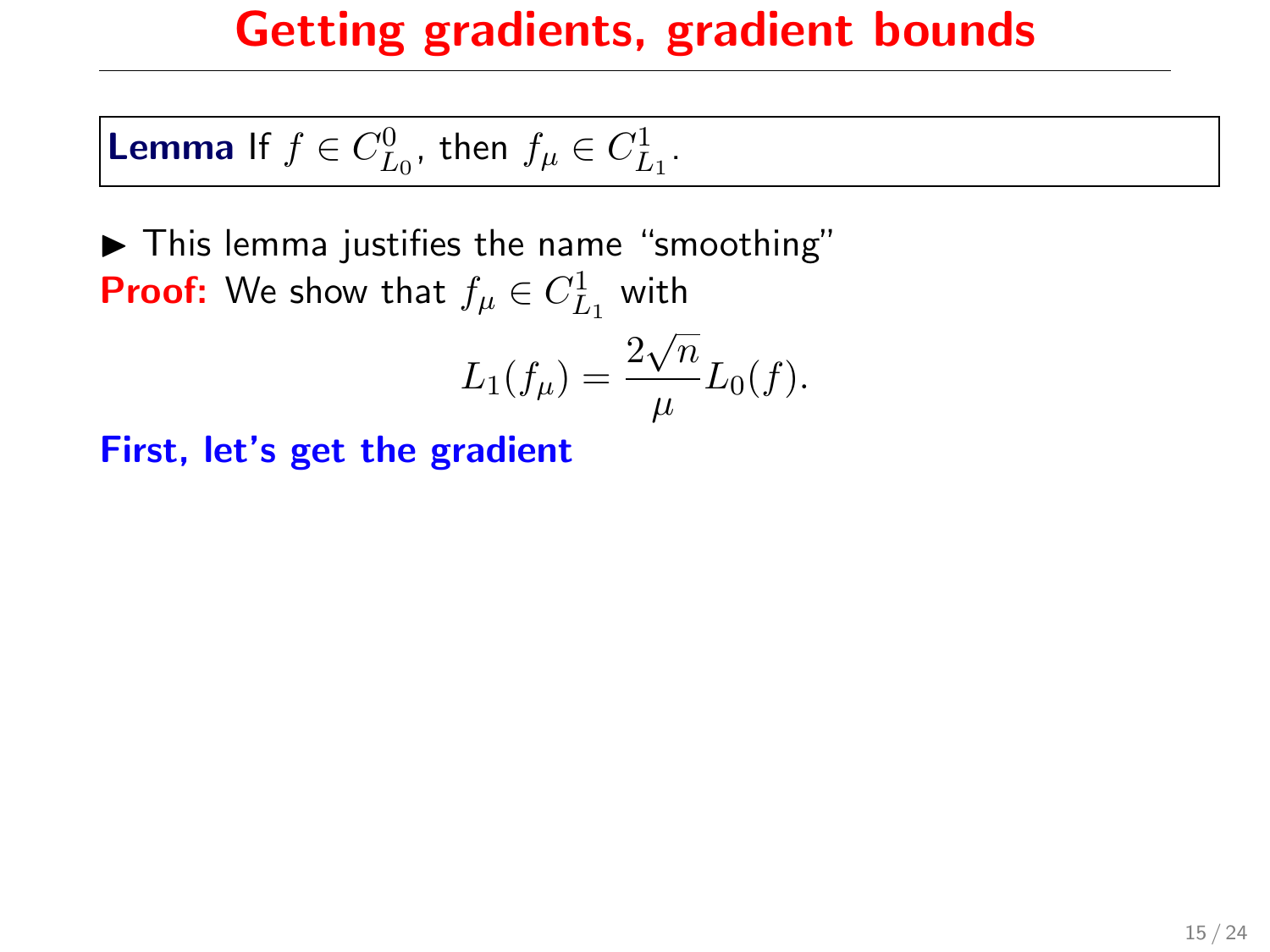**Lemma** If  $f \in C_{L_0}^0$ , then  $f_\mu \in C_{L_1}^1$ .

 $\blacktriangleright$  This lemma justifies the name "smoothing" **Proof:** We show that  $f_{\mu} \in C_{L_1}^1$  with √

$$
L_1(f_\mu) = \frac{2\sqrt{n}}{\mu} L_0(f).
$$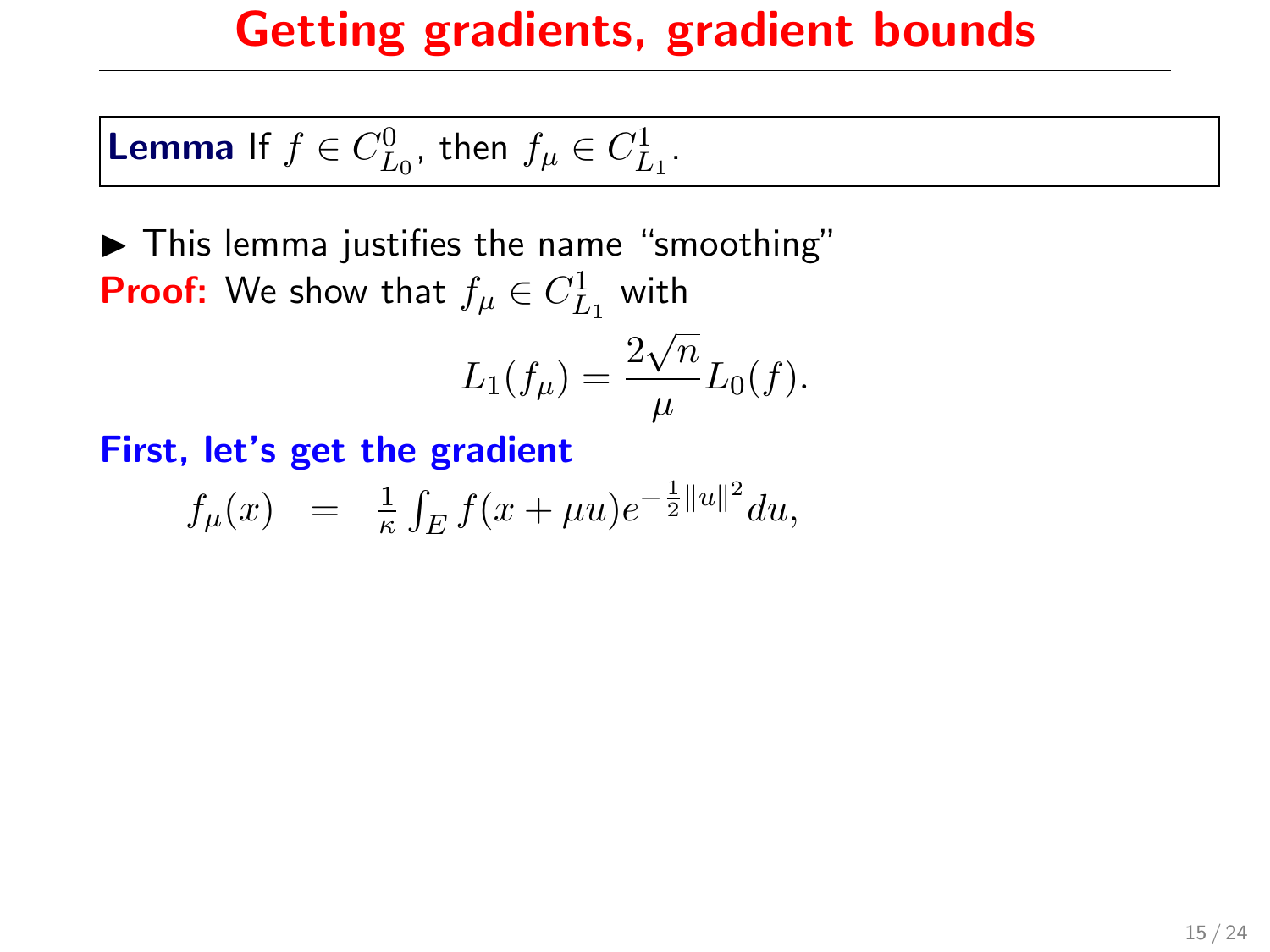**Lemma** If  $f \in C_{L_0}^0$ , then  $f_\mu \in C_{L_1}^1$ .

 $\blacktriangleright$  This lemma justifies the name "smoothing" **Proof:** We show that  $f_{\mu} \in C_{L_1}^1$  with √

$$
L_1(f_\mu) = \frac{2\sqrt{n}}{\mu} L_0(f).
$$

$$
f_{\mu}(x) = \frac{1}{\kappa} \int_{E} f(x + \mu u) e^{-\frac{1}{2}||u||^{2}} du,
$$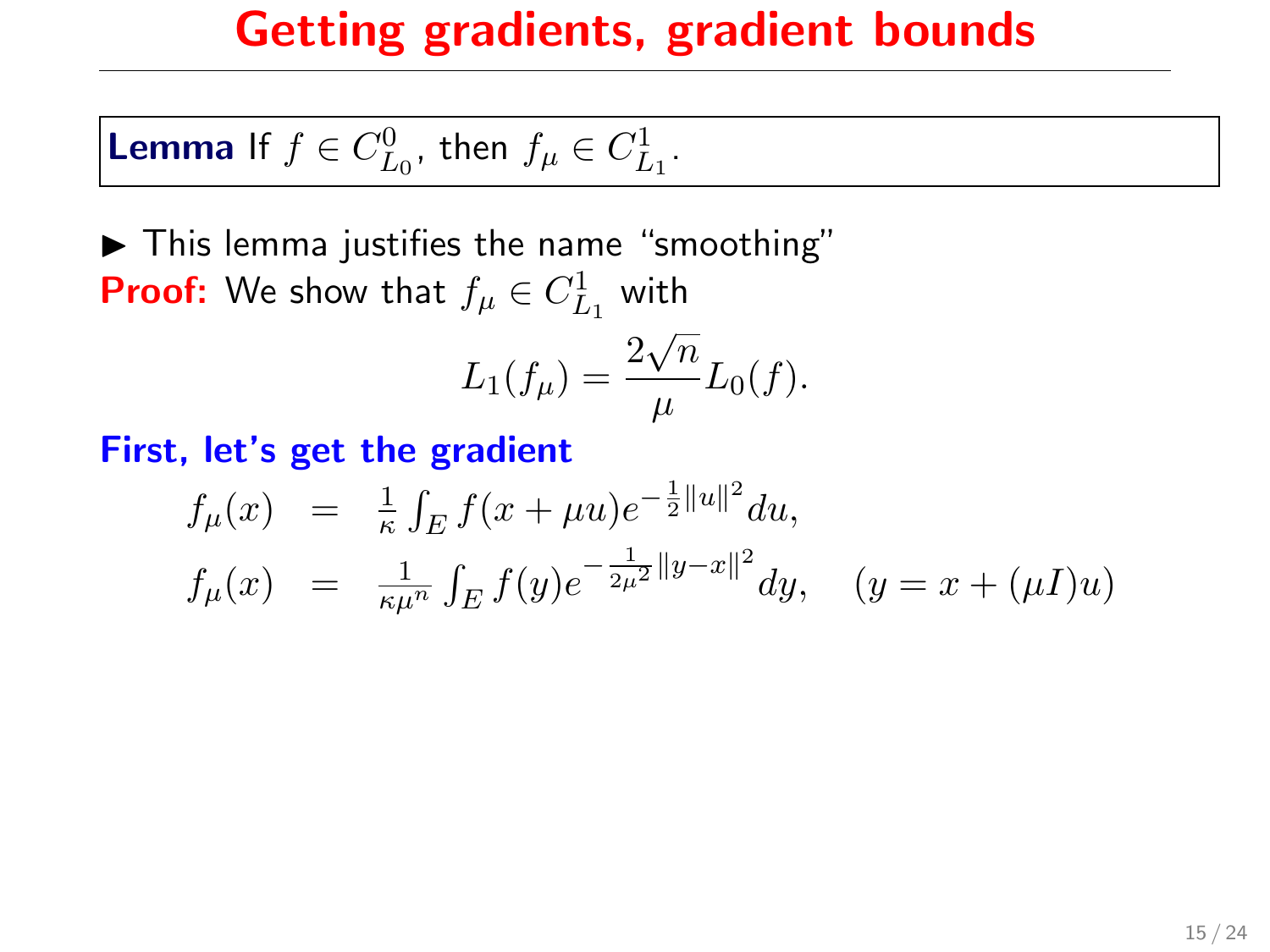**Lemma** If  $f \in C_{L_0}^0$ , then  $f_\mu \in C_{L_1}^1$ .

 $\blacktriangleright$  This lemma justifies the name "smoothing" **Proof:** We show that  $f_{\mu} \in C_{L_1}^1$  with √

$$
L_1(f_\mu) = \frac{2\sqrt{n}}{\mu} L_0(f).
$$

$$
f_{\mu}(x) = \frac{1}{\kappa} \int_{E} f(x + \mu u) e^{-\frac{1}{2}||u||^{2}} du,
$$
  
\n
$$
f_{\mu}(x) = \frac{1}{\kappa \mu^{n}} \int_{E} f(y) e^{-\frac{1}{2\mu^{2}}||y - x||^{2}} dy, \quad (y = x + (\mu I)u)
$$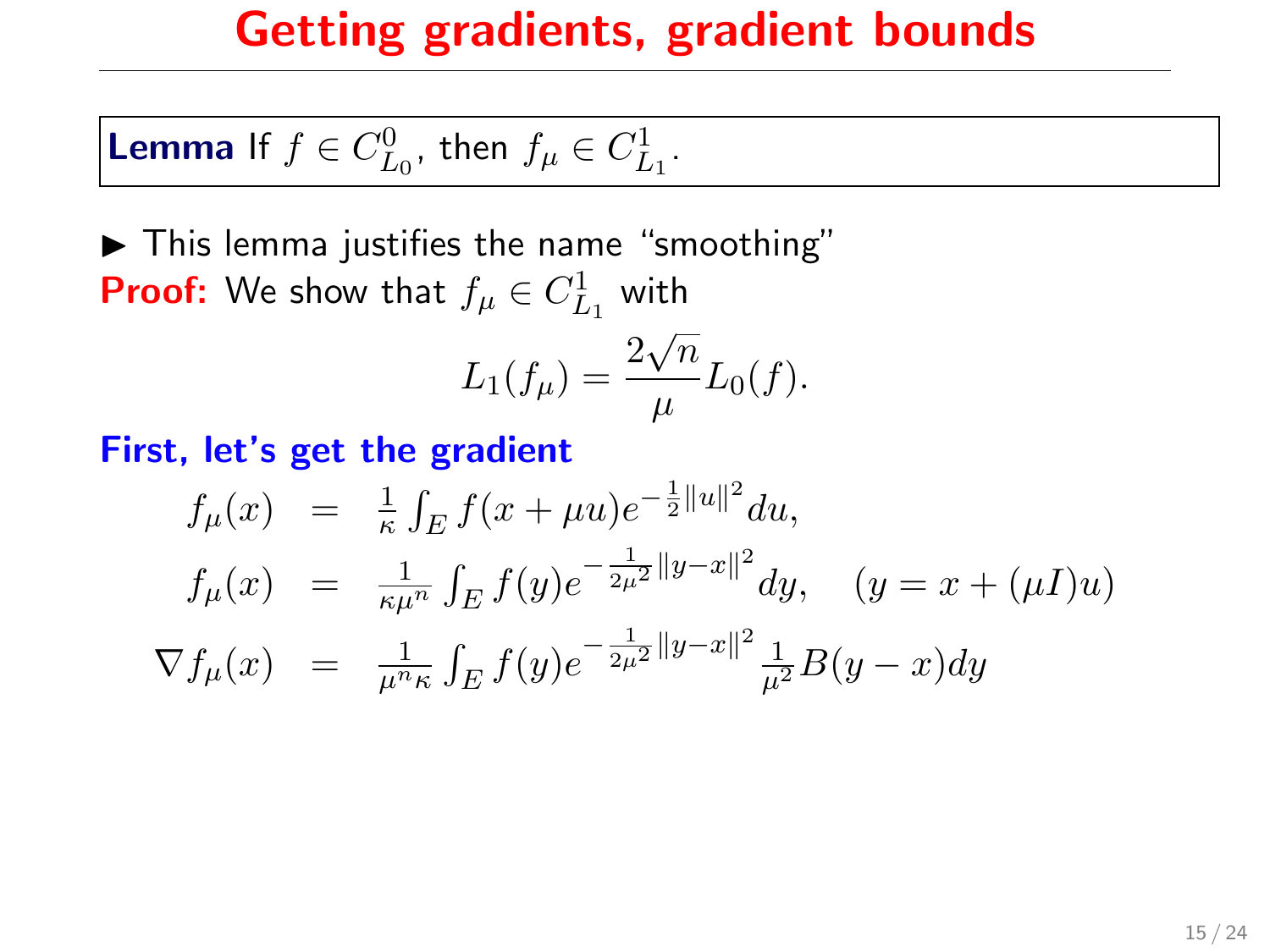**Lemma** If  $f \in C_{L_0}^0$ , then  $f_\mu \in C_{L_1}^1$ .

 $\blacktriangleright$  This lemma justifies the name "smoothing" **Proof:** We show that  $f_{\mu} \in C_{L_1}^1$  with

$$
L_1(f_{\mu}) = \frac{2\sqrt{n}}{\mu}L_0(f).
$$

$$
f_{\mu}(x) = \frac{1}{\kappa} \int_{E} f(x + \mu u) e^{-\frac{1}{2}||u||^{2}} du,
$$
  
\n
$$
f_{\mu}(x) = \frac{1}{\kappa \mu^{n}} \int_{E} f(y) e^{-\frac{1}{2\mu^{2}}||y - x||^{2}} dy, \quad (y = x + (\mu I)u)
$$
  
\n
$$
\nabla f_{\mu}(x) = \frac{1}{\mu^{n} \kappa} \int_{E} f(y) e^{-\frac{1}{2\mu^{2}}||y - x||^{2}} \frac{1}{\mu^{2}} B(y - x) dy
$$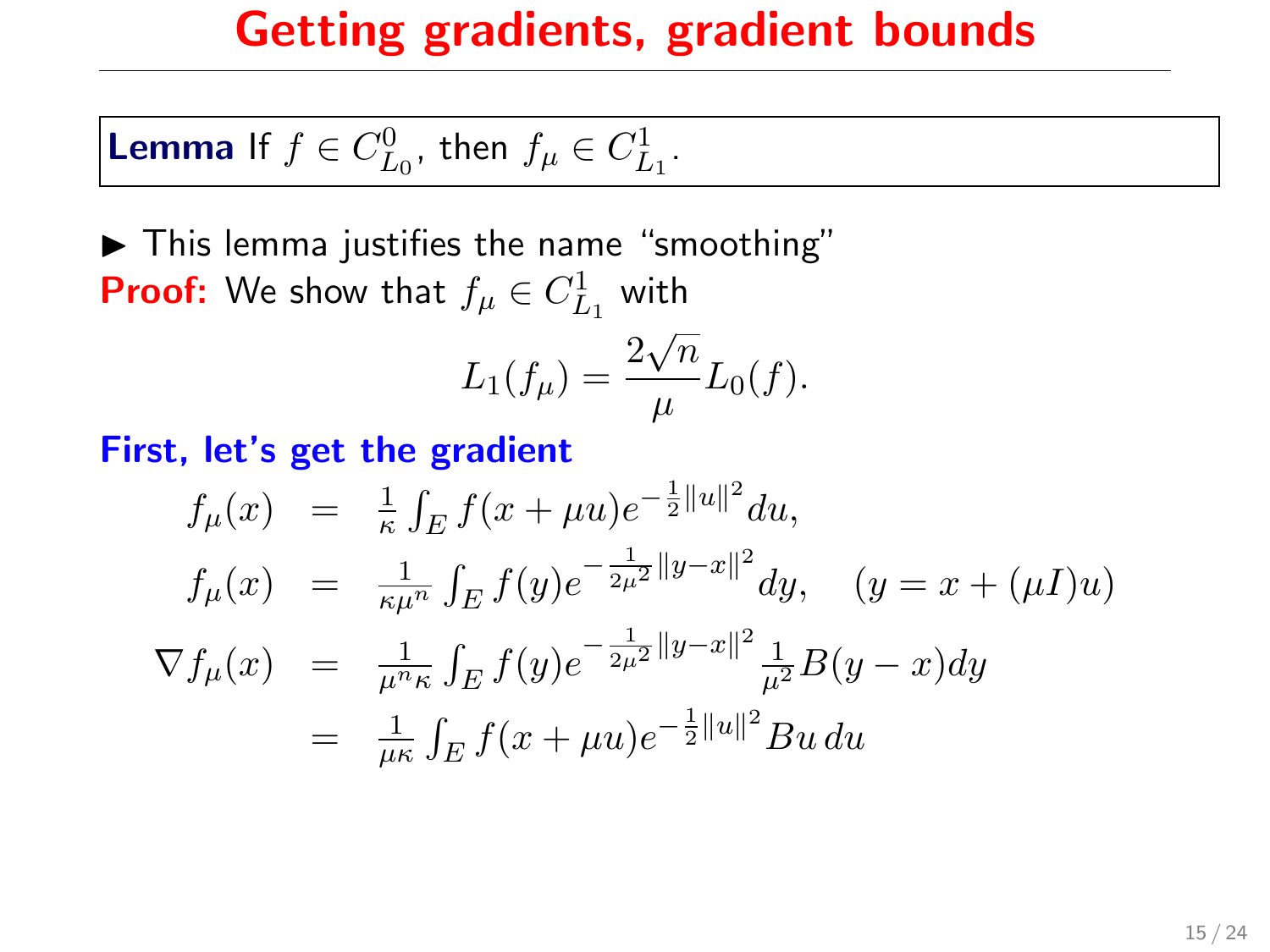**Lemma** If 
$$
f \in C_{L_0}^0
$$
, then  $f_\mu \in C_{L_1}^1$ .

 $\blacktriangleright$  This lemma justifies the name "smoothing" **Proof:** We show that  $f_{\mu} \in C_{L_1}^1$  with √

$$
L_1(f_\mu) = \frac{2\sqrt{n}}{\mu}L_0(f).
$$

$$
f_{\mu}(x) = \frac{1}{\kappa} \int_{E} f(x + \mu u) e^{-\frac{1}{2}||u||^{2}} du,
$$
  
\n
$$
f_{\mu}(x) = \frac{1}{\kappa \mu^{n}} \int_{E} f(y) e^{-\frac{1}{2\mu^{2}}||y - x||^{2}} dy, \quad (y = x + (\mu I)u)
$$
  
\n
$$
\nabla f_{\mu}(x) = \frac{1}{\mu^{n_{\kappa}}} \int_{E} f(y) e^{-\frac{1}{2\mu^{2}}||y - x||^{2}} \frac{1}{\mu^{2}} B(y - x) dy
$$
  
\n
$$
= \frac{1}{\mu \kappa} \int_{E} f(x + \mu u) e^{-\frac{1}{2}||u||^{2}} Bu du
$$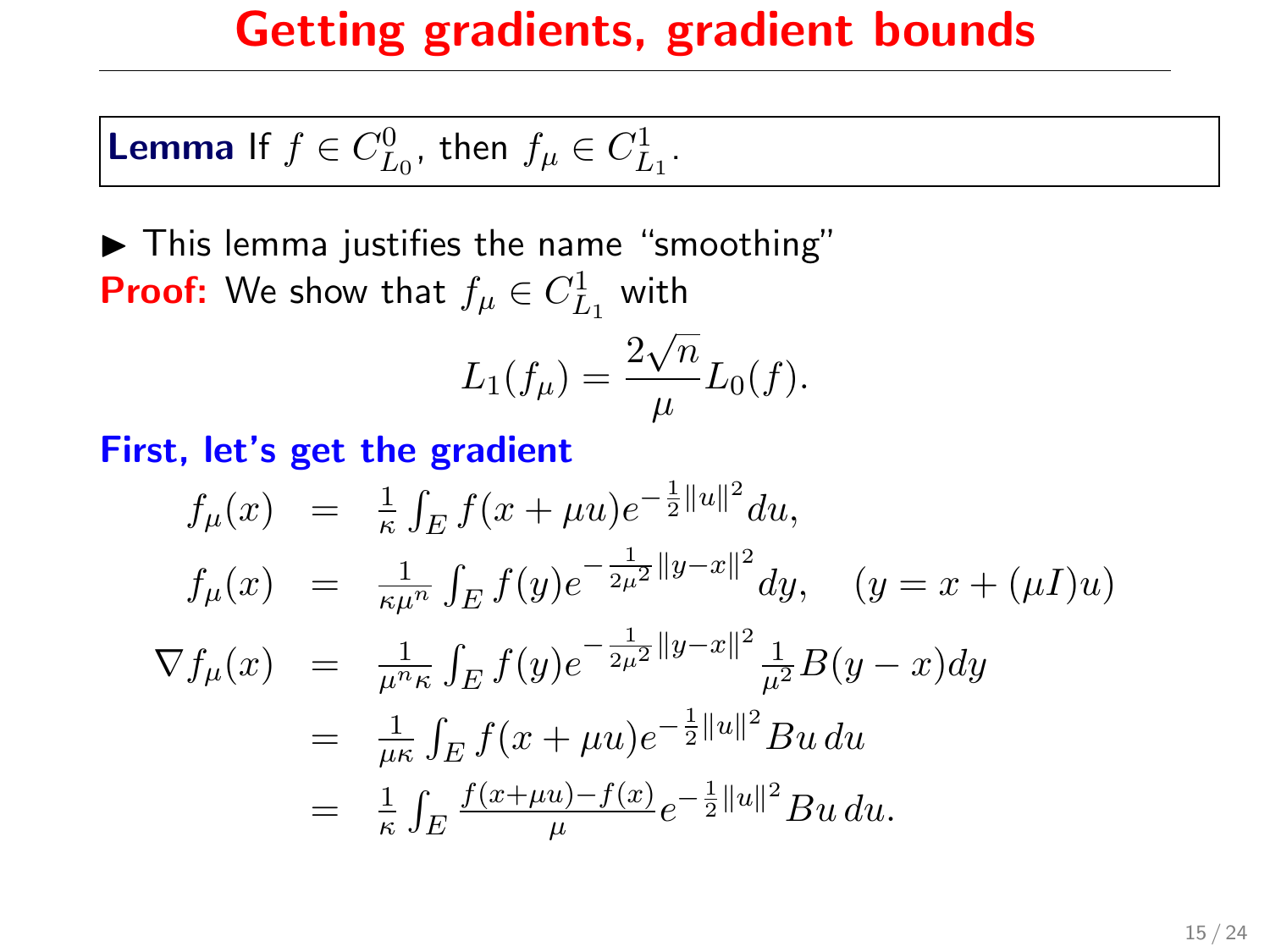**Lemma** If 
$$
f \in C_{L_0}^0
$$
, then  $f_\mu \in C_{L_1}^1$ .

 $\blacktriangleright$  This lemma justifies the name "smoothing" **Proof:** We show that  $f_{\mu} \in C_{L_1}^1$  with √

$$
L_1(f_\mu) = \frac{2\sqrt{n}}{\mu}L_0(f).
$$

$$
f_{\mu}(x) = \frac{1}{\kappa} \int_{E} f(x + \mu u) e^{-\frac{1}{2}||u||^{2}} du,
$$
  
\n
$$
f_{\mu}(x) = \frac{1}{\kappa \mu^{n}} \int_{E} f(y) e^{-\frac{1}{2\mu^{2}}||y - x||^{2}} dy, \quad (y = x + (\mu I)u)
$$
  
\n
$$
\nabla f_{\mu}(x) = \frac{1}{\mu^{n} \kappa} \int_{E} f(y) e^{-\frac{1}{2\mu^{2}}||y - x||^{2}} \frac{1}{\mu^{2}} B(y - x) dy
$$
  
\n
$$
= \frac{1}{\mu \kappa} \int_{E} f(x + \mu u) e^{-\frac{1}{2}||u||^{2}} Bu du
$$
  
\n
$$
= \frac{1}{\kappa} \int_{E} \frac{f(x + \mu u) - f(x)}{\mu} e^{-\frac{1}{2}||u||^{2}} Bu du.
$$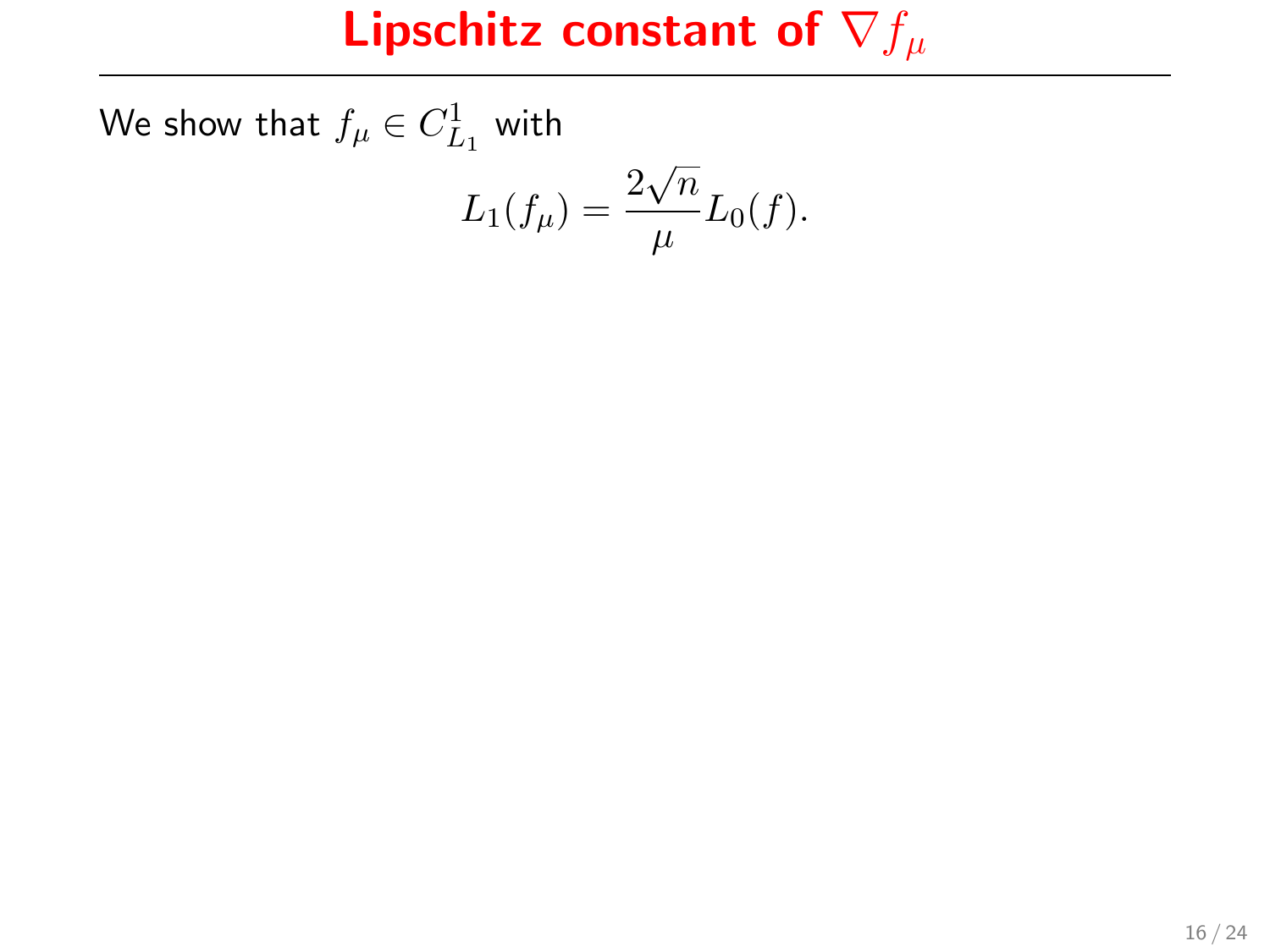We show that  $f_{\mu} \in C^1_{L_1}$  with

$$
L_1(f_{\mu}) = \frac{2\sqrt{n}}{\mu}L_0(f).
$$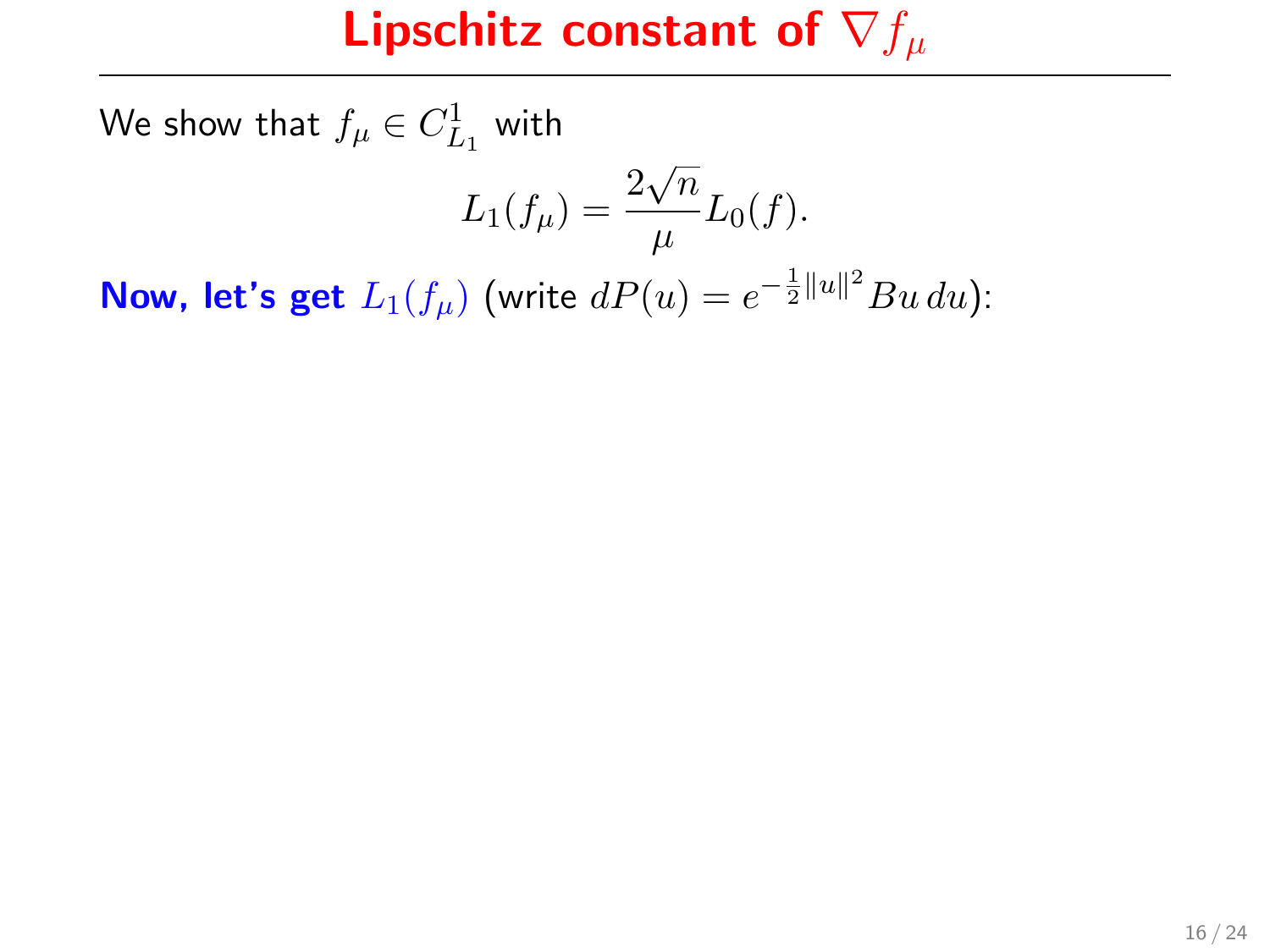We show that  $f_{\mu} \in C^1_{L_1}$  with

$$
L_1(f_\mu) = \frac{2\sqrt{n}}{\mu} L_0(f).
$$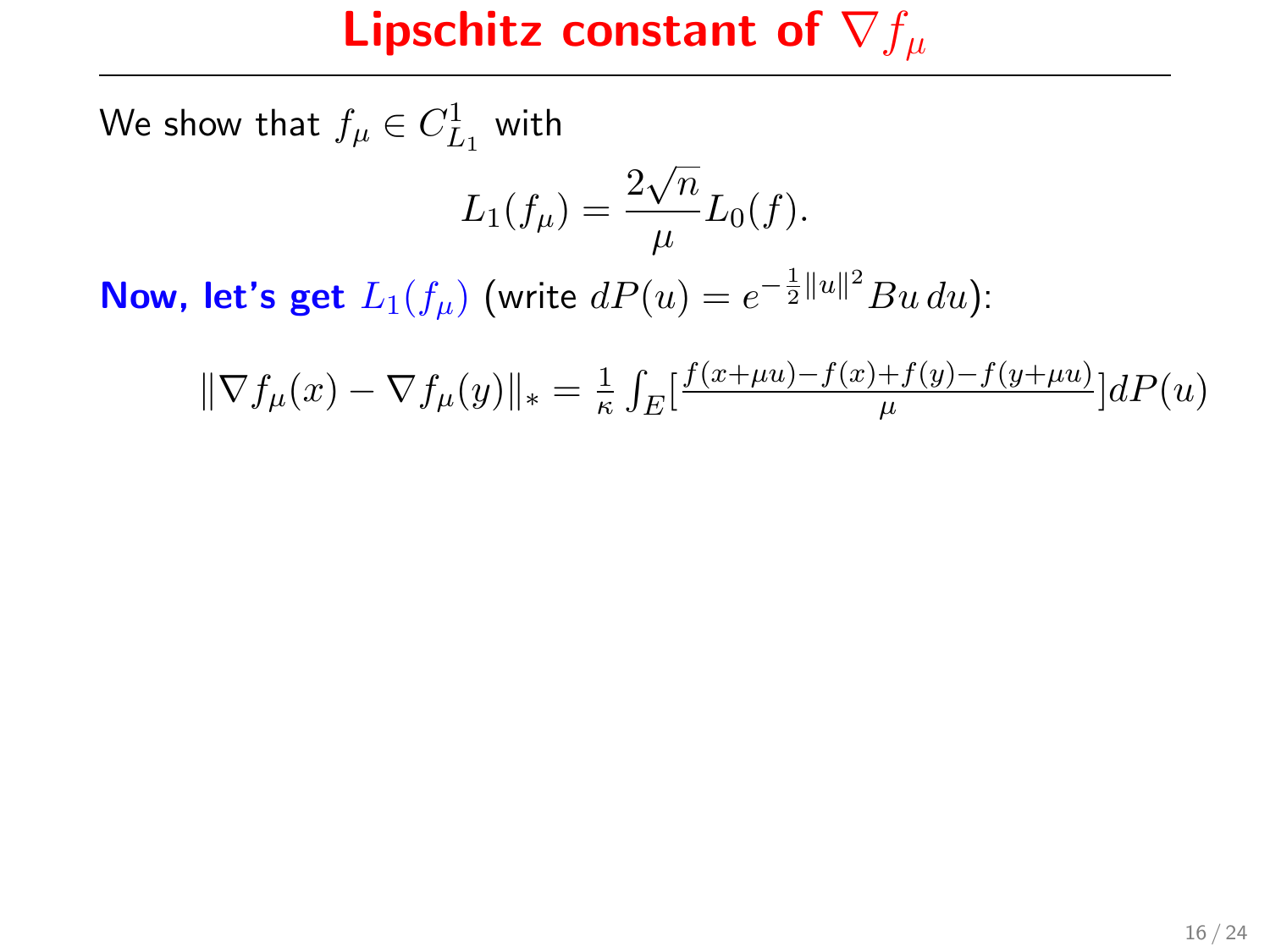We show that  $f_{\mu} \in C^1_{L_1}$  with

$$
L_1(f_\mu) = \frac{2\sqrt{n}}{\mu} L_0(f).
$$

$$
\|\nabla f_{\mu}(x) - \nabla f_{\mu}(y)\|_{*} = \frac{1}{\kappa} \int_{E} \left[ \frac{f(x + \mu u) - f(x) + f(y) - f(y + \mu u)}{\mu} \right] dP(u)
$$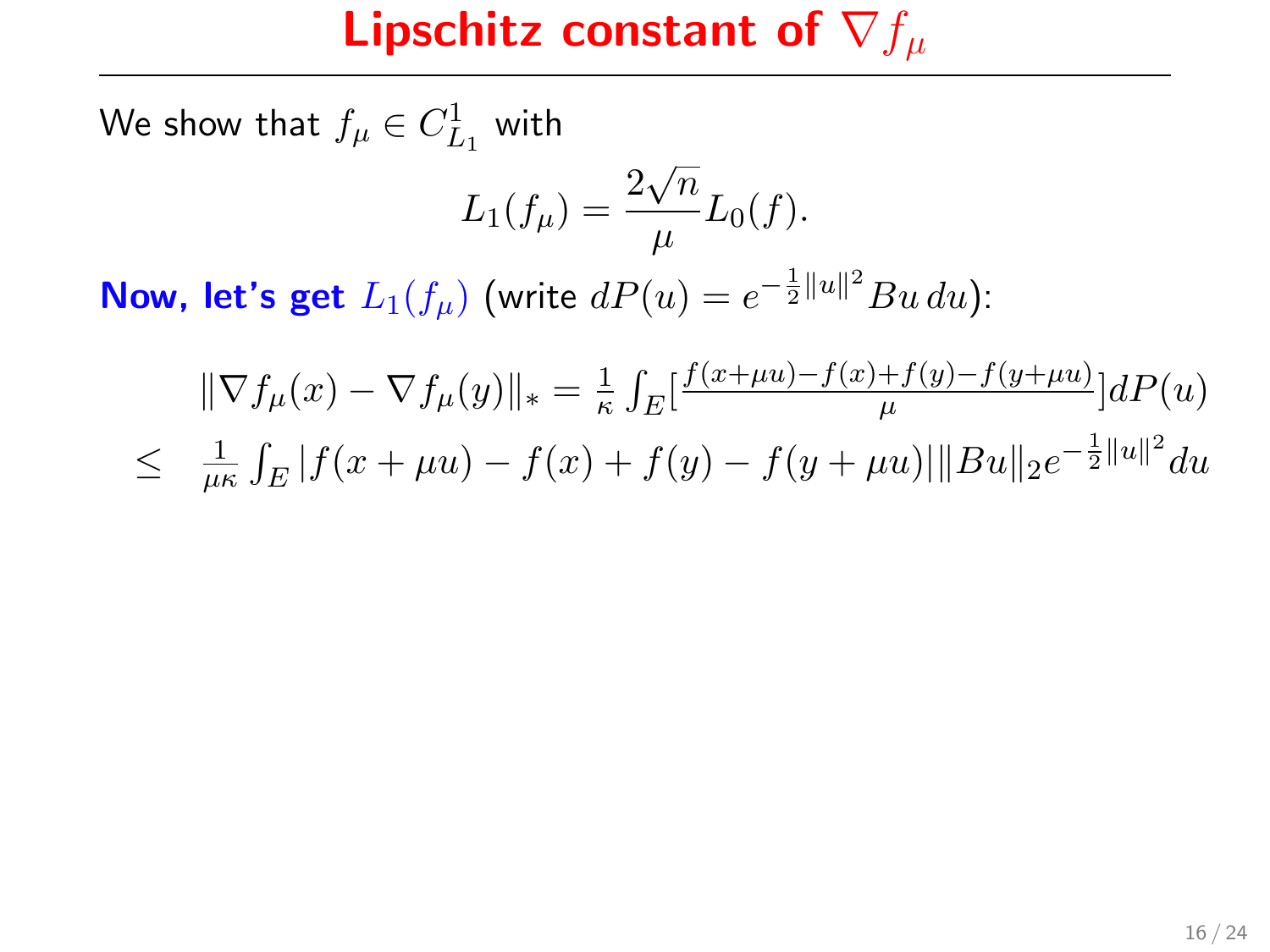We show that  $f_{\mu} \in C^1_{L_1}$  with

$$
L_1(f_\mu) = \frac{2\sqrt{n}}{\mu} L_0(f).
$$

$$
\|\nabla f_{\mu}(x) - \nabla f_{\mu}(y)\|_{*} = \frac{1}{\kappa} \int_{E} \left[ \frac{f(x + \mu u) - f(x) + f(y) - f(y + \mu u)}{\mu} \right] dP(u)
$$
  

$$
\leq \frac{1}{\mu \kappa} \int_{E} |f(x + \mu u) - f(x) + f(y) - f(y + \mu u)| \|Bu\|_{2} e^{-\frac{1}{2} \|u\|^{2}} du
$$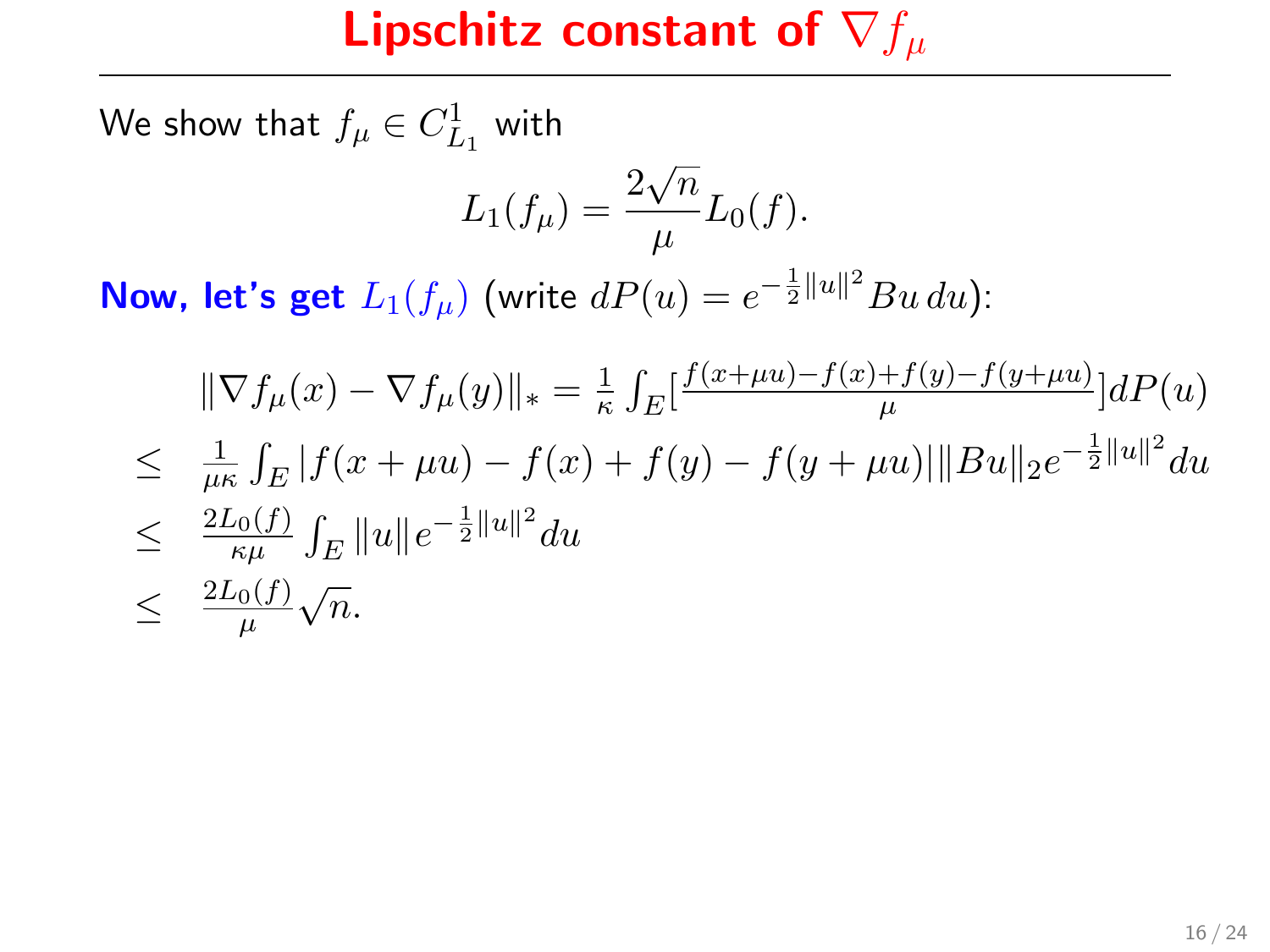We show that  $f_{\mu} \in C^1_{L_1}$  with

$$
L_1(f_\mu) = \frac{2\sqrt{n}}{\mu} L_0(f).
$$

$$
\begin{aligned}\n\|\nabla f_{\mu}(x) - \nabla f_{\mu}(y)\|_{*} &= \frac{1}{\kappa} \int_{E} \left[ \frac{f(x + \mu u) - f(x) + f(y) - f(y + \mu u)}{\mu} \right] dP(u) \\
&\leq \frac{1}{\mu \kappa} \int_{E} |f(x + \mu u) - f(x) + f(y) - f(y + \mu u) | \|Bu\|_{2} e^{-\frac{1}{2} \|u\|^{2}} du \\
&\leq \frac{2L_{0}(f)}{\kappa \mu} \int_{E} \|u\| e^{-\frac{1}{2} \|u\|^{2}} du \\
&\leq \frac{2L_{0}(f)}{\mu} \sqrt{n}.\n\end{aligned}
$$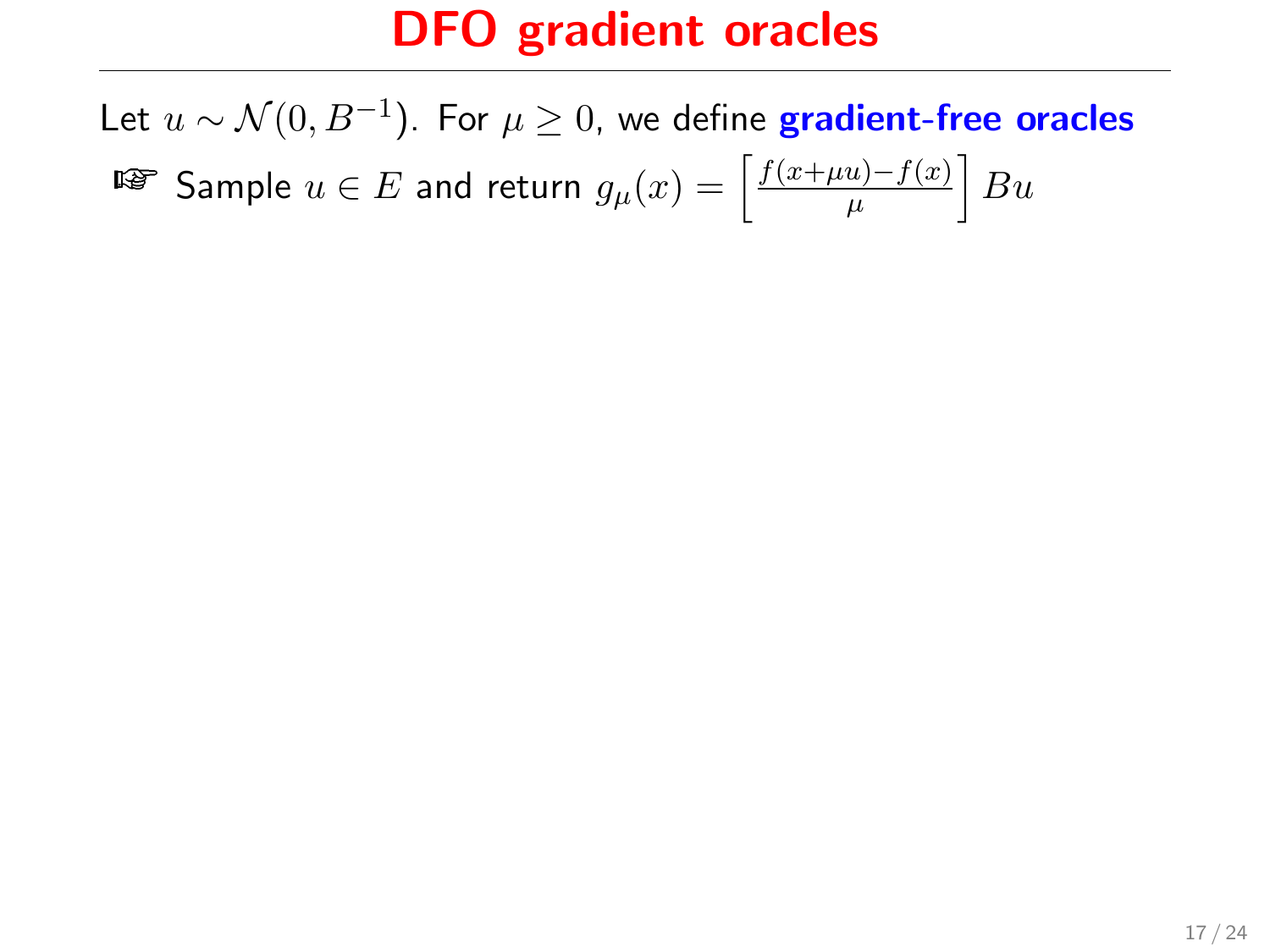Let  $u \sim \mathcal{N}(0, B^{-1}).$  For  $\mu \geq 0,$  we define  $\boldsymbol{\mathsf{gradient}\text{-}free}$  oracles ¤ङ $\texttt{Sample}\,\,u\in E$  and return  $g_{\mu}(x)=\left\lceil \frac{f(x+\mu u)-f(x)}{\mu}\right\rceil$  $\frac{u)-f(x)}{\mu}\Big|Bu$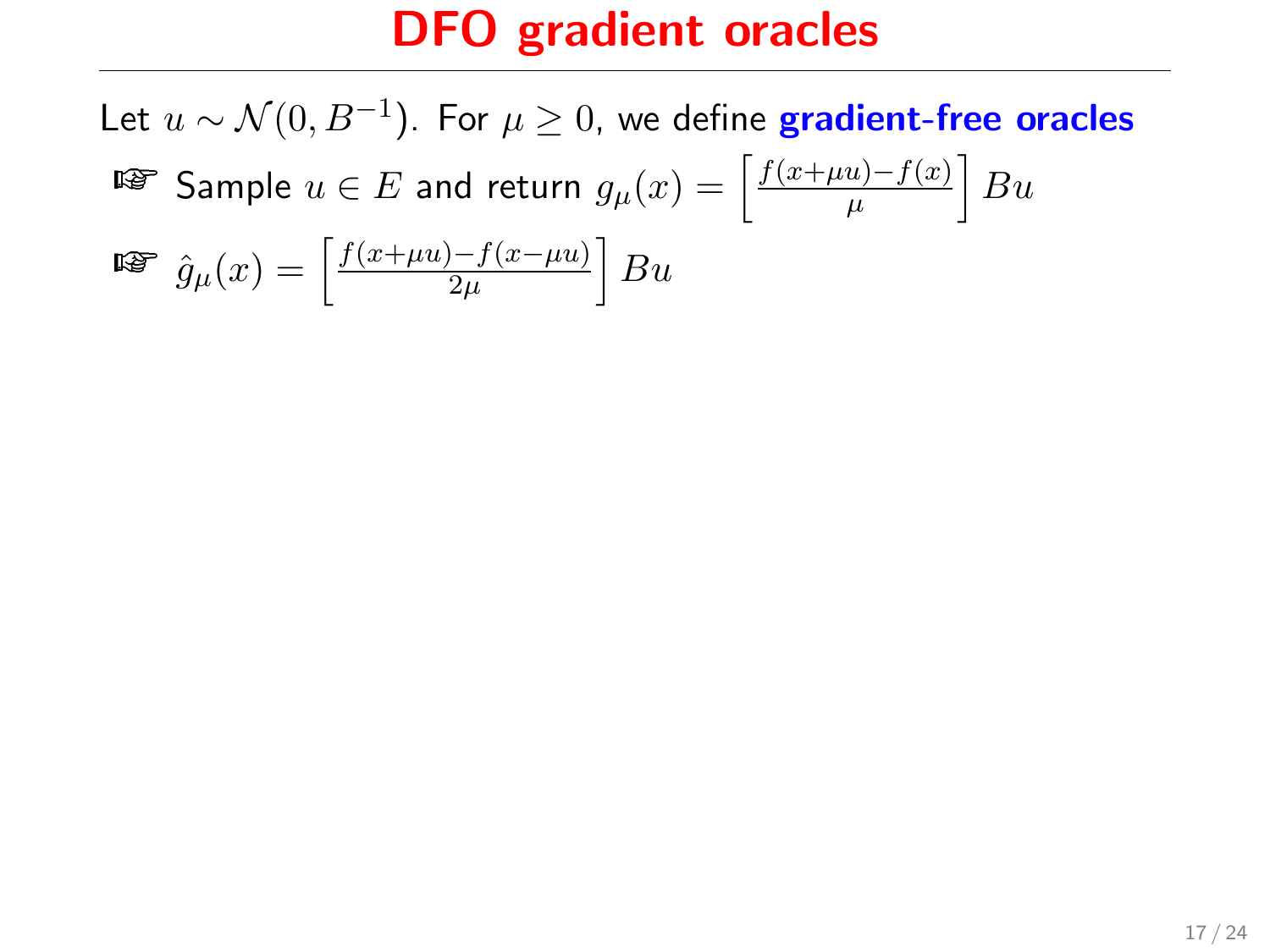Let  $u \sim \mathcal{N}(0, B^{-1}).$  For  $\mu \geq 0,$  we define  $\boldsymbol{\mathsf{gradient}\text{-}free}$  oracles ¤ङ $\texttt{Sample}\,\,u\in E$  and return  $g_{\mu}(x)=\left\lceil \frac{f(x+\mu u)-f(x)}{\mu}\right\rceil$  $\frac{u)-f(x)}{\mu}\Big|Bu$  $\widehat{g}_{\mu}(x)=\left[\frac{f(x+\mu u)-f(x-\mu u)}{2\mu}\right]$  $\frac{1-f(x-\mu u)}{2\mu}\Big|Bu$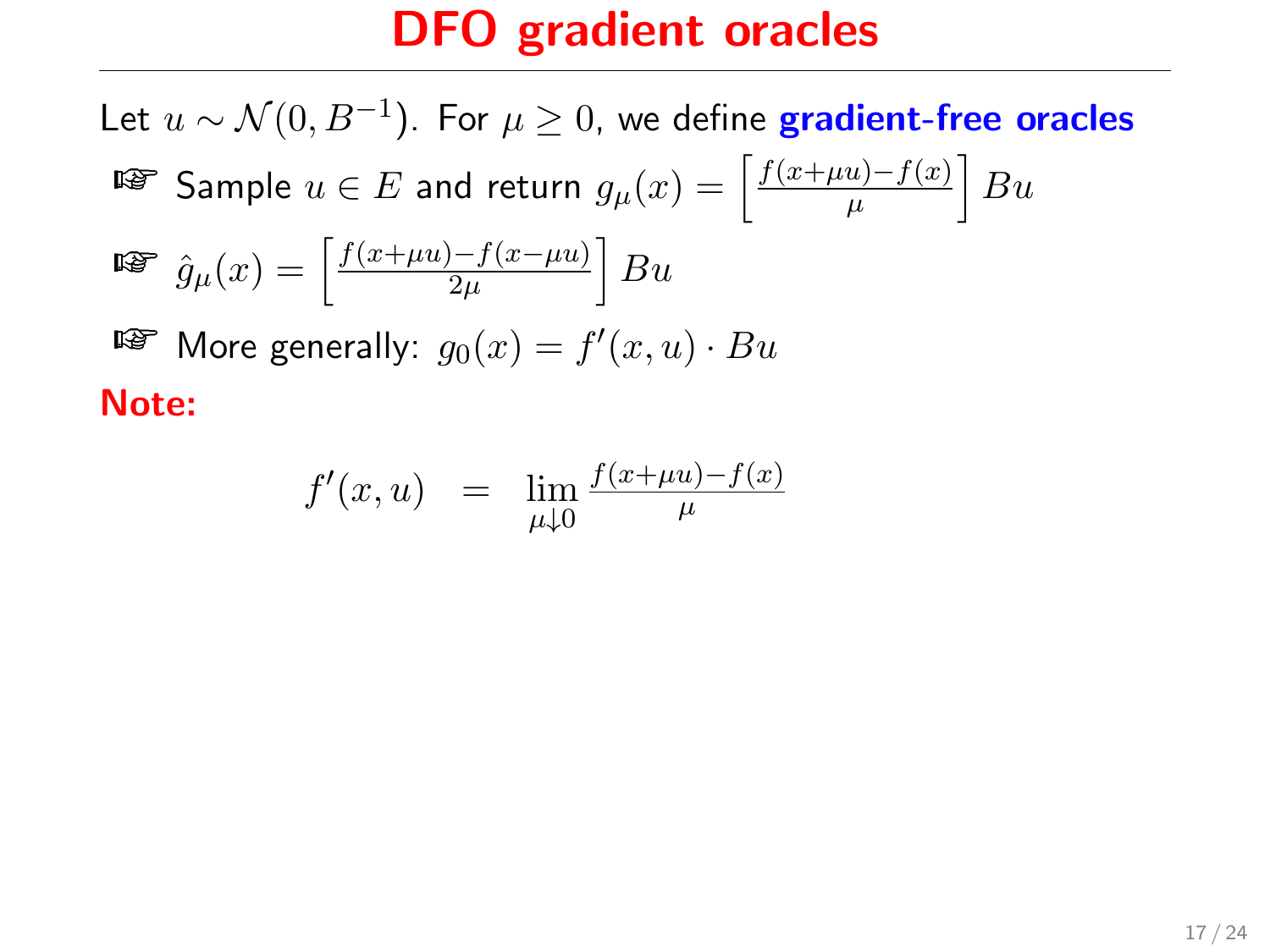Let  $u \sim \mathcal{N}(0, B^{-1}).$  For  $\mu \geq 0,$  we define  $\boldsymbol{\mathsf{gradient}\text{-}free}$  oracles ¤ङ $\texttt{Sample}\,\,u\in E$  and return  $g_{\mu}(x)=\left\lceil \frac{f(x+\mu u)-f(x)}{\mu}\right\rceil$  $\frac{u)-f(x)}{\mu}\Big|Bu$  $\widehat{g}_{\mu}(x)=\left[\frac{f(x+\mu u)-f(x-\mu u)}{2\mu}\right]$  $\frac{1-f(x-\mu u)}{2\mu}\Big|Bu$  $\mathbb{F}$  More generally:  $g_0(x) = f'(x, u) \cdot Bu$ Note:

$$
f'(x, u) = \lim_{\mu \downarrow 0} \frac{f(x + \mu u) - f(x)}{\mu}
$$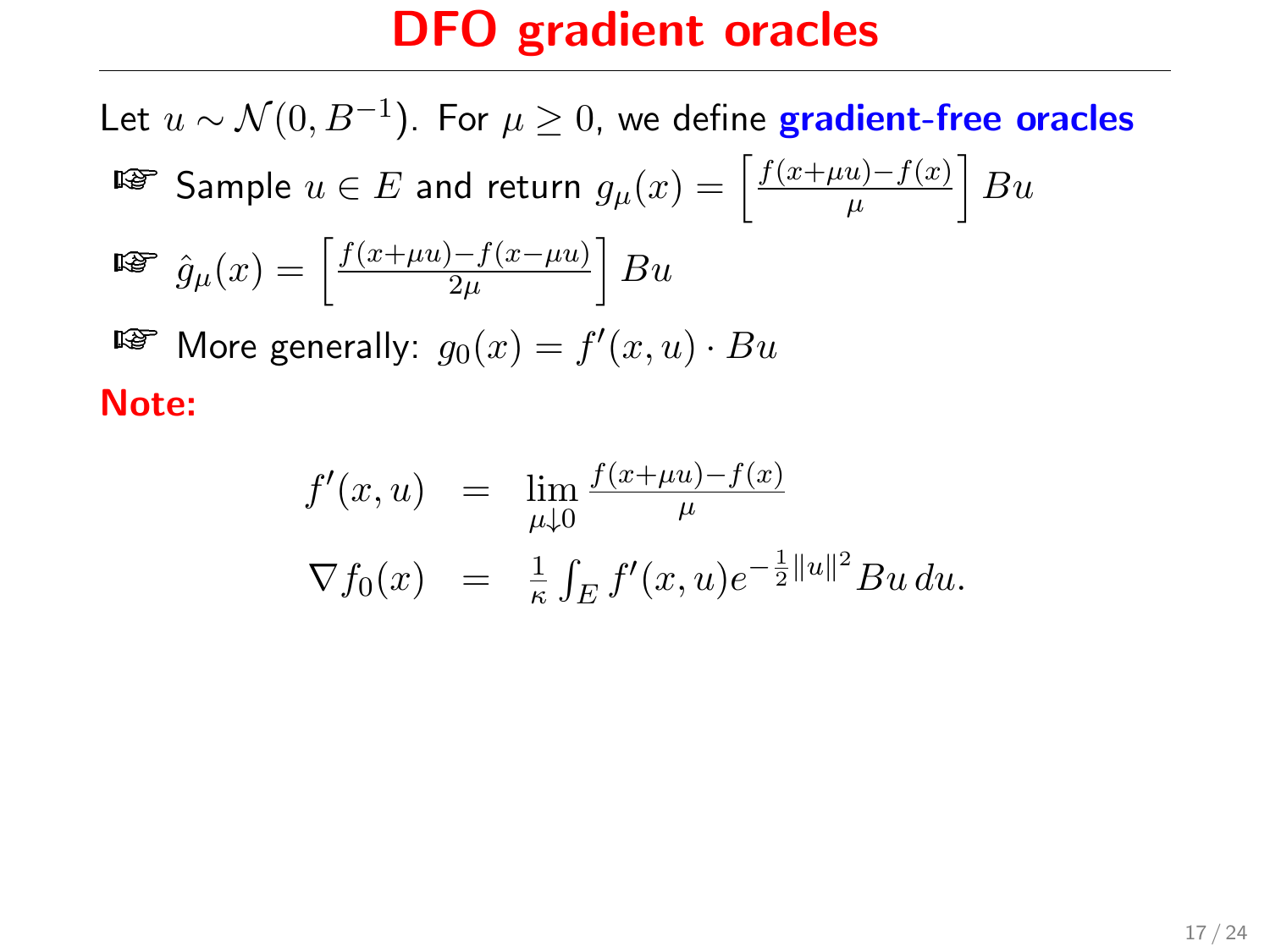Let  $u \sim \mathcal{N}(0, B^{-1}).$  For  $\mu \geq 0,$  we define  $\boldsymbol{\mathsf{gradient}\text{-}free}$  oracles ¤ङ $\texttt{Sample}\,\,u\in E$  and return  $g_{\mu}(x)=\left\lceil \frac{f(x+\mu u)-f(x)}{\mu}\right\rceil$  $\frac{u)-f(x)}{\mu}\Big|Bu$  $\widehat{g}_{\mu}(x)=\left[\frac{f(x+\mu u)-f(x-\mu u)}{2\mu}\right]$  $\frac{1-f(x-\mu u)}{2\mu}\Big|Bu$  $\mathbb{F}$  More generally:  $g_0(x) = f'(x, u) \cdot Bu$ Note:

$$
f'(x, u) = \lim_{\mu \downarrow 0} \frac{f(x + \mu u) - f(x)}{\mu}
$$
  

$$
\nabla f_0(x) = \frac{1}{\kappa} \int_E f'(x, u) e^{-\frac{1}{2} ||u||^2} Bu \, du.
$$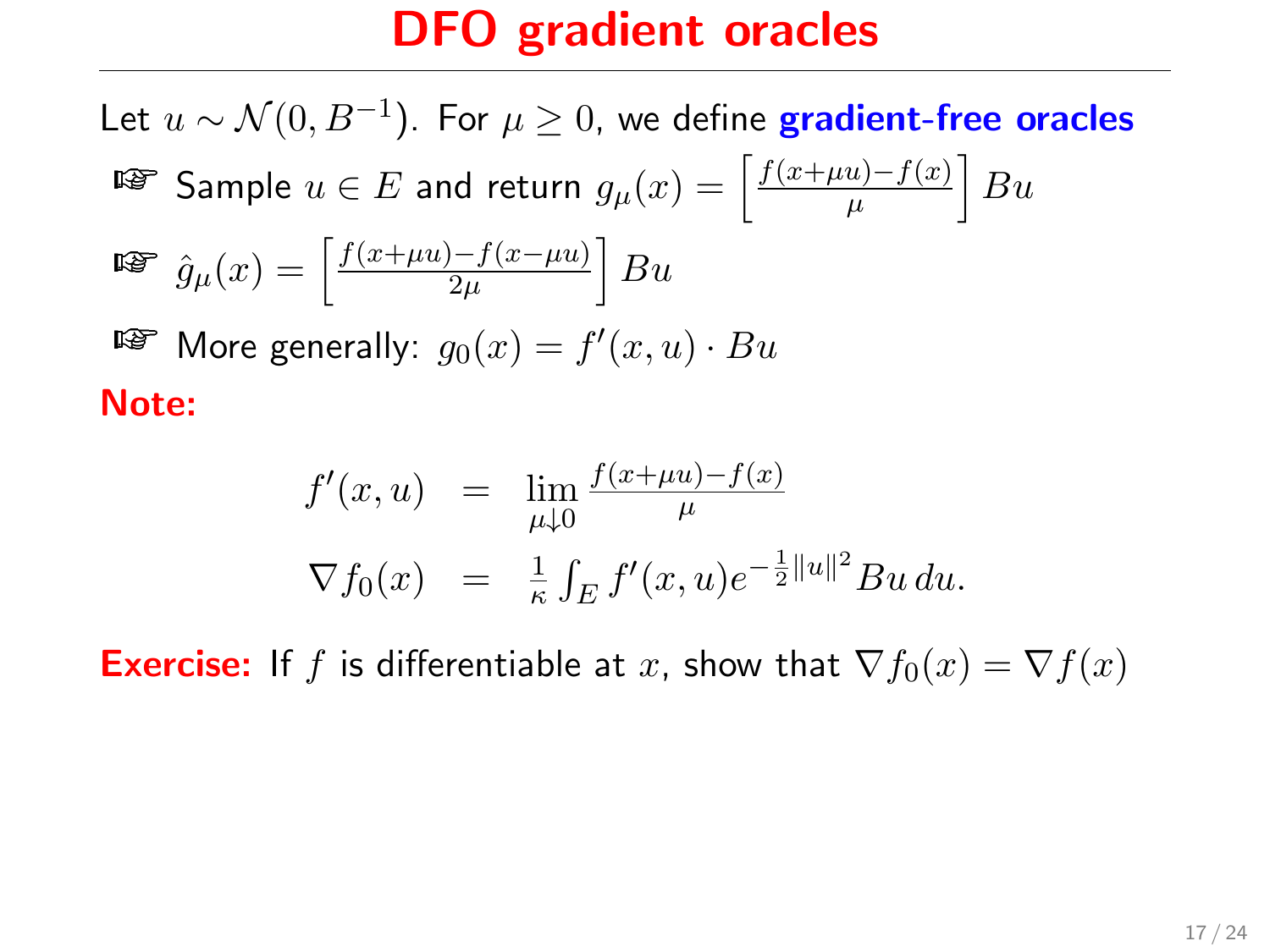Let  $u \sim \mathcal{N}(0, B^{-1}).$  For  $\mu \geq 0,$  we define  $\boldsymbol{\mathsf{gradient}\text{-}free}$  oracles ¤ङ $\texttt{Sample}\,\,u\in E$  and return  $g_{\mu}(x)=\left\lceil \frac{f(x+\mu u)-f(x)}{\mu}\right\rceil$  $\frac{u)-f(x)}{\mu}\Big|Bu$  $\widehat{g}_{\mu}(x)=\left[\frac{f(x+\mu u)-f(x-\mu u)}{2\mu}\right]$  $\frac{1-f(x-\mu u)}{2\mu}\Big|Bu$  $\mathbb{F}$  More generally:  $g_0(x) = f'(x, u) \cdot Bu$ Note:

$$
f'(x, u) = \lim_{\mu \downarrow 0} \frac{f(x + \mu u) - f(x)}{\mu}
$$
  

$$
\nabla f_0(x) = \frac{1}{\kappa} \int_E f'(x, u) e^{-\frac{1}{2} ||u||^2} Bu \, du.
$$

**Exercise:** If f is differentiable at x, show that  $\nabla f_0(x) = \nabla f(x)$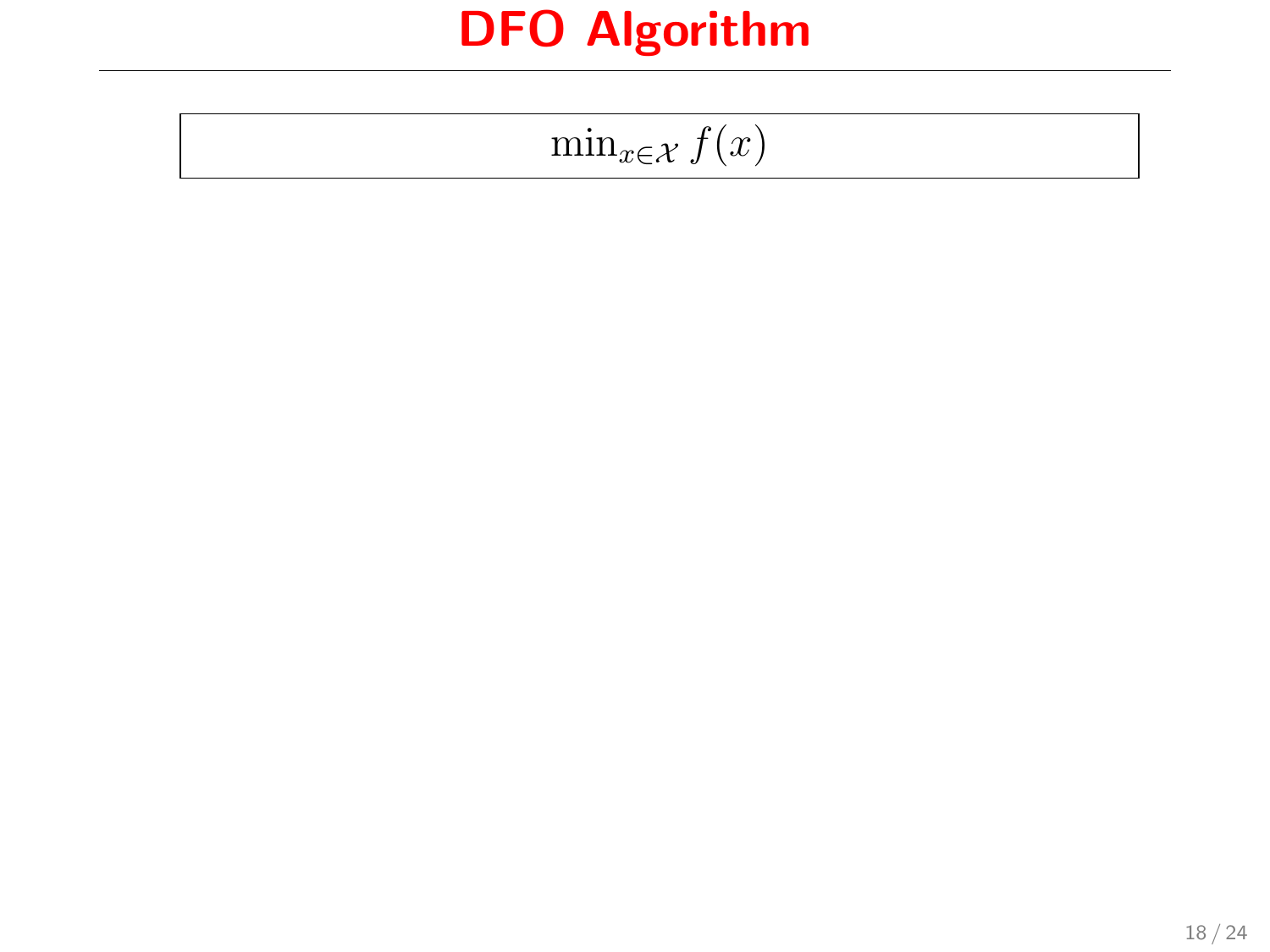$$
\min_{x \in \mathcal{X}} f(x)
$$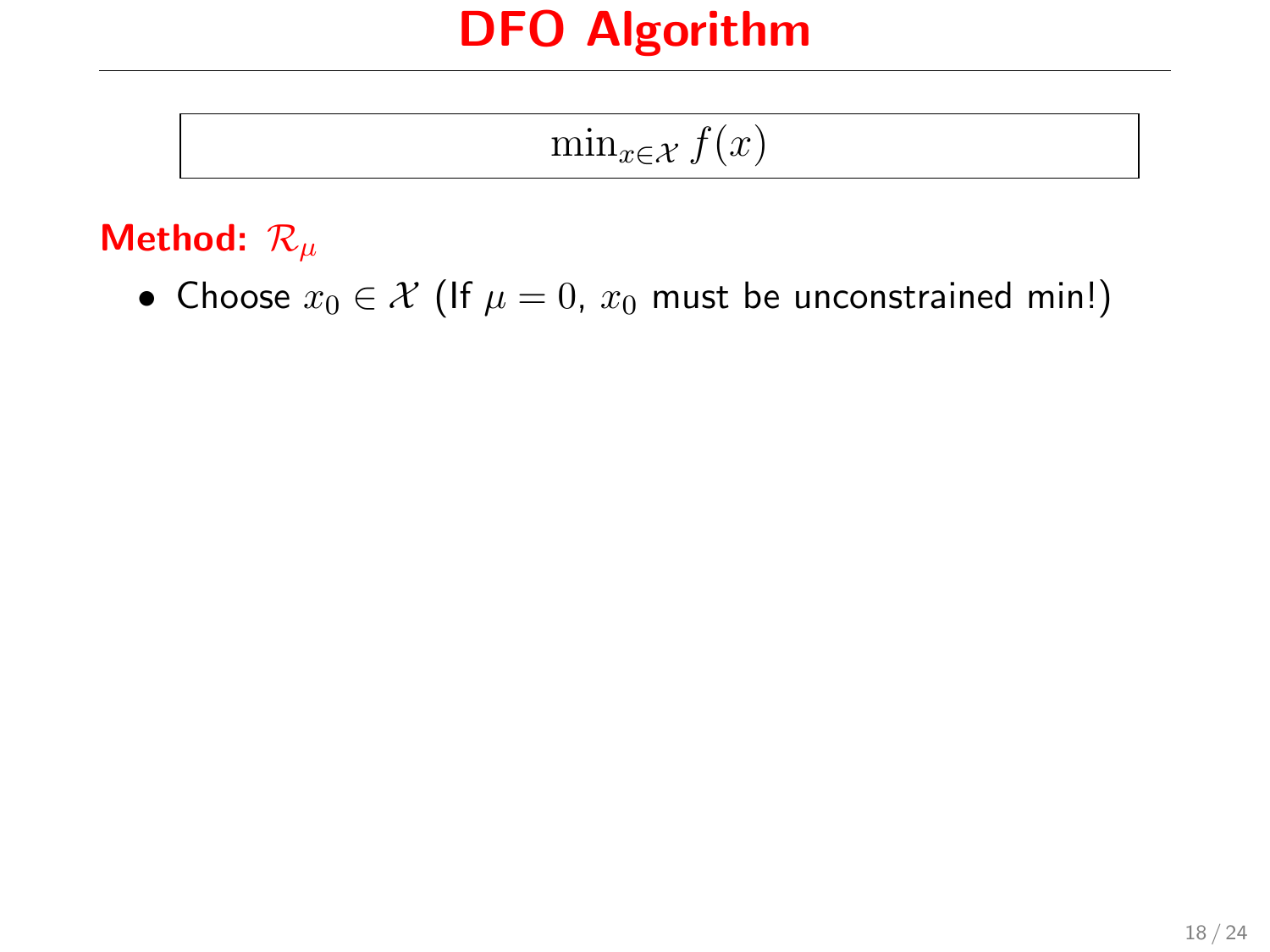$\min_{x \in \mathcal{X}} f(x)$ 

#### Method:  $\mathcal{R}_{\mu}$

• Choose  $x_0 \in \mathcal{X}$  (If  $\mu = 0$ ,  $x_0$  must be unconstrained min!)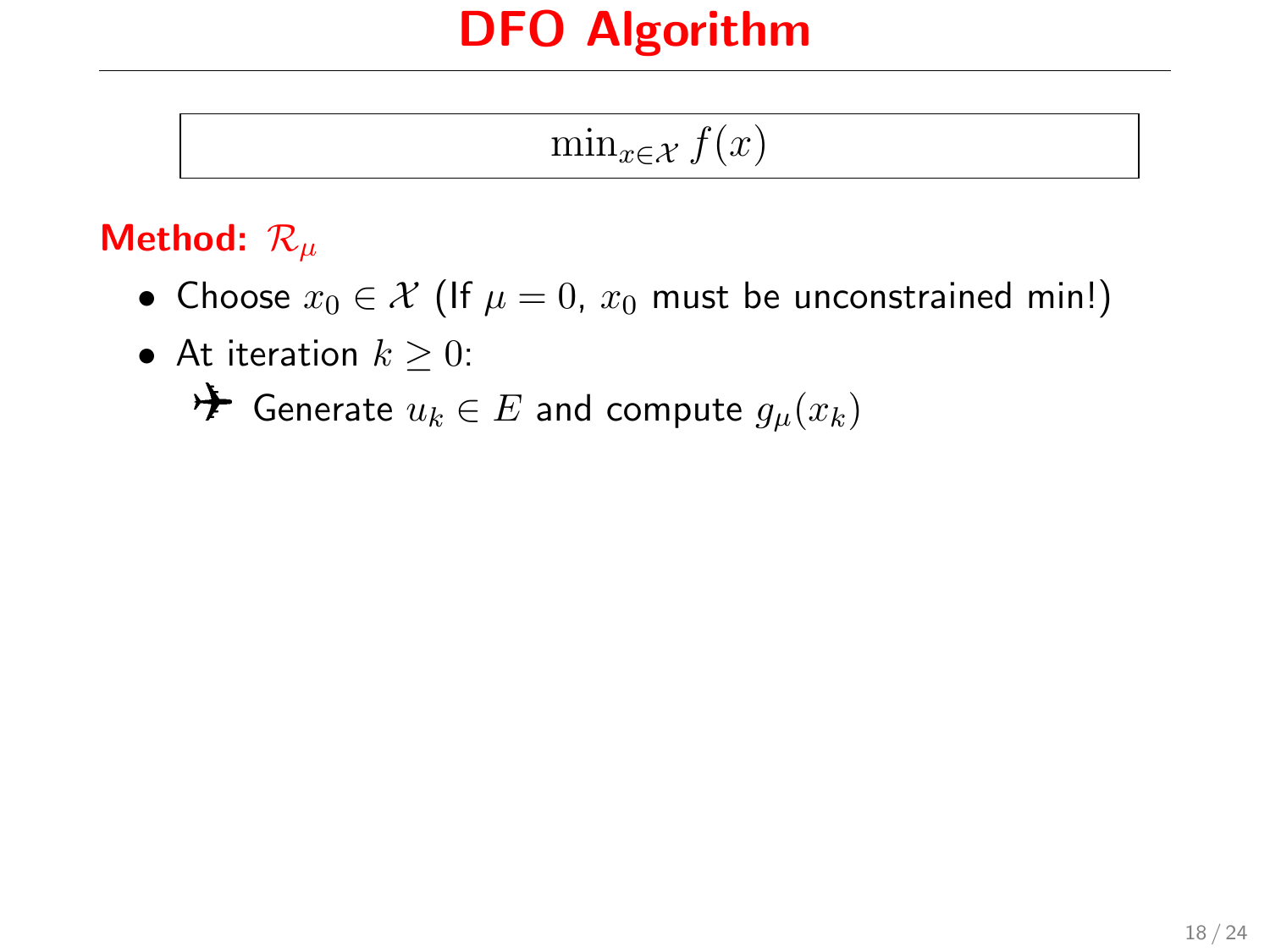$\min_{x \in \mathcal{X}} f(x)$ 

#### Method:  $\mathcal{R}_{\mu}$

- Choose  $x_0 \in \mathcal{X}$  (If  $\mu = 0$ ,  $x_0$  must be unconstrained min!)
- At iteration  $k \geq 0$ :  $\rightarrow$  Generate  $u_k$  ∈  $E$  and compute  $g_\mu(x_k)$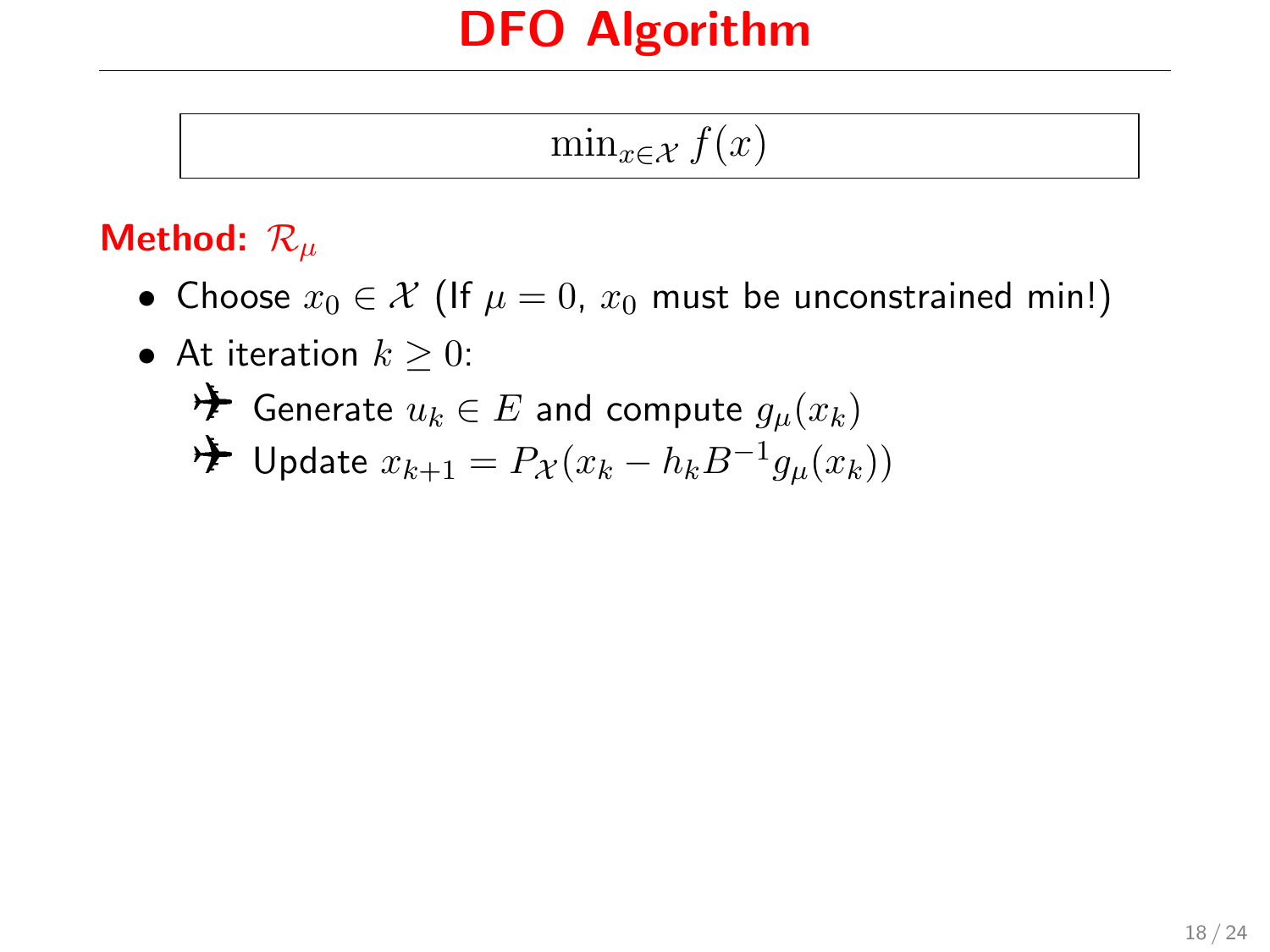$\min_{x \in \mathcal{X}} f(x)$ 

#### Method:  $\mathcal{R}_{\mu}$

• Choose  $x_0 \in \mathcal{X}$  (If  $\mu = 0$ ,  $x_0$  must be unconstrained min!)

\n- At iteration 
$$
k \geq 0
$$
:
\n- \n  $\blacktriangleright$  Generate  $u_k \in E$  and compute  $g_\mu(x_k)$
\n- \n  $\blacktriangleright$  Update  $x_{k+1} = P_\mathcal{X}(x_k - h_k B^{-1} g_\mu(x_k))$
\n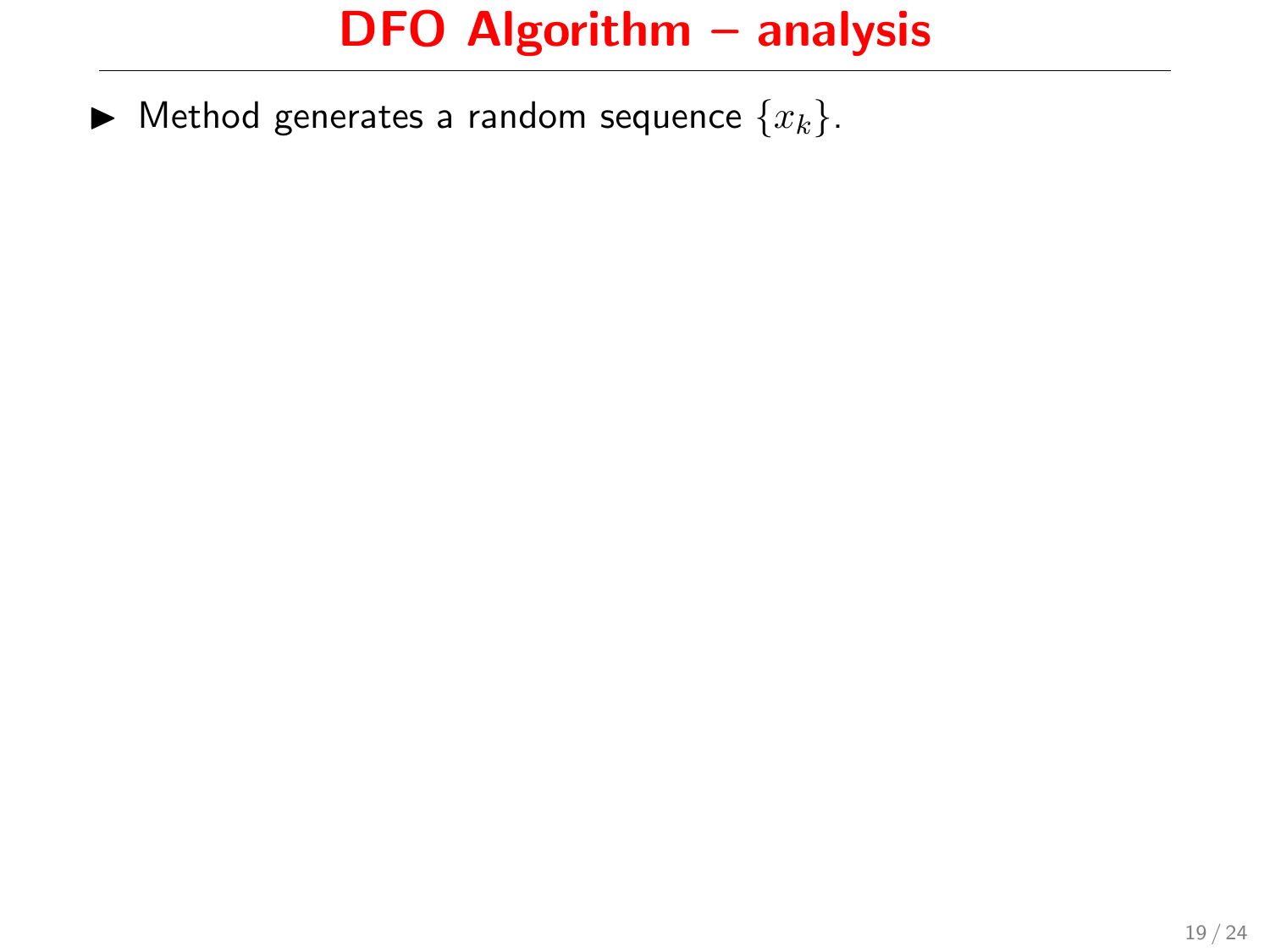$\blacktriangleright$  Method generates a random sequence  $\{x_k\}.$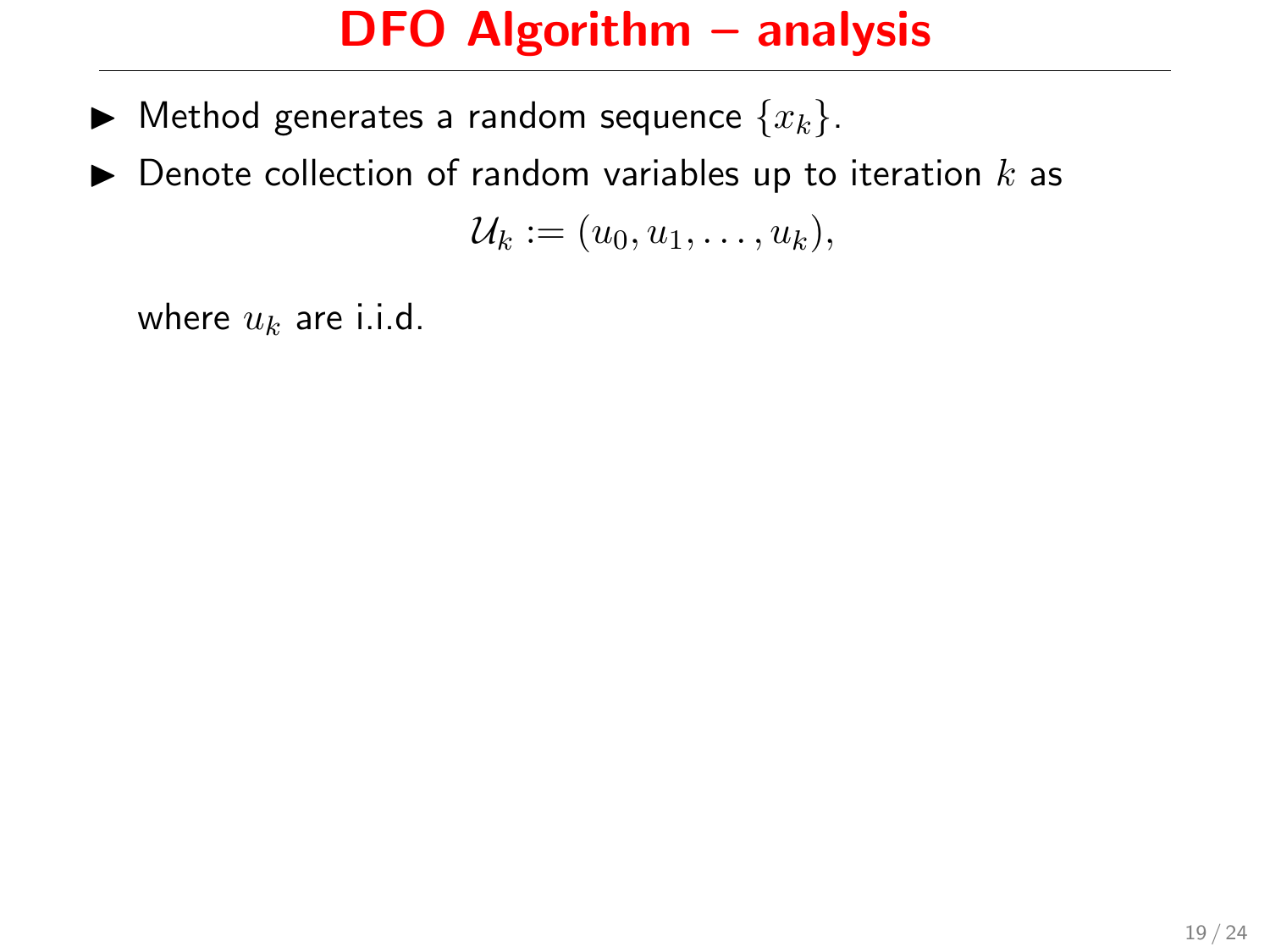- $\blacktriangleright$  Method generates a random sequence  $\{x_k\}.$
- $\triangleright$  Denote collection of random variables up to iteration  $k$  as

$$
\mathcal{U}_k:=(u_0,u_1,\ldots,u_k),
$$

where  $u_k$  are i.i.d.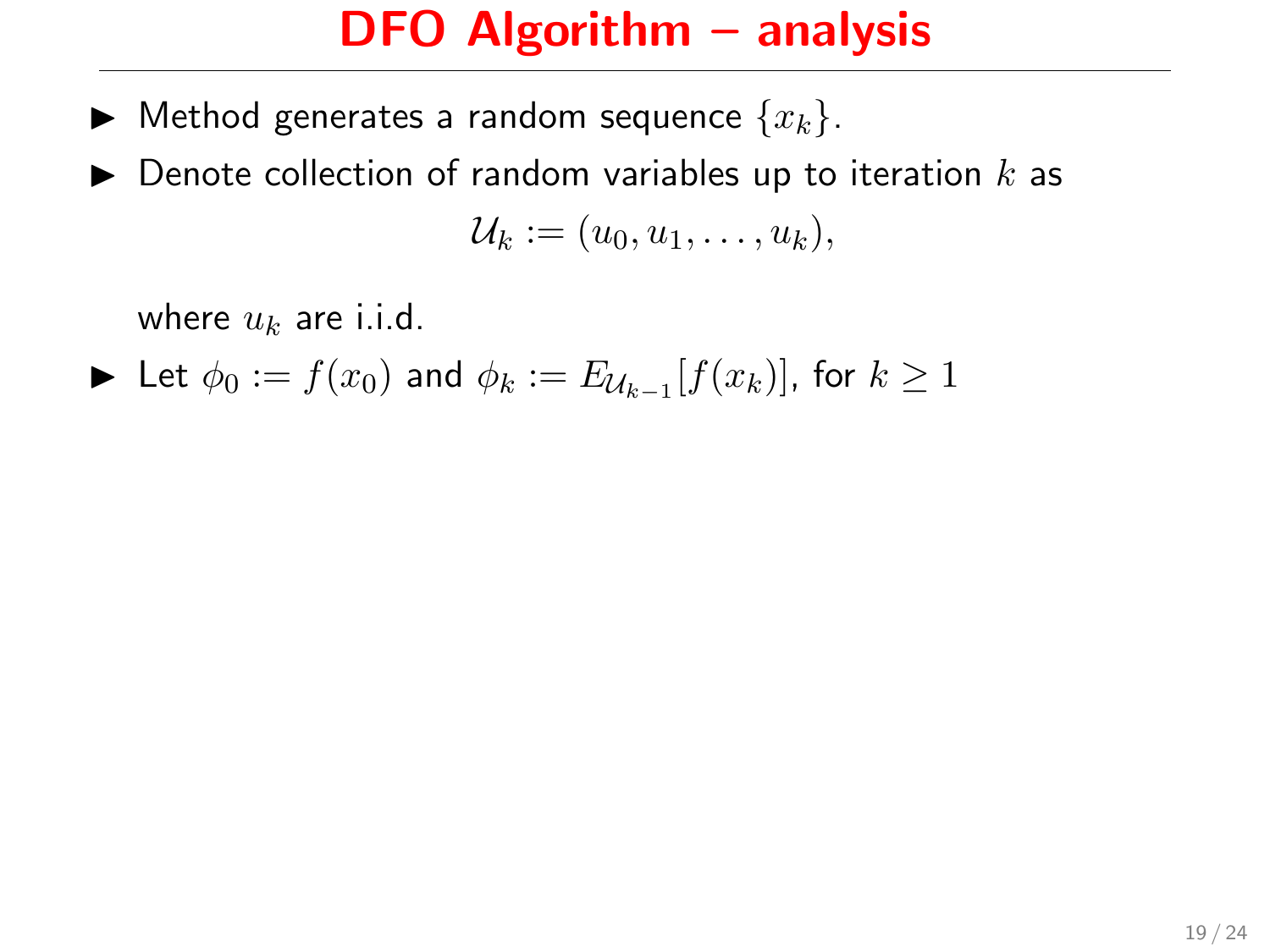- $\blacktriangleright$  Method generates a random sequence  $\{x_k\}$ .
- $\blacktriangleright$  Denote collection of random variables up to iteration  $k$  as  $\mathcal{U}_k := (u_0, u_1, \ldots, u_k),$

where  $u_k$  are i.i.d.

► Let  $\phi_0 := f(x_0)$  and  $\phi_k := E_{\mathcal{U}_{k-1}}[f(x_k)]$ , for  $k \geq 1$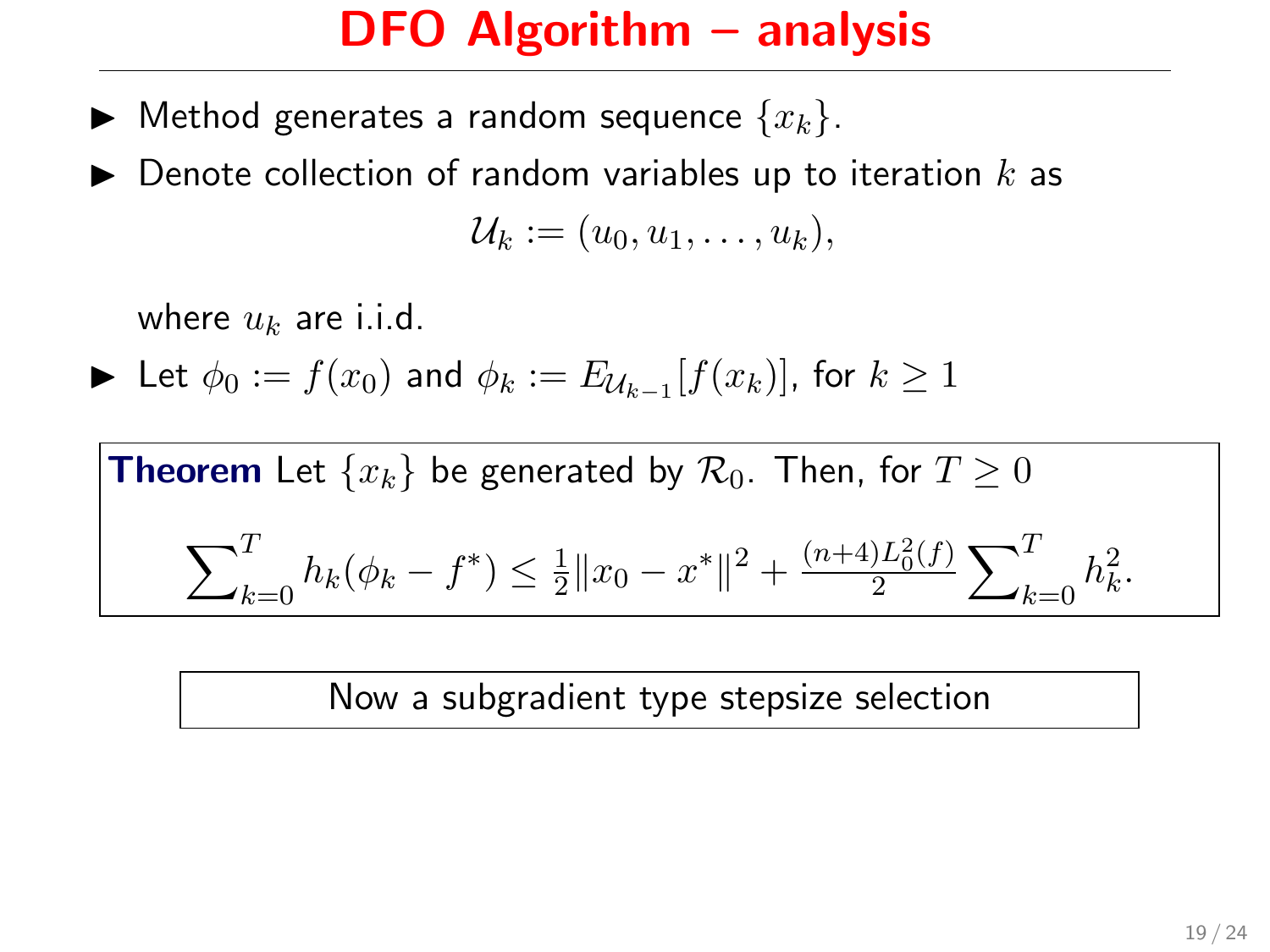- $\blacktriangleright$  Method generates a random sequence  $\{x_k\}$ .
- Denote collection of random variables up to iteration  $k$  as  $\mathcal{U}_k := (u_0, u_1, \ldots, u_k),$

where  $u_k$  are i.i.d.

$$
\blacktriangleright \hbox{ Let } \phi_0:=f(x_0) \hbox{ and } \phi_k:=E_{\mathcal{U}_{k-1}}[f(x_k)], \hbox{ for } k\geq 1
$$

**Theorem** Let  $\{x_k\}$  be generated by  $\mathcal{R}_0$ . Then, for  $T \geq 0$  $\overline{\nabla}^T$  $\sum_{k=0}^{1} h_k(\phi_k - f^*) \leq \frac{1}{2}$  $\frac{1}{2}||x_0 - x^*||^2 + \frac{(n+4)L_0^2(f)}{2}$  $\frac{1}{2}L_{0}^{2}(f)\sum\nolimits_{k}^{T}% \left( \tau_{k}\right) ^{2}K_{k}^{2}(\tau_{k}^{2}+\tau_{k}^{2})$  $\int_{k=0}^{1} h_k^2$ .

Now a subgradient type stepsize selection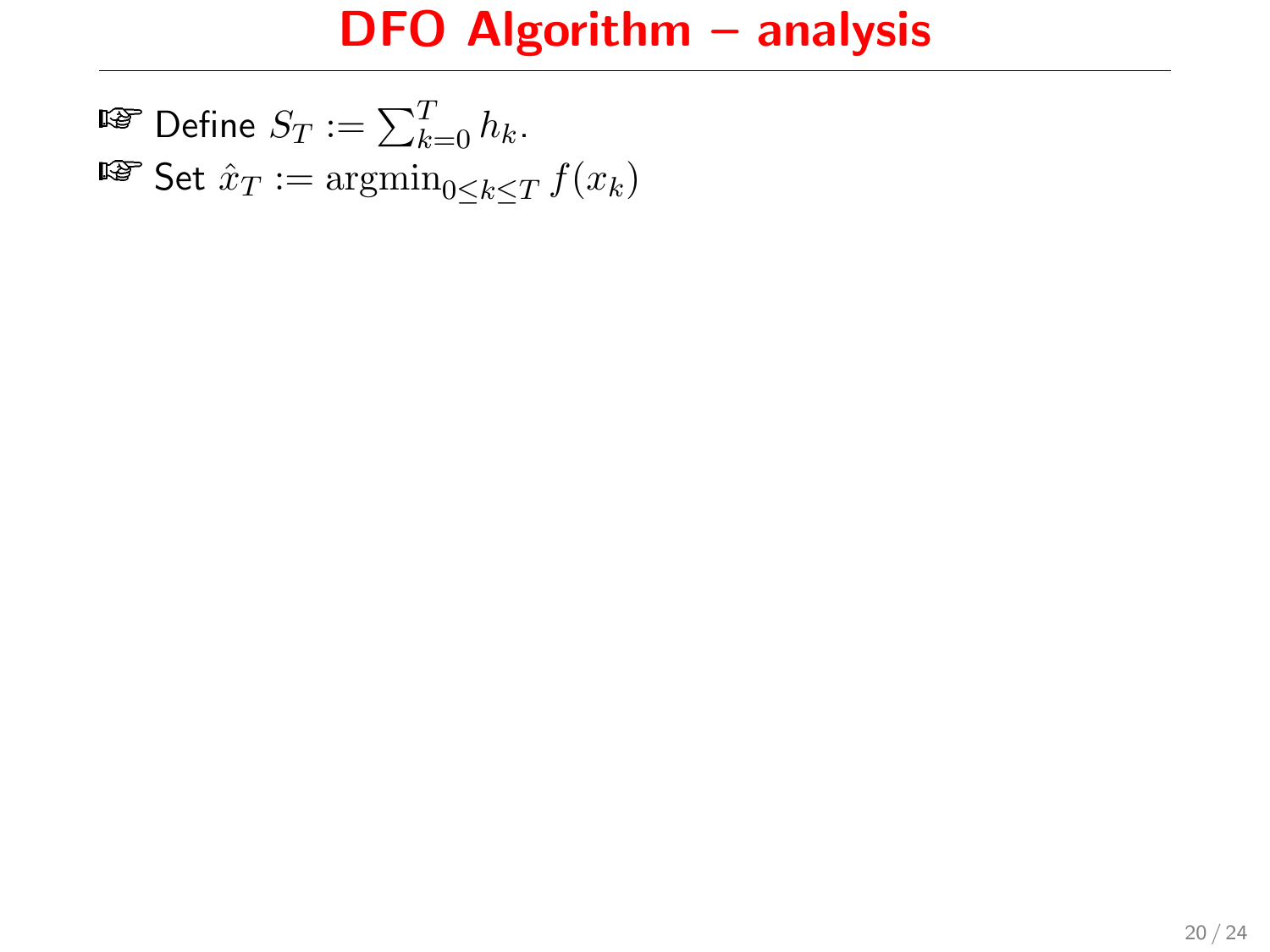$\mathbb{F}$  Define  $S_T := \sum_{k=0}^T h_k$ . **■■ Set**  $\hat{x}_T := \operatorname{argmin}_{0 \le k \le T} f(x_k)$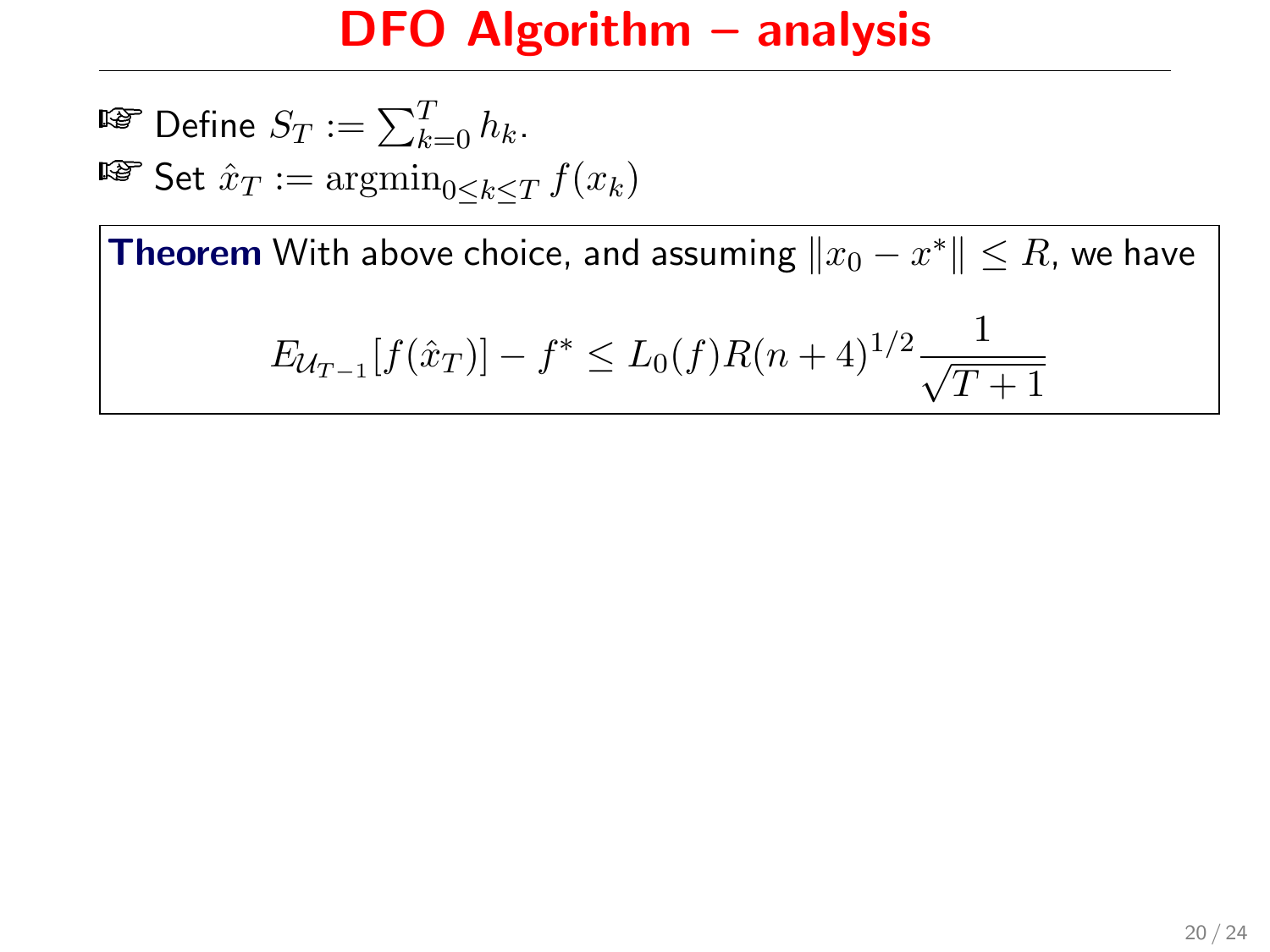$\mathbb{F}$  Define  $S_T := \sum_{k=0}^T h_k$ . **■■ Set**  $\hat{x}_T := \operatorname{argmin}_{0 \leq k \leq T} f(x_k)$ 

**Theorem** With above choice, and assuming  $\|x_0 - x^*\| \leq R$ , we have

$$
E_{\mathcal{U}_{T-1}}[f(\hat{x}_T)] - f^* \le L_0(f)R(n+4)^{1/2}\frac{1}{\sqrt{T+1}}
$$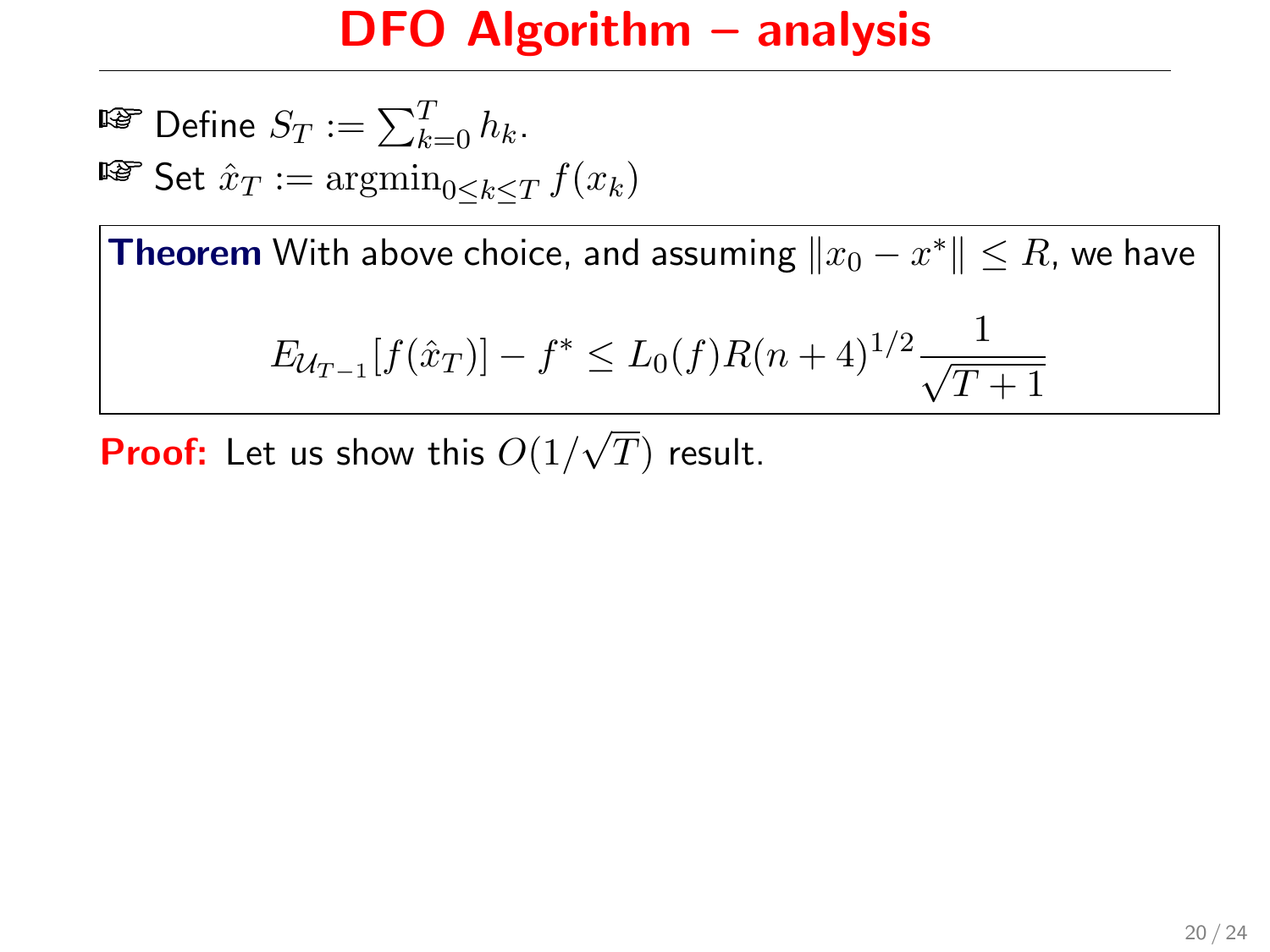$\mathbb{F}$  Define  $S_T := \sum_{k=0}^T h_k$ . **■■ Set**  $\hat{x}_T := \operatorname{argmin}_{0 \leq k \leq T} f(x_k)$ 

**Theorem** With above choice, and assuming  $\|x_0 - x^*\| \leq R$ , we have

$$
E_{\mathcal{U}_{T-1}}[f(\hat{x}_T)] - f^* \le L_0(f)R(n+4)^{1/2}\frac{1}{\sqrt{T+1}}
$$

**Proof:** Let us show this  $O(1/$ √  $T)$  result.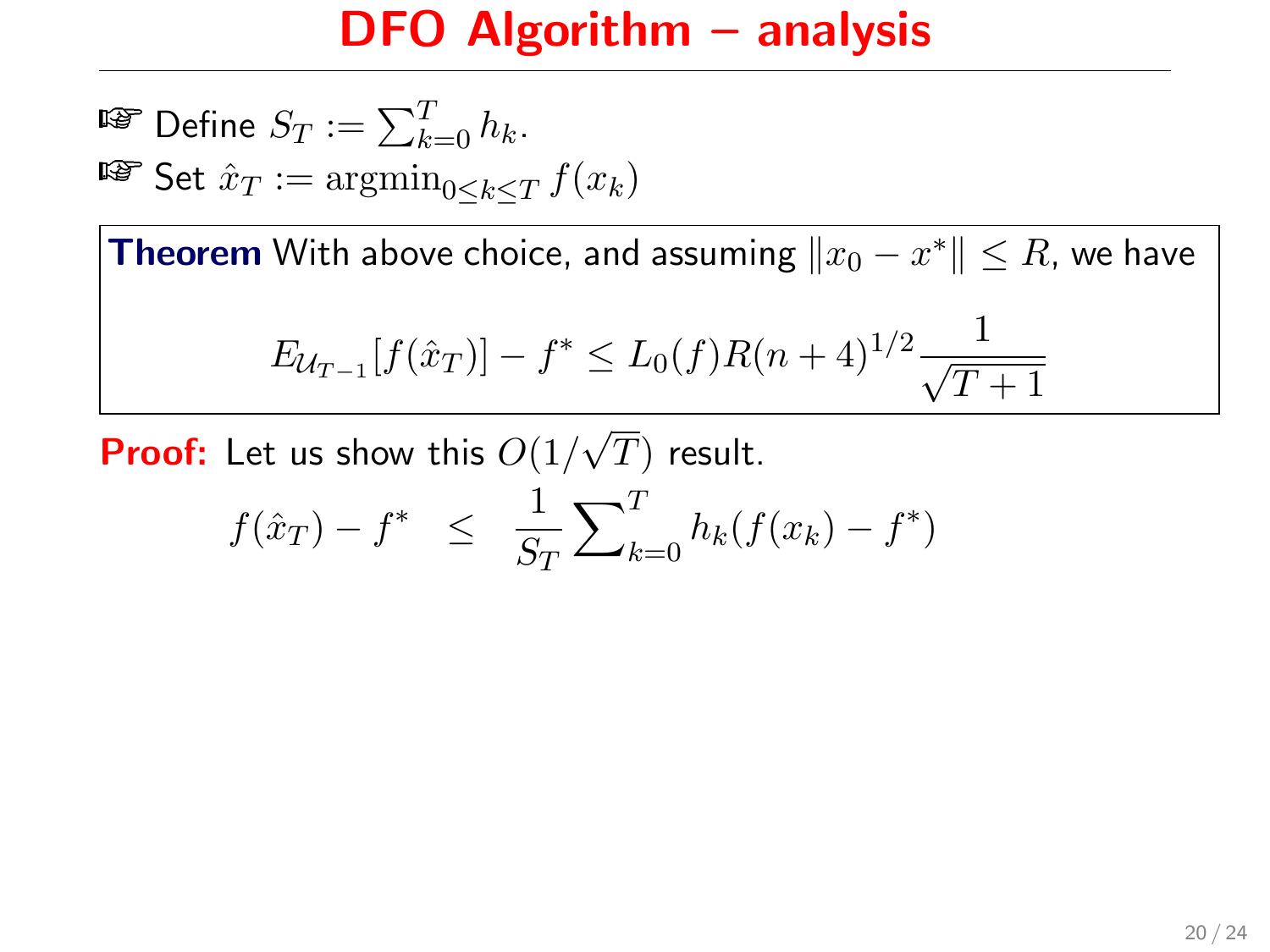$\mathbb{F}$  Define  $S_T := \sum_{k=0}^T h_k$ . **■■ Set**  $\hat{x}_T := \operatorname{argmin}_{0 \leq k \leq T} f(x_k)$ 

**Theorem** With above choice, and assuming  $\|x_0 - x^*\| \leq R$ , we have

$$
E_{\mathcal{U}_{T-1}}[f(\hat{x}_T)] - f^* \le L_0(f)R(n+4)^{1/2}\frac{1}{\sqrt{T+1}}
$$

**Proof:** Let us show this  $O(1/$ √  $T)$  result.

$$
f(\hat{x}_T) - f^* \leq \frac{1}{S_T} \sum_{k=0}^T h_k(f(x_k) - f^*)
$$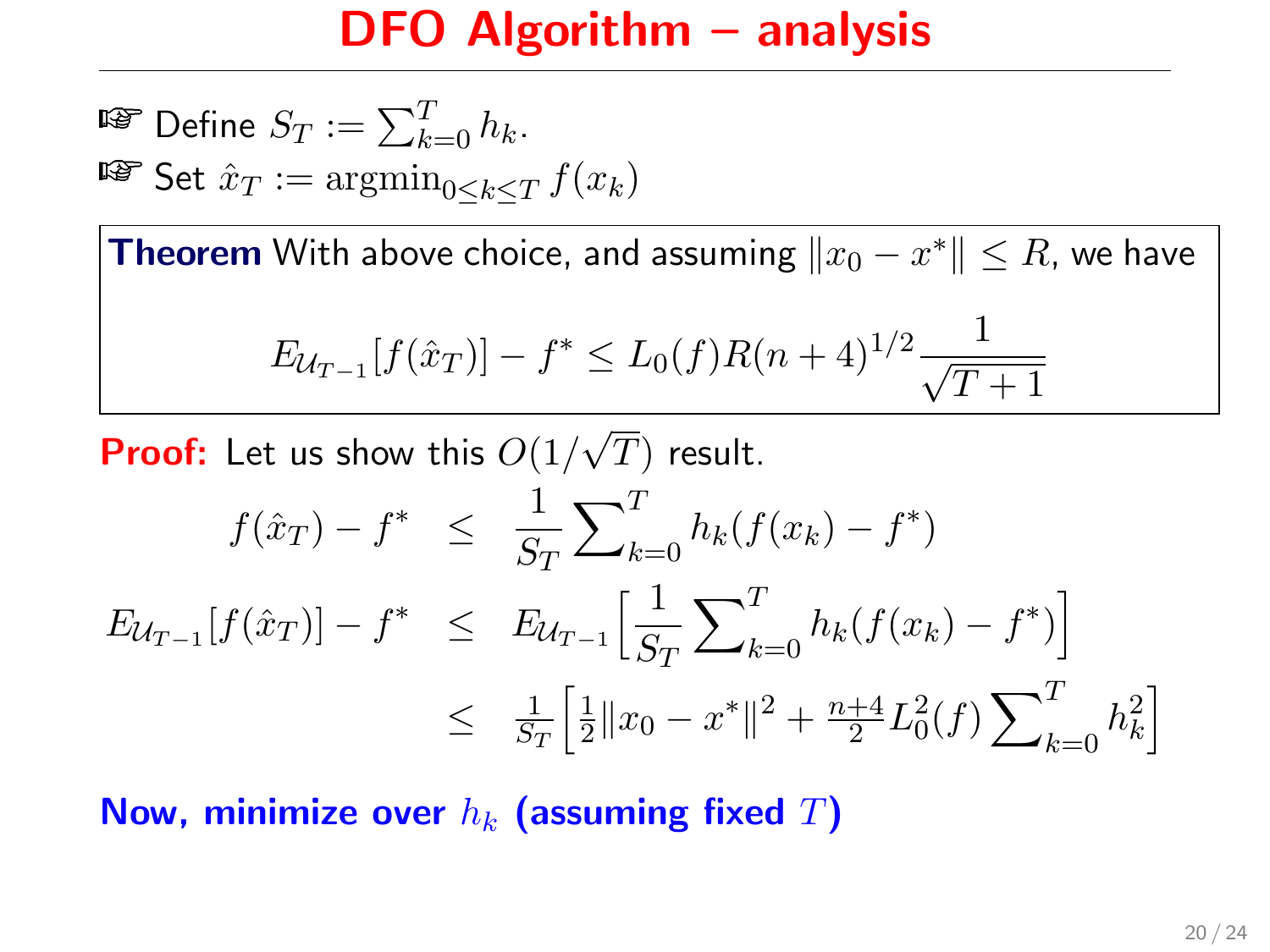$\mathbb{F}$  Define  $S_T := \sum_{k=0}^T h_k$ . **■■ Set**  $\hat{x}_T := \operatorname{argmin}_{0 \leq k \leq T} f(x_k)$ 

**Theorem** With above choice, and assuming  $\|x_0 - x^*\| \leq R$ , we have

$$
E_{\mathcal{U}_{T-1}}[f(\hat{x}_T)] - f^* \le L_0(f)R(n+4)^{1/2}\frac{1}{\sqrt{T+1}}
$$

**Proof:** Let us show this  $O(1/$ √  $T)$  result.

$$
f(\hat{x}_T) - f^* \leq \frac{1}{S_T} \sum_{k=0}^T h_k (f(x_k) - f^*)
$$
  
\n
$$
E_{\mathcal{U}_{T-1}}[f(\hat{x}_T)] - f^* \leq E_{\mathcal{U}_{T-1}} \Big[ \frac{1}{S_T} \sum_{k=0}^T h_k (f(x_k) - f^*) \Big]
$$
  
\n
$$
\leq \frac{1}{S_T} \Big[ \frac{1}{2} ||x_0 - x^*||^2 + \frac{n+4}{2} L_0^2(f) \sum_{k=0}^T h_k^2 \Big]
$$

Now, minimize over  $h_k$  (assuming fixed  $T$ )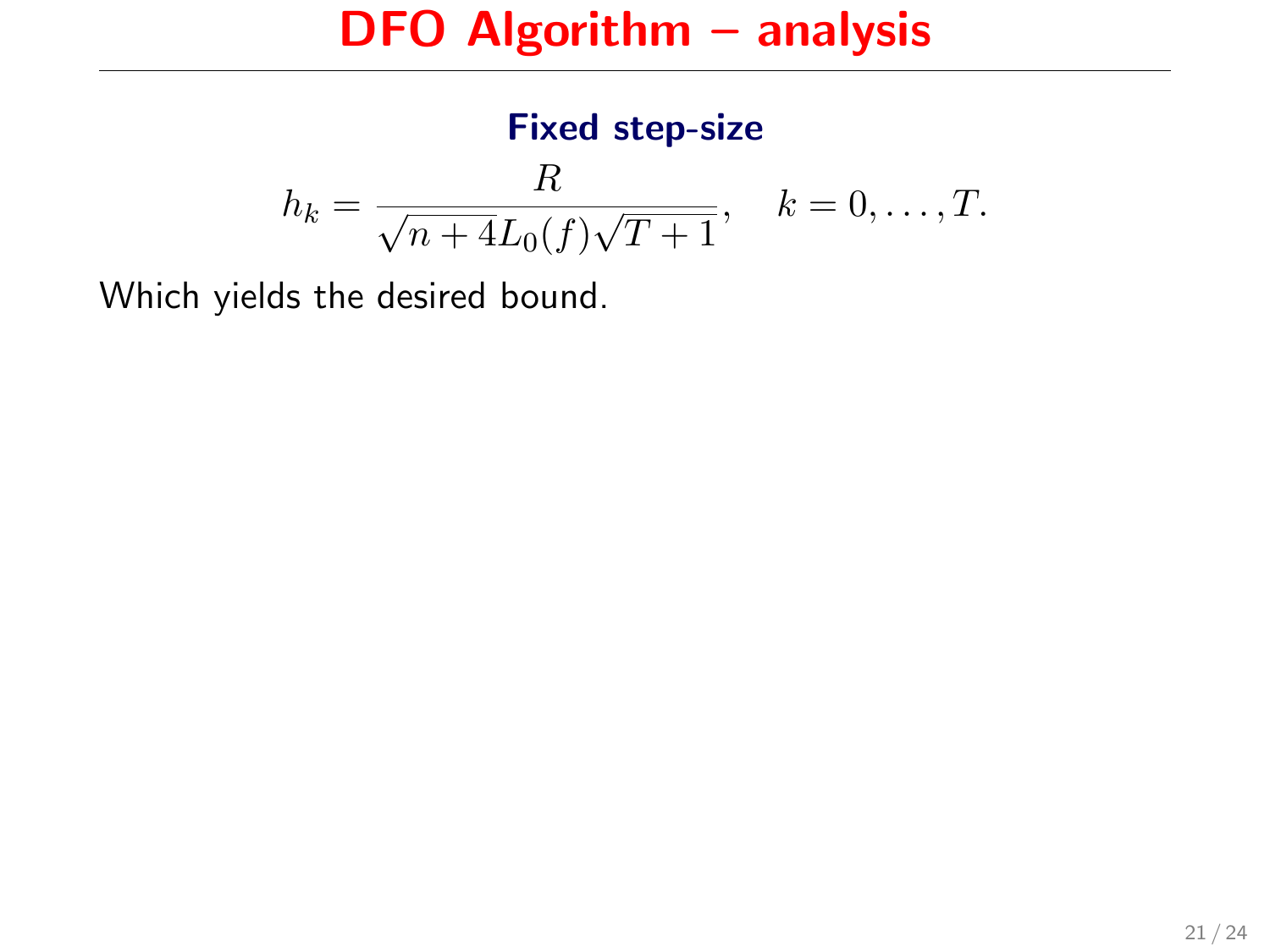#### Fixed step-size  $h_k = \frac{R}{\sqrt{1 + \left(\frac{L}{k}\right)^2 + \left(\frac{L}{k}\right)^2}}$  $n + 4L_0(f)$ √  $T+1$  $, \quad k = 0, \ldots, T.$

Which yields the desired bound.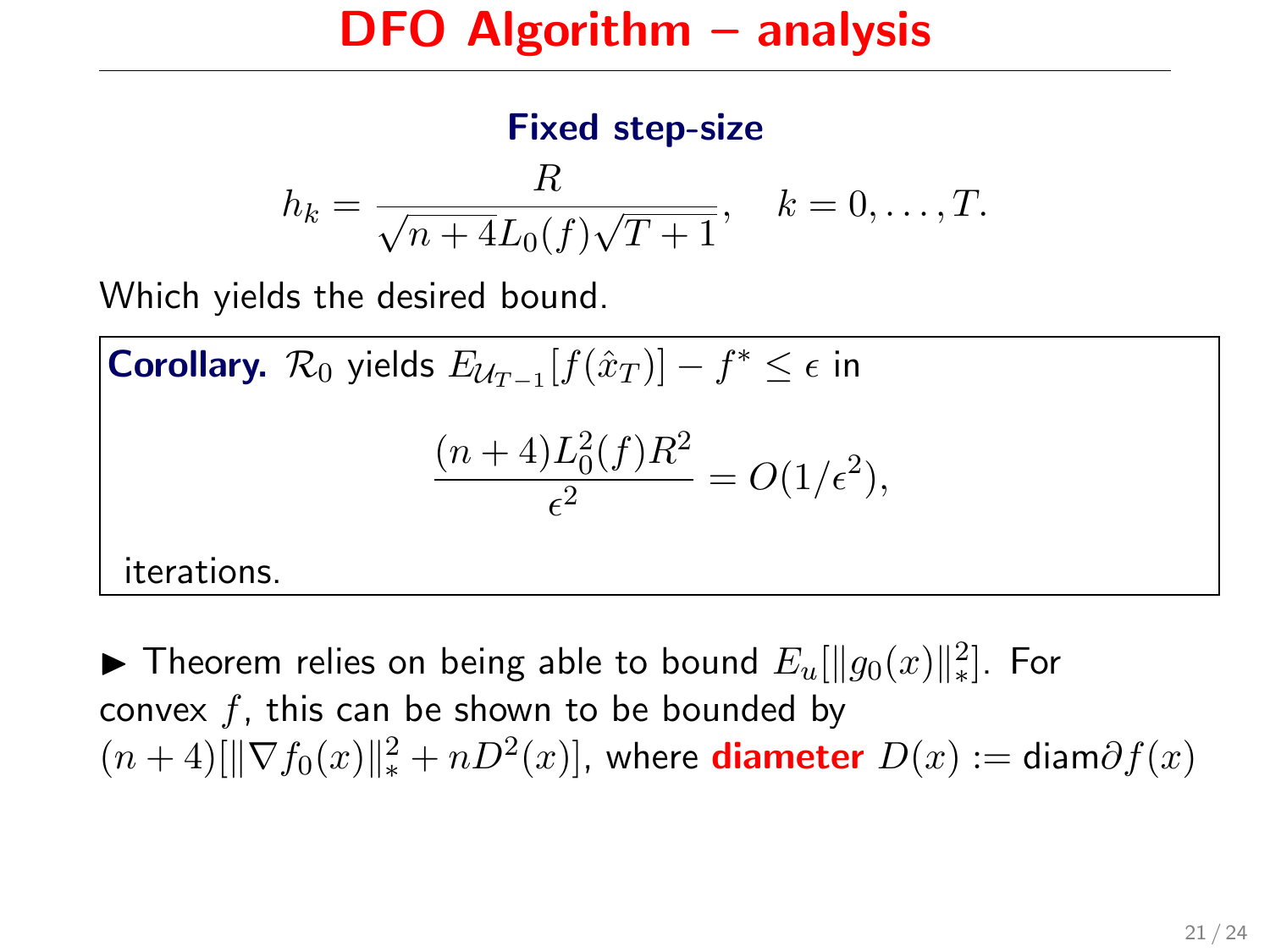#### Fixed step-size

$$
h_k = \frac{R}{\sqrt{n+4L_0(f)\sqrt{T+1}}}, \quad k = 0, ..., T.
$$

Which yields the desired bound.

**Corollary.**  $\mathcal{R}_0$  yields  $E_{\mathcal{U}_{T-1}}[f(\hat{x}_T)] - f^* \leq \epsilon$  in  $(n+4)L_0^2(f)R^2$  $\frac{L_0(f) \mu}{\epsilon^2} = O(1/\epsilon^2),$ iterations.

► Theorem relies on being able to bound  $E_u[\|g_0(x)\|_*^2]$ . For convex  $f$ , this can be shown to be bounded by  $(n+4)[\|\nabla f_0(x)\|_*^2 + nD^2(x)]$ , where **diameter**  $D(x) := \text{diam}\partial f(x)$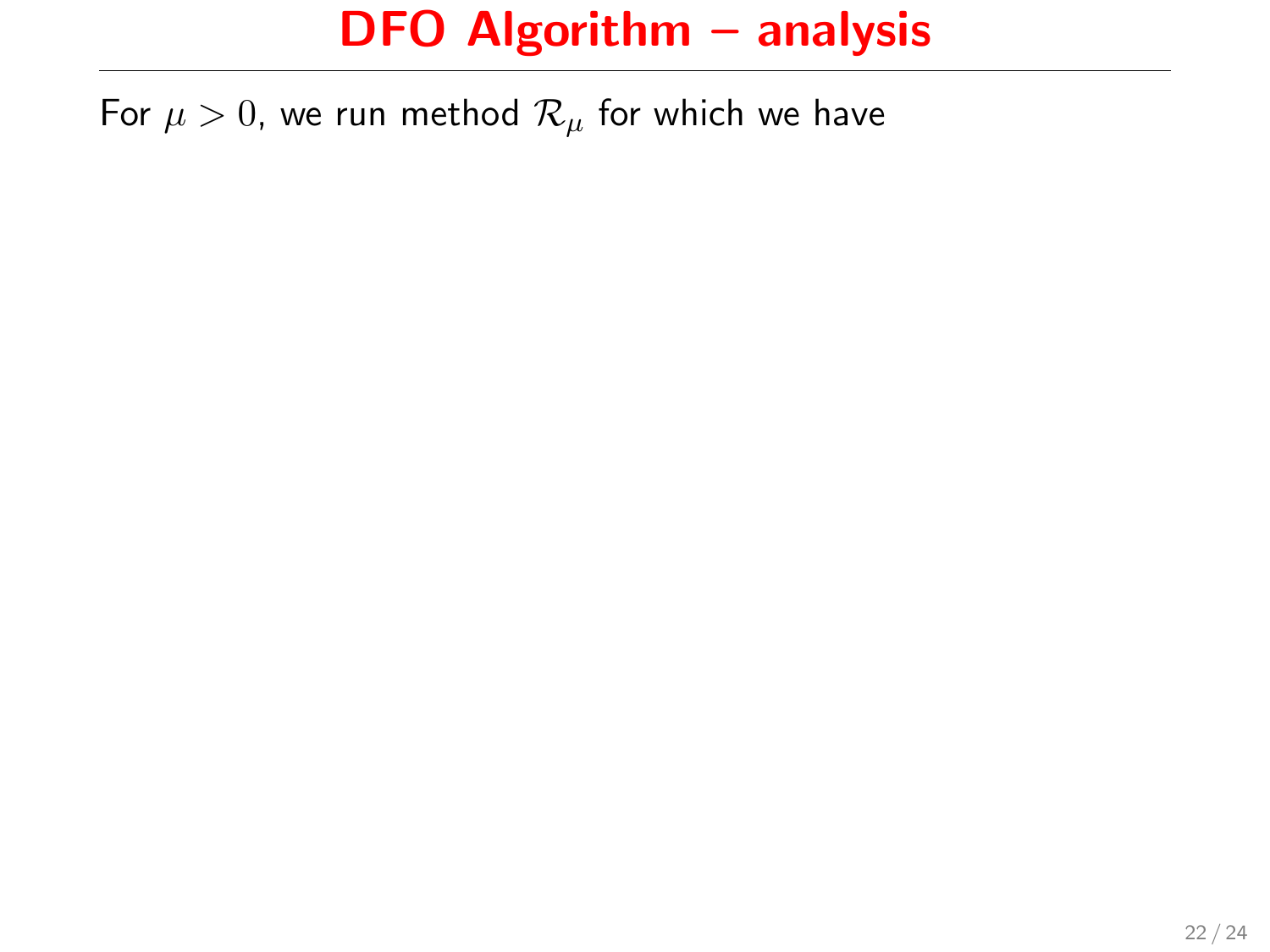For  $\mu > 0$ , we run method  $\mathcal{R}_{\mu}$  for which we have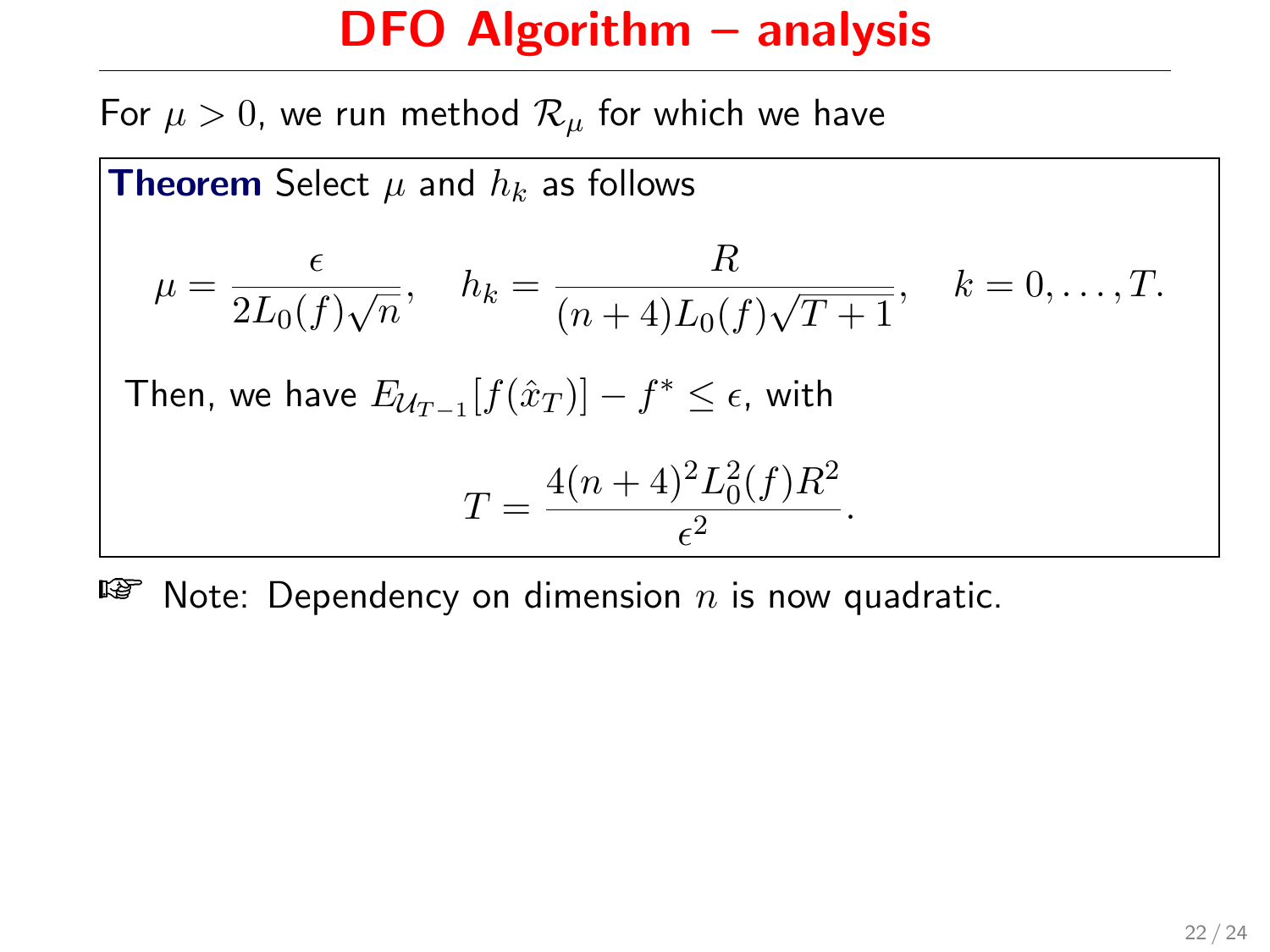# DFO Algorithm – analysis

For  $\mu > 0$ , we run method  $\mathcal{R}_{\mu}$  for which we have

**Theorem Select** 
$$
\mu
$$
 and  $h_k$  as follows  
\n
$$
\mu = \frac{\epsilon}{2L_0(f)\sqrt{n}}, \quad h_k = \frac{R}{(n+4)L_0(f)\sqrt{T+1}}, \quad k = 0, ..., T.
$$
\nThen, we have  $E_{\mathcal{U}_{T-1}}[f(\hat{x}_T)] - f^* \leq \epsilon$ , with\n
$$
T = \frac{4(n+4)^2 L_0^2(f) R^2}{\epsilon^2}.
$$

 $\mathbb{F}$  Note: Dependency on dimension *n* is now quadratic.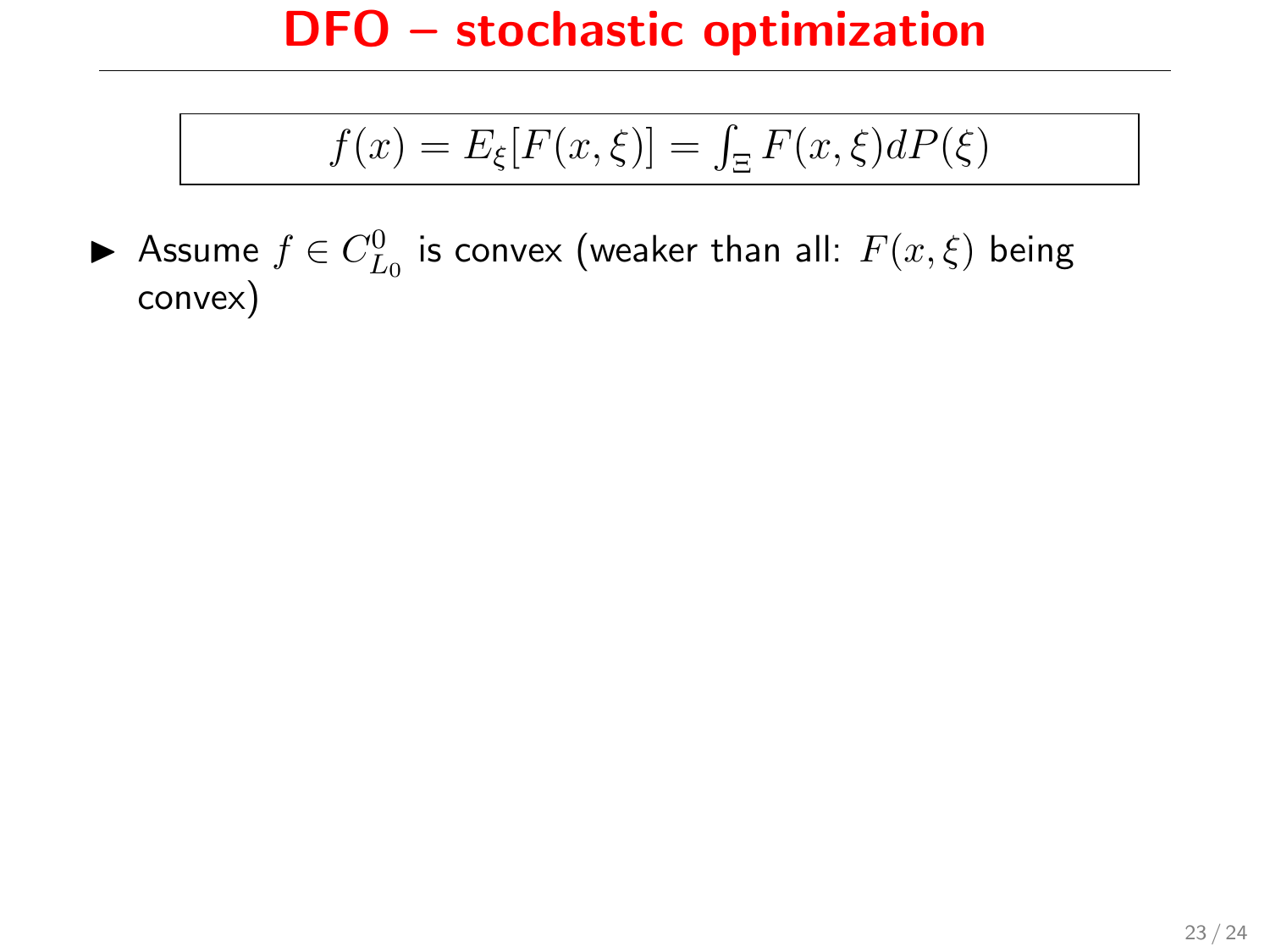$$
f(x) = E_{\xi}[F(x,\xi)] = \int_{\Xi} F(x,\xi)dP(\xi)
$$

▶ Assume  $f \in C_{L_0}^0$  is convex (weaker than all:  $F(x,\xi)$  being convex)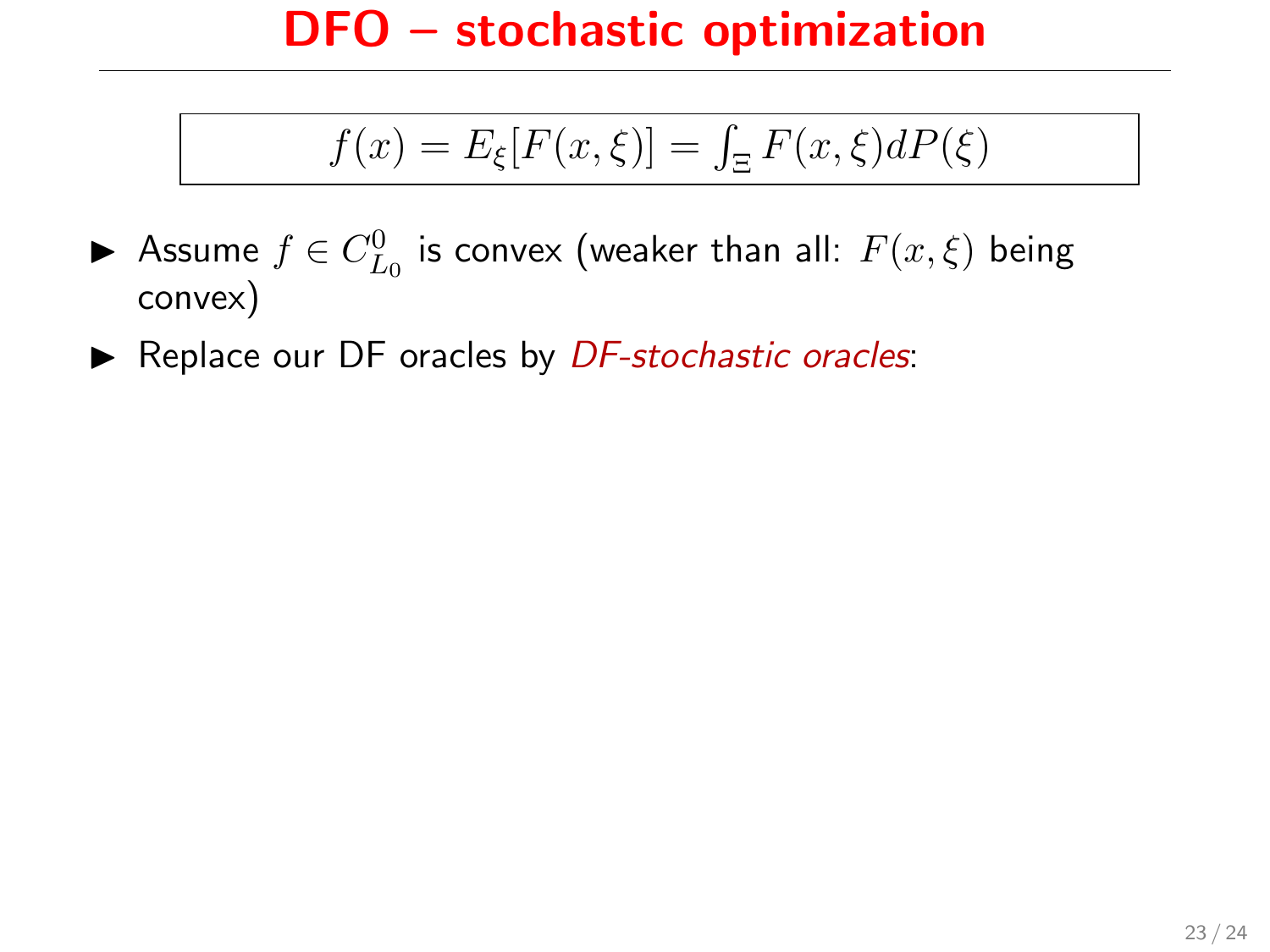$$
f(x) = E_{\xi}[F(x,\xi)] = \int_{\Xi} F(x,\xi)dP(\xi)
$$

- ▶ Assume  $f \in C_{L_0}^0$  is convex (weaker than all:  $F(x,\xi)$  being convex)
- $\triangleright$  Replace our DF oracles by *DF-stochastic oracles*: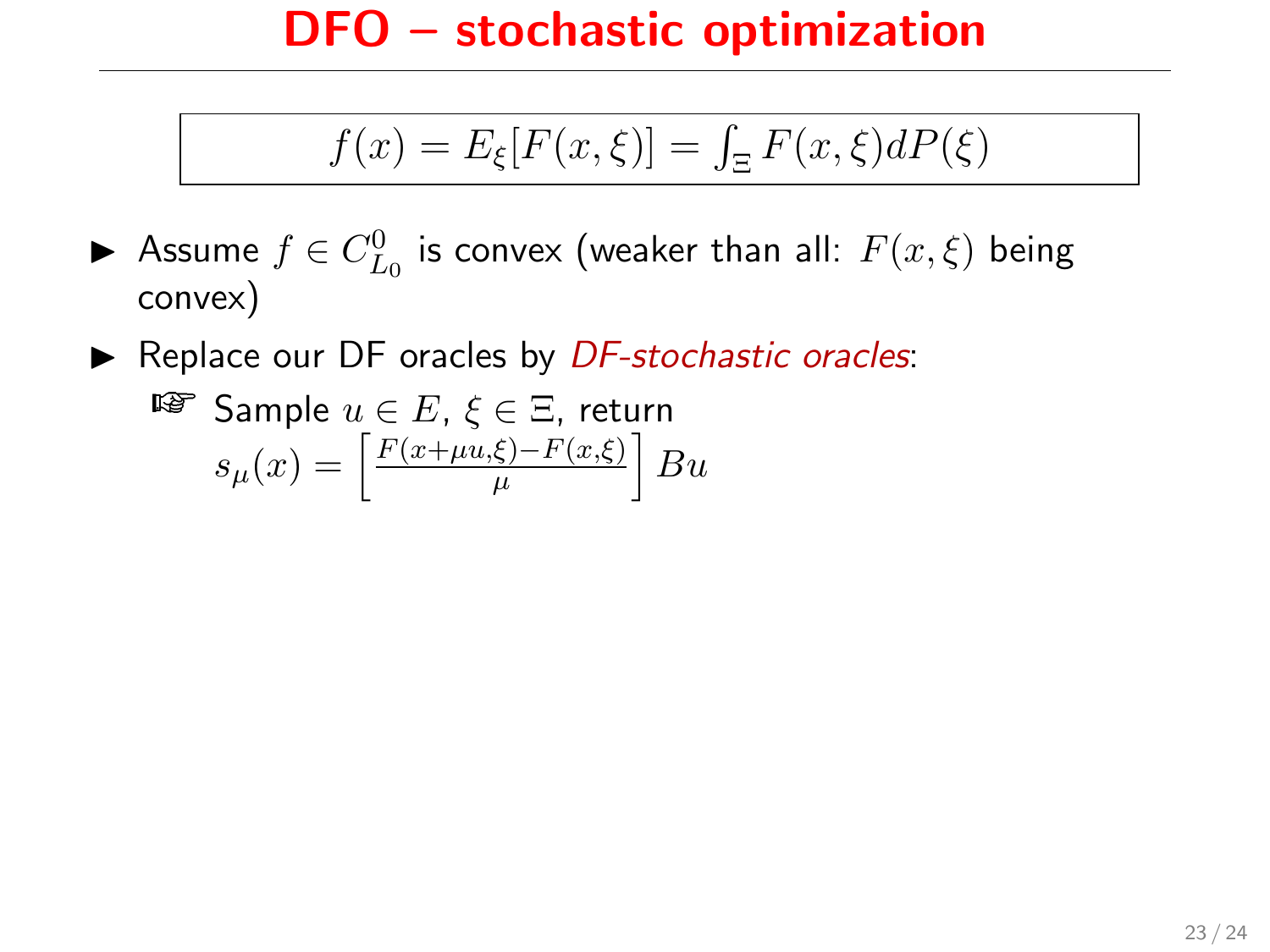$$
f(x) = E_{\xi}[F(x,\xi)] = \int_{\Xi} F(x,\xi)dP(\xi)
$$

- ▶ Assume  $f \in C_{L_0}^0$  is convex (weaker than all:  $F(x,\xi)$  being convex)
- $\triangleright$  Replace our DF oracles by *DF-stochastic oracles*:

$$
\begin{aligned}\n\mathbb{E} \text{ Sample } u \in E, & \xi \in \Xi, \text{ return} \\
s_{\mu}(x) = \left[ \frac{F(x + \mu u, \xi) - F(x, \xi)}{\mu} \right] B u\n\end{aligned}
$$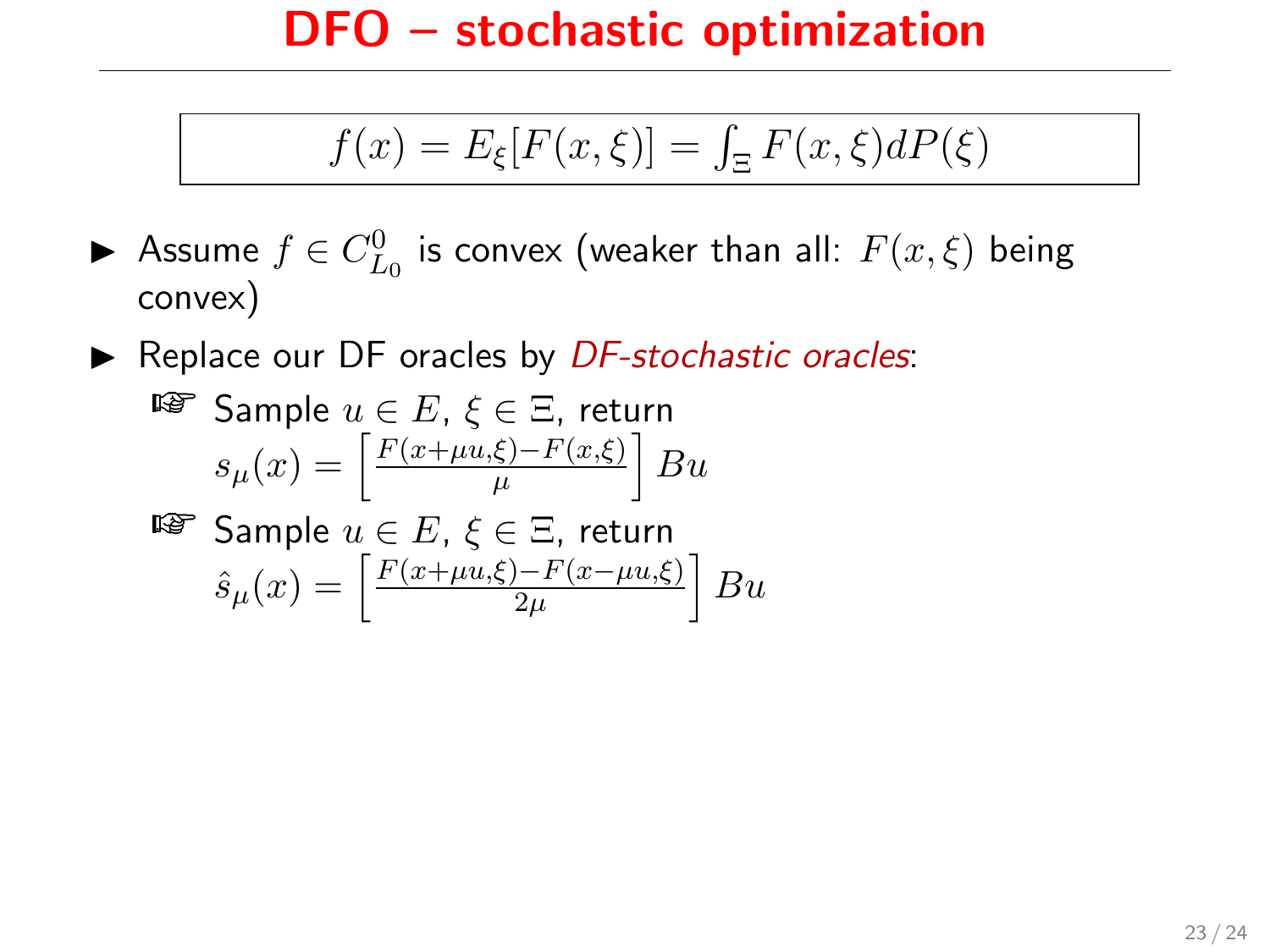$$
f(x) = E_{\xi}[F(x,\xi)] = \int_{\Xi} F(x,\xi)dP(\xi)
$$

- ▶ Assume  $f \in C_{L_0}^0$  is convex (weaker than all:  $F(x,\xi)$  being convex)
- $\triangleright$  Replace our DF oracles by *DF-stochastic oracles*:

$$
\begin{aligned}\n\text{Example } u \in E, & \xi \in \Xi, \text{ return} \\
s_{\mu}(x) = \left[ \frac{F(x + \mu u, \xi) - F(x, \xi)}{\mu} \right] B u \\
\text{Example } u \in E, & \xi \in \Xi, \text{ return}\n\end{aligned}
$$

$$
\begin{aligned}\n\text{Example } u \in E, & \xi \in \Xi, \text{ return} \\
\hat{s}_{\mu}(x) = \left[ \frac{F(x + \mu u, \xi) - F(x - \mu u, \xi)}{2\mu} \right] Bu\n\end{aligned}
$$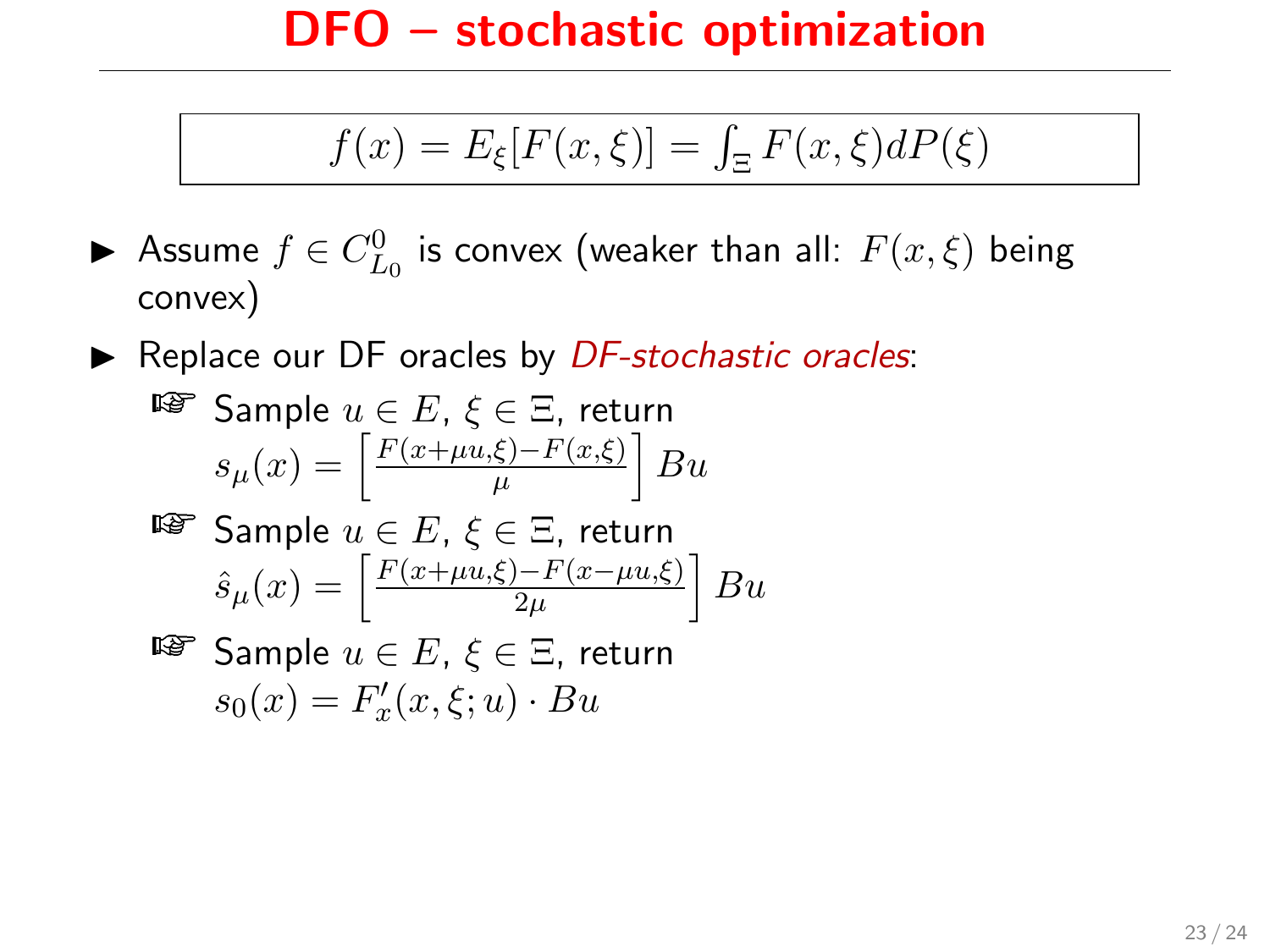$$
f(x) = E_{\xi}[F(x,\xi)] = \int_{\Xi} F(x,\xi)dP(\xi)
$$

- ▶ Assume  $f \in C_{L_0}^0$  is convex (weaker than all:  $F(x,\xi)$  being convex)
- $\triangleright$  Replace our DF oracles by *DF-stochastic oracles*:

$$
\begin{aligned} \n\text{Example } u \in E, \, \xi \in \Xi, \, \text{return} \\ \ns_{\mu}(x) = \left[ \frac{F(x + \mu u, \xi) - F(x, \xi)}{\mu} \right] B u \n\end{aligned}
$$

$$
\begin{aligned}\n\text{Example } u \in E, & \xi \in \Xi, \text{ return} \\
\hat{s}_{\mu}(x) = \left[ \frac{F(x + \mu u, \xi) - F(x - \mu u, \xi)}{2\mu} \right] Bu\n\end{aligned}
$$

 $\mathbb{R}^n$  Sample  $u \in E$ ,  $\xi \in \Xi$ , return  $s_0(x) = F'_x(x,\xi;u) \cdot Bu$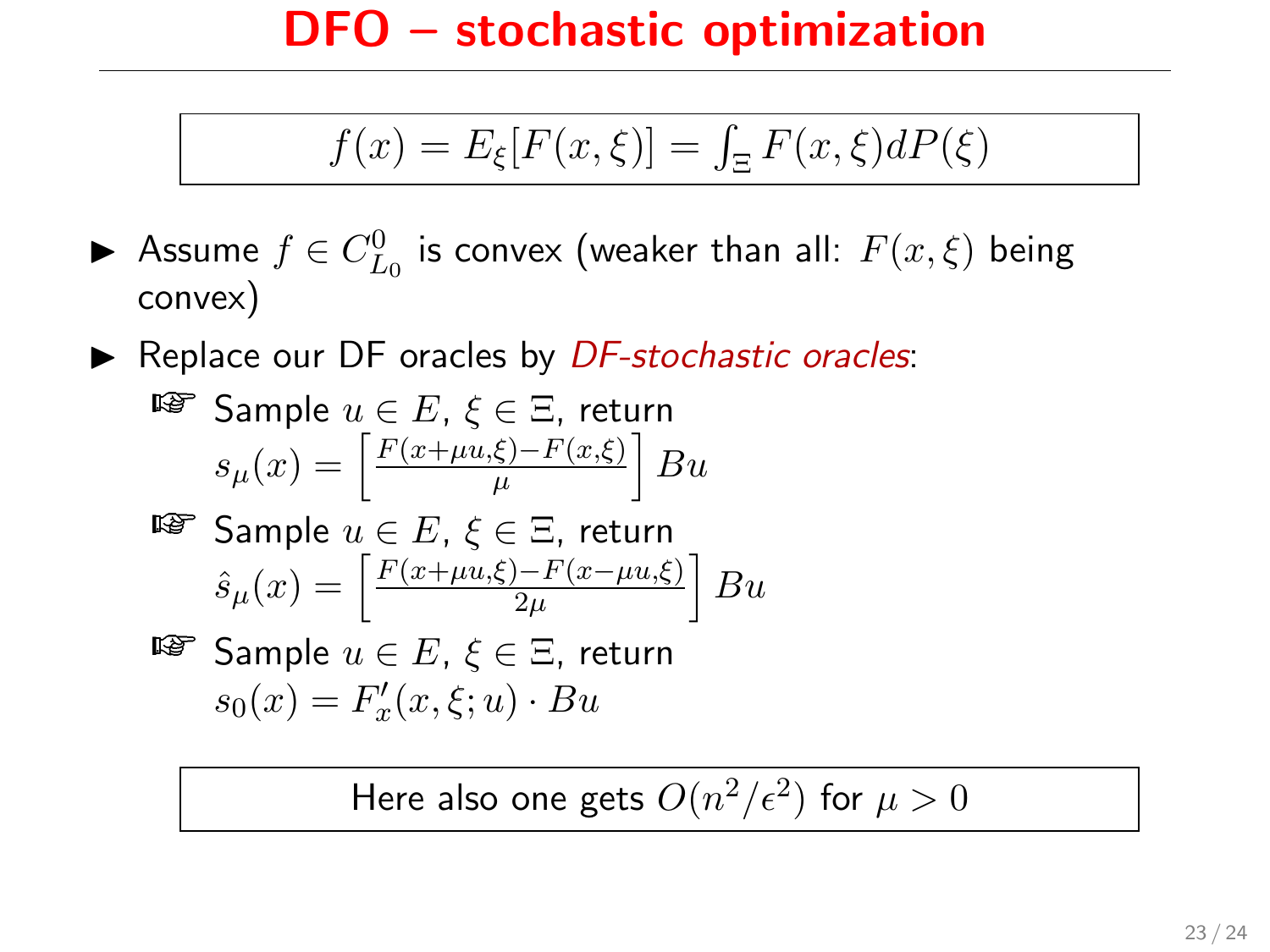$$
f(x) = E_{\xi}[F(x,\xi)] = \int_{\Xi} F(x,\xi)dP(\xi)
$$

- ▶ Assume  $f \in C_{L_0}^0$  is convex (weaker than all:  $F(x,\xi)$  being convex)
- $\triangleright$  Replace our DF oracles by *DF-stochastic oracles*:

$$
\begin{aligned}\n\mathbb{E} &\text{Sample } u \in E, \, \xi \in \Xi, \text{ return} \\
s_{\mu}(x) &= \left[ \frac{F(x + \mu u, \xi) - F(x, \xi)}{\mu} \right] B u\n\end{aligned}
$$

$$
\begin{aligned}\n\text{Example } u \in E, & \xi \in \Xi, \text{ return} \\
\hat{s}_{\mu}(x) = \left[ \frac{F(x + \mu u, \xi) - F(x - \mu u, \xi)}{2\mu} \right] Bu\n\end{aligned}
$$

$$
\begin{aligned}\n\text{For example } u \in E, \, \xi \in \Xi, \text{ return} \\
s_0(x) = F'_x(x, \xi; u) \cdot Bu\n\end{aligned}
$$

Here also one gets  $O(n^2/\epsilon^2)$  for  $\mu>0$